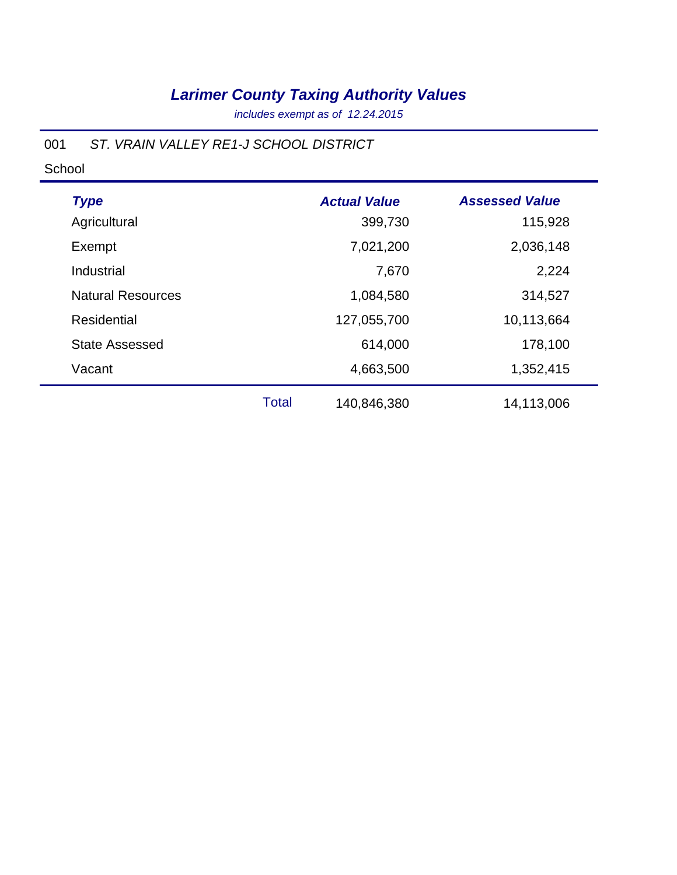*includes exempt as of 12.24.2015*

#### 001 *ST. VRAIN VALLEY RE1-J SCHOOL DISTRICT*

| <b>Type</b>              |              | <b>Actual Value</b> | <b>Assessed Value</b> |
|--------------------------|--------------|---------------------|-----------------------|
| Agricultural             |              | 399,730             | 115,928               |
| Exempt                   |              | 7,021,200           | 2,036,148             |
| Industrial               |              | 7,670               | 2,224                 |
| <b>Natural Resources</b> |              | 1,084,580           | 314,527               |
| <b>Residential</b>       |              | 127,055,700         | 10,113,664            |
| <b>State Assessed</b>    |              | 614,000             | 178,100               |
| Vacant                   |              | 4,663,500           | 1,352,415             |
|                          | <b>Total</b> | 140,846,380         | 14,113,006            |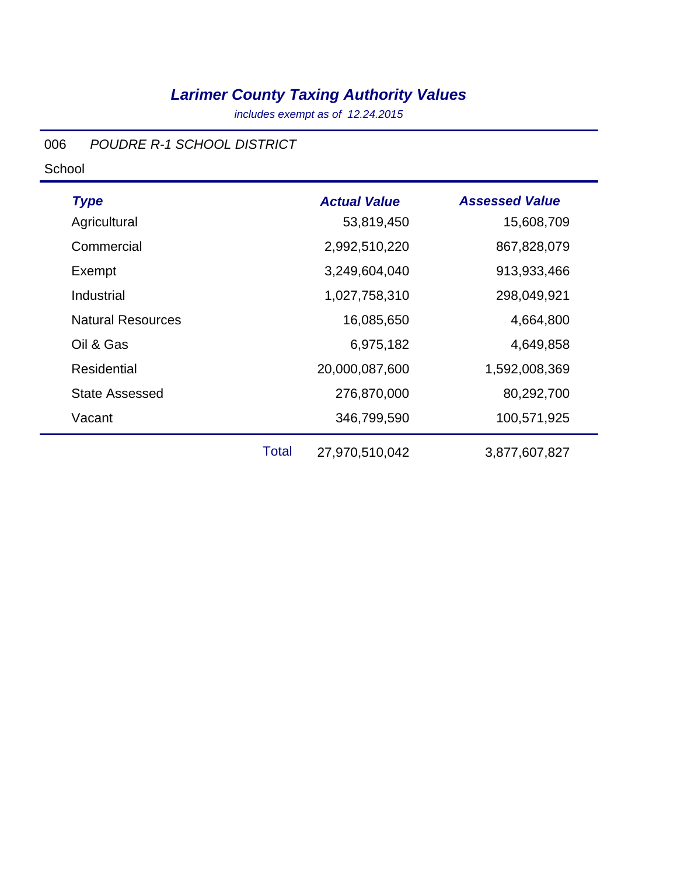*includes exempt as of 12.24.2015*

#### 006 *POUDRE R-1 SCHOOL DISTRICT*

| <b>Type</b>              |              | <b>Actual Value</b> | <b>Assessed Value</b> |
|--------------------------|--------------|---------------------|-----------------------|
| Agricultural             |              | 53,819,450          | 15,608,709            |
| Commercial               |              | 2,992,510,220       | 867,828,079           |
| Exempt                   |              | 3,249,604,040       | 913,933,466           |
| Industrial               |              | 1,027,758,310       | 298,049,921           |
| <b>Natural Resources</b> |              | 16,085,650          | 4,664,800             |
| Oil & Gas                |              | 6,975,182           | 4,649,858             |
| <b>Residential</b>       |              | 20,000,087,600      | 1,592,008,369         |
| <b>State Assessed</b>    |              | 276,870,000         | 80,292,700            |
| Vacant                   |              | 346,799,590         | 100,571,925           |
|                          | <b>Total</b> | 27,970,510,042      | 3,877,607,827         |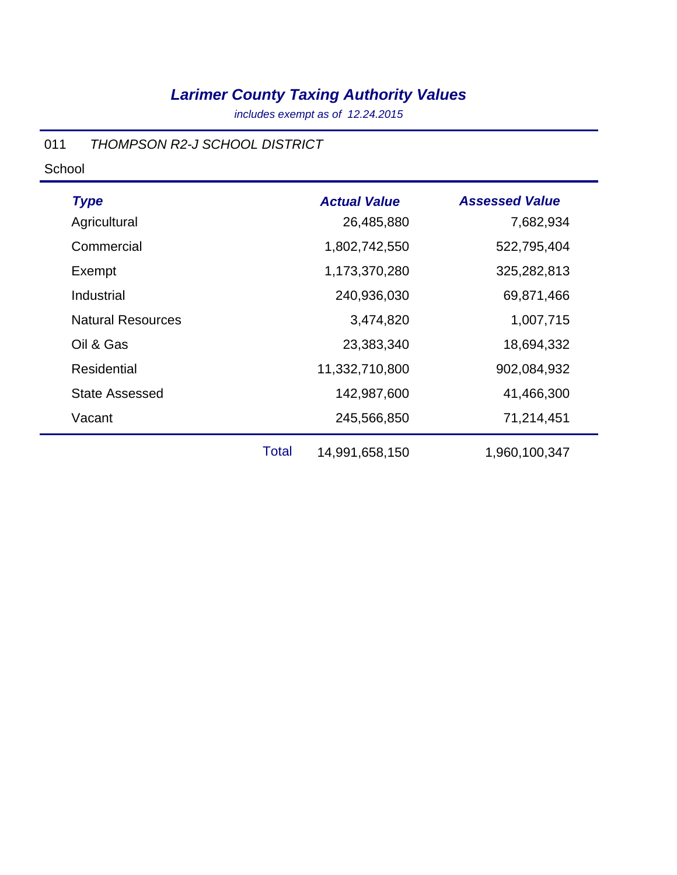*includes exempt as of 12.24.2015*

#### 011 *THOMPSON R2-J SCHOOL DISTRICT*

| <b>Type</b>              |              | <b>Actual Value</b> | <b>Assessed Value</b> |
|--------------------------|--------------|---------------------|-----------------------|
| Agricultural             |              | 26,485,880          | 7,682,934             |
| Commercial               |              | 1,802,742,550       | 522,795,404           |
| Exempt                   |              | 1,173,370,280       | 325,282,813           |
| Industrial               |              | 240,936,030         | 69,871,466            |
| <b>Natural Resources</b> |              | 3,474,820           | 1,007,715             |
| Oil & Gas                |              | 23,383,340          | 18,694,332            |
| <b>Residential</b>       |              | 11,332,710,800      | 902,084,932           |
| <b>State Assessed</b>    |              | 142,987,600         | 41,466,300            |
| Vacant                   |              | 245,566,850         | 71,214,451            |
|                          | <b>Total</b> | 14,991,658,150      | 1,960,100,347         |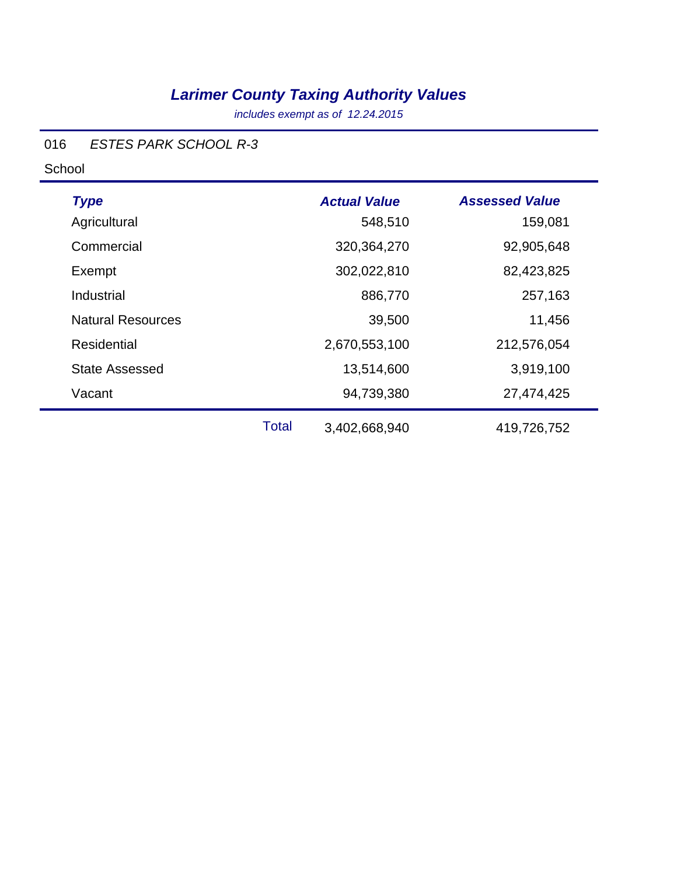*includes exempt as of 12.24.2015*

#### 016 *ESTES PARK SCHOOL R-3*

| <b>Type</b><br>Agricultural |              | <b>Actual Value</b><br>548,510 | <b>Assessed Value</b><br>159,081 |
|-----------------------------|--------------|--------------------------------|----------------------------------|
| Commercial                  |              | 320,364,270                    | 92,905,648                       |
| Exempt                      |              | 302,022,810                    | 82,423,825                       |
| Industrial                  |              | 886,770                        | 257,163                          |
| <b>Natural Resources</b>    |              | 39,500                         | 11,456                           |
| Residential                 |              | 2,670,553,100                  | 212,576,054                      |
| <b>State Assessed</b>       |              | 13,514,600                     | 3,919,100                        |
| Vacant                      |              | 94,739,380                     | 27,474,425                       |
|                             | <b>Total</b> | 3,402,668,940                  | 419,726,752                      |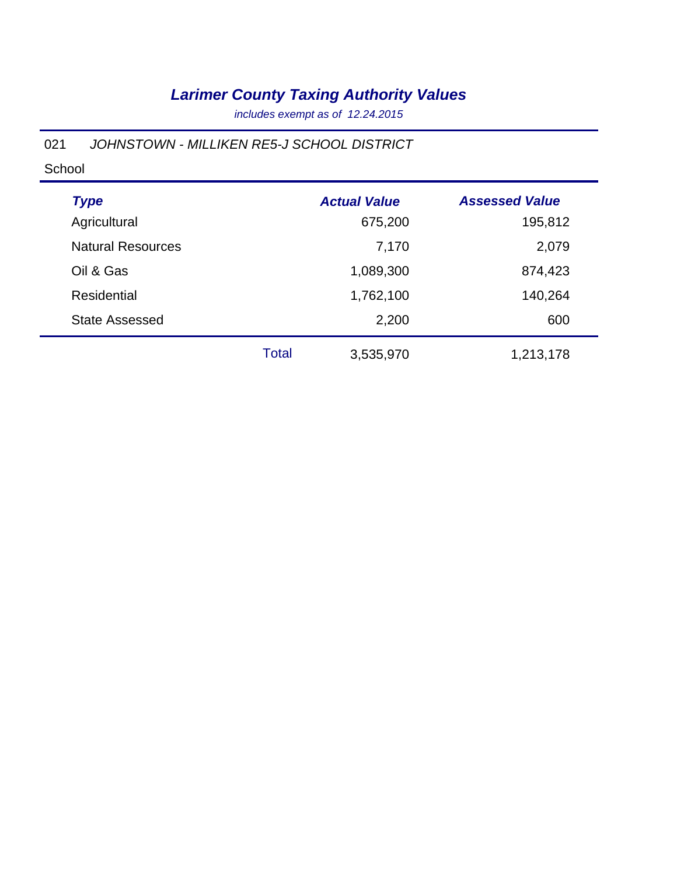*includes exempt as of 12.24.2015*

#### 021 *JOHNSTOWN - MILLIKEN RE5-J SCHOOL DISTRICT*

| <b>Type</b>              |              | <b>Actual Value</b> | <b>Assessed Value</b> |
|--------------------------|--------------|---------------------|-----------------------|
| Agricultural             |              | 675,200             | 195,812               |
| <b>Natural Resources</b> |              | 7,170               | 2,079                 |
| Oil & Gas                |              | 1,089,300           | 874,423               |
| <b>Residential</b>       |              | 1,762,100           | 140,264               |
| <b>State Assessed</b>    |              | 2,200               | 600                   |
|                          | <b>Total</b> | 3,535,970           | 1,213,178             |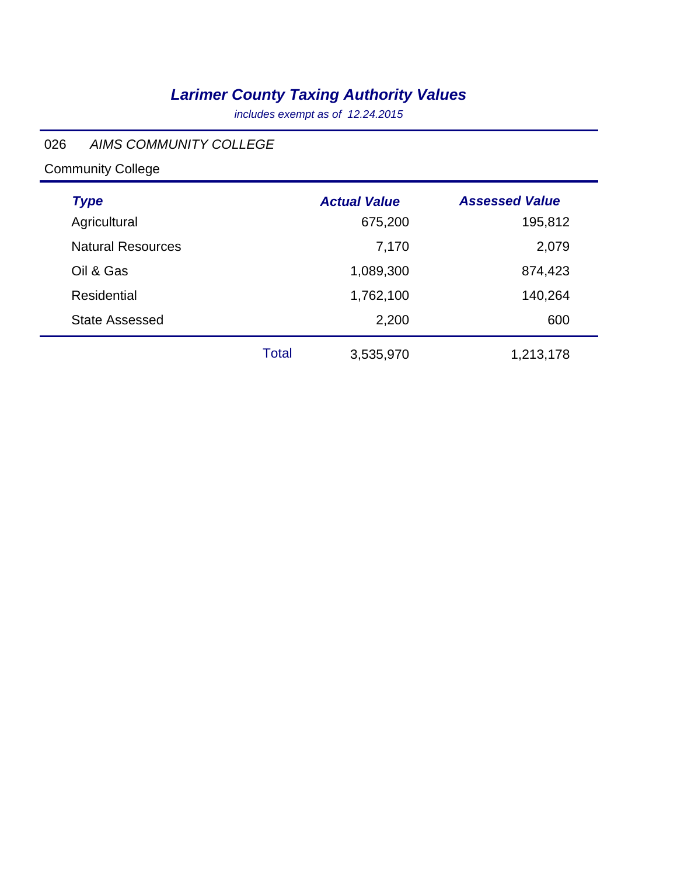*includes exempt as of 12.24.2015*

#### 026 *AIMS COMMUNITY COLLEGE*

# Community College

÷

| <b>Type</b>              |              | <b>Actual Value</b> | <b>Assessed Value</b> |
|--------------------------|--------------|---------------------|-----------------------|
| Agricultural             |              | 675,200             | 195,812               |
| <b>Natural Resources</b> |              | 7,170               | 2,079                 |
| Oil & Gas                |              | 1,089,300           | 874,423               |
| Residential              |              | 1,762,100           | 140,264               |
| <b>State Assessed</b>    |              | 2,200               | 600                   |
|                          | <b>Total</b> | 3,535,970           | 1,213,178             |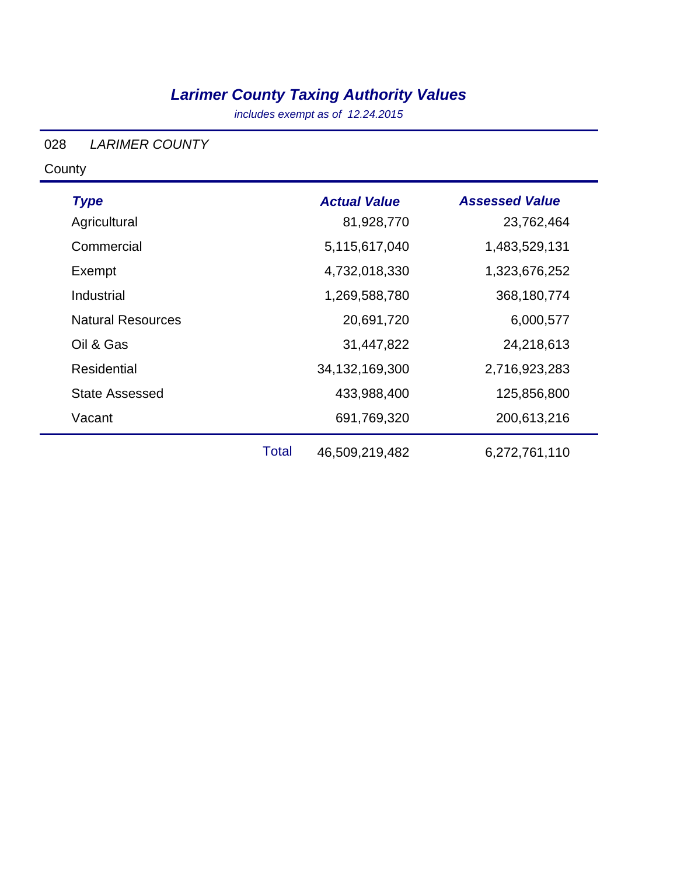*includes exempt as of 12.24.2015*

#### 028 *LARIMER COUNTY*

**County** 

| <b>Type</b>              |              | <b>Actual Value</b> | <b>Assessed Value</b> |
|--------------------------|--------------|---------------------|-----------------------|
| Agricultural             |              | 81,928,770          | 23,762,464            |
| Commercial               |              | 5,115,617,040       | 1,483,529,131         |
| Exempt                   |              | 4,732,018,330       | 1,323,676,252         |
| Industrial               |              | 1,269,588,780       | 368,180,774           |
| <b>Natural Resources</b> |              | 20,691,720          | 6,000,577             |
| Oil & Gas                |              | 31,447,822          | 24,218,613            |
| <b>Residential</b>       |              | 34, 132, 169, 300   | 2,716,923,283         |
| <b>State Assessed</b>    |              | 433,988,400         | 125,856,800           |
| Vacant                   |              | 691,769,320         | 200,613,216           |
|                          | <b>Total</b> | 46,509,219,482      | 6,272,761,110         |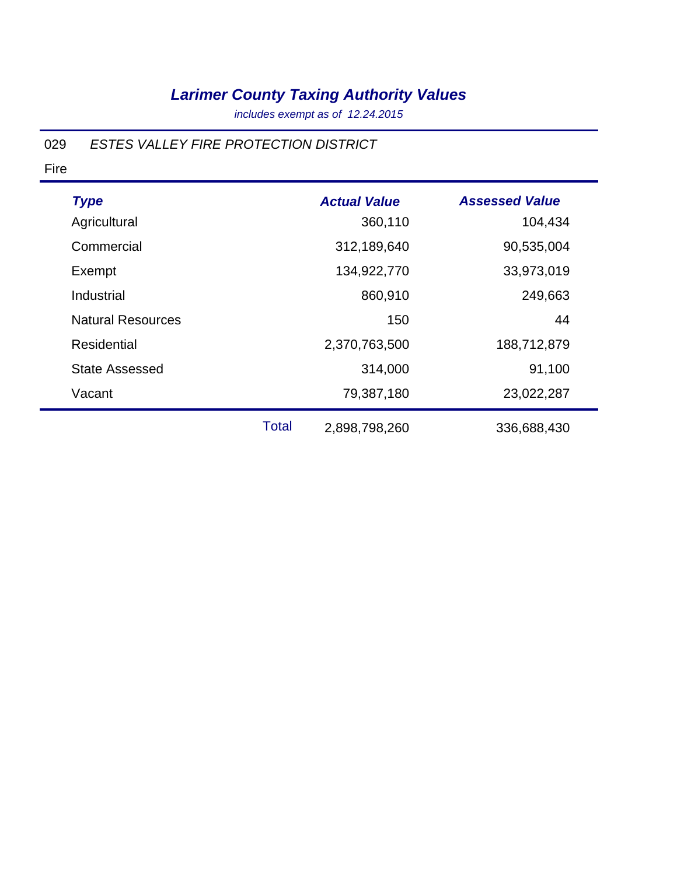*includes exempt as of 12.24.2015*

#### 029 *ESTES VALLEY FIRE PROTECTION DISTRICT*

| <b>Type</b>              |              | <b>Actual Value</b> | <b>Assessed Value</b> |
|--------------------------|--------------|---------------------|-----------------------|
| Agricultural             |              | 360,110             | 104,434               |
| Commercial               |              | 312,189,640         | 90,535,004            |
| Exempt                   |              | 134,922,770         | 33,973,019            |
| Industrial               |              | 860,910             | 249,663               |
| <b>Natural Resources</b> |              | 150                 | 44                    |
| <b>Residential</b>       |              | 2,370,763,500       | 188,712,879           |
| <b>State Assessed</b>    |              | 314,000             | 91,100                |
| Vacant                   |              | 79,387,180          | 23,022,287            |
|                          | <b>Total</b> | 2,898,798,260       | 336,688,430           |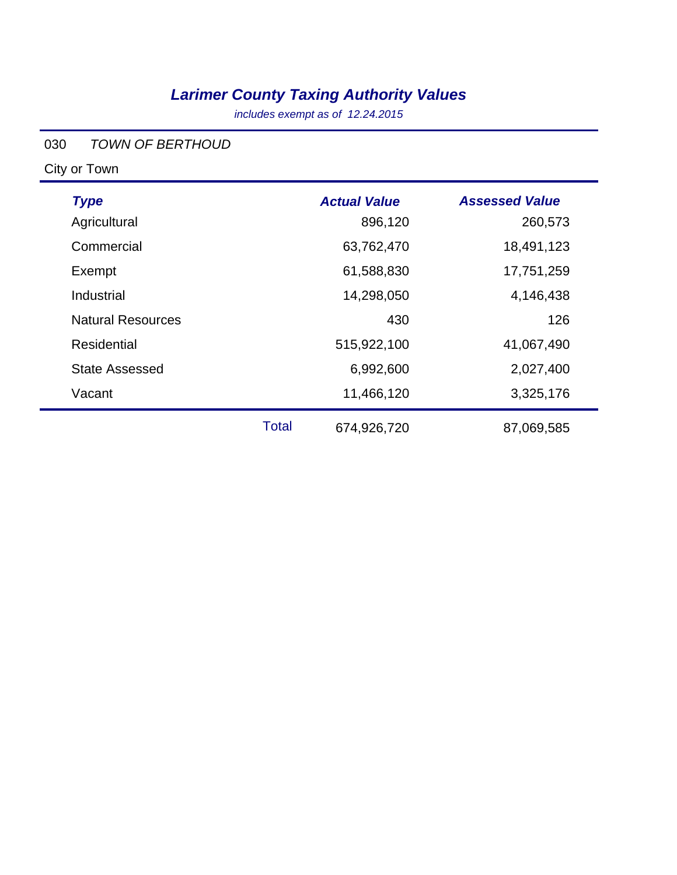*includes exempt as of 12.24.2015*

#### 030 *TOWN OF BERTHOUD*

| <b>Type</b>              |              | <b>Actual Value</b> | <b>Assessed Value</b> |
|--------------------------|--------------|---------------------|-----------------------|
| Agricultural             |              | 896,120             | 260,573               |
| Commercial               |              | 63,762,470          | 18,491,123            |
| Exempt                   |              | 61,588,830          | 17,751,259            |
| Industrial               |              | 14,298,050          | 4,146,438             |
| <b>Natural Resources</b> |              | 430                 | 126                   |
| Residential              |              | 515,922,100         | 41,067,490            |
| <b>State Assessed</b>    |              | 6,992,600           | 2,027,400             |
| Vacant                   |              | 11,466,120          | 3,325,176             |
|                          | <b>Total</b> | 674,926,720         | 87,069,585            |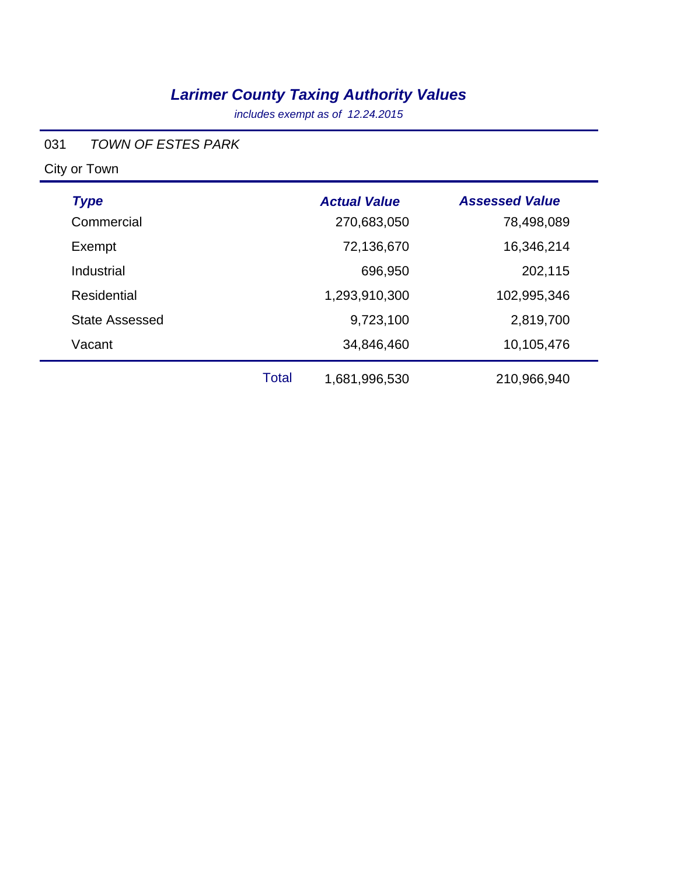*includes exempt as of 12.24.2015*

#### 031 *TOWN OF ESTES PARK*

| <b>Type</b>           |              | <b>Actual Value</b> | <b>Assessed Value</b> |
|-----------------------|--------------|---------------------|-----------------------|
| Commercial            |              | 270,683,050         | 78,498,089            |
| Exempt                |              | 72,136,670          | 16,346,214            |
| Industrial            |              | 696,950             | 202,115               |
| <b>Residential</b>    |              | 1,293,910,300       | 102,995,346           |
| <b>State Assessed</b> |              | 9,723,100           | 2,819,700             |
| Vacant                |              | 34,846,460          | 10,105,476            |
|                       | <b>Total</b> | 1,681,996,530       | 210,966,940           |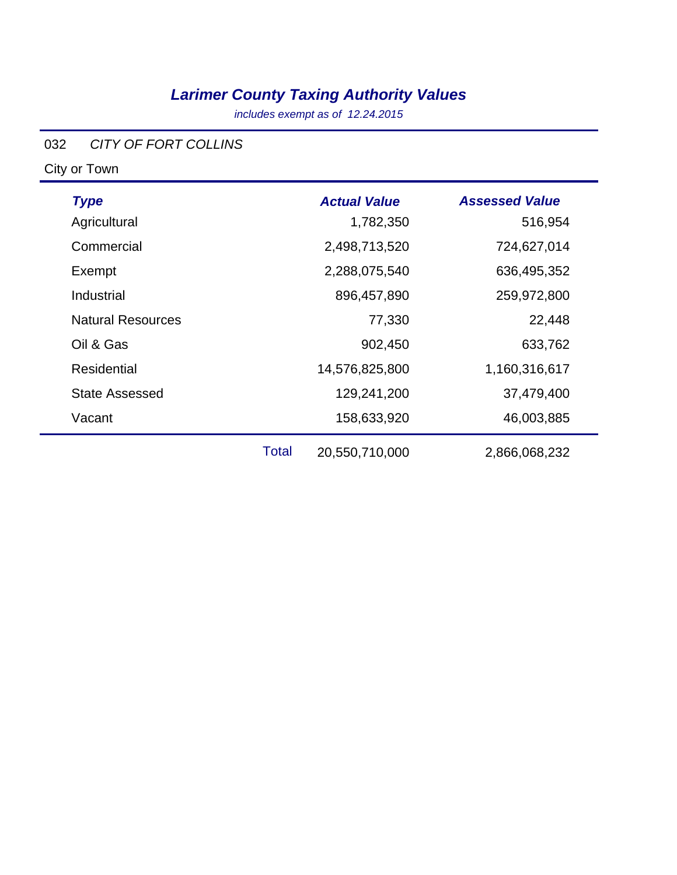*includes exempt as of 12.24.2015*

#### 032 *CITY OF FORT COLLINS*

| <b>Type</b>              |       | <b>Actual Value</b> | <b>Assessed Value</b> |
|--------------------------|-------|---------------------|-----------------------|
| Agricultural             |       | 1,782,350           | 516,954               |
| Commercial               |       | 2,498,713,520       | 724,627,014           |
| Exempt                   |       | 2,288,075,540       | 636,495,352           |
| Industrial               |       | 896,457,890         | 259,972,800           |
| <b>Natural Resources</b> |       | 77,330              | 22,448                |
| Oil & Gas                |       | 902,450             | 633,762               |
| <b>Residential</b>       |       | 14,576,825,800      | 1,160,316,617         |
| <b>State Assessed</b>    |       | 129,241,200         | 37,479,400            |
| Vacant                   |       | 158,633,920         | 46,003,885            |
|                          | Total | 20,550,710,000      | 2,866,068,232         |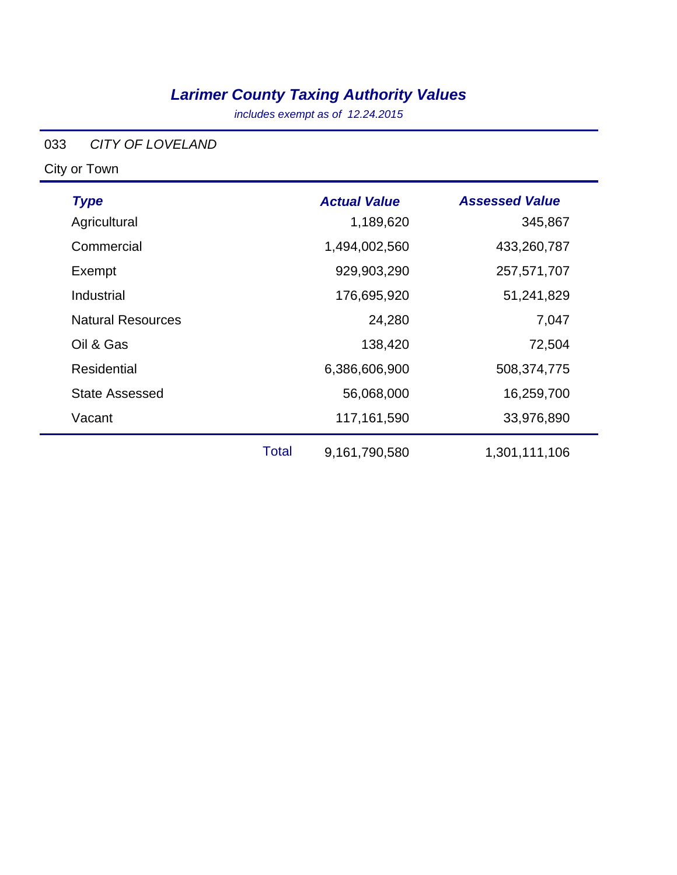*includes exempt as of 12.24.2015*

#### 033 *CITY OF LOVELAND*

| <b>Type</b>              |              | <b>Actual Value</b> | <b>Assessed Value</b> |
|--------------------------|--------------|---------------------|-----------------------|
| Agricultural             |              | 1,189,620           | 345,867               |
| Commercial               |              | 1,494,002,560       | 433,260,787           |
| Exempt                   |              | 929,903,290         | 257,571,707           |
| Industrial               |              | 176,695,920         | 51,241,829            |
| <b>Natural Resources</b> |              | 24,280              | 7,047                 |
| Oil & Gas                |              | 138,420             | 72,504                |
| <b>Residential</b>       |              | 6,386,606,900       | 508,374,775           |
| <b>State Assessed</b>    |              | 56,068,000          | 16,259,700            |
| Vacant                   |              | 117,161,590         | 33,976,890            |
|                          | <b>Total</b> | 9,161,790,580       | 1,301,111,106         |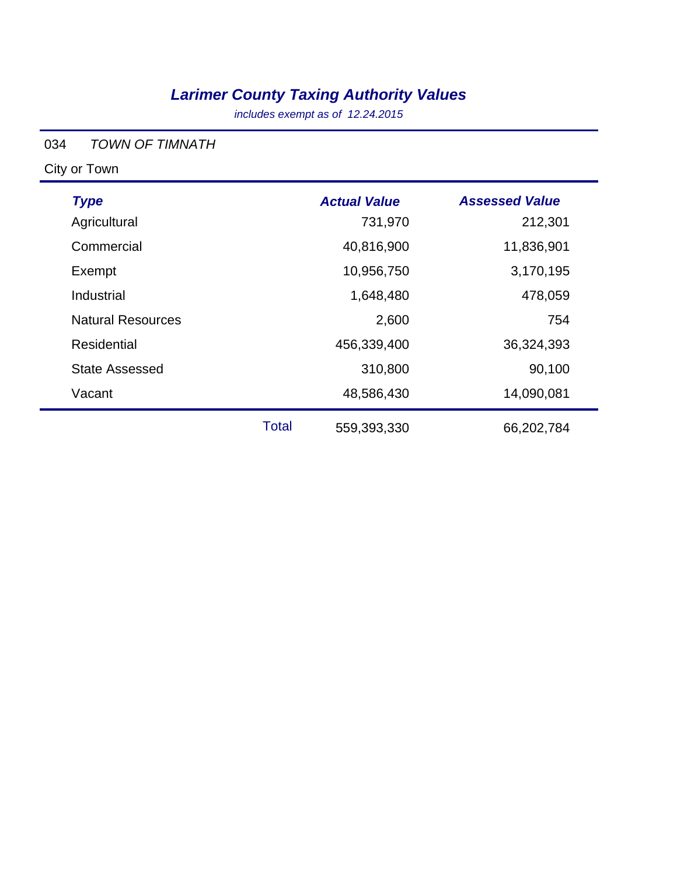*includes exempt as of 12.24.2015*

#### 034 *TOWN OF TIMNATH*

| <b>Type</b>              |              | <b>Actual Value</b> | <b>Assessed Value</b> |
|--------------------------|--------------|---------------------|-----------------------|
| Agricultural             |              | 731,970             | 212,301               |
| Commercial               |              | 40,816,900          | 11,836,901            |
| Exempt                   |              | 10,956,750          | 3,170,195             |
| Industrial               |              | 1,648,480           | 478,059               |
| <b>Natural Resources</b> |              | 2,600               | 754                   |
| <b>Residential</b>       |              | 456,339,400         | 36,324,393            |
| <b>State Assessed</b>    |              | 310,800             | 90,100                |
| Vacant                   |              | 48,586,430          | 14,090,081            |
|                          | <b>Total</b> | 559,393,330         | 66,202,784            |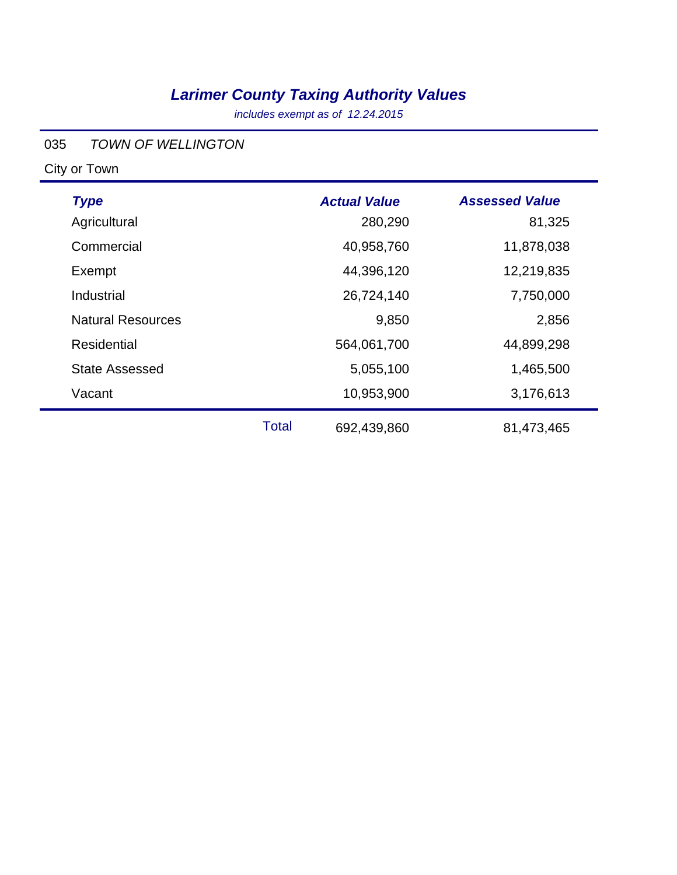*includes exempt as of 12.24.2015*

#### 035 *TOWN OF WELLINGTON*

| <b>Type</b>              |              | <b>Actual Value</b> | <b>Assessed Value</b> |
|--------------------------|--------------|---------------------|-----------------------|
| Agricultural             |              | 280,290             | 81,325                |
| Commercial               |              | 40,958,760          | 11,878,038            |
| Exempt                   |              | 44,396,120          | 12,219,835            |
| Industrial               |              | 26,724,140          | 7,750,000             |
| <b>Natural Resources</b> |              | 9,850               | 2,856                 |
| Residential              |              | 564,061,700         | 44,899,298            |
| <b>State Assessed</b>    |              | 5,055,100           | 1,465,500             |
| Vacant                   |              | 10,953,900          | 3,176,613             |
|                          | <b>Total</b> | 692,439,860         | 81,473,465            |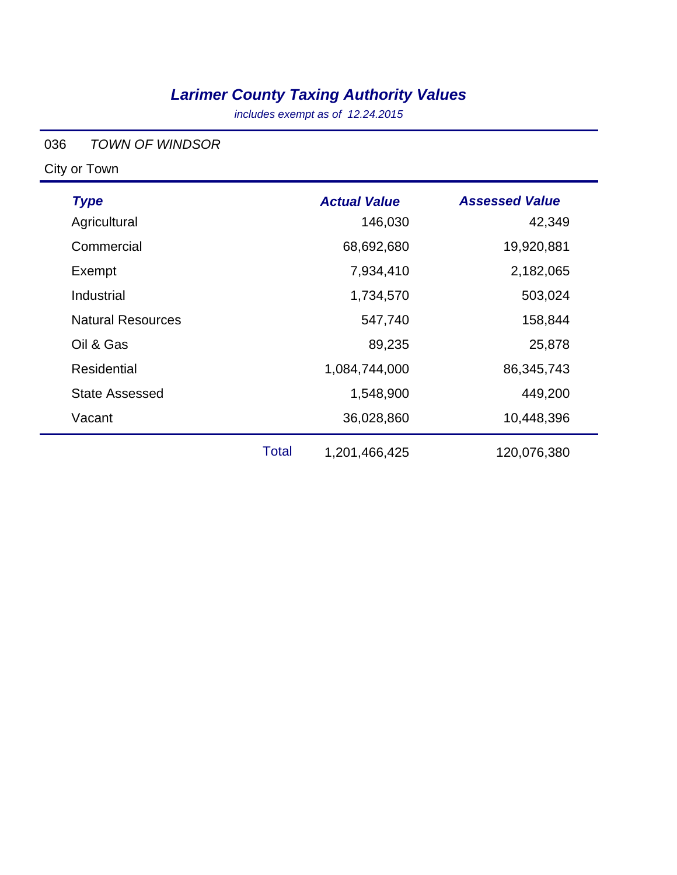*includes exempt as of 12.24.2015*

#### 036 *TOWN OF WINDSOR*

| <b>Type</b>              |              | <b>Actual Value</b> | <b>Assessed Value</b> |
|--------------------------|--------------|---------------------|-----------------------|
| Agricultural             |              | 146,030             | 42,349                |
| Commercial               |              | 68,692,680          | 19,920,881            |
| Exempt                   |              | 7,934,410           | 2,182,065             |
| Industrial               |              | 1,734,570           | 503,024               |
| <b>Natural Resources</b> |              | 547,740             | 158,844               |
| Oil & Gas                |              | 89,235              | 25,878                |
| Residential              |              | 1,084,744,000       | 86,345,743            |
| <b>State Assessed</b>    |              | 1,548,900           | 449,200               |
| Vacant                   |              | 36,028,860          | 10,448,396            |
|                          | <b>Total</b> | 1,201,466,425       | 120,076,380           |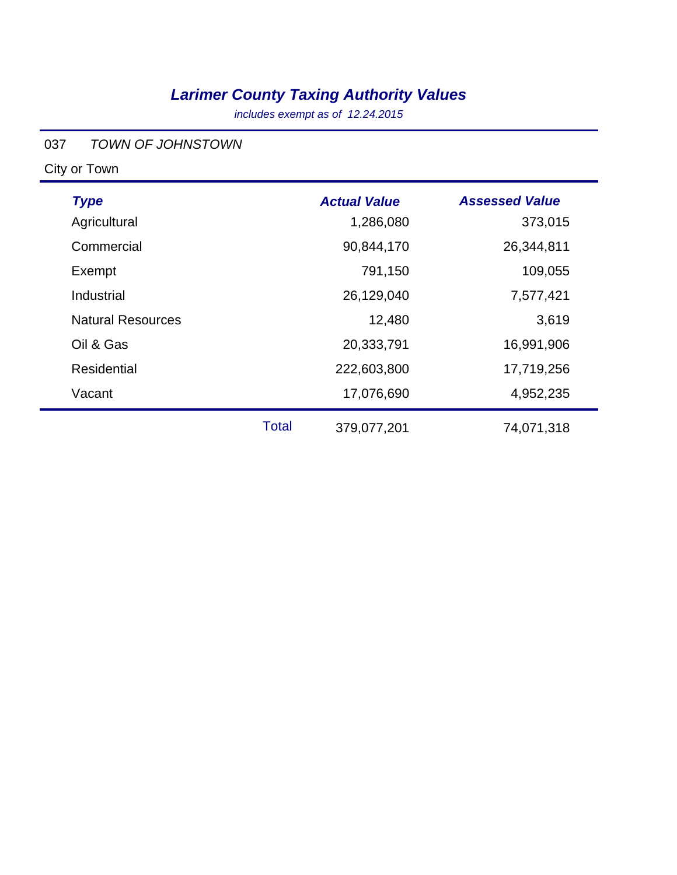*includes exempt as of 12.24.2015*

#### 037 *TOWN OF JOHNSTOWN*

| <b>Type</b>              |              | <b>Actual Value</b> | <b>Assessed Value</b> |
|--------------------------|--------------|---------------------|-----------------------|
| Agricultural             |              | 1,286,080           | 373,015               |
| Commercial               |              | 90,844,170          | 26,344,811            |
| Exempt                   |              | 791,150             | 109,055               |
| Industrial               |              | 26,129,040          | 7,577,421             |
| <b>Natural Resources</b> |              | 12,480              | 3,619                 |
| Oil & Gas                |              | 20,333,791          | 16,991,906            |
| <b>Residential</b>       |              | 222,603,800         | 17,719,256            |
| Vacant                   |              | 17,076,690          | 4,952,235             |
|                          | <b>Total</b> | 379,077,201         | 74,071,318            |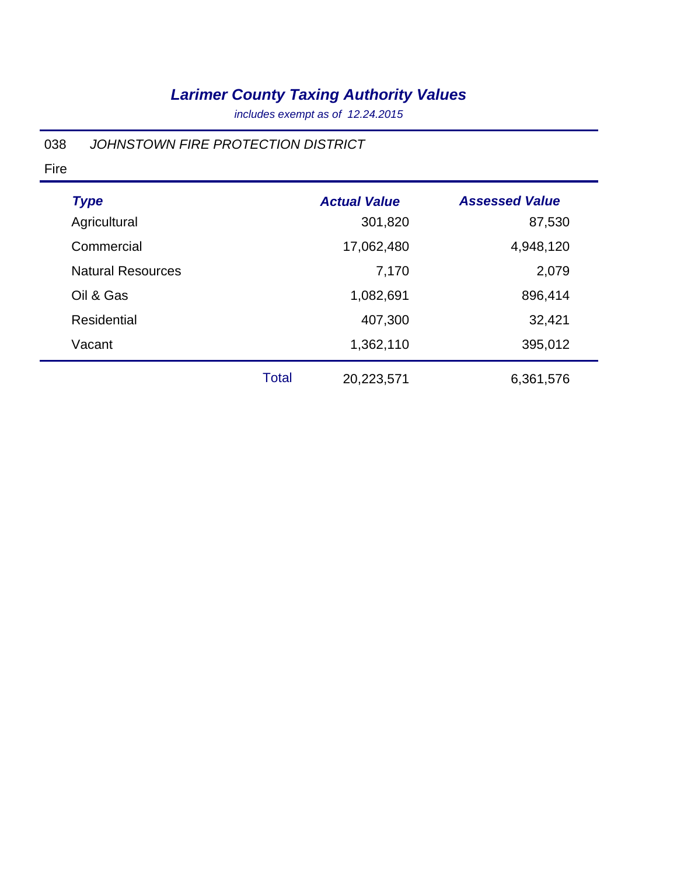*includes exempt as of 12.24.2015*

#### 038 *JOHNSTOWN FIRE PROTECTION DISTRICT*

| <b>Type</b>              |              | <b>Actual Value</b> | <b>Assessed Value</b> |
|--------------------------|--------------|---------------------|-----------------------|
| Agricultural             |              | 301,820             | 87,530                |
| Commercial               |              | 17,062,480          | 4,948,120             |
| <b>Natural Resources</b> |              | 7,170               | 2,079                 |
| Oil & Gas                |              | 1,082,691           | 896,414               |
| Residential              |              | 407,300             | 32,421                |
| Vacant                   |              | 1,362,110           | 395,012               |
|                          | <b>Total</b> | 20,223,571          | 6,361,576             |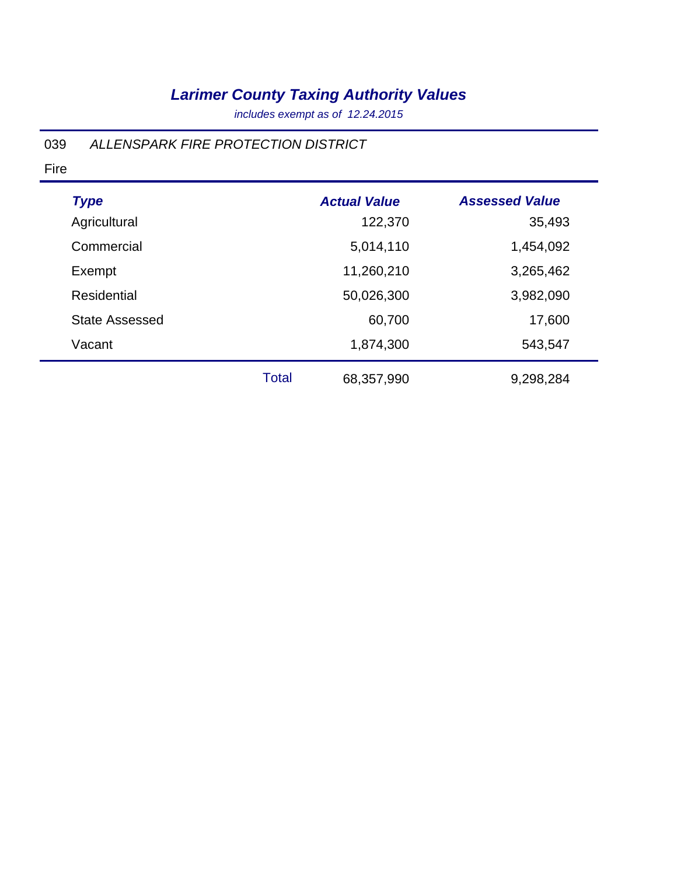*includes exempt as of 12.24.2015*

#### 039 *ALLENSPARK FIRE PROTECTION DISTRICT*

| <b>Type</b>           |              | <b>Actual Value</b> | <b>Assessed Value</b> |
|-----------------------|--------------|---------------------|-----------------------|
| Agricultural          |              | 122,370             | 35,493                |
| Commercial            |              | 5,014,110           | 1,454,092             |
| Exempt                |              | 11,260,210          | 3,265,462             |
| Residential           |              | 50,026,300          | 3,982,090             |
| <b>State Assessed</b> |              | 60,700              | 17,600                |
| Vacant                |              | 1,874,300           | 543,547               |
|                       | <b>Total</b> | 68,357,990          | 9,298,284             |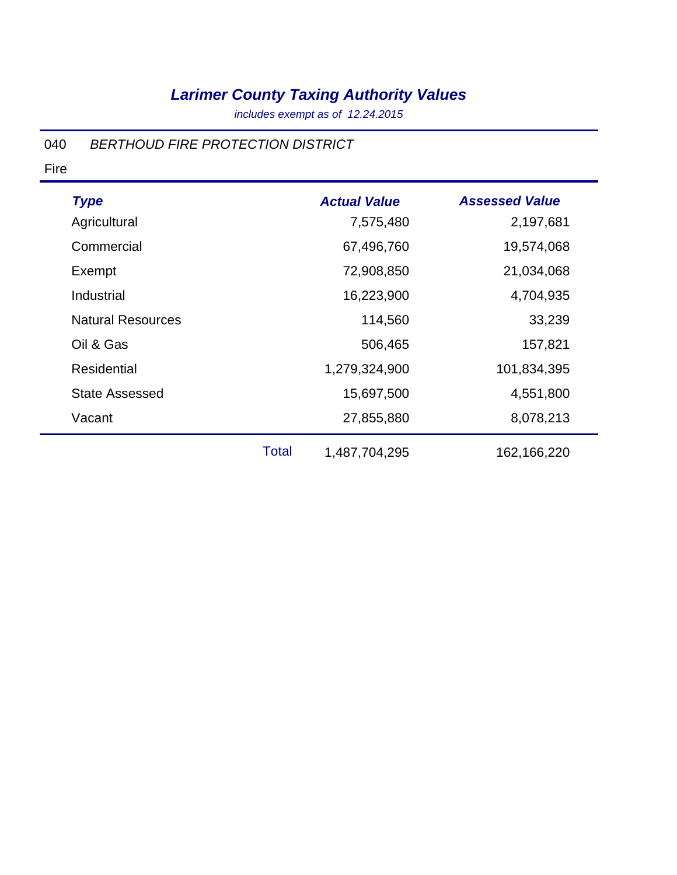*includes exempt as of 12.24.2015*

#### 040 *BERTHOUD FIRE PROTECTION DISTRICT*

| <b>Type</b>              |              | <b>Actual Value</b> | <b>Assessed Value</b> |
|--------------------------|--------------|---------------------|-----------------------|
| Agricultural             |              | 7,575,480           | 2,197,681             |
| Commercial               |              | 67,496,760          | 19,574,068            |
| Exempt                   |              | 72,908,850          | 21,034,068            |
| Industrial               |              | 16,223,900          | 4,704,935             |
| <b>Natural Resources</b> |              | 114,560             | 33,239                |
| Oil & Gas                |              | 506,465             | 157,821               |
| <b>Residential</b>       |              | 1,279,324,900       | 101,834,395           |
| <b>State Assessed</b>    |              | 15,697,500          | 4,551,800             |
| Vacant                   |              | 27,855,880          | 8,078,213             |
|                          | <b>Total</b> | 1,487,704,295       | 162,166,220           |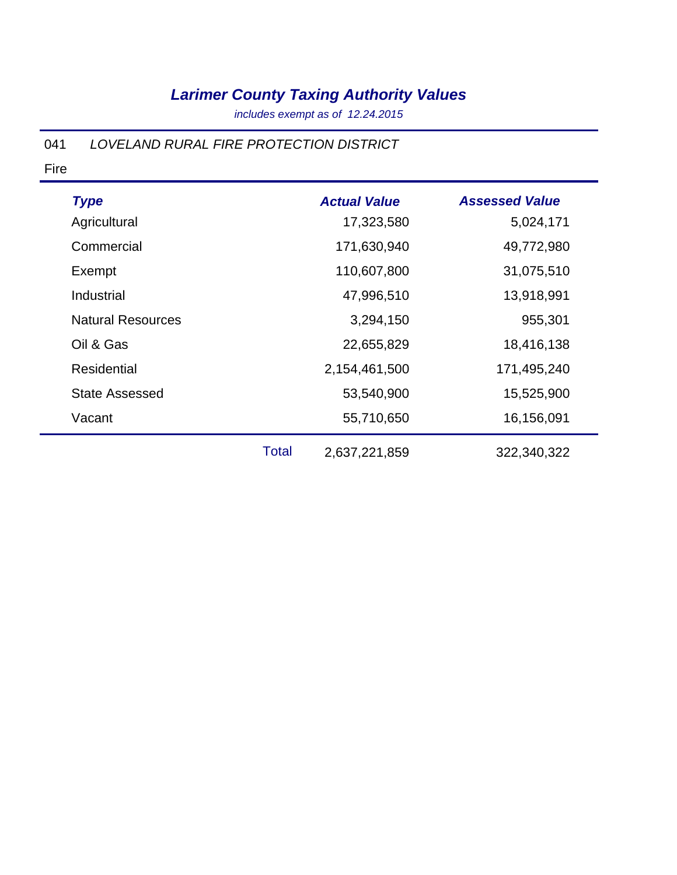*includes exempt as of 12.24.2015*

#### 041 *LOVELAND RURAL FIRE PROTECTION DISTRICT*

|                          |       | <b>Actual Value</b> | <b>Assessed Value</b> |
|--------------------------|-------|---------------------|-----------------------|
| <b>Type</b>              |       |                     |                       |
| Agricultural             |       | 17,323,580          | 5,024,171             |
| Commercial               |       | 171,630,940         | 49,772,980            |
| Exempt                   |       | 110,607,800         | 31,075,510            |
| Industrial               |       | 47,996,510          | 13,918,991            |
| <b>Natural Resources</b> |       | 3,294,150           | 955,301               |
| Oil & Gas                |       | 22,655,829          | 18,416,138            |
| <b>Residential</b>       |       | 2,154,461,500       | 171,495,240           |
| <b>State Assessed</b>    |       | 53,540,900          | 15,525,900            |
| Vacant                   |       | 55,710,650          | 16,156,091            |
|                          | Total | 2,637,221,859       | 322,340,322           |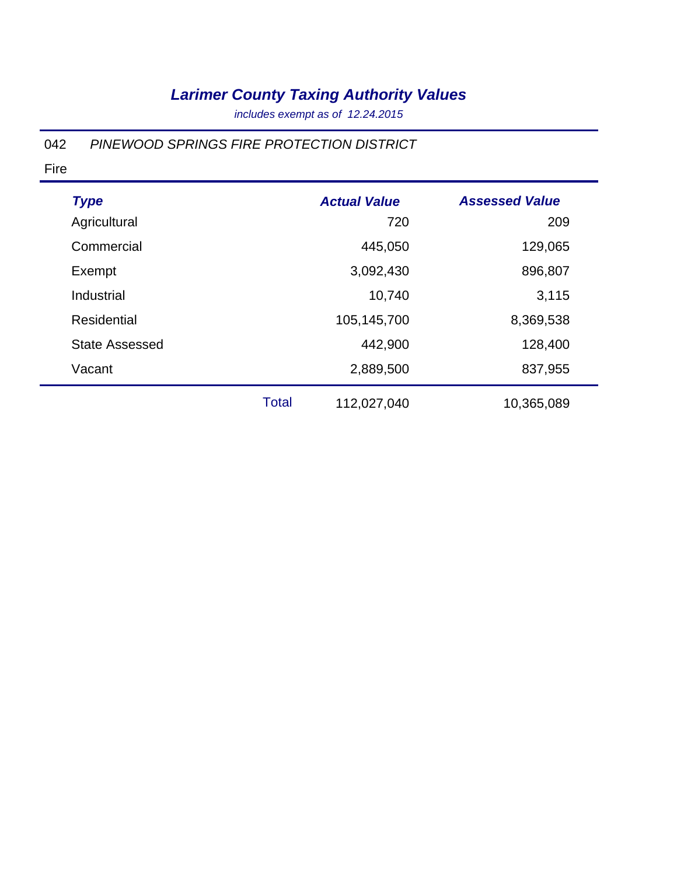*includes exempt as of 12.24.2015*

#### 042 *PINEWOOD SPRINGS FIRE PROTECTION DISTRICT*

| <b>Type</b>           |              | <b>Actual Value</b> | <b>Assessed Value</b> |
|-----------------------|--------------|---------------------|-----------------------|
| Agricultural          |              | 720                 | 209                   |
| Commercial            |              | 445,050             | 129,065               |
| Exempt                |              | 3,092,430           | 896,807               |
| Industrial            |              | 10,740              | 3,115                 |
| Residential           |              | 105,145,700         | 8,369,538             |
| <b>State Assessed</b> |              | 442,900             | 128,400               |
| Vacant                |              | 2,889,500           | 837,955               |
|                       | <b>Total</b> | 112,027,040         | 10,365,089            |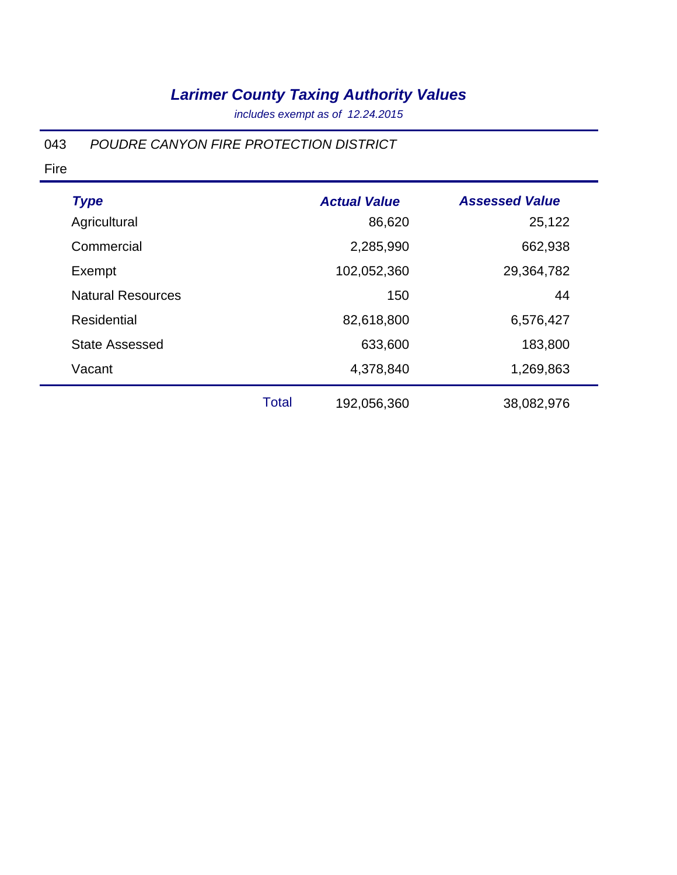*includes exempt as of 12.24.2015*

#### 043 *POUDRE CANYON FIRE PROTECTION DISTRICT*

| <b>Type</b>              |              | <b>Actual Value</b> | <b>Assessed Value</b> |
|--------------------------|--------------|---------------------|-----------------------|
| Agricultural             |              | 86,620              | 25,122                |
| Commercial               |              | 2,285,990           | 662,938               |
| Exempt                   |              | 102,052,360         | 29,364,782            |
| <b>Natural Resources</b> |              | 150                 | 44                    |
| Residential              |              | 82,618,800          | 6,576,427             |
| <b>State Assessed</b>    |              | 633,600             | 183,800               |
| Vacant                   |              | 4,378,840           | 1,269,863             |
|                          | <b>Total</b> | 192,056,360         | 38,082,976            |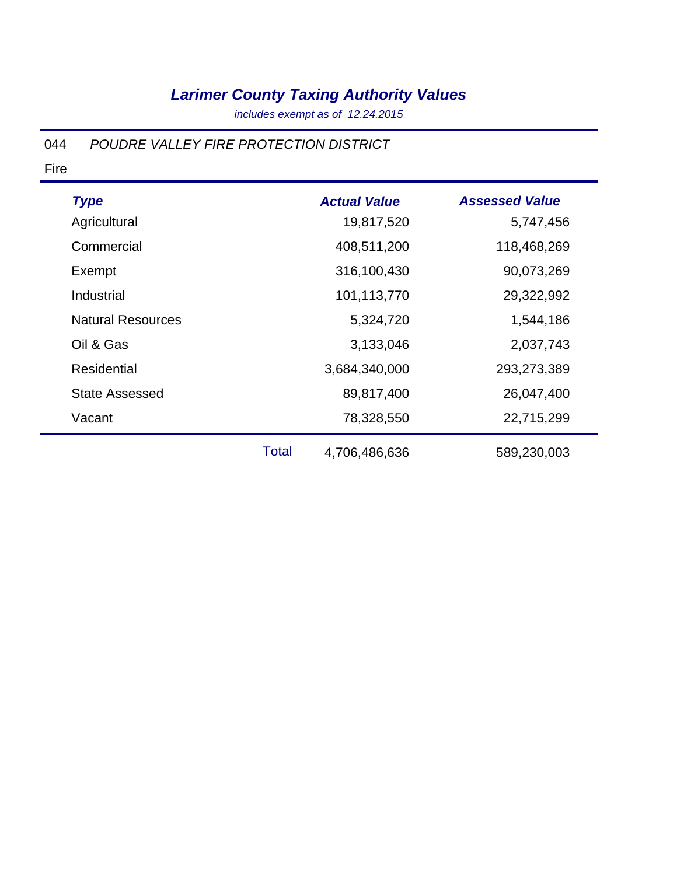*includes exempt as of 12.24.2015*

#### 044 *POUDRE VALLEY FIRE PROTECTION DISTRICT*

| <b>Type</b>              |       | <b>Actual Value</b> | <b>Assessed Value</b> |
|--------------------------|-------|---------------------|-----------------------|
| Agricultural             |       | 19,817,520          | 5,747,456             |
| Commercial               |       | 408,511,200         | 118,468,269           |
| Exempt                   |       | 316,100,430         | 90,073,269            |
| Industrial               |       | 101,113,770         | 29,322,992            |
| <b>Natural Resources</b> |       | 5,324,720           | 1,544,186             |
| Oil & Gas                |       | 3,133,046           | 2,037,743             |
| <b>Residential</b>       |       | 3,684,340,000       | 293,273,389           |
| <b>State Assessed</b>    |       | 89,817,400          | 26,047,400            |
| Vacant                   |       | 78,328,550          | 22,715,299            |
|                          | Total | 4,706,486,636       | 589,230,003           |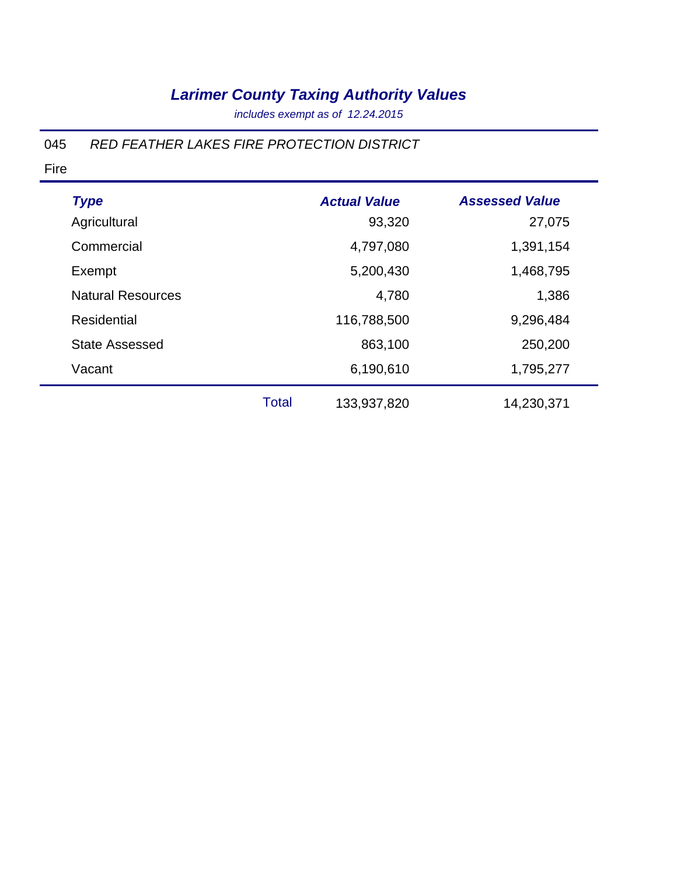*includes exempt as of 12.24.2015*

#### 045 *RED FEATHER LAKES FIRE PROTECTION DISTRICT*

| <b>Type</b>              |              | <b>Actual Value</b> | <b>Assessed Value</b> |
|--------------------------|--------------|---------------------|-----------------------|
| Agricultural             |              | 93,320              | 27,075                |
| Commercial               |              | 4,797,080           | 1,391,154             |
| Exempt                   |              | 5,200,430           | 1,468,795             |
| <b>Natural Resources</b> |              | 4,780               | 1,386                 |
| <b>Residential</b>       |              | 116,788,500         | 9,296,484             |
| <b>State Assessed</b>    |              | 863,100             | 250,200               |
| Vacant                   |              | 6,190,610           | 1,795,277             |
|                          | <b>Total</b> | 133,937,820         | 14,230,371            |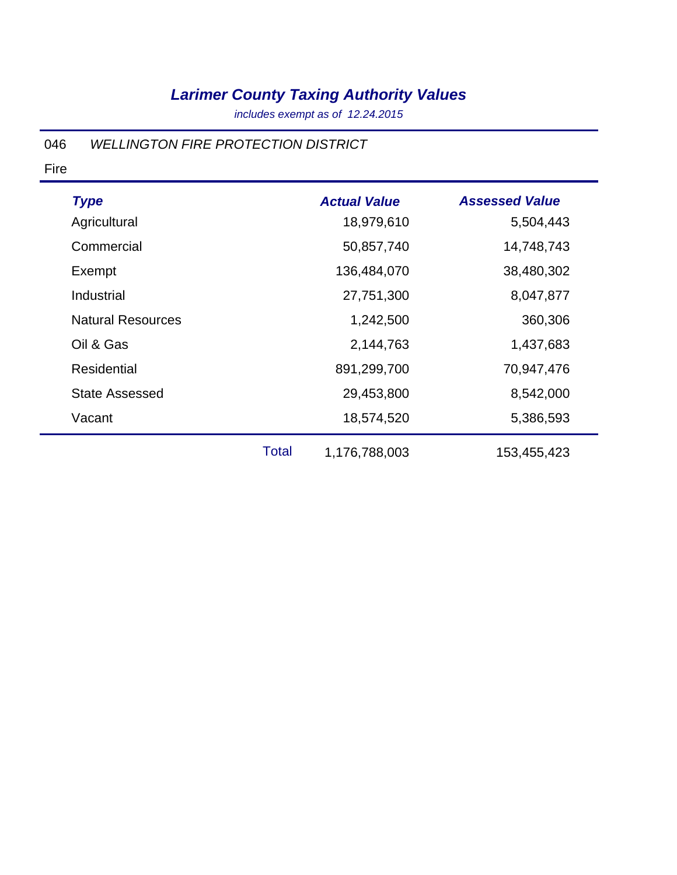*includes exempt as of 12.24.2015*

#### 046 *WELLINGTON FIRE PROTECTION DISTRICT*

| <b>Type</b>              |              | <b>Actual Value</b> | <b>Assessed Value</b> |
|--------------------------|--------------|---------------------|-----------------------|
| Agricultural             |              | 18,979,610          | 5,504,443             |
| Commercial               |              | 50,857,740          | 14,748,743            |
| Exempt                   |              | 136,484,070         | 38,480,302            |
| Industrial               |              | 27,751,300          | 8,047,877             |
| <b>Natural Resources</b> |              | 1,242,500           | 360,306               |
| Oil & Gas                |              | 2,144,763           | 1,437,683             |
| <b>Residential</b>       |              | 891,299,700         | 70,947,476            |
| <b>State Assessed</b>    |              | 29,453,800          | 8,542,000             |
| Vacant                   |              | 18,574,520          | 5,386,593             |
|                          | <b>Total</b> | 1,176,788,003       | 153,455,423           |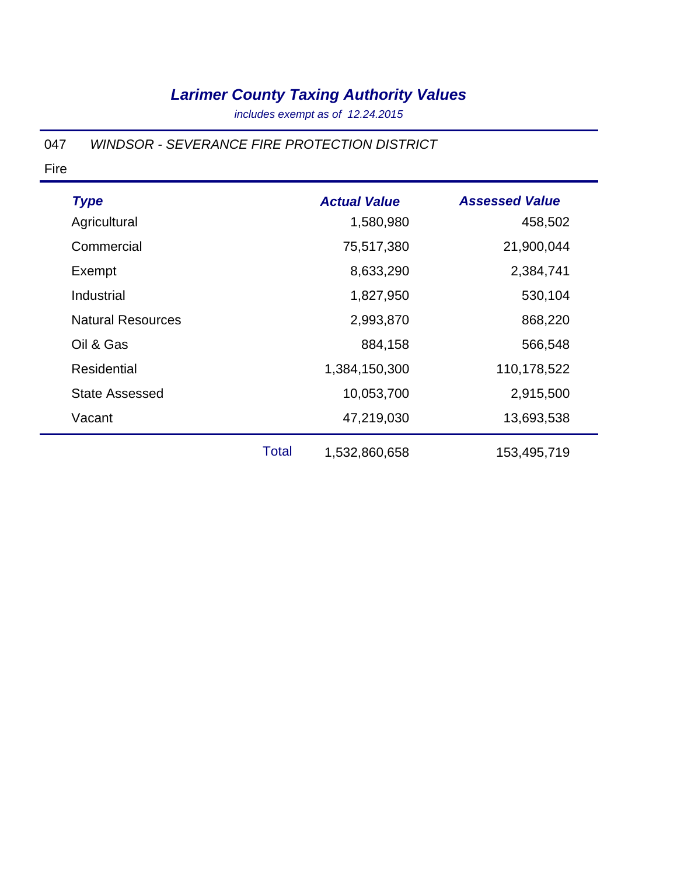*includes exempt as of 12.24.2015*

#### 047 *WINDSOR - SEVERANCE FIRE PROTECTION DISTRICT*

| <b>Type</b>              |       | <b>Actual Value</b> | <b>Assessed Value</b> |
|--------------------------|-------|---------------------|-----------------------|
| Agricultural             |       | 1,580,980           | 458,502               |
| Commercial               |       | 75,517,380          | 21,900,044            |
| Exempt                   |       | 8,633,290           | 2,384,741             |
| Industrial               |       | 1,827,950           | 530,104               |
| <b>Natural Resources</b> |       | 2,993,870           | 868,220               |
| Oil & Gas                |       | 884,158             | 566,548               |
| <b>Residential</b>       |       | 1,384,150,300       | 110,178,522           |
| <b>State Assessed</b>    |       | 10,053,700          | 2,915,500             |
| Vacant                   |       | 47,219,030          | 13,693,538            |
|                          | Total | 1,532,860,658       | 153,495,719           |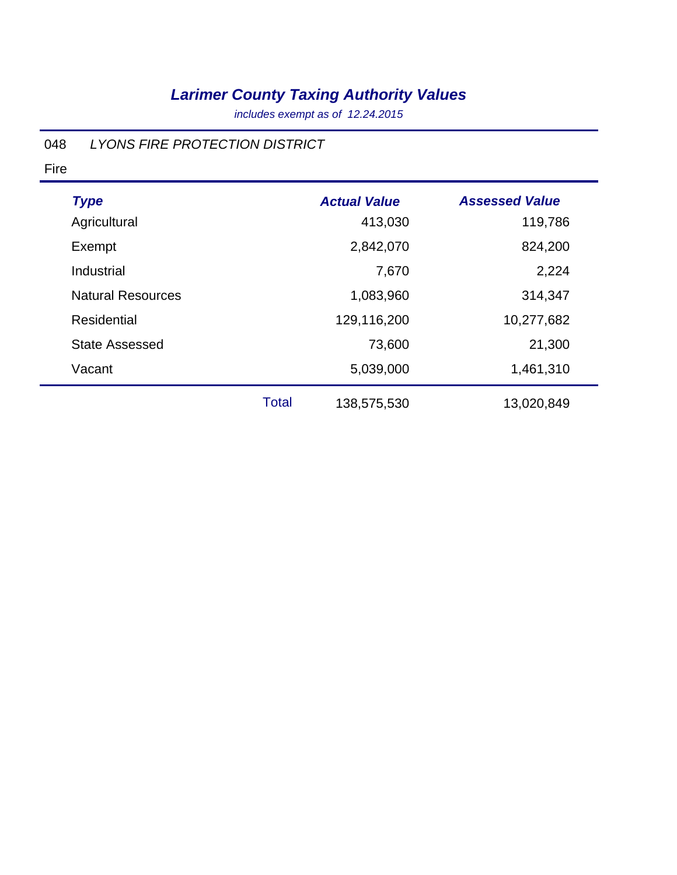*includes exempt as of 12.24.2015*

#### 048 *LYONS FIRE PROTECTION DISTRICT*

| <b>Type</b>              |       | <b>Actual Value</b> | <b>Assessed Value</b> |
|--------------------------|-------|---------------------|-----------------------|
| Agricultural             |       | 413,030             | 119,786               |
| Exempt                   |       | 2,842,070           | 824,200               |
| Industrial               |       | 7,670               | 2,224                 |
| <b>Natural Resources</b> |       | 1,083,960           | 314,347               |
| Residential              |       | 129,116,200         | 10,277,682            |
| <b>State Assessed</b>    |       | 73,600              | 21,300                |
| Vacant                   |       | 5,039,000           | 1,461,310             |
|                          | Total | 138,575,530         | 13,020,849            |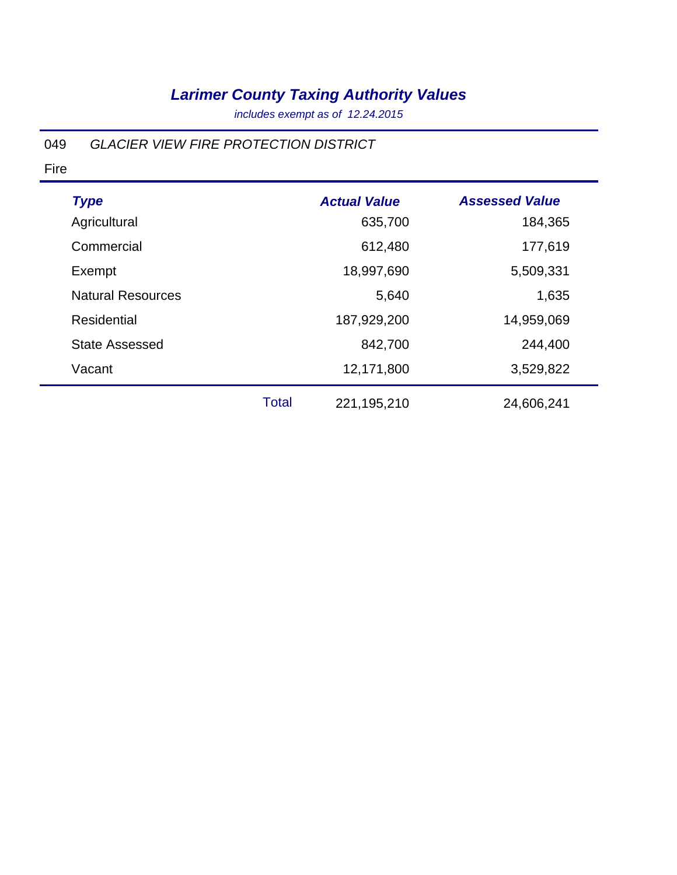*includes exempt as of 12.24.2015*

#### 049 *GLACIER VIEW FIRE PROTECTION DISTRICT*

| <b>Type</b>              |       | <b>Actual Value</b> | <b>Assessed Value</b> |
|--------------------------|-------|---------------------|-----------------------|
| Agricultural             |       | 635,700             | 184,365               |
| Commercial               |       | 612,480             | 177,619               |
| Exempt                   |       | 18,997,690          | 5,509,331             |
| <b>Natural Resources</b> |       | 5,640               | 1,635                 |
| <b>Residential</b>       |       | 187,929,200         | 14,959,069            |
| <b>State Assessed</b>    |       | 842,700             | 244,400               |
| Vacant                   |       | 12,171,800          | 3,529,822             |
|                          | Total | 221, 195, 210       | 24,606,241            |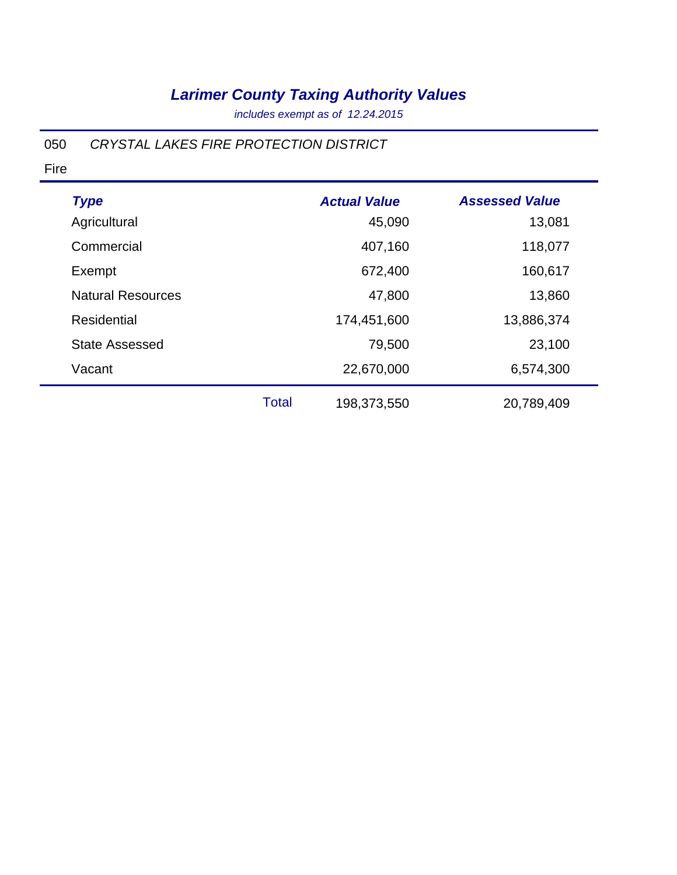*includes exempt as of 12.24.2015*

#### 050 *CRYSTAL LAKES FIRE PROTECTION DISTRICT*

| <b>Type</b>              |       | <b>Actual Value</b> | <b>Assessed Value</b> |
|--------------------------|-------|---------------------|-----------------------|
| Agricultural             |       | 45,090              | 13,081                |
| Commercial               |       | 407,160             | 118,077               |
| Exempt                   |       | 672,400             | 160,617               |
| <b>Natural Resources</b> |       | 47,800              | 13,860                |
| Residential              |       | 174,451,600         | 13,886,374            |
| <b>State Assessed</b>    |       | 79,500              | 23,100                |
| Vacant                   |       | 22,670,000          | 6,574,300             |
|                          | Total | 198,373,550         | 20,789,409            |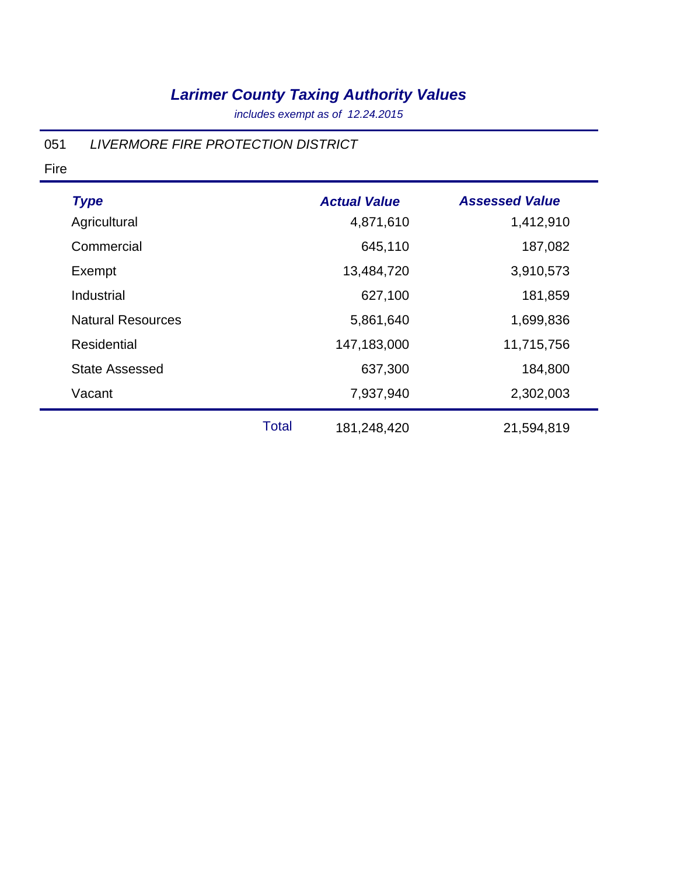*includes exempt as of 12.24.2015*

#### 051 *LIVERMORE FIRE PROTECTION DISTRICT*

| <b>Type</b>              |              | <b>Actual Value</b> | <b>Assessed Value</b> |
|--------------------------|--------------|---------------------|-----------------------|
| Agricultural             |              | 4,871,610           | 1,412,910             |
| Commercial               |              | 645,110             | 187,082               |
| Exempt                   |              | 13,484,720          | 3,910,573             |
| Industrial               |              | 627,100             | 181,859               |
| <b>Natural Resources</b> |              | 5,861,640           | 1,699,836             |
| <b>Residential</b>       |              | 147,183,000         | 11,715,756            |
| <b>State Assessed</b>    |              | 637,300             | 184,800               |
| Vacant                   |              | 7,937,940           | 2,302,003             |
|                          | <b>Total</b> | 181,248,420         | 21,594,819            |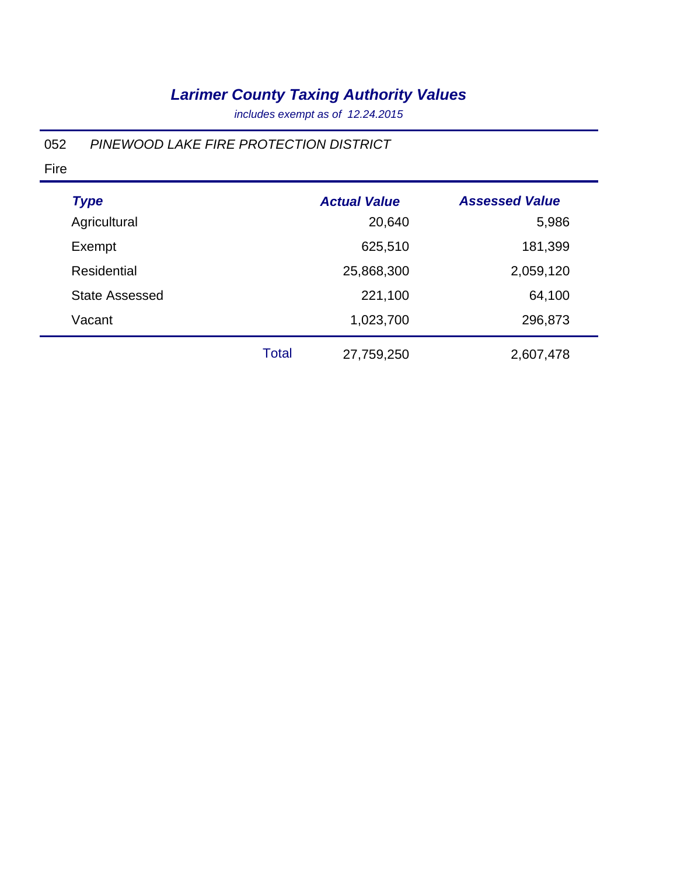*includes exempt as of 12.24.2015*

#### 052 *PINEWOOD LAKE FIRE PROTECTION DISTRICT*

| <b>Type</b>           |              | <b>Actual Value</b> | <b>Assessed Value</b> |
|-----------------------|--------------|---------------------|-----------------------|
| Agricultural          |              | 20,640              | 5,986                 |
| Exempt                |              | 625,510             | 181,399               |
| <b>Residential</b>    |              | 25,868,300          | 2,059,120             |
| <b>State Assessed</b> |              | 221,100             | 64,100                |
| Vacant                |              | 1,023,700           | 296,873               |
|                       | <b>Total</b> | 27,759,250          | 2,607,478             |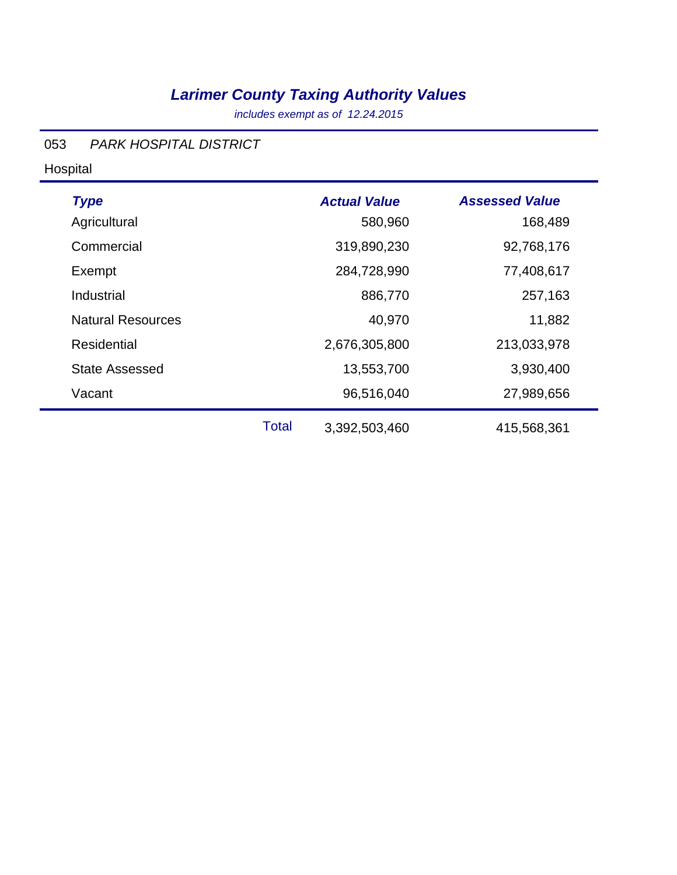*includes exempt as of 12.24.2015*

#### 053 *PARK HOSPITAL DISTRICT*

Hospital

| <b>Type</b><br>Agricultural |              | <b>Actual Value</b><br>580,960 | <b>Assessed Value</b><br>168,489 |
|-----------------------------|--------------|--------------------------------|----------------------------------|
| Commercial                  |              | 319,890,230                    | 92,768,176                       |
| Exempt                      |              | 284,728,990                    | 77,408,617                       |
| Industrial                  |              | 886,770                        | 257,163                          |
| <b>Natural Resources</b>    |              | 40,970                         | 11,882                           |
| Residential                 |              | 2,676,305,800                  | 213,033,978                      |
| <b>State Assessed</b>       |              | 13,553,700                     | 3,930,400                        |
| Vacant                      |              | 96,516,040                     | 27,989,656                       |
|                             | <b>Total</b> | 3,392,503,460                  | 415,568,361                      |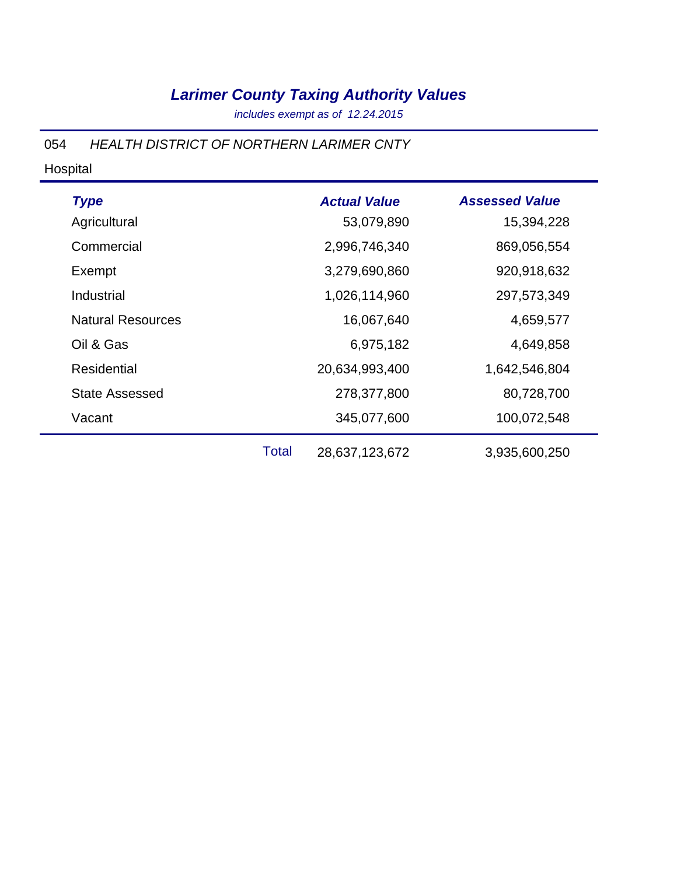*includes exempt as of 12.24.2015*

054 *HEALTH DISTRICT OF NORTHERN LARIMER CNTY*

#### Hospital

| <b>Type</b>              |              | <b>Actual Value</b> | <b>Assessed Value</b> |
|--------------------------|--------------|---------------------|-----------------------|
| Agricultural             |              | 53,079,890          | 15,394,228            |
| Commercial               |              | 2,996,746,340       | 869,056,554           |
| Exempt                   |              | 3,279,690,860       | 920,918,632           |
| Industrial               |              | 1,026,114,960       | 297,573,349           |
| <b>Natural Resources</b> |              | 16,067,640          | 4,659,577             |
| Oil & Gas                |              | 6,975,182           | 4,649,858             |
| <b>Residential</b>       |              | 20,634,993,400      | 1,642,546,804         |
| <b>State Assessed</b>    |              | 278,377,800         | 80,728,700            |
| Vacant                   |              | 345,077,600         | 100,072,548           |
|                          | <b>Total</b> | 28,637,123,672      | 3,935,600,250         |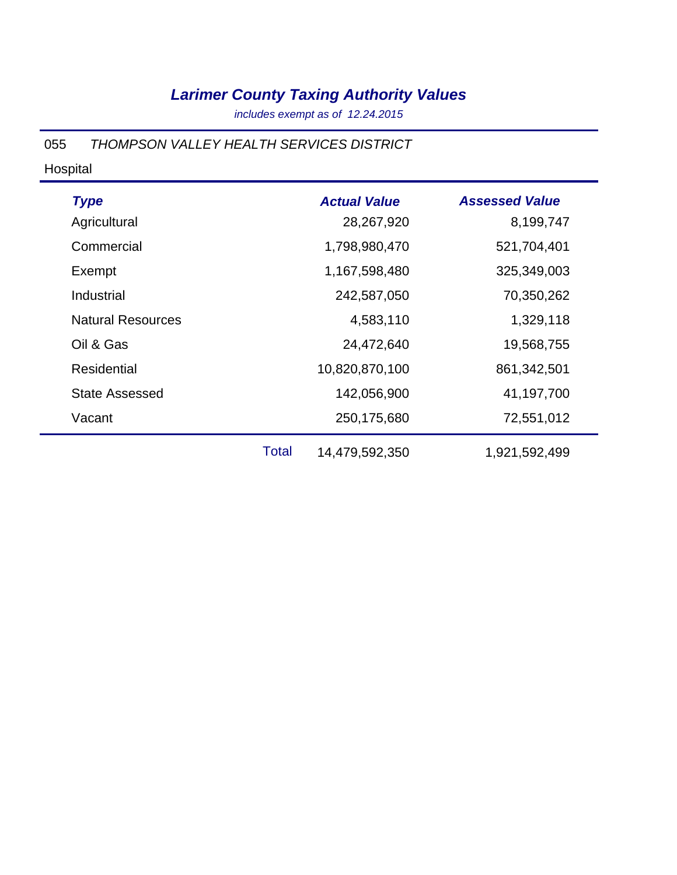*includes exempt as of 12.24.2015*

055 *THOMPSON VALLEY HEALTH SERVICES DISTRICT*

#### Hospital

| <b>Type</b>              | <b>Actual Value</b> | <b>Assessed Value</b> |
|--------------------------|---------------------|-----------------------|
| Agricultural             | 28,267,920          | 8,199,747             |
| Commercial               | 1,798,980,470       | 521,704,401           |
| Exempt                   | 1,167,598,480       | 325,349,003           |
| Industrial               | 242,587,050         | 70,350,262            |
| <b>Natural Resources</b> | 4,583,110           | 1,329,118             |
| Oil & Gas                | 24,472,640          | 19,568,755            |
| Residential              | 10,820,870,100      | 861, 342, 501         |
| <b>State Assessed</b>    | 142,056,900         | 41,197,700            |
| Vacant                   | 250,175,680         | 72,551,012            |
|                          |                     |                       |

Total 14,479,592,350 1,921,592,499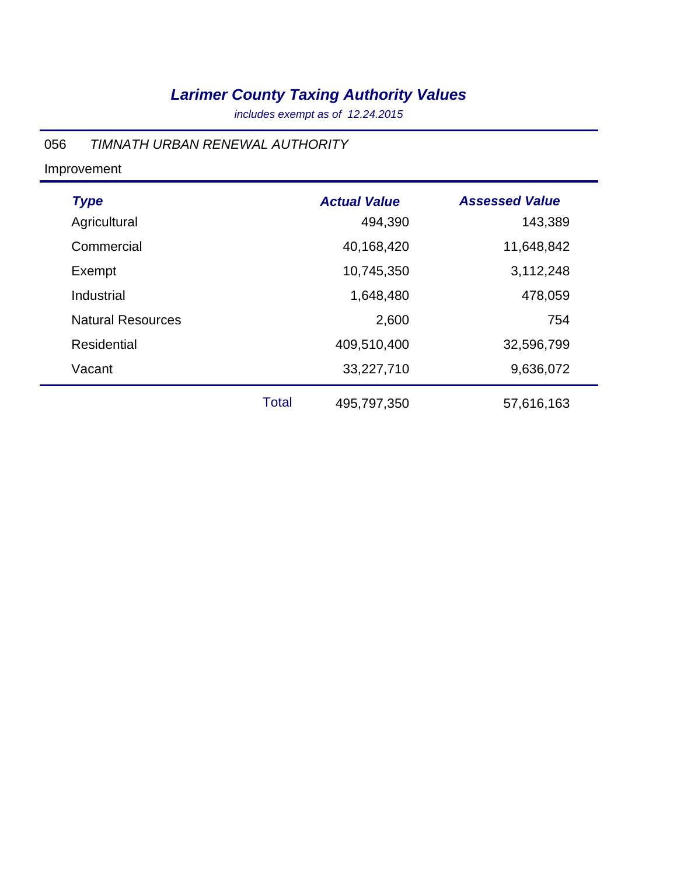*includes exempt as of 12.24.2015*

#### 056 *TIMNATH URBAN RENEWAL AUTHORITY*

Improvement

| <b>Type</b>              |              | <b>Actual Value</b> | <b>Assessed Value</b> |
|--------------------------|--------------|---------------------|-----------------------|
| Agricultural             |              | 494,390             | 143,389               |
| Commercial               |              | 40,168,420          | 11,648,842            |
| Exempt                   |              | 10,745,350          | 3,112,248             |
| Industrial               |              | 1,648,480           | 478,059               |
| <b>Natural Resources</b> |              | 2,600               | 754                   |
| <b>Residential</b>       |              | 409,510,400         | 32,596,799            |
| Vacant                   |              | 33,227,710          | 9,636,072             |
|                          | <b>Total</b> | 495,797,350         | 57,616,163            |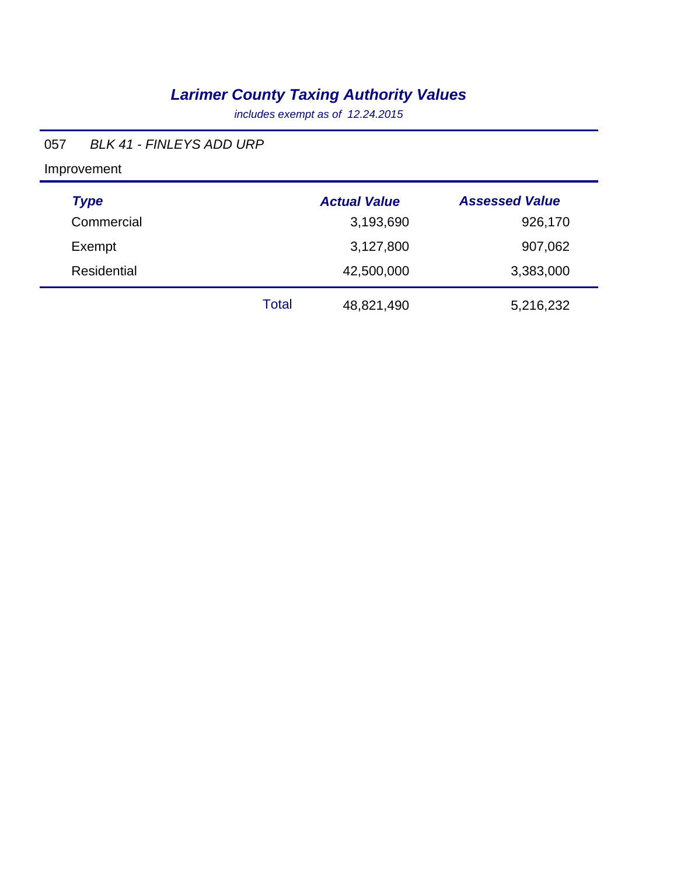*includes exempt as of 12.24.2015*

#### 057 *BLK 41 - FINLEYS ADD URP*

Improvement

| <b>Type</b> |       | <b>Actual Value</b> | <b>Assessed Value</b> |
|-------------|-------|---------------------|-----------------------|
| Commercial  |       | 3,193,690           | 926,170               |
| Exempt      |       | 3,127,800           | 907,062               |
| Residential |       | 42,500,000          | 3,383,000             |
|             | Total | 48,821,490          | 5,216,232             |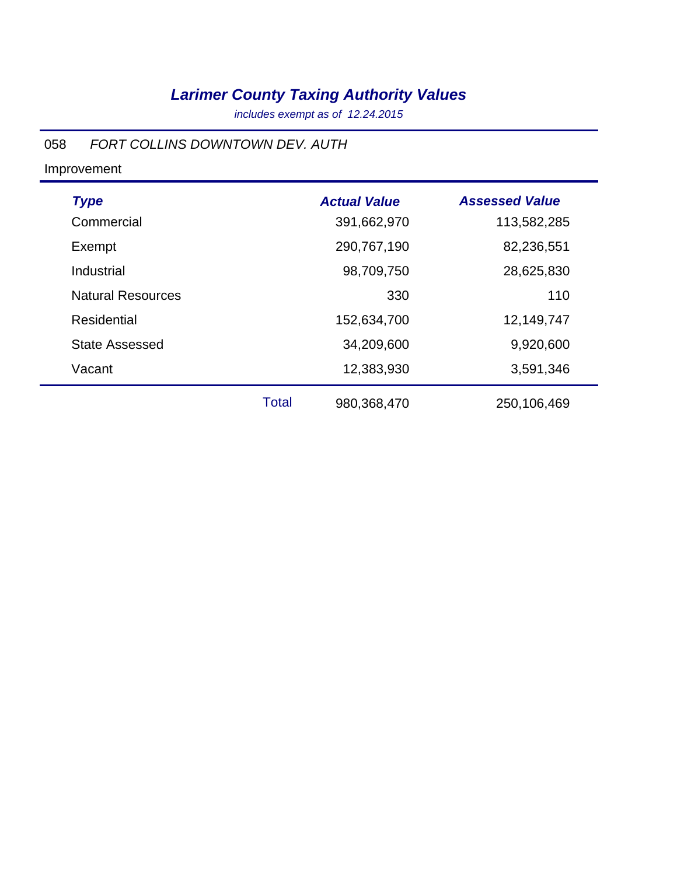*includes exempt as of 12.24.2015*

#### 058 *FORT COLLINS DOWNTOWN DEV. AUTH*

| <b>Type</b>              |              | <b>Actual Value</b> | <b>Assessed Value</b> |
|--------------------------|--------------|---------------------|-----------------------|
| Commercial               |              | 391,662,970         | 113,582,285           |
| Exempt                   |              | 290,767,190         | 82,236,551            |
| Industrial               |              | 98,709,750          | 28,625,830            |
| <b>Natural Resources</b> |              | 330                 | 110                   |
| Residential              |              | 152,634,700         | 12,149,747            |
| <b>State Assessed</b>    |              | 34,209,600          | 9,920,600             |
| Vacant                   |              | 12,383,930          | 3,591,346             |
|                          | <b>Total</b> | 980,368,470         | 250,106,469           |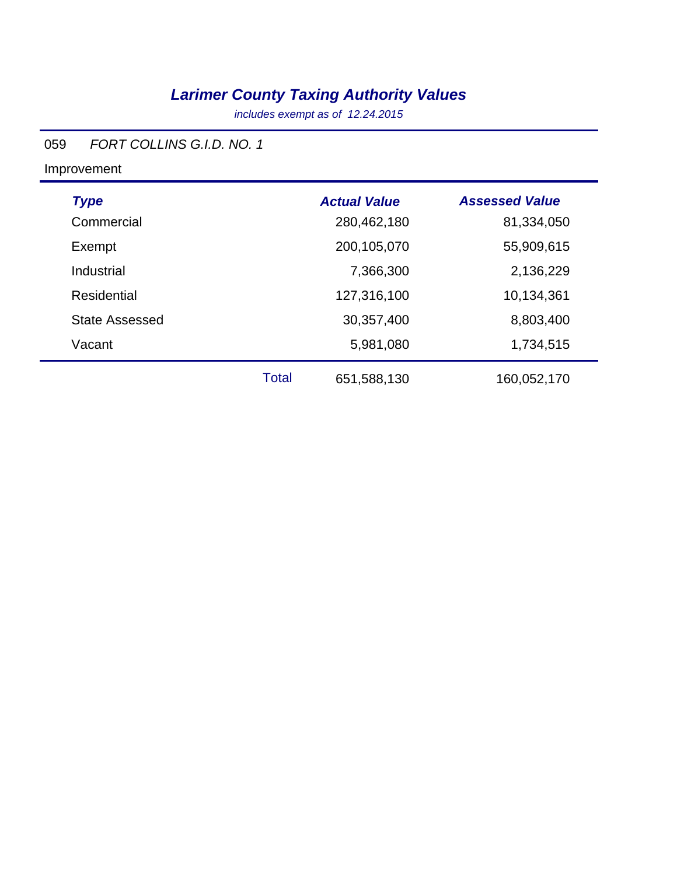*includes exempt as of 12.24.2015*

### 059 *FORT COLLINS G.I.D. NO. 1*

| <b>Type</b>           |              | <b>Actual Value</b> | <b>Assessed Value</b> |
|-----------------------|--------------|---------------------|-----------------------|
| Commercial            |              | 280,462,180         | 81,334,050            |
| Exempt                |              | 200,105,070         | 55,909,615            |
| Industrial            |              | 7,366,300           | 2,136,229             |
| Residential           |              | 127,316,100         | 10,134,361            |
| <b>State Assessed</b> |              | 30,357,400          | 8,803,400             |
| Vacant                |              | 5,981,080           | 1,734,515             |
|                       | <b>Total</b> | 651,588,130         | 160,052,170           |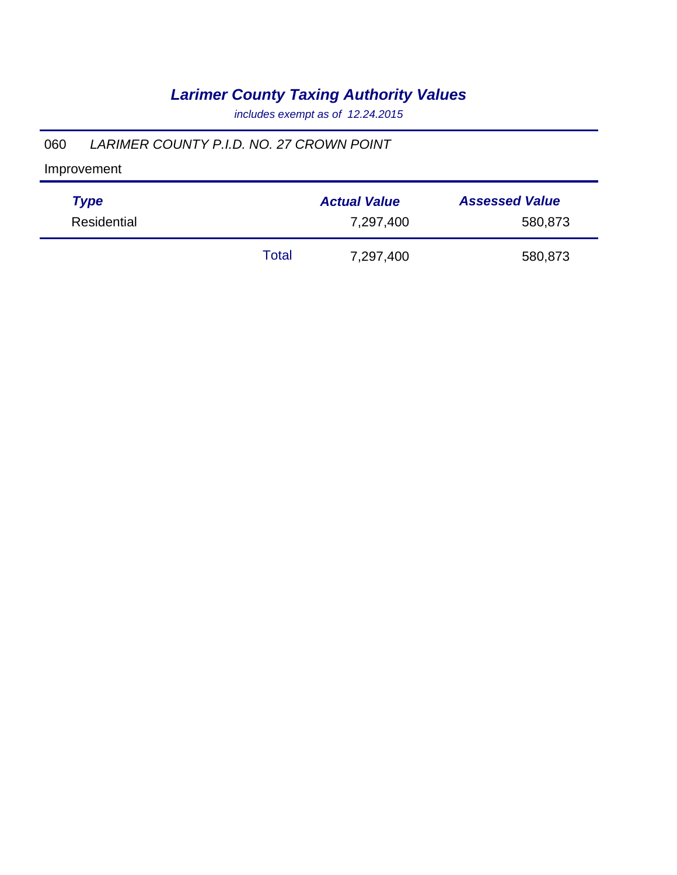*includes exempt as of 12.24.2015*

#### 060 *LARIMER COUNTY P.I.D. NO. 27 CROWN POINT*

| <b>Type</b> |       | <b>Actual Value</b> | <b>Assessed Value</b> |
|-------------|-------|---------------------|-----------------------|
| Residential |       | 7,297,400           | 580,873               |
|             | Total | 7,297,400           | 580,873               |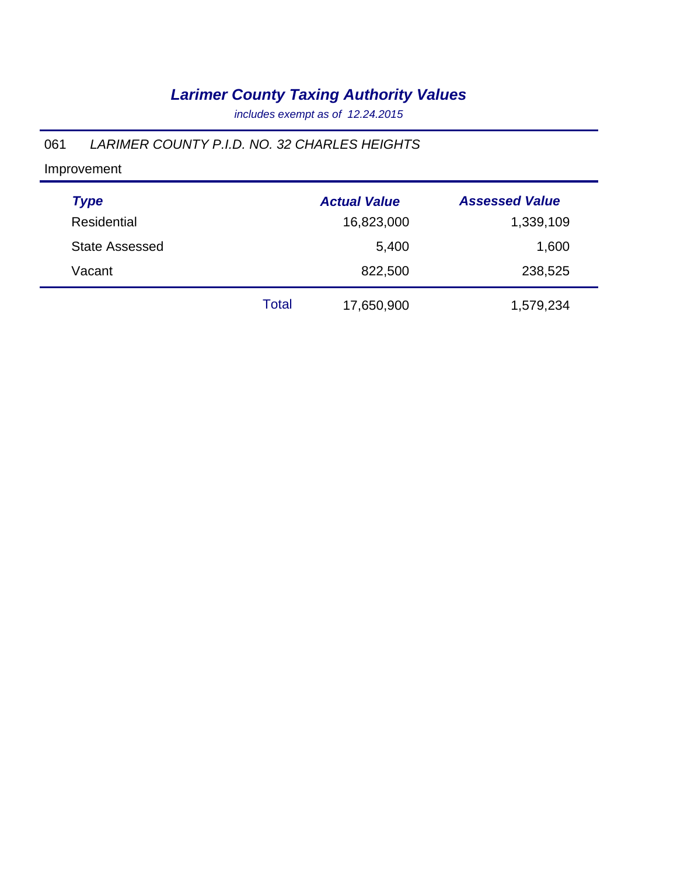*includes exempt as of 12.24.2015*

### 061 *LARIMER COUNTY P.I.D. NO. 32 CHARLES HEIGHTS*

| <b>Type</b>           |       | <b>Actual Value</b> | <b>Assessed Value</b> |
|-----------------------|-------|---------------------|-----------------------|
| Residential           |       | 16,823,000          | 1,339,109             |
| <b>State Assessed</b> |       | 5,400               | 1,600                 |
| Vacant                |       | 822,500             | 238,525               |
|                       | Total | 17,650,900          | 1,579,234             |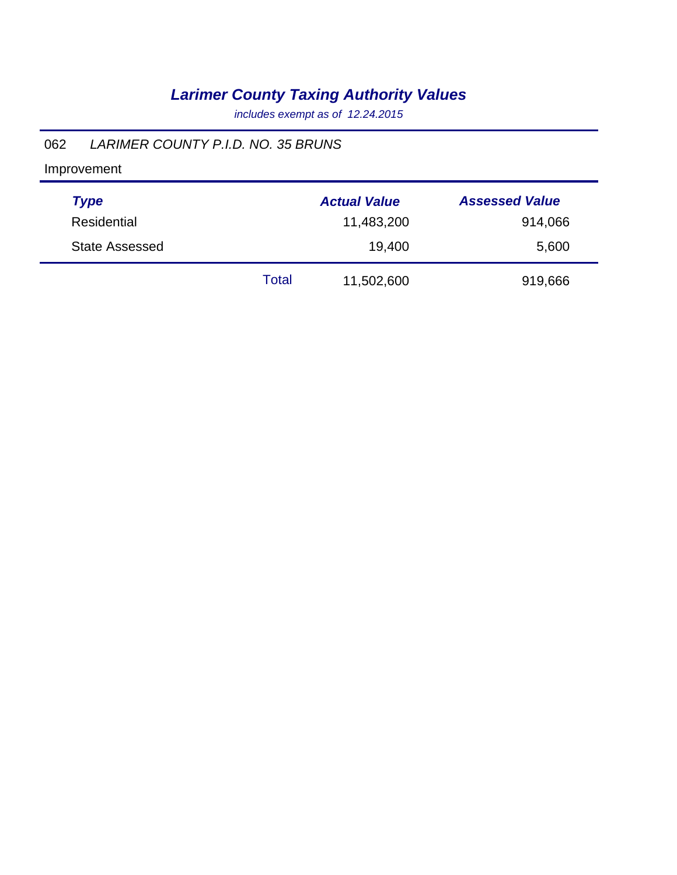*includes exempt as of 12.24.2015*

#### 062 *LARIMER COUNTY P.I.D. NO. 35 BRUNS*

| <b>Type</b>           |       | <b>Actual Value</b> | <b>Assessed Value</b> |
|-----------------------|-------|---------------------|-----------------------|
| <b>Residential</b>    |       | 11,483,200          | 914,066               |
| <b>State Assessed</b> |       | 19,400              | 5,600                 |
|                       | Total | 11,502,600          | 919,666               |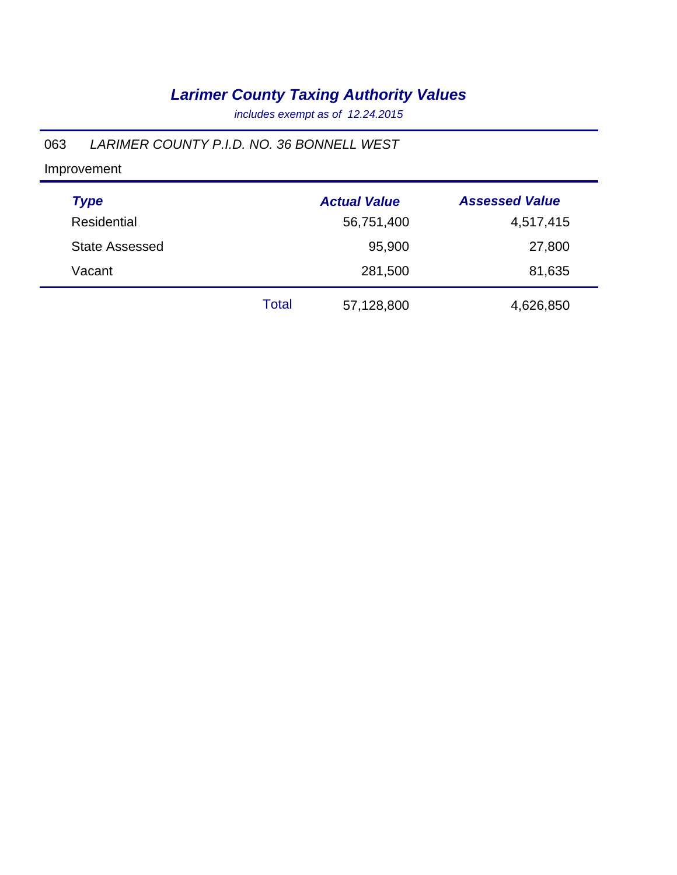*includes exempt as of 12.24.2015*

#### 063 *LARIMER COUNTY P.I.D. NO. 36 BONNELL WEST*

| <b>Type</b>           |       | <b>Actual Value</b> | <b>Assessed Value</b> |
|-----------------------|-------|---------------------|-----------------------|
| Residential           |       | 56,751,400          | 4,517,415             |
| <b>State Assessed</b> |       | 95,900              | 27,800                |
| Vacant                |       | 281,500             | 81,635                |
|                       | Total | 57,128,800          | 4,626,850             |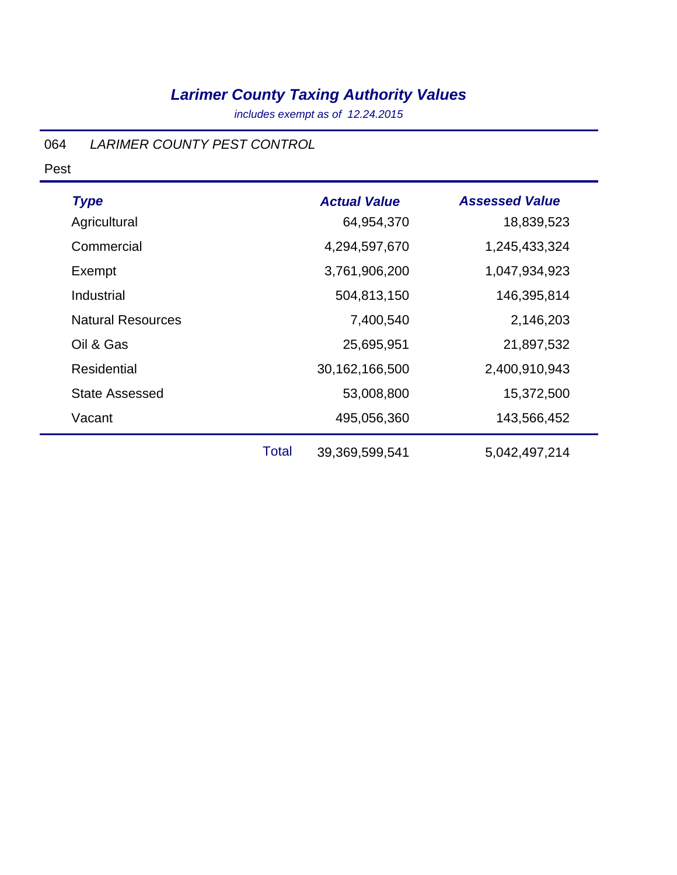*includes exempt as of 12.24.2015*

### 064 *LARIMER COUNTY PEST CONTROL*

Pest

| <b>Type</b>              |              | <b>Actual Value</b> | <b>Assessed Value</b> |
|--------------------------|--------------|---------------------|-----------------------|
| Agricultural             |              | 64,954,370          | 18,839,523            |
| Commercial               |              | 4,294,597,670       | 1,245,433,324         |
| Exempt                   |              | 3,761,906,200       | 1,047,934,923         |
| Industrial               |              | 504,813,150         | 146,395,814           |
| <b>Natural Resources</b> |              | 7,400,540           | 2,146,203             |
| Oil & Gas                |              | 25,695,951          | 21,897,532            |
| <b>Residential</b>       |              | 30,162,166,500      | 2,400,910,943         |
| <b>State Assessed</b>    |              | 53,008,800          | 15,372,500            |
| Vacant                   |              | 495,056,360         | 143,566,452           |
|                          | <b>Total</b> | 39,369,599,541      | 5,042,497,214         |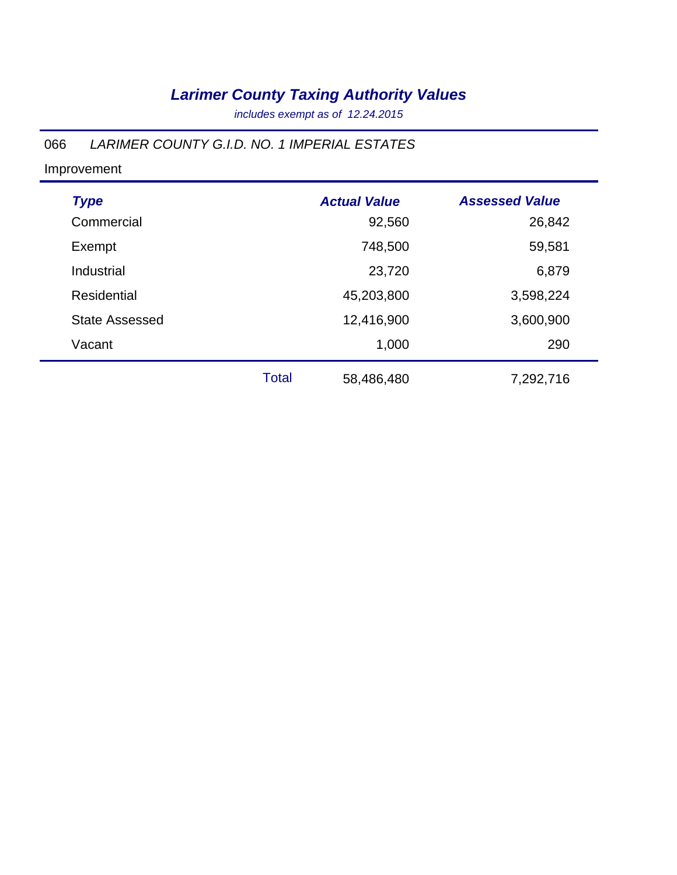*includes exempt as of 12.24.2015*

#### 066 *LARIMER COUNTY G.I.D. NO. 1 IMPERIAL ESTATES*

| <b>Type</b>           |              | <b>Actual Value</b> | <b>Assessed Value</b> |
|-----------------------|--------------|---------------------|-----------------------|
| Commercial            |              | 92,560              | 26,842                |
| Exempt                |              | 748,500             | 59,581                |
| Industrial            |              | 23,720              | 6,879                 |
| <b>Residential</b>    |              | 45,203,800          | 3,598,224             |
| <b>State Assessed</b> |              | 12,416,900          | 3,600,900             |
| Vacant                |              | 1,000               | 290                   |
|                       | <b>Total</b> | 58,486,480          | 7,292,716             |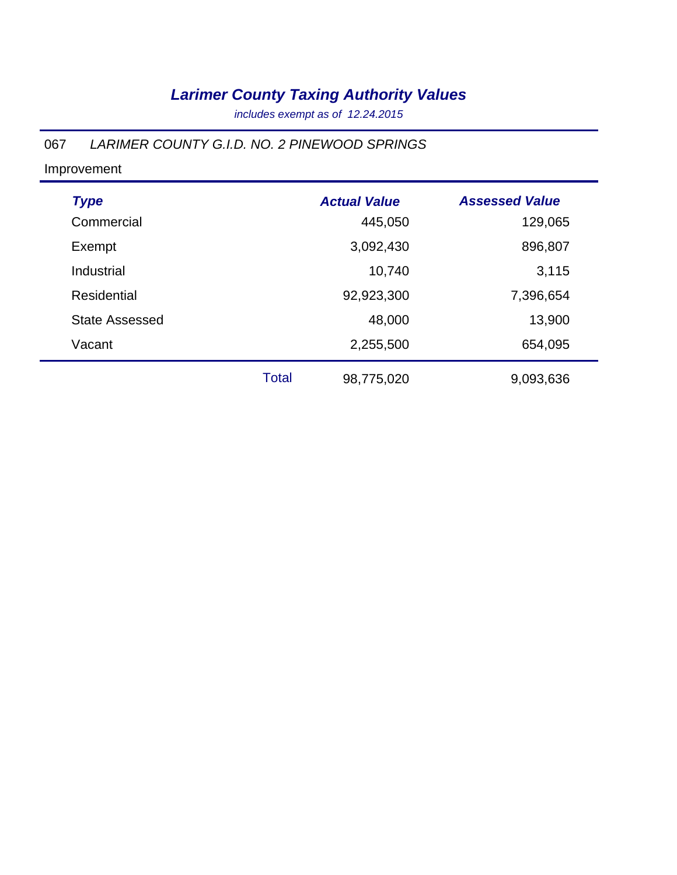*includes exempt as of 12.24.2015*

#### 067 *LARIMER COUNTY G.I.D. NO. 2 PINEWOOD SPRINGS*

| <b>Type</b>           |              | <b>Actual Value</b> | <b>Assessed Value</b> |
|-----------------------|--------------|---------------------|-----------------------|
| Commercial            |              | 445,050             | 129,065               |
| Exempt                |              | 3,092,430           | 896,807               |
| Industrial            |              | 10,740              | 3,115                 |
| Residential           |              | 92,923,300          | 7,396,654             |
| <b>State Assessed</b> |              | 48,000              | 13,900                |
| Vacant                |              | 2,255,500           | 654,095               |
|                       | <b>Total</b> | 98,775,020          | 9,093,636             |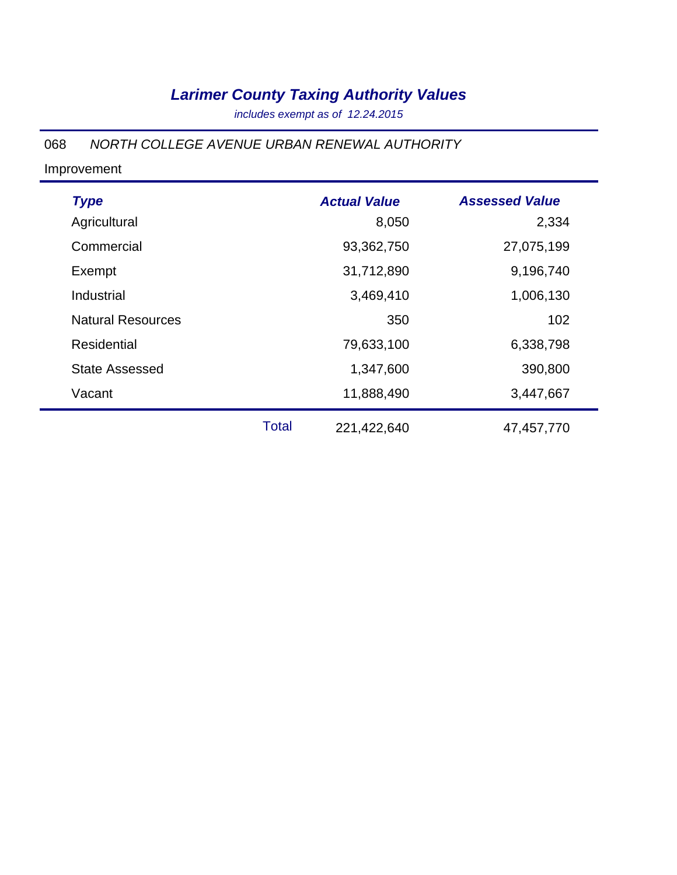*includes exempt as of 12.24.2015*

#### 068 *NORTH COLLEGE AVENUE URBAN RENEWAL AUTHORITY*

| <b>Type</b>              |              | <b>Actual Value</b> | <b>Assessed Value</b> |
|--------------------------|--------------|---------------------|-----------------------|
| Agricultural             |              | 8,050               | 2,334                 |
| Commercial               |              | 93,362,750          | 27,075,199            |
| Exempt                   |              | 31,712,890          | 9,196,740             |
| Industrial               |              | 3,469,410           | 1,006,130             |
| <b>Natural Resources</b> |              | 350                 | 102                   |
| <b>Residential</b>       |              | 79,633,100          | 6,338,798             |
| <b>State Assessed</b>    |              | 1,347,600           | 390,800               |
| Vacant                   |              | 11,888,490          | 3,447,667             |
|                          | <b>Total</b> | 221,422,640         | 47,457,770            |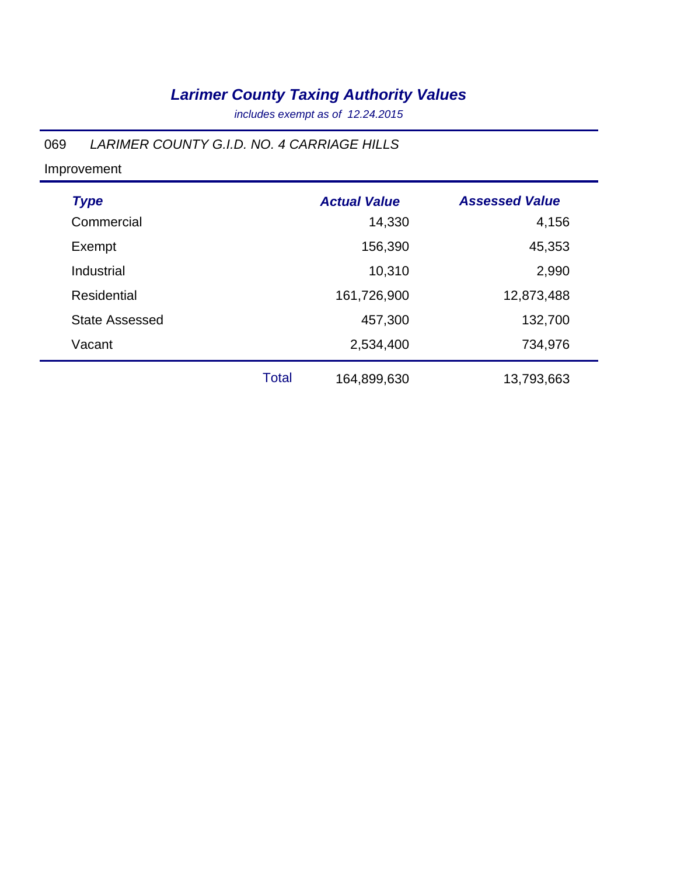*includes exempt as of 12.24.2015*

#### 069 *LARIMER COUNTY G.I.D. NO. 4 CARRIAGE HILLS*

| <b>Type</b>           |              | <b>Actual Value</b> | <b>Assessed Value</b> |
|-----------------------|--------------|---------------------|-----------------------|
|                       |              |                     |                       |
| Commercial            |              | 14,330              | 4,156                 |
| Exempt                |              | 156,390             | 45,353                |
| Industrial            |              | 10,310              | 2,990                 |
| <b>Residential</b>    |              | 161,726,900         | 12,873,488            |
| <b>State Assessed</b> |              | 457,300             | 132,700               |
| Vacant                |              | 2,534,400           | 734,976               |
|                       | <b>Total</b> | 164,899,630         | 13,793,663            |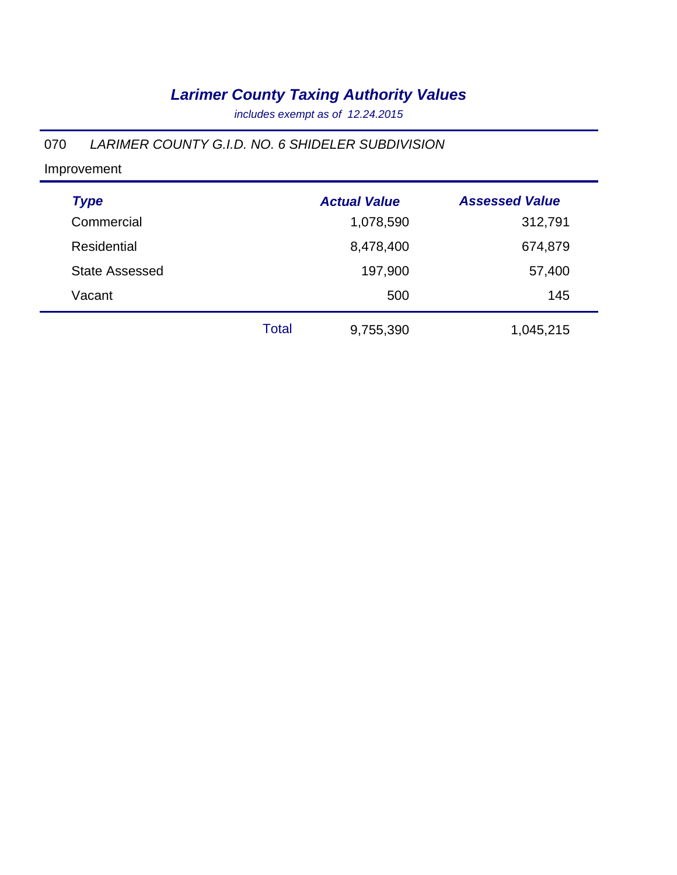*includes exempt as of 12.24.2015*

#### 070 *LARIMER COUNTY G.I.D. NO. 6 SHIDELER SUBDIVISION*

| <b>Type</b>           |              | <b>Actual Value</b> | <b>Assessed Value</b> |
|-----------------------|--------------|---------------------|-----------------------|
| Commercial            |              | 1,078,590           | 312,791               |
| Residential           |              | 8,478,400           | 674,879               |
| <b>State Assessed</b> |              | 197,900             | 57,400                |
| Vacant                |              | 500                 | 145                   |
|                       | <b>Total</b> | 9,755,390           | 1,045,215             |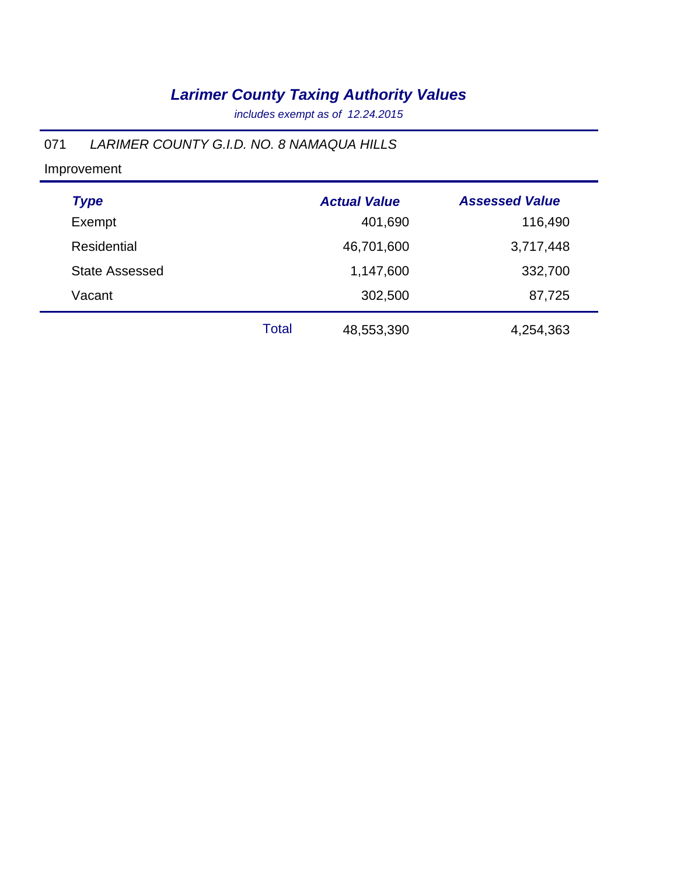*includes exempt as of 12.24.2015*

#### 071 *LARIMER COUNTY G.I.D. NO. 8 NAMAQUA HILLS*

| <b>Type</b>           |              | <b>Actual Value</b> | <b>Assessed Value</b> |
|-----------------------|--------------|---------------------|-----------------------|
| Exempt                |              | 401,690             | 116,490               |
| Residential           |              | 46,701,600          | 3,717,448             |
| <b>State Assessed</b> |              | 1,147,600           | 332,700               |
| Vacant                |              | 302,500             | 87,725                |
|                       | <b>Total</b> | 48,553,390          | 4,254,363             |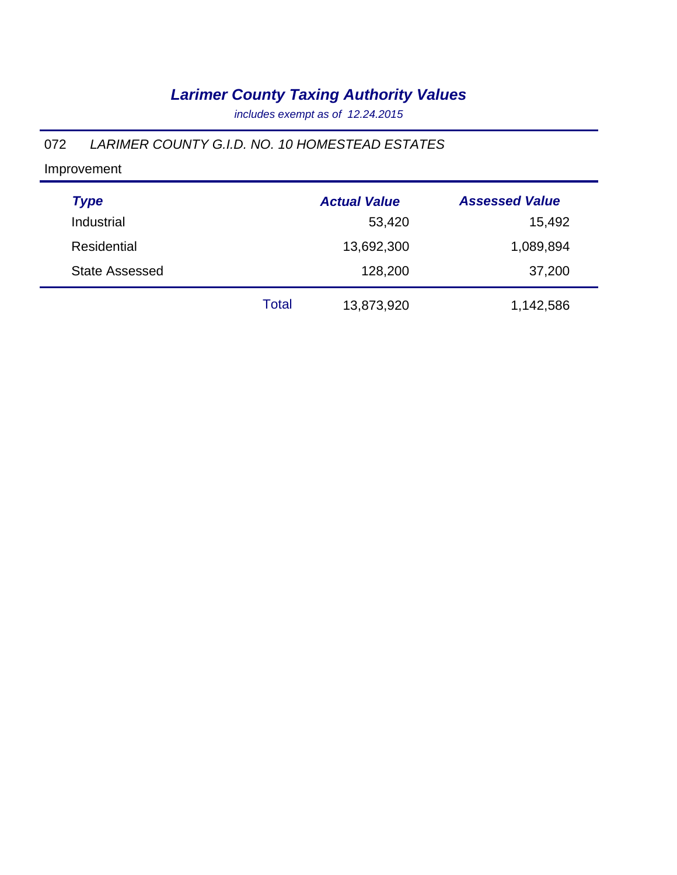*includes exempt as of 12.24.2015*

#### 072 *LARIMER COUNTY G.I.D. NO. 10 HOMESTEAD ESTATES*

| <b>Type</b>           |       | <b>Actual Value</b> | <b>Assessed Value</b> |
|-----------------------|-------|---------------------|-----------------------|
| Industrial            |       | 53,420              | 15,492                |
| Residential           |       | 13,692,300          | 1,089,894             |
| <b>State Assessed</b> |       | 128,200             | 37,200                |
|                       | Total | 13,873,920          | 1,142,586             |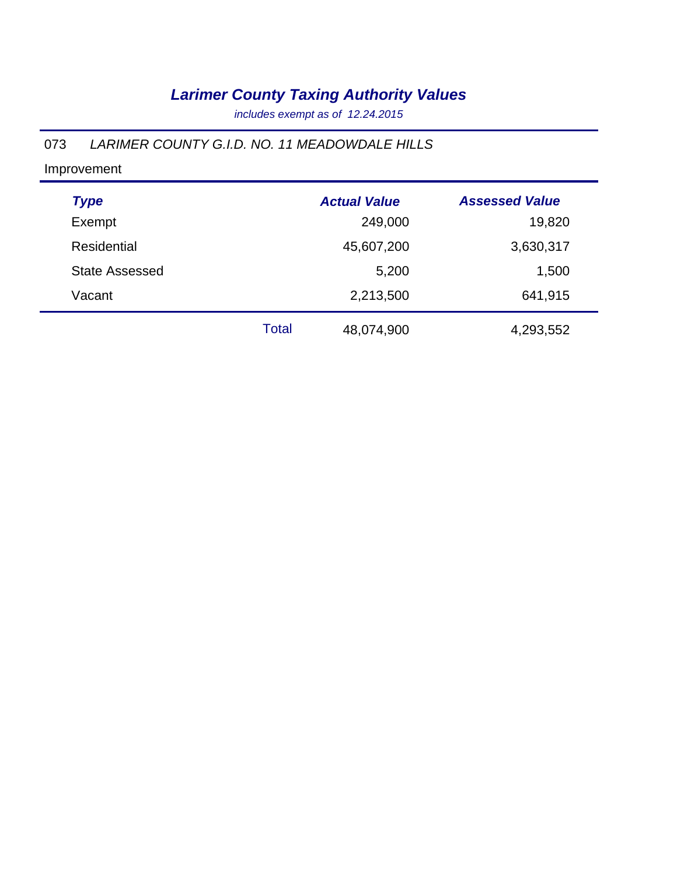*includes exempt as of 12.24.2015*

### 073 *LARIMER COUNTY G.I.D. NO. 11 MEADOWDALE HILLS*

| <b>Type</b>           |              | <b>Actual Value</b> | <b>Assessed Value</b> |
|-----------------------|--------------|---------------------|-----------------------|
| Exempt                |              | 249,000             | 19,820                |
| <b>Residential</b>    |              | 45,607,200          | 3,630,317             |
| <b>State Assessed</b> |              | 5,200               | 1,500                 |
| Vacant                |              | 2,213,500           | 641,915               |
|                       | <b>Total</b> | 48,074,900          | 4,293,552             |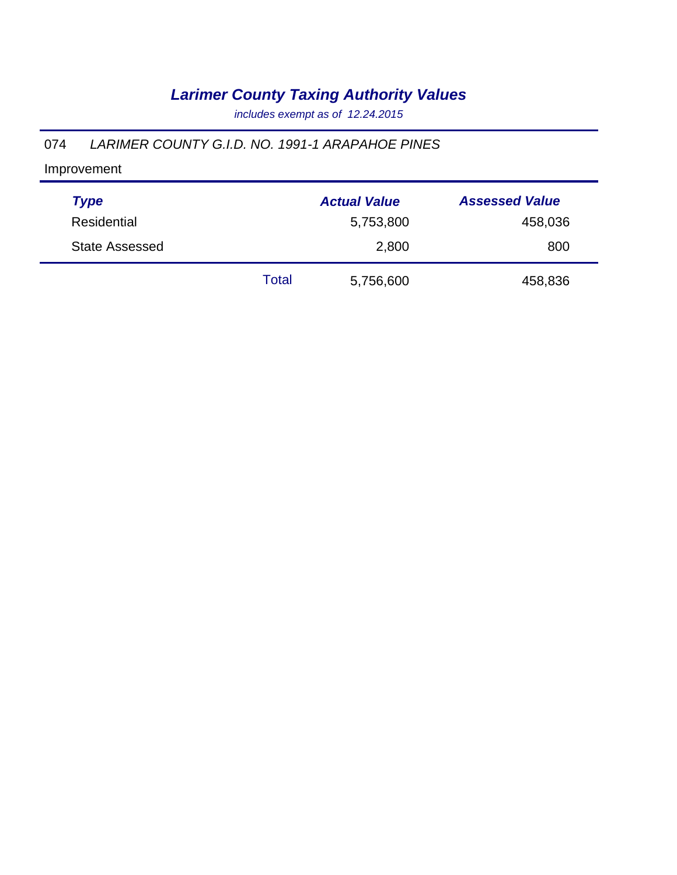*includes exempt as of 12.24.2015*

#### 074 *LARIMER COUNTY G.I.D. NO. 1991-1 ARAPAHOE PINES*

| <b>Type</b>           |       | <b>Actual Value</b> | <b>Assessed Value</b> |
|-----------------------|-------|---------------------|-----------------------|
| <b>Residential</b>    |       | 5,753,800           | 458,036               |
| <b>State Assessed</b> |       | 2,800               | 800                   |
|                       | Total | 5,756,600           | 458,836               |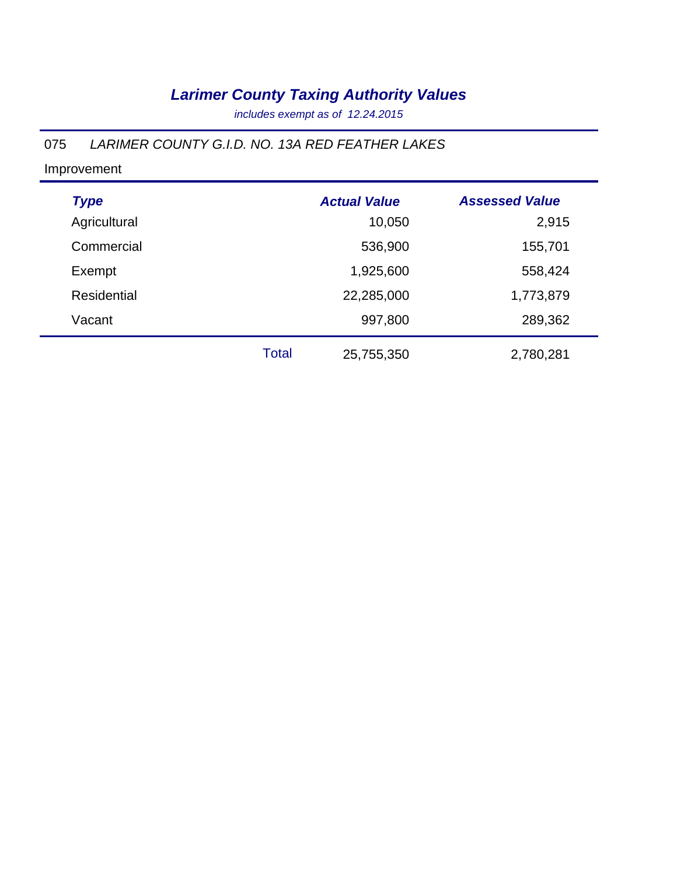*includes exempt as of 12.24.2015*

### 075 *LARIMER COUNTY G.I.D. NO. 13A RED FEATHER LAKES*

| <b>Type</b>        |       | <b>Actual Value</b> | <b>Assessed Value</b> |
|--------------------|-------|---------------------|-----------------------|
| Agricultural       |       | 10,050              | 2,915                 |
| Commercial         |       | 536,900             | 155,701               |
| Exempt             |       | 1,925,600           | 558,424               |
| <b>Residential</b> |       | 22,285,000          | 1,773,879             |
| Vacant             |       | 997,800             | 289,362               |
|                    | Total | 25,755,350          | 2,780,281             |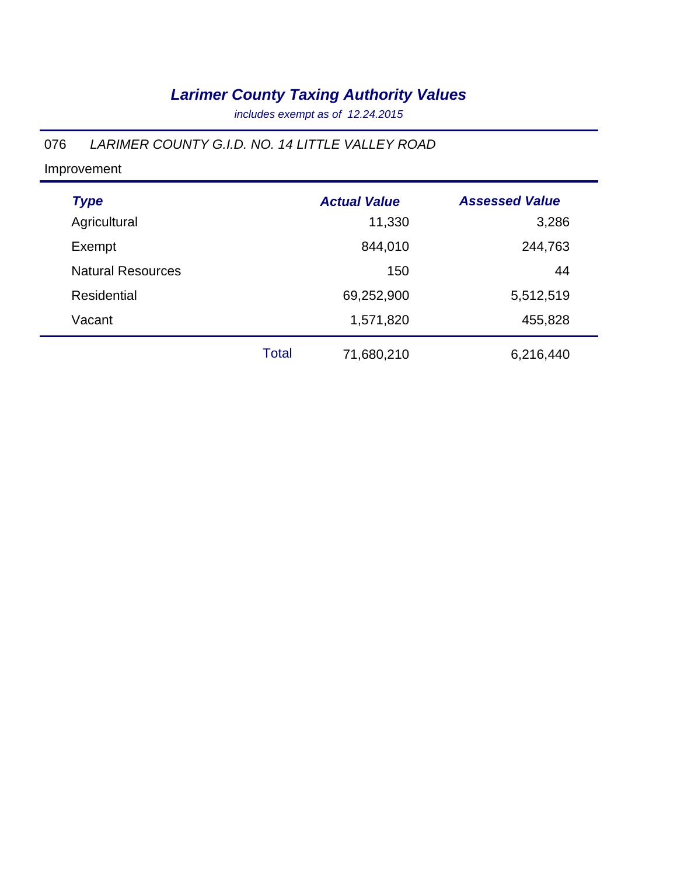*includes exempt as of 12.24.2015*

### 076 *LARIMER COUNTY G.I.D. NO. 14 LITTLE VALLEY ROAD*

Improvement

÷

| <b>Type</b>              |       | <b>Actual Value</b> | <b>Assessed Value</b> |
|--------------------------|-------|---------------------|-----------------------|
| Agricultural             |       | 11,330              | 3,286                 |
| Exempt                   |       | 844,010             | 244,763               |
| <b>Natural Resources</b> |       | 150                 | 44                    |
| <b>Residential</b>       |       | 69,252,900          | 5,512,519             |
| Vacant                   |       | 1,571,820           | 455,828               |
|                          | Total | 71,680,210          | 6,216,440             |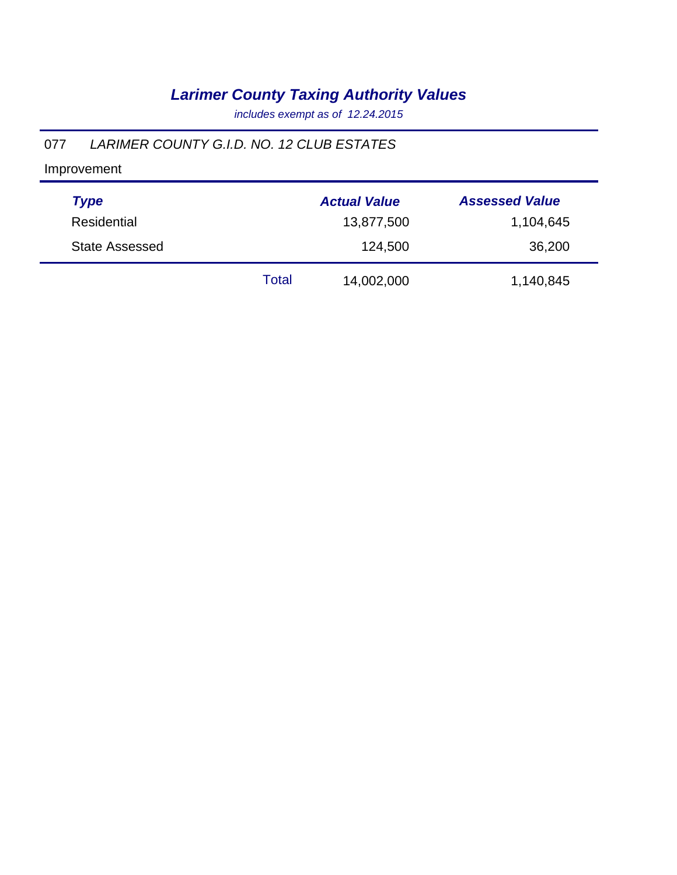*includes exempt as of 12.24.2015*

#### 077 *LARIMER COUNTY G.I.D. NO. 12 CLUB ESTATES*

| <b>Type</b>    |       | <b>Actual Value</b> | <b>Assessed Value</b> |
|----------------|-------|---------------------|-----------------------|
| Residential    |       | 13,877,500          | 1,104,645             |
| State Assessed |       | 124,500             | 36,200                |
|                | Total | 14,002,000          | 1,140,845             |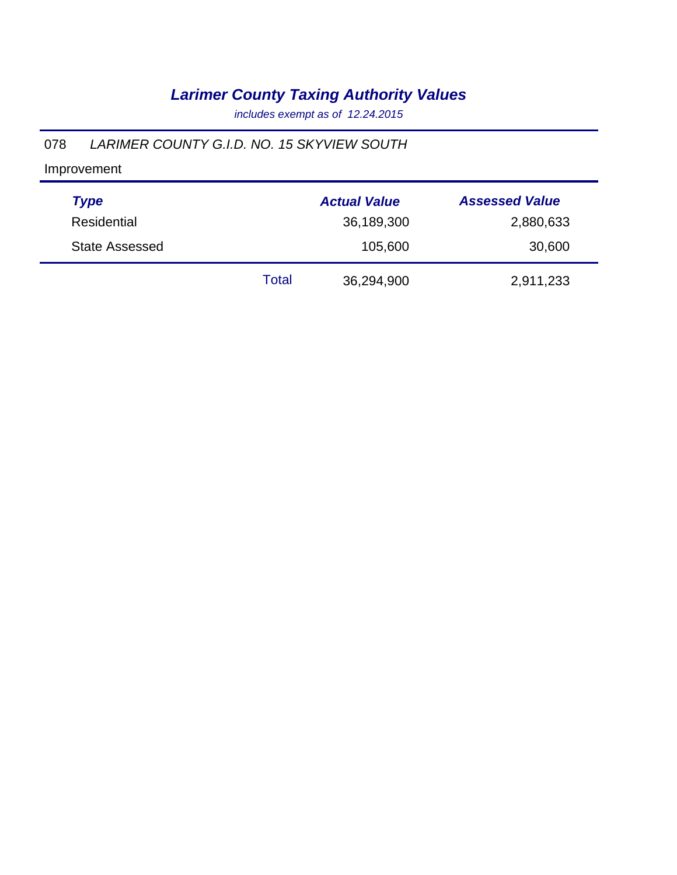*includes exempt as of 12.24.2015*

#### 078 *LARIMER COUNTY G.I.D. NO. 15 SKYVIEW SOUTH*

| <b>Type</b>           |       | <b>Actual Value</b> | <b>Assessed Value</b> |
|-----------------------|-------|---------------------|-----------------------|
| Residential           |       | 36,189,300          | 2,880,633             |
| <b>State Assessed</b> |       | 105,600             | 30,600                |
|                       | Total | 36,294,900          | 2,911,233             |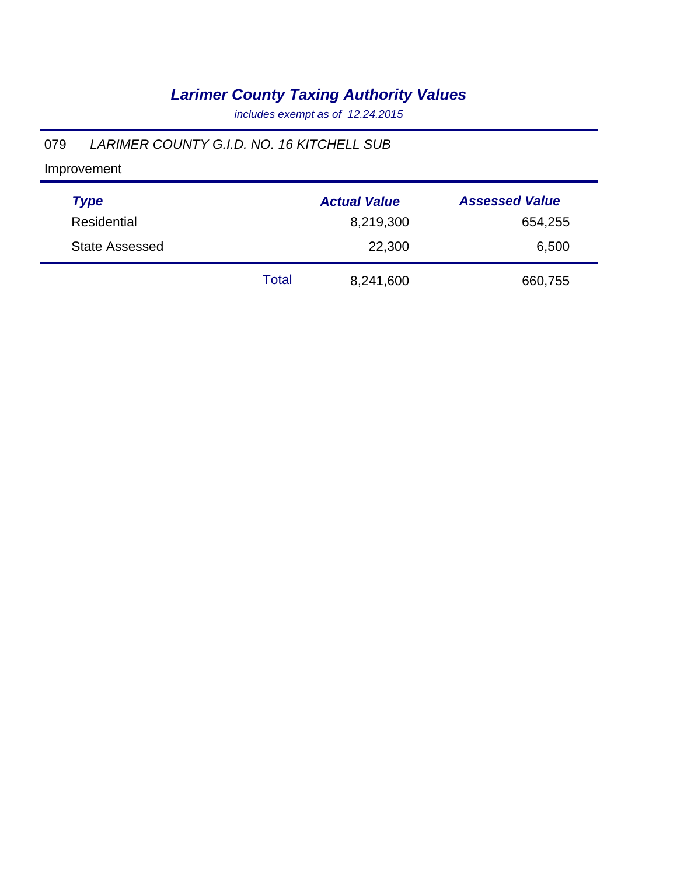*includes exempt as of 12.24.2015*

#### 079 *LARIMER COUNTY G.I.D. NO. 16 KITCHELL SUB*

| <b>Type</b>           |       | <b>Actual Value</b> | <b>Assessed Value</b> |
|-----------------------|-------|---------------------|-----------------------|
| Residential           |       | 8,219,300           | 654,255               |
| <b>State Assessed</b> |       | 22,300              | 6,500                 |
|                       | Total | 8,241,600           | 660,755               |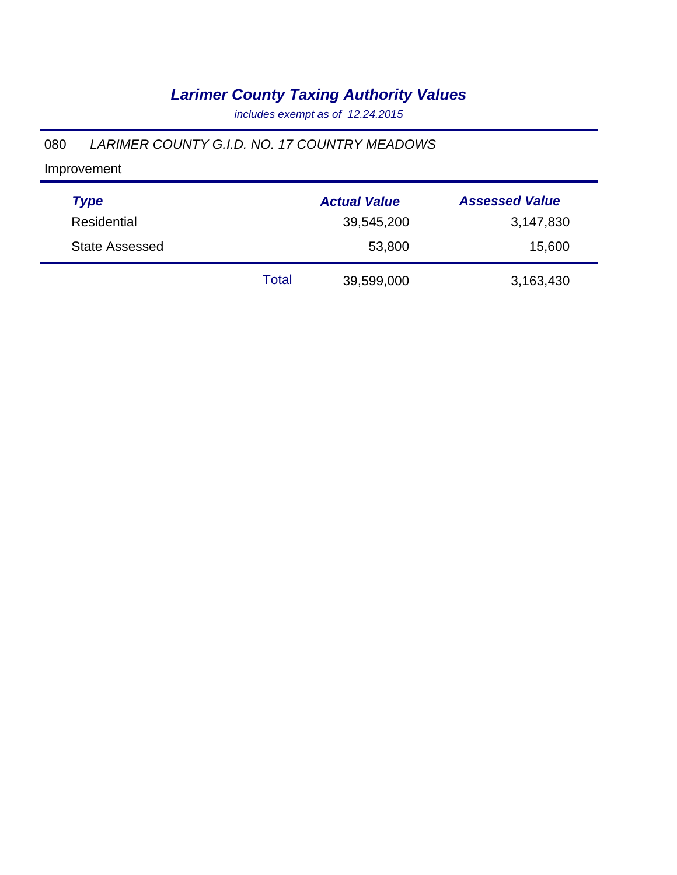*includes exempt as of 12.24.2015*

#### 080 *LARIMER COUNTY G.I.D. NO. 17 COUNTRY MEADOWS*

| <b>Type</b>           |       | <b>Actual Value</b> | <b>Assessed Value</b> |
|-----------------------|-------|---------------------|-----------------------|
| Residential           |       | 39,545,200          | 3,147,830             |
| <b>State Assessed</b> |       | 53,800              | 15,600                |
|                       | Total | 39,599,000          | 3,163,430             |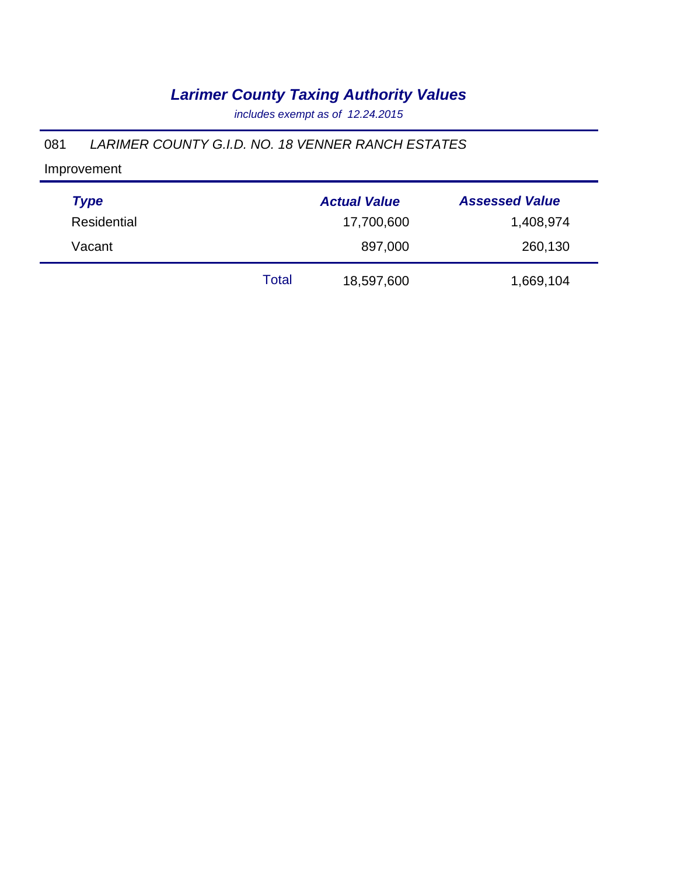*includes exempt as of 12.24.2015*

#### 081 *LARIMER COUNTY G.I.D. NO. 18 VENNER RANCH ESTATES*

| <b>Type</b> |       | <b>Actual Value</b> | <b>Assessed Value</b> |
|-------------|-------|---------------------|-----------------------|
| Residential |       | 17,700,600          | 1,408,974             |
| Vacant      |       | 897,000             | 260,130               |
|             | Total | 18,597,600          | 1,669,104             |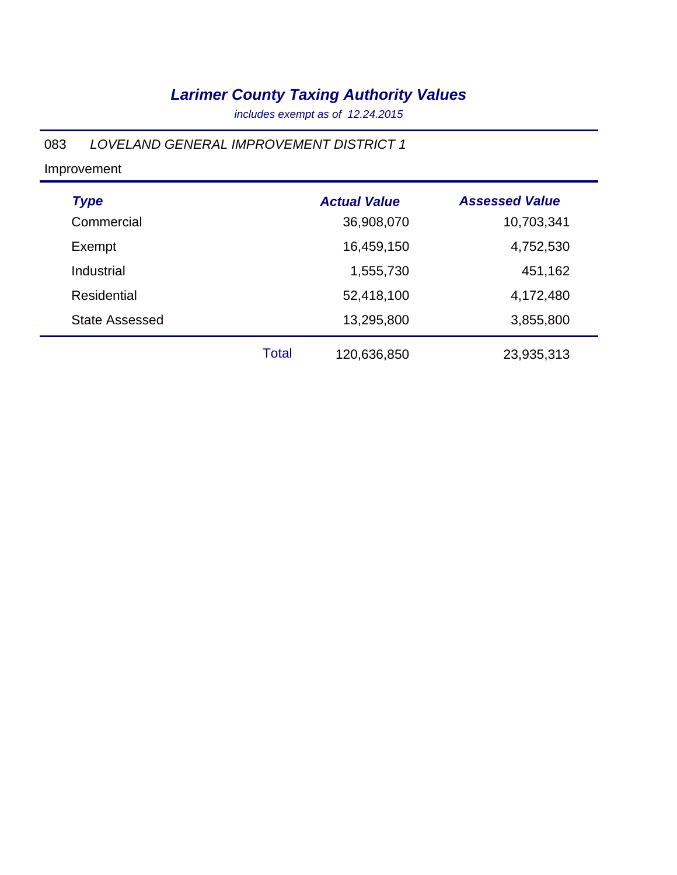*includes exempt as of 12.24.2015*

#### 083 *LOVELAND GENERAL IMPROVEMENT DISTRICT 1*

| <b>Type</b>           |              | <b>Actual Value</b> | <b>Assessed Value</b> |
|-----------------------|--------------|---------------------|-----------------------|
| Commercial            |              | 36,908,070          | 10,703,341            |
| Exempt                |              | 16,459,150          | 4,752,530             |
| Industrial            |              | 1,555,730           | 451,162               |
| <b>Residential</b>    |              | 52,418,100          | 4,172,480             |
| <b>State Assessed</b> |              | 13,295,800          | 3,855,800             |
|                       | <b>Total</b> | 120,636,850         | 23,935,313            |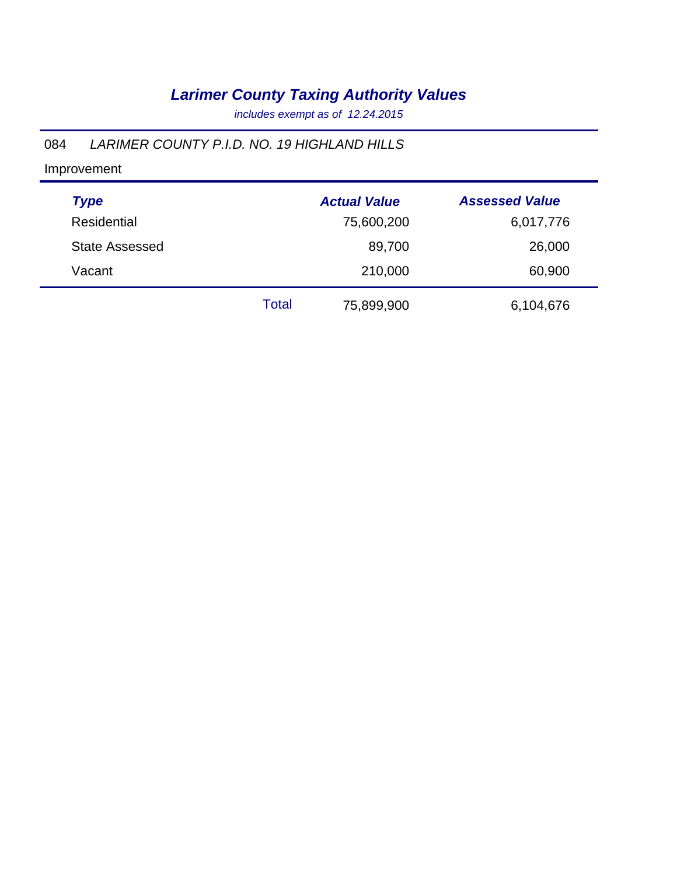*includes exempt as of 12.24.2015*

#### 084 *LARIMER COUNTY P.I.D. NO. 19 HIGHLAND HILLS*

| <b>Type</b>           |       | <b>Actual Value</b> | <b>Assessed Value</b> |
|-----------------------|-------|---------------------|-----------------------|
| Residential           |       | 75,600,200          | 6,017,776             |
| <b>State Assessed</b> |       | 89,700              | 26,000                |
| Vacant                |       | 210,000             | 60,900                |
|                       | Total | 75,899,900          | 6,104,676             |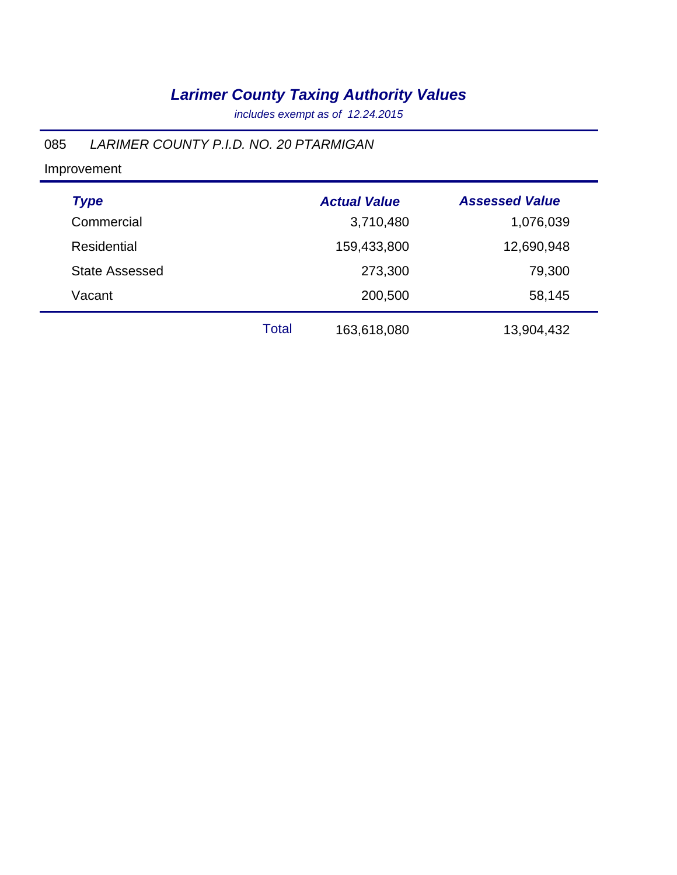*includes exempt as of 12.24.2015*

#### 085 *LARIMER COUNTY P.I.D. NO. 20 PTARMIGAN*

| <b>Type</b>           |              | <b>Actual Value</b> | <b>Assessed Value</b> |
|-----------------------|--------------|---------------------|-----------------------|
| Commercial            |              | 3,710,480           | 1,076,039             |
| <b>Residential</b>    |              | 159,433,800         | 12,690,948            |
| <b>State Assessed</b> |              | 273,300             | 79,300                |
| Vacant                |              | 200,500             | 58,145                |
|                       | <b>Total</b> | 163,618,080         | 13,904,432            |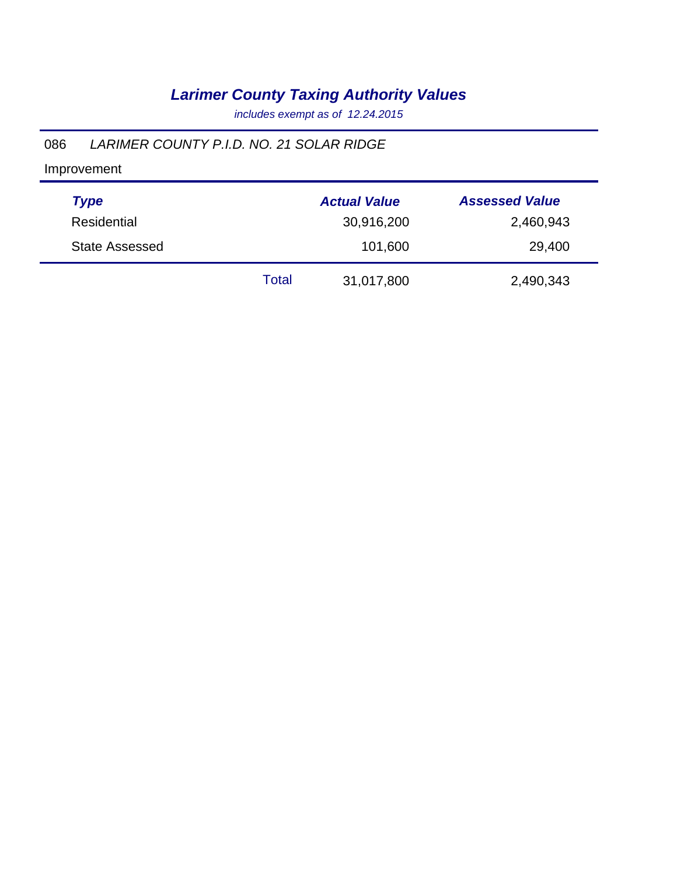*includes exempt as of 12.24.2015*

#### 086 *LARIMER COUNTY P.I.D. NO. 21 SOLAR RIDGE*

| <b>Type</b>           |       | <b>Actual Value</b> | <b>Assessed Value</b> |
|-----------------------|-------|---------------------|-----------------------|
| Residential           |       | 30,916,200          | 2,460,943             |
| <b>State Assessed</b> |       | 101,600             | 29,400                |
|                       | Total | 31,017,800          | 2,490,343             |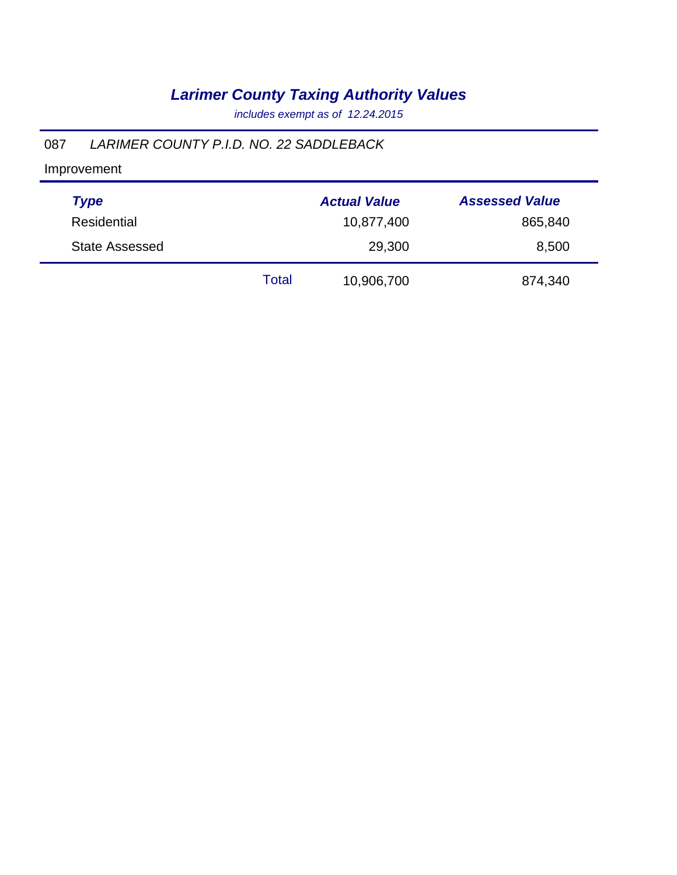*includes exempt as of 12.24.2015*

#### 087 *LARIMER COUNTY P.I.D. NO. 22 SADDLEBACK*

| <b>Type</b>           |       | <b>Actual Value</b> | <b>Assessed Value</b> |
|-----------------------|-------|---------------------|-----------------------|
| Residential           |       | 10,877,400          | 865,840               |
| <b>State Assessed</b> |       | 29,300              | 8,500                 |
|                       | Total | 10,906,700          | 874,340               |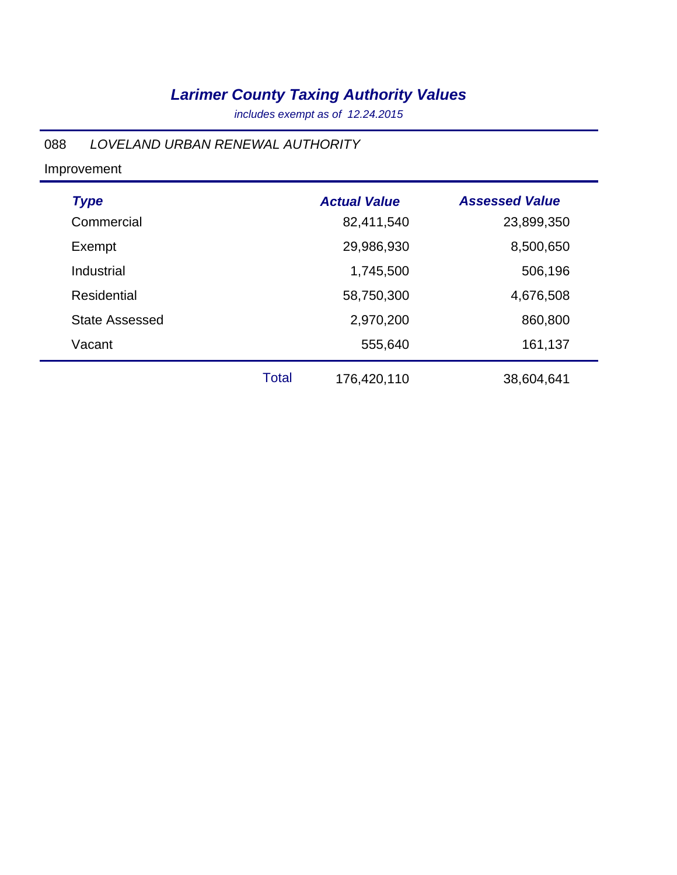*includes exempt as of 12.24.2015*

#### 088 *LOVELAND URBAN RENEWAL AUTHORITY*

| <b>Type</b>           |              | <b>Actual Value</b> | <b>Assessed Value</b> |
|-----------------------|--------------|---------------------|-----------------------|
| Commercial            |              | 82,411,540          | 23,899,350            |
| Exempt                |              | 29,986,930          | 8,500,650             |
| Industrial            |              | 1,745,500           | 506,196               |
| Residential           |              | 58,750,300          | 4,676,508             |
| <b>State Assessed</b> |              | 2,970,200           | 860,800               |
| Vacant                |              | 555,640             | 161,137               |
|                       | <b>Total</b> | 176,420,110         | 38,604,641            |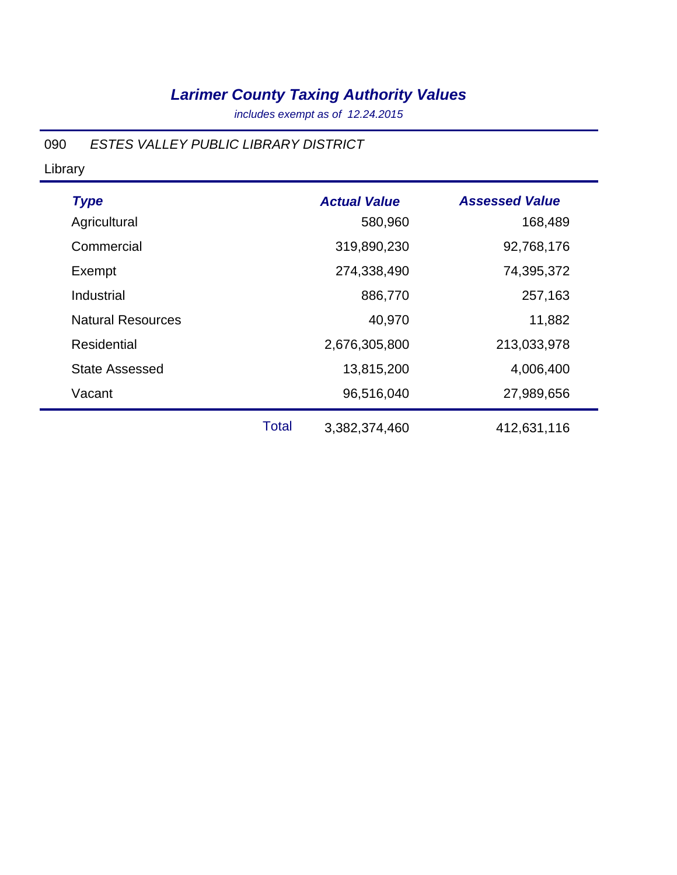*includes exempt as of 12.24.2015*

#### 090 *ESTES VALLEY PUBLIC LIBRARY DISTRICT*

Library

| <b>Type</b><br>Agricultural |              | <b>Actual Value</b><br>580,960 | <b>Assessed Value</b><br>168,489 |
|-----------------------------|--------------|--------------------------------|----------------------------------|
| Commercial                  |              | 319,890,230                    | 92,768,176                       |
| Exempt                      |              | 274,338,490                    | 74,395,372                       |
| Industrial                  |              | 886,770                        | 257,163                          |
| <b>Natural Resources</b>    |              | 40,970                         | 11,882                           |
| Residential                 |              | 2,676,305,800                  | 213,033,978                      |
| <b>State Assessed</b>       |              | 13,815,200                     | 4,006,400                        |
| Vacant                      |              | 96,516,040                     | 27,989,656                       |
|                             | <b>Total</b> | 3,382,374,460                  | 412,631,116                      |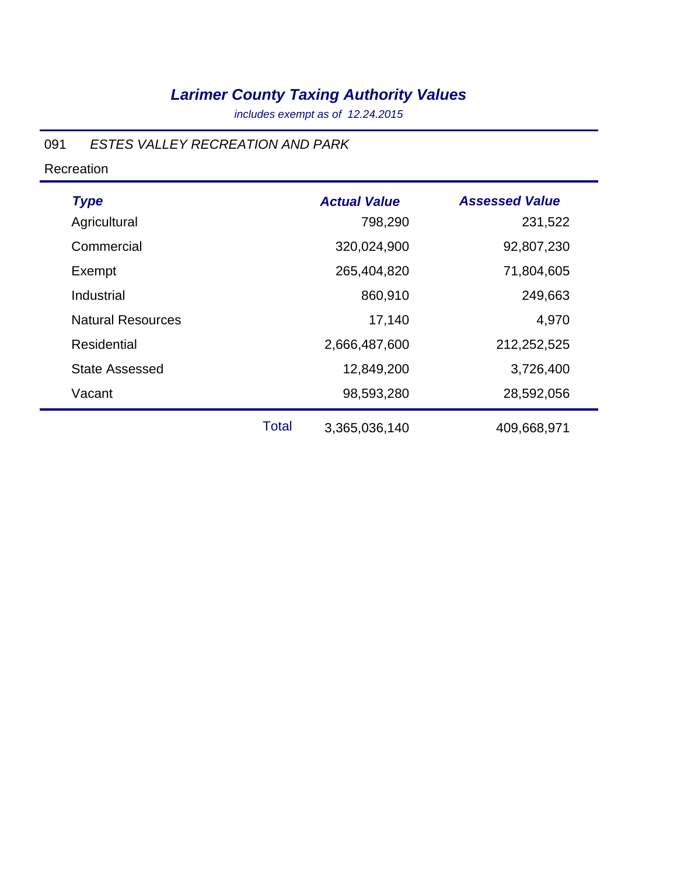*includes exempt as of 12.24.2015*

#### 091 *ESTES VALLEY RECREATION AND PARK*

Recreation

| <b>Type</b>              |              | <b>Actual Value</b> | <b>Assessed Value</b> |
|--------------------------|--------------|---------------------|-----------------------|
| Agricultural             |              | 798,290             | 231,522               |
| Commercial               |              | 320,024,900         | 92,807,230            |
| Exempt                   |              | 265,404,820         | 71,804,605            |
| Industrial               |              | 860,910             | 249,663               |
| <b>Natural Resources</b> |              | 17,140              | 4,970                 |
| <b>Residential</b>       |              | 2,666,487,600       | 212,252,525           |
| <b>State Assessed</b>    |              | 12,849,200          | 3,726,400             |
| Vacant                   |              | 98,593,280          | 28,592,056            |
|                          | <b>Total</b> | 3,365,036,140       | 409,668,971           |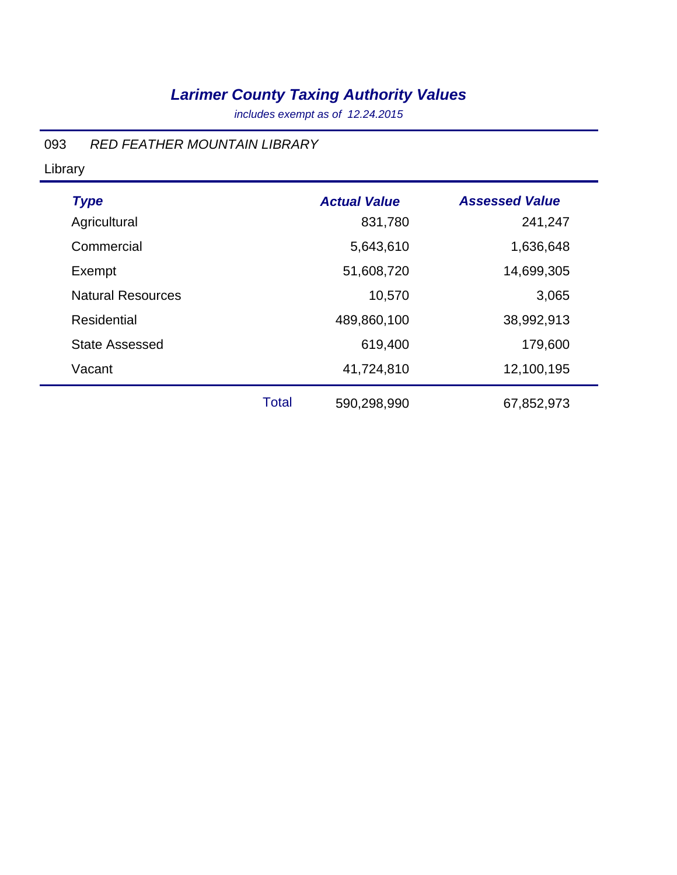*includes exempt as of 12.24.2015*

#### 093 *RED FEATHER MOUNTAIN LIBRARY*

Library

| <b>Type</b>              |              | <b>Actual Value</b> | <b>Assessed Value</b> |
|--------------------------|--------------|---------------------|-----------------------|
| Agricultural             |              | 831,780             | 241,247               |
| Commercial               |              | 5,643,610           | 1,636,648             |
| Exempt                   |              | 51,608,720          | 14,699,305            |
| <b>Natural Resources</b> |              | 10,570              | 3,065                 |
| <b>Residential</b>       |              | 489,860,100         | 38,992,913            |
| <b>State Assessed</b>    |              | 619,400             | 179,600               |
| Vacant                   |              | 41,724,810          | 12,100,195            |
|                          | <b>Total</b> | 590,298,990         | 67,852,973            |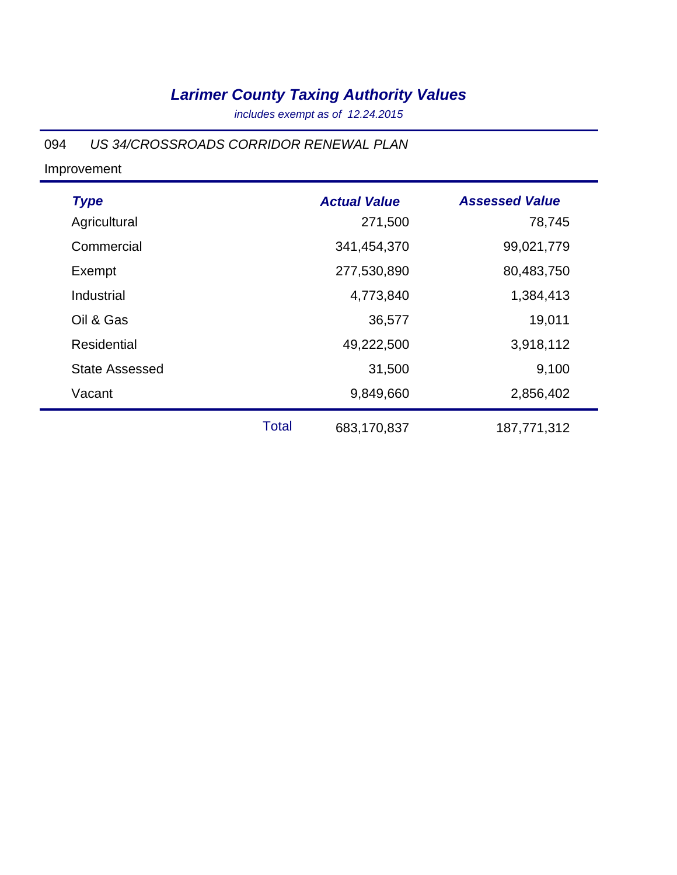*includes exempt as of 12.24.2015*

#### 094 *US 34/CROSSROADS CORRIDOR RENEWAL PLAN*

| <b>Type</b><br>Agricultural |              | <b>Actual Value</b><br>271,500 | <b>Assessed Value</b><br>78,745 |
|-----------------------------|--------------|--------------------------------|---------------------------------|
| Commercial                  |              | 341,454,370                    | 99,021,779                      |
| Exempt                      |              | 277,530,890                    | 80,483,750                      |
| Industrial                  |              | 4,773,840                      | 1,384,413                       |
| Oil & Gas                   |              | 36,577                         | 19,011                          |
| Residential                 |              | 49,222,500                     | 3,918,112                       |
| <b>State Assessed</b>       |              | 31,500                         | 9,100                           |
| Vacant                      |              | 9,849,660                      | 2,856,402                       |
|                             | <b>Total</b> | 683,170,837                    | 187,771,312                     |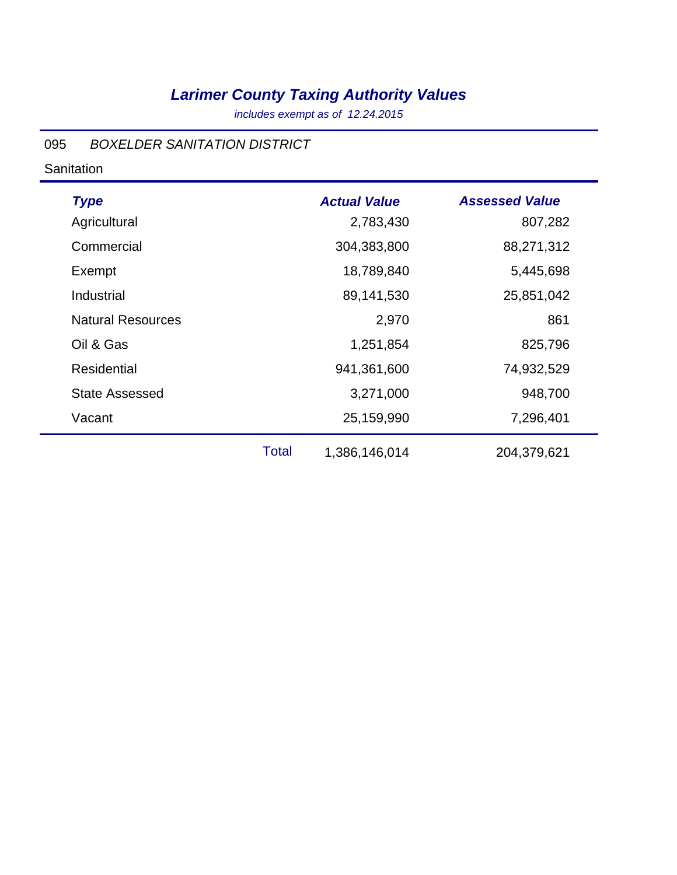*includes exempt as of 12.24.2015*

#### 095 *BOXELDER SANITATION DISTRICT*

**Sanitation** 

| <b>Type</b>              |              | <b>Actual Value</b> | <b>Assessed Value</b> |
|--------------------------|--------------|---------------------|-----------------------|
| Agricultural             |              | 2,783,430           | 807,282               |
| Commercial               |              | 304,383,800         | 88,271,312            |
| Exempt                   |              | 18,789,840          | 5,445,698             |
| Industrial               |              | 89,141,530          | 25,851,042            |
| <b>Natural Resources</b> |              | 2,970               | 861                   |
| Oil & Gas                |              | 1,251,854           | 825,796               |
| <b>Residential</b>       |              | 941,361,600         | 74,932,529            |
| <b>State Assessed</b>    |              | 3,271,000           | 948,700               |
| Vacant                   |              | 25,159,990          | 7,296,401             |
|                          | <b>Total</b> | 1,386,146,014       | 204,379,621           |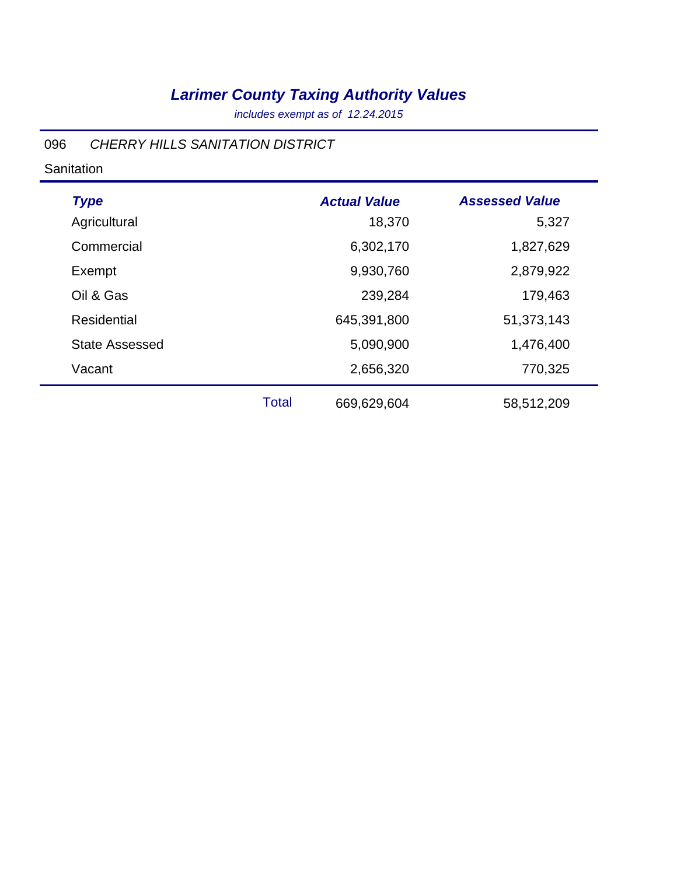*includes exempt as of 12.24.2015*

#### 096 *CHERRY HILLS SANITATION DISTRICT*

**Sanitation** 

| <b>Type</b>           |              | <b>Actual Value</b> | <b>Assessed Value</b> |
|-----------------------|--------------|---------------------|-----------------------|
| Agricultural          |              | 18,370              | 5,327                 |
| Commercial            |              | 6,302,170           | 1,827,629             |
| Exempt                |              | 9,930,760           | 2,879,922             |
| Oil & Gas             |              | 239,284             | 179,463               |
| Residential           |              | 645,391,800         | 51,373,143            |
| <b>State Assessed</b> |              | 5,090,900           | 1,476,400             |
| Vacant                |              | 2,656,320           | 770,325               |
|                       | <b>Total</b> | 669,629,604         | 58,512,209            |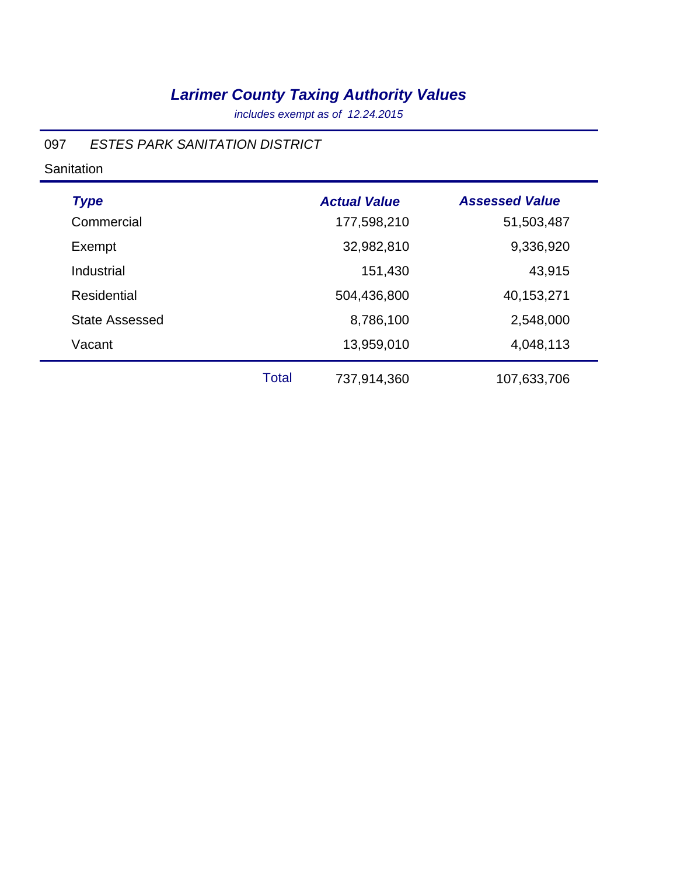*includes exempt as of 12.24.2015*

#### 097 *ESTES PARK SANITATION DISTRICT*

**Sanitation** 

| <b>Type</b>           |              | <b>Actual Value</b> | <b>Assessed Value</b> |
|-----------------------|--------------|---------------------|-----------------------|
| Commercial            |              | 177,598,210         | 51,503,487            |
| Exempt                |              | 32,982,810          | 9,336,920             |
| Industrial            |              | 151,430             | 43,915                |
| <b>Residential</b>    |              | 504,436,800         | 40,153,271            |
| <b>State Assessed</b> |              | 8,786,100           | 2,548,000             |
| Vacant                |              | 13,959,010          | 4,048,113             |
|                       | <b>Total</b> | 737,914,360         | 107,633,706           |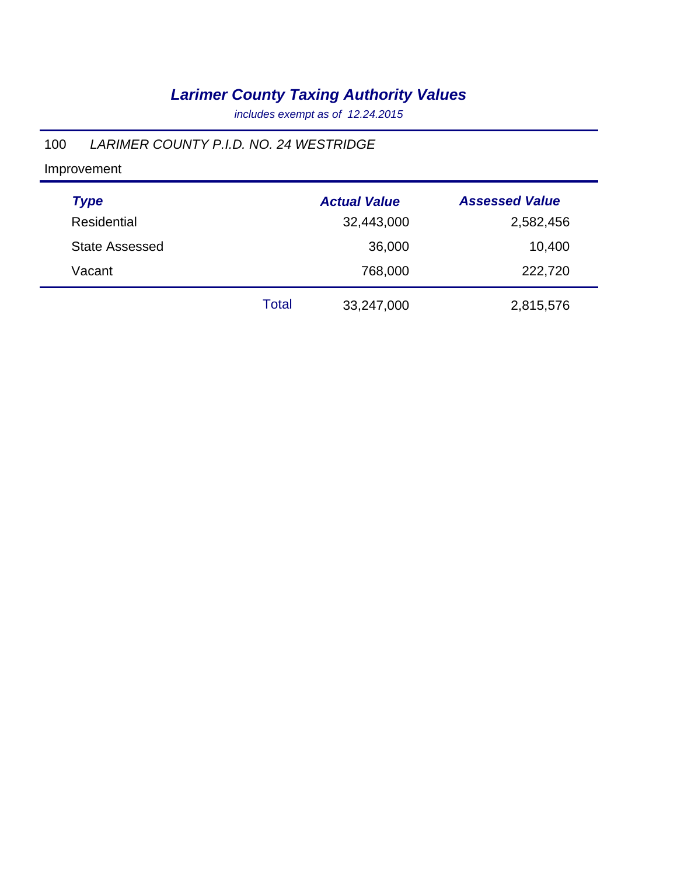*includes exempt as of 12.24.2015*

### 100 *LARIMER COUNTY P.I.D. NO. 24 WESTRIDGE*

Improvement

| <b>Type</b>           |       | <b>Actual Value</b> | <b>Assessed Value</b> |
|-----------------------|-------|---------------------|-----------------------|
| Residential           |       | 32,443,000          | 2,582,456             |
| <b>State Assessed</b> |       | 36,000              | 10,400                |
| Vacant                |       | 768,000             | 222,720               |
|                       | Total | 33,247,000          | 2,815,576             |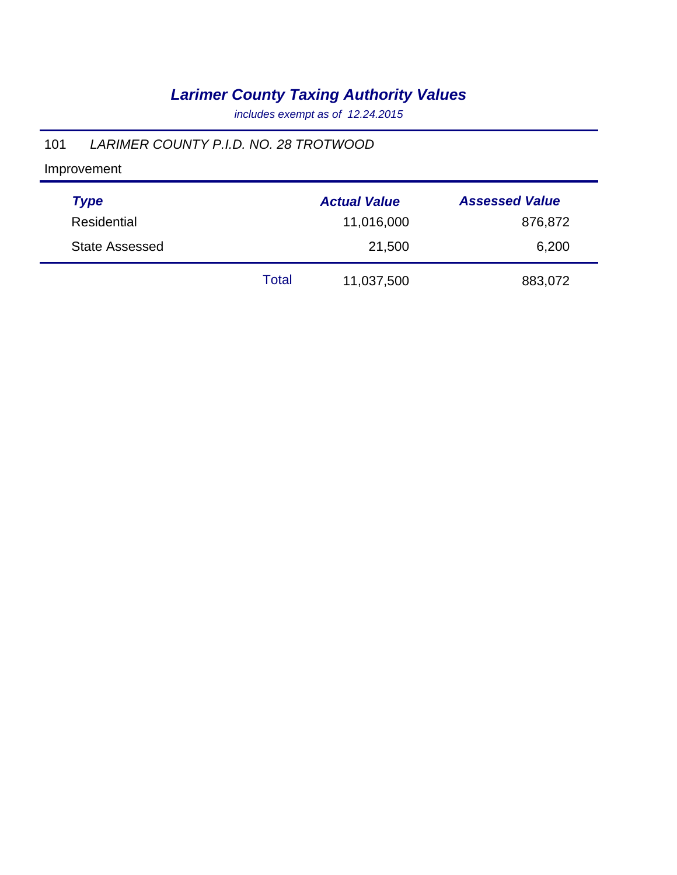*includes exempt as of 12.24.2015*

### 101 *LARIMER COUNTY P.I.D. NO. 28 TROTWOOD*

Improvement

| <b>Type</b>           |       | <b>Actual Value</b> | <b>Assessed Value</b> |
|-----------------------|-------|---------------------|-----------------------|
| Residential           |       | 11,016,000          | 876,872               |
| <b>State Assessed</b> |       | 21,500              | 6,200                 |
|                       | Total | 11,037,500          | 883,072               |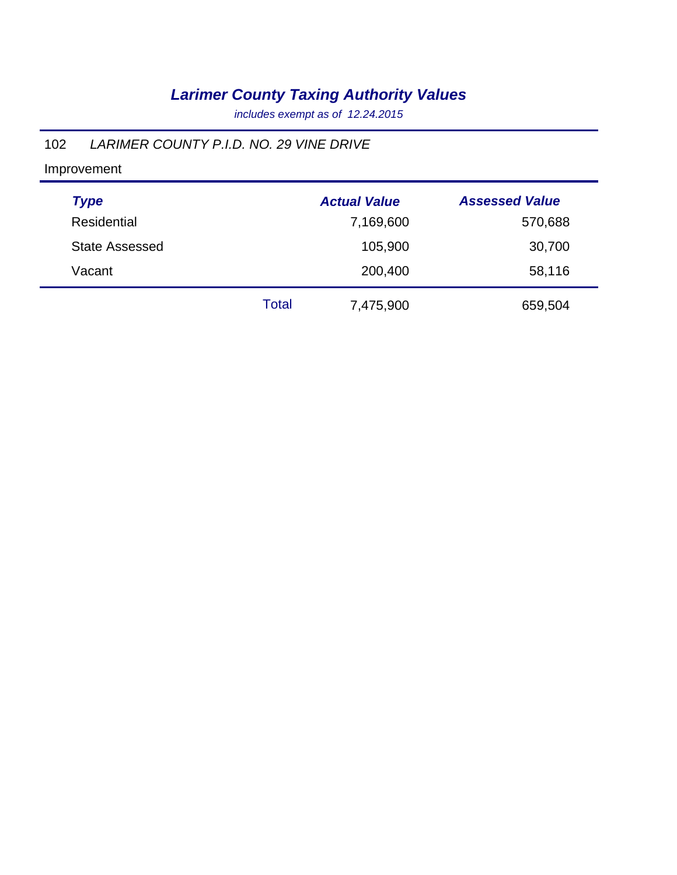*includes exempt as of 12.24.2015*

### 102 *LARIMER COUNTY P.I.D. NO. 29 VINE DRIVE*

Improvement

| <b>Type</b>           |              | <b>Actual Value</b> | <b>Assessed Value</b> |
|-----------------------|--------------|---------------------|-----------------------|
| Residential           |              | 7,169,600           | 570,688               |
| <b>State Assessed</b> |              | 105,900             | 30,700                |
| Vacant                |              | 200,400             | 58,116                |
|                       | <b>Total</b> | 7,475,900           | 659,504               |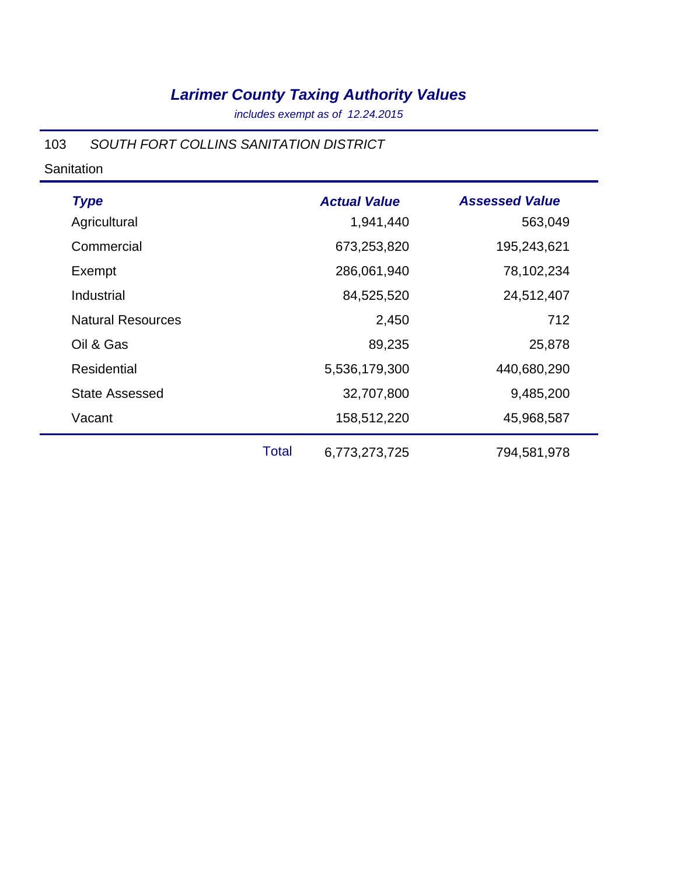*includes exempt as of 12.24.2015*

#### 103 *SOUTH FORT COLLINS SANITATION DISTRICT*

#### **Sanitation**

| <b>Type</b>              |              | <b>Actual Value</b> | <b>Assessed Value</b> |
|--------------------------|--------------|---------------------|-----------------------|
| Agricultural             |              | 1,941,440           | 563,049               |
| Commercial               |              | 673,253,820         | 195,243,621           |
| Exempt                   |              | 286,061,940         | 78,102,234            |
| Industrial               |              | 84,525,520          | 24,512,407            |
| <b>Natural Resources</b> |              | 2,450               | 712                   |
| Oil & Gas                |              | 89,235              | 25,878                |
| Residential              |              | 5,536,179,300       | 440,680,290           |
| <b>State Assessed</b>    |              | 32,707,800          | 9,485,200             |
| Vacant                   |              | 158,512,220         | 45,968,587            |
|                          | <b>Total</b> | 6,773,273,725       | 794,581,978           |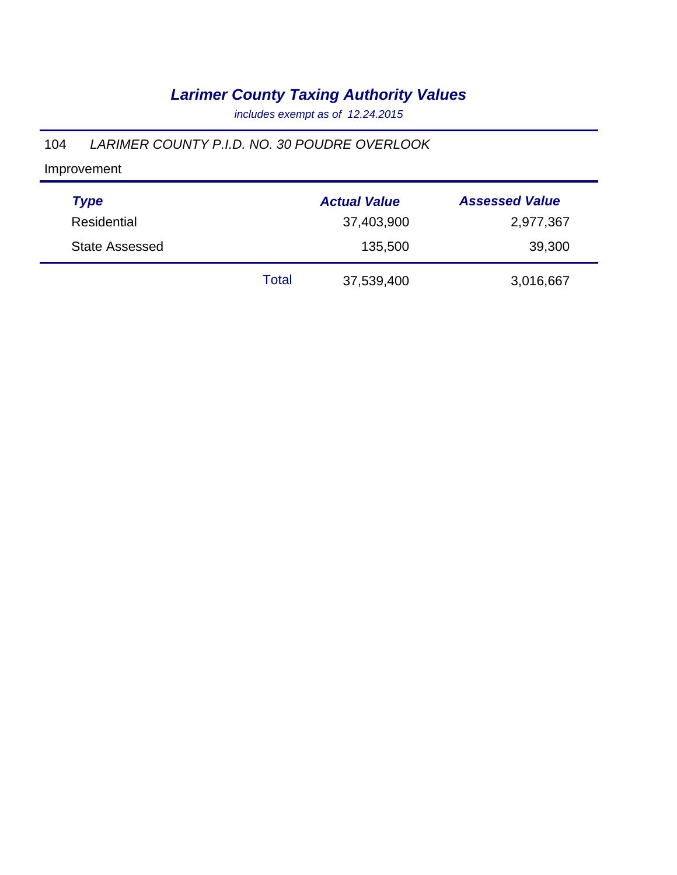*includes exempt as of 12.24.2015*

#### 104 *LARIMER COUNTY P.I.D. NO. 30 POUDRE OVERLOOK*

Improvement

| <b>Type</b>           |       | <b>Actual Value</b> | <b>Assessed Value</b> |
|-----------------------|-------|---------------------|-----------------------|
| Residential           |       | 37,403,900          | 2,977,367             |
| <b>State Assessed</b> |       | 135,500             | 39,300                |
|                       | Total | 37,539,400          | 3,016,667             |

÷,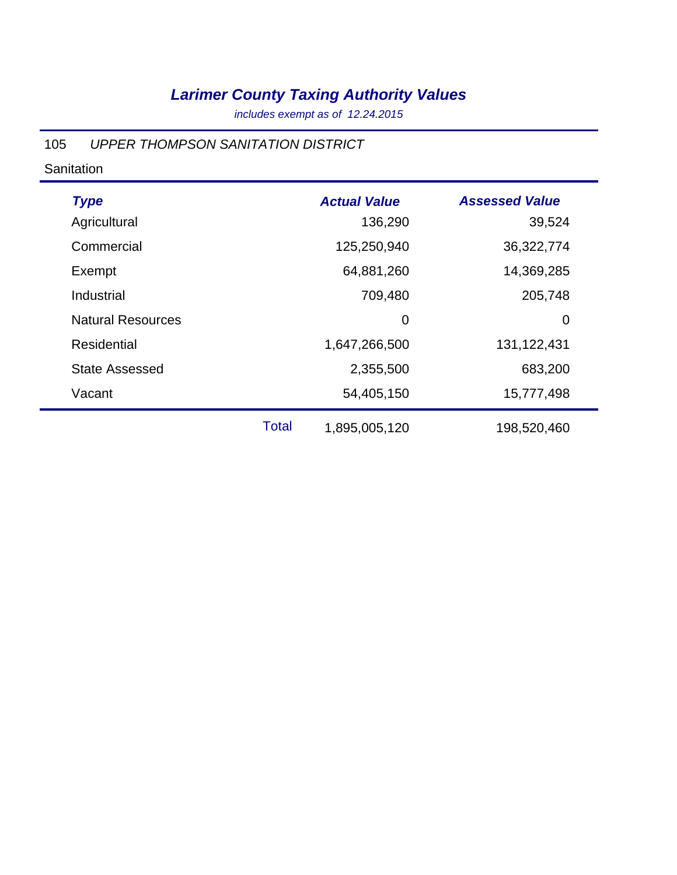*includes exempt as of 12.24.2015*

#### 105 *UPPER THOMPSON SANITATION DISTRICT*

#### **Sanitation**

| <b>Type</b>              |              | <b>Actual Value</b> | <b>Assessed Value</b> |
|--------------------------|--------------|---------------------|-----------------------|
| Agricultural             |              | 136,290             | 39,524                |
| Commercial               |              | 125,250,940         | 36,322,774            |
| Exempt                   |              | 64,881,260          | 14,369,285            |
| Industrial               |              | 709,480             | 205,748               |
| <b>Natural Resources</b> |              | 0                   | 0                     |
| Residential              |              | 1,647,266,500       | 131, 122, 431         |
| <b>State Assessed</b>    |              | 2,355,500           | 683,200               |
| Vacant                   |              | 54,405,150          | 15,777,498            |
|                          | <b>Total</b> | 1,895,005,120       | 198,520,460           |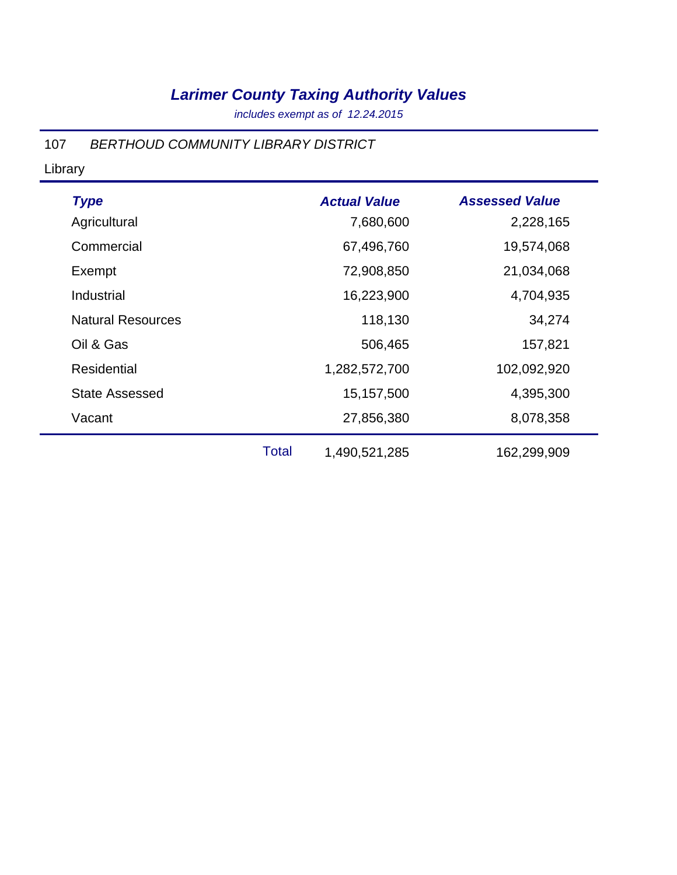*includes exempt as of 12.24.2015*

### 107 *BERTHOUD COMMUNITY LIBRARY DISTRICT*

Library

| <b>Type</b>              |              | <b>Actual Value</b> | <b>Assessed Value</b> |
|--------------------------|--------------|---------------------|-----------------------|
| Agricultural             |              | 7,680,600           | 2,228,165             |
| Commercial               |              | 67,496,760          | 19,574,068            |
| Exempt                   |              | 72,908,850          | 21,034,068            |
| Industrial               |              | 16,223,900          | 4,704,935             |
| <b>Natural Resources</b> |              | 118,130             | 34,274                |
| Oil & Gas                |              | 506,465             | 157,821               |
| <b>Residential</b>       |              | 1,282,572,700       | 102,092,920           |
| <b>State Assessed</b>    |              | 15, 157, 500        | 4,395,300             |
| Vacant                   |              | 27,856,380          | 8,078,358             |
|                          | <b>Total</b> | 1,490,521,285       | 162,299,909           |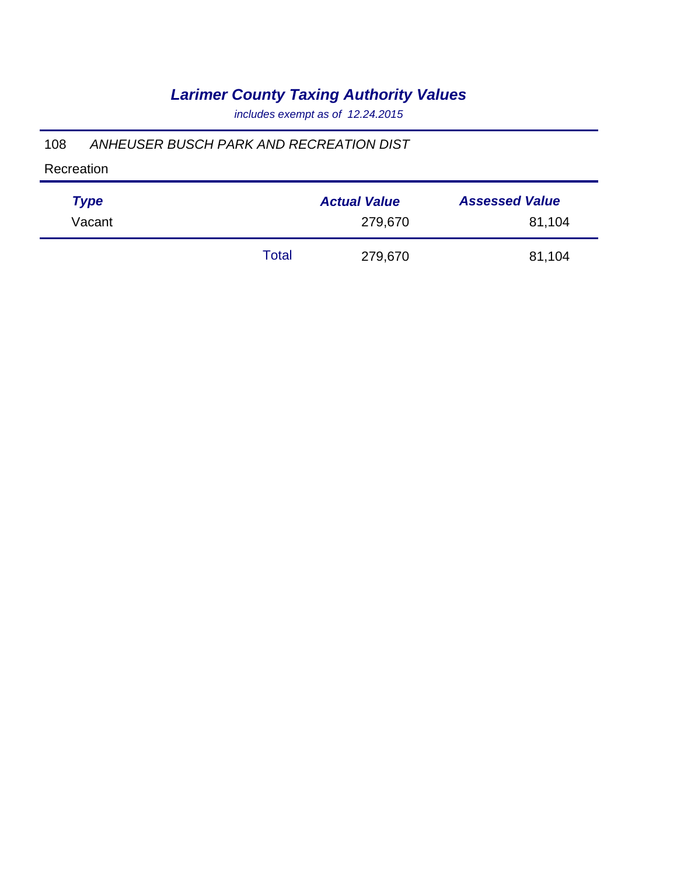*includes exempt as of 12.24.2015*

#### 108 *ANHEUSER BUSCH PARK AND RECREATION DIST*

Recreation

| <b>Type</b> |       | <b>Actual Value</b> | <b>Assessed Value</b> |
|-------------|-------|---------------------|-----------------------|
| Vacant      |       | 279,670             | 81,104                |
|             | Total | 279,670             | 81,104                |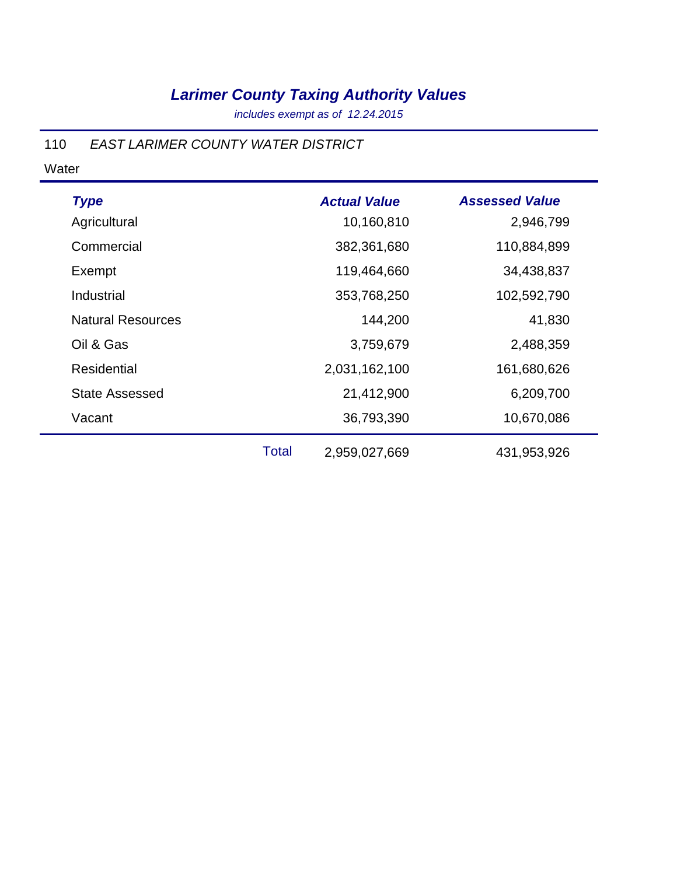*includes exempt as of 12.24.2015*

#### 110 *EAST LARIMER COUNTY WATER DISTRICT*

| <b>Type</b>              |              | <b>Actual Value</b> | <b>Assessed Value</b> |
|--------------------------|--------------|---------------------|-----------------------|
| Agricultural             |              | 10,160,810          | 2,946,799             |
| Commercial               |              | 382,361,680         | 110,884,899           |
| Exempt                   |              | 119,464,660         | 34,438,837            |
| Industrial               |              | 353,768,250         | 102,592,790           |
| <b>Natural Resources</b> |              | 144,200             | 41,830                |
| Oil & Gas                |              | 3,759,679           | 2,488,359             |
| Residential              |              | 2,031,162,100       | 161,680,626           |
| <b>State Assessed</b>    |              | 21,412,900          | 6,209,700             |
| Vacant                   |              | 36,793,390          | 10,670,086            |
|                          | <b>Total</b> | 2,959,027,669       | 431,953,926           |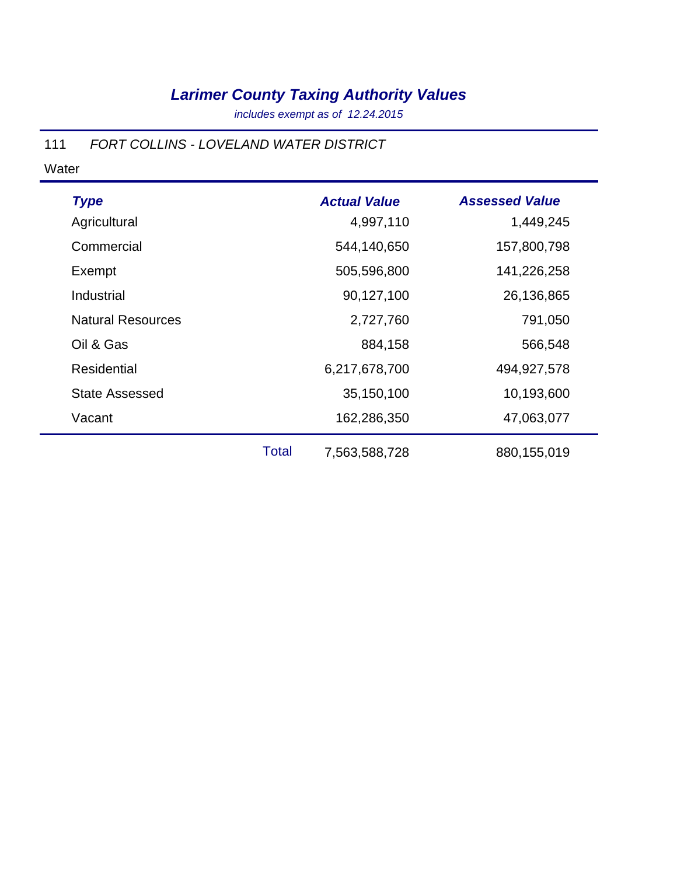*includes exempt as of 12.24.2015*

### 111 *FORT COLLINS - LOVELAND WATER DISTRICT*

| <b>Type</b>              |       | <b>Actual Value</b> | <b>Assessed Value</b> |
|--------------------------|-------|---------------------|-----------------------|
| Agricultural             |       | 4,997,110           | 1,449,245             |
| Commercial               |       | 544,140,650         | 157,800,798           |
| Exempt                   |       | 505,596,800         | 141,226,258           |
| Industrial               |       | 90,127,100          | 26,136,865            |
| <b>Natural Resources</b> |       | 2,727,760           | 791,050               |
| Oil & Gas                |       | 884,158             | 566,548               |
| Residential              |       | 6,217,678,700       | 494,927,578           |
| <b>State Assessed</b>    |       | 35,150,100          | 10,193,600            |
| Vacant                   |       | 162,286,350         | 47,063,077            |
|                          | Total | 7,563,588,728       | 880,155,019           |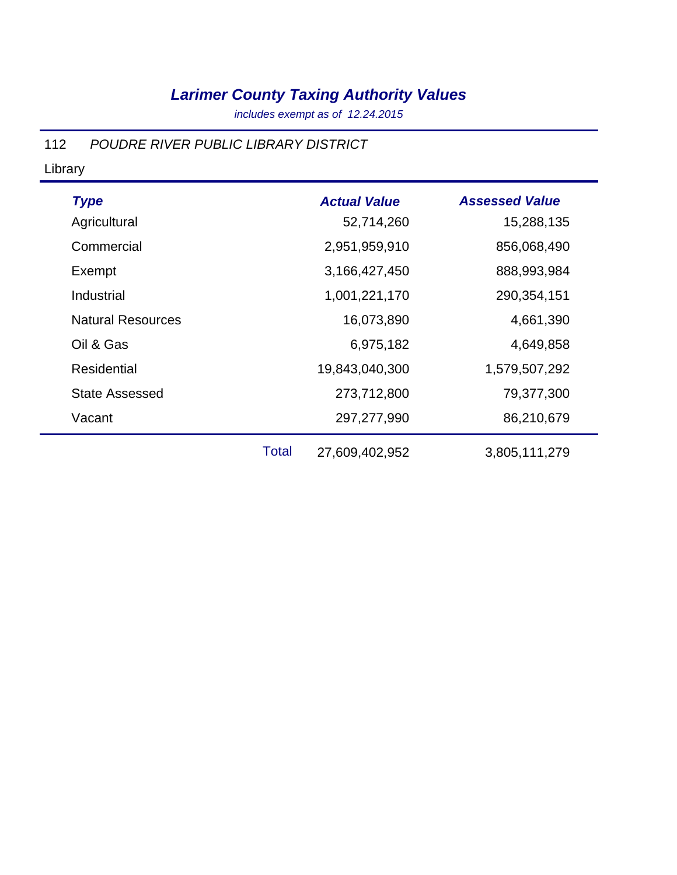*includes exempt as of 12.24.2015*

#### 112 *POUDRE RIVER PUBLIC LIBRARY DISTRICT*

#### Library

| <b>Type</b>              |              | <b>Actual Value</b> | <b>Assessed Value</b> |
|--------------------------|--------------|---------------------|-----------------------|
| Agricultural             |              | 52,714,260          | 15,288,135            |
| Commercial               |              | 2,951,959,910       | 856,068,490           |
| Exempt                   |              | 3,166,427,450       | 888,993,984           |
| Industrial               |              | 1,001,221,170       | 290, 354, 151         |
| <b>Natural Resources</b> |              | 16,073,890          | 4,661,390             |
| Oil & Gas                |              | 6,975,182           | 4,649,858             |
| <b>Residential</b>       |              | 19,843,040,300      | 1,579,507,292         |
| <b>State Assessed</b>    |              | 273,712,800         | 79,377,300            |
| Vacant                   |              | 297,277,990         | 86,210,679            |
|                          | <b>Total</b> | 27,609,402,952      | 3,805,111,279         |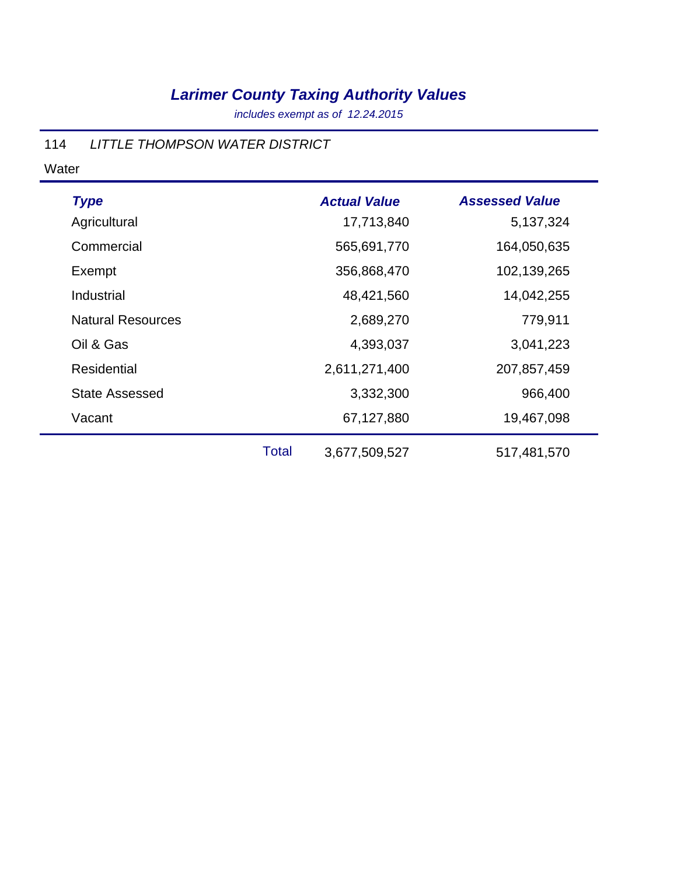*includes exempt as of 12.24.2015*

### 114 *LITTLE THOMPSON WATER DISTRICT*

| <b>Type</b>              |       | <b>Actual Value</b> | <b>Assessed Value</b> |
|--------------------------|-------|---------------------|-----------------------|
| Agricultural             |       | 17,713,840          | 5,137,324             |
| Commercial               |       | 565,691,770         | 164,050,635           |
| Exempt                   |       | 356,868,470         | 102,139,265           |
| Industrial               |       | 48,421,560          | 14,042,255            |
| <b>Natural Resources</b> |       | 2,689,270           | 779,911               |
| Oil & Gas                |       | 4,393,037           | 3,041,223             |
| Residential              |       | 2,611,271,400       | 207,857,459           |
| <b>State Assessed</b>    |       | 3,332,300           | 966,400               |
| Vacant                   |       | 67,127,880          | 19,467,098            |
|                          | Total | 3,677,509,527       | 517,481,570           |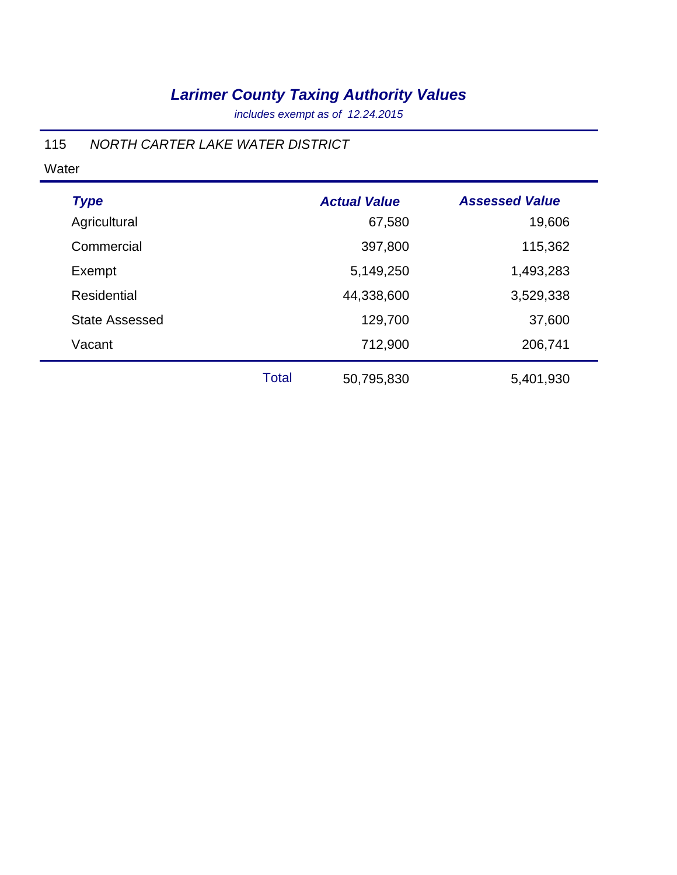*includes exempt as of 12.24.2015*

### 115 *NORTH CARTER LAKE WATER DISTRICT*

| <b>Type</b>           |              | <b>Actual Value</b> | <b>Assessed Value</b> |  |
|-----------------------|--------------|---------------------|-----------------------|--|
| Agricultural          |              | 67,580              | 19,606                |  |
| Commercial            |              | 397,800             | 115,362               |  |
| Exempt                |              | 5,149,250           | 1,493,283             |  |
| <b>Residential</b>    |              | 44,338,600          | 3,529,338             |  |
| <b>State Assessed</b> |              | 129,700             | 37,600                |  |
| Vacant                |              | 712,900             | 206,741               |  |
|                       | <b>Total</b> | 50,795,830          | 5,401,930             |  |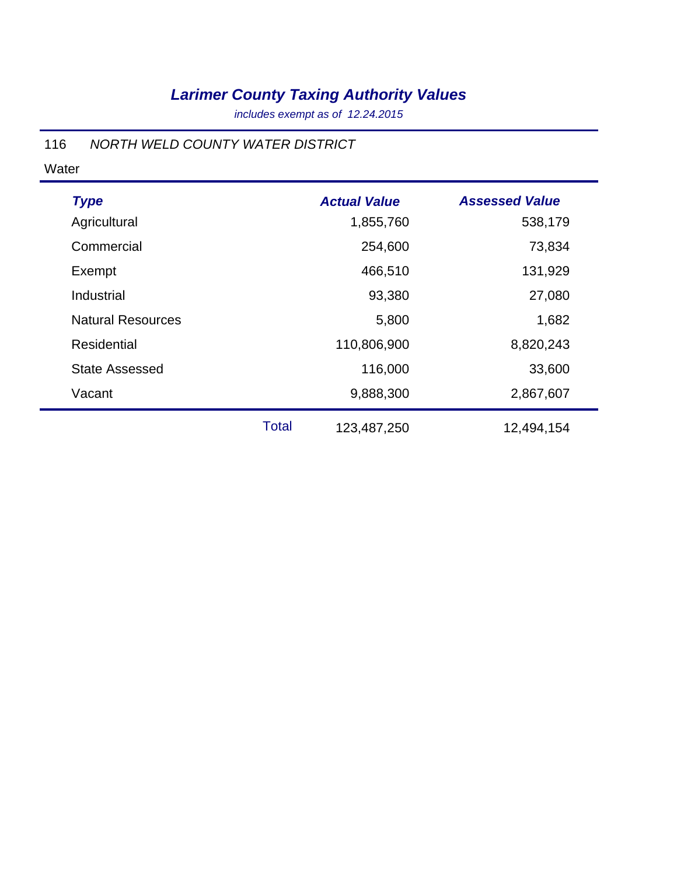*includes exempt as of 12.24.2015*

#### 116 *NORTH WELD COUNTY WATER DISTRICT*

| <b>Type</b>              |              | <b>Actual Value</b> | <b>Assessed Value</b> |
|--------------------------|--------------|---------------------|-----------------------|
| Agricultural             |              | 1,855,760           | 538,179               |
| Commercial               |              | 254,600             | 73,834                |
| Exempt                   |              | 466,510             | 131,929               |
| Industrial               |              | 93,380              | 27,080                |
| <b>Natural Resources</b> |              | 5,800               | 1,682                 |
| Residential              |              | 110,806,900         | 8,820,243             |
| <b>State Assessed</b>    |              | 116,000             | 33,600                |
| Vacant                   |              | 9,888,300           | 2,867,607             |
|                          | <b>Total</b> | 123,487,250         | 12,494,154            |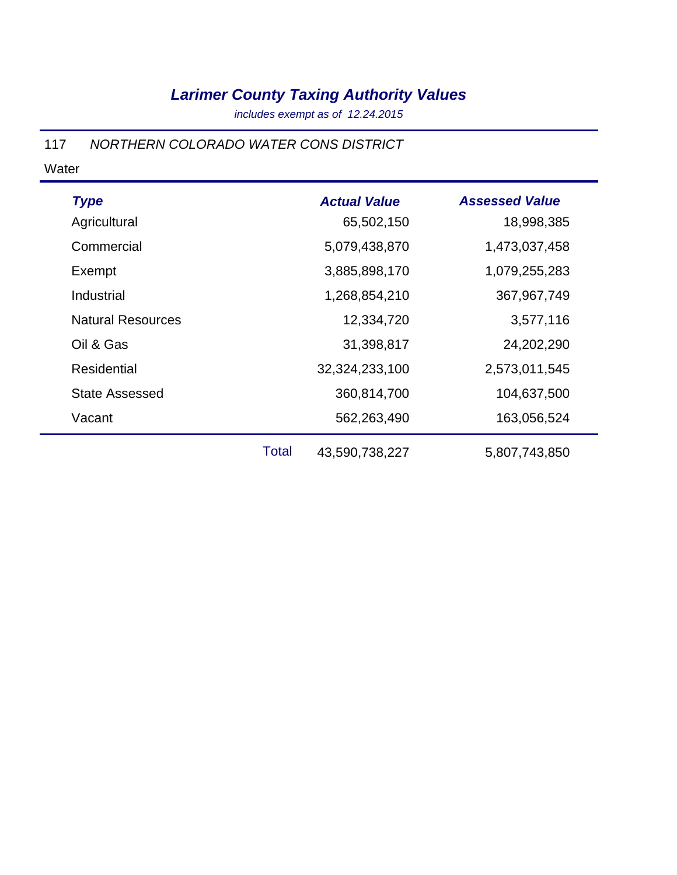*includes exempt as of 12.24.2015*

#### 117 *NORTHERN COLORADO WATER CONS DISTRICT*

| <b>Type</b>              |       | <b>Actual Value</b> | <b>Assessed Value</b> |
|--------------------------|-------|---------------------|-----------------------|
| Agricultural             |       | 65,502,150          | 18,998,385            |
| Commercial               |       | 5,079,438,870       | 1,473,037,458         |
| Exempt                   |       | 3,885,898,170       | 1,079,255,283         |
| Industrial               |       | 1,268,854,210       | 367,967,749           |
| <b>Natural Resources</b> |       | 12,334,720          | 3,577,116             |
| Oil & Gas                |       | 31,398,817          | 24,202,290            |
| <b>Residential</b>       |       | 32,324,233,100      | 2,573,011,545         |
| <b>State Assessed</b>    |       | 360,814,700         | 104,637,500           |
| Vacant                   |       | 562,263,490         | 163,056,524           |
|                          | Total | 43,590,738,227      | 5,807,743,850         |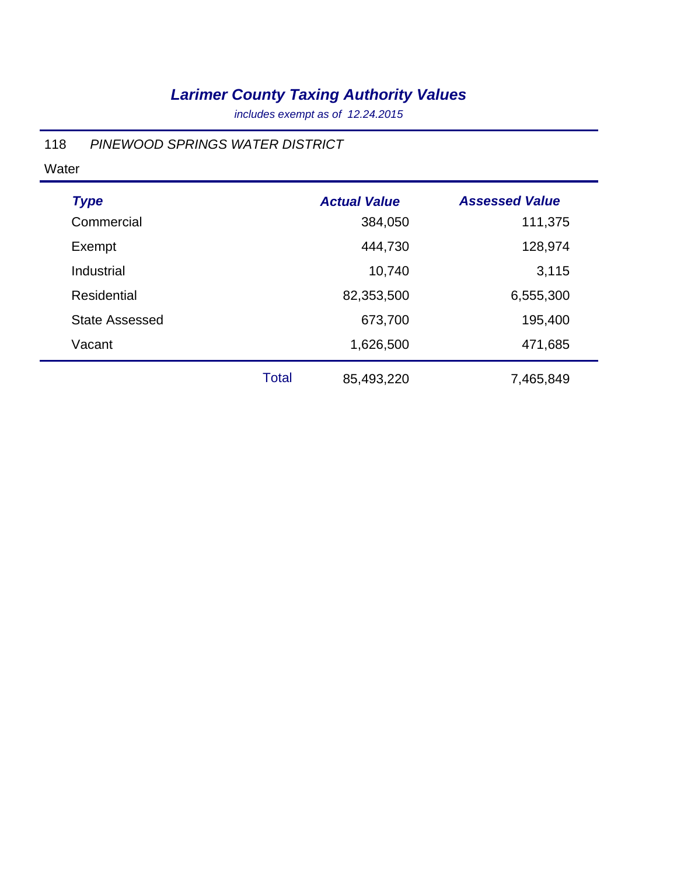*includes exempt as of 12.24.2015*

### 118 *PINEWOOD SPRINGS WATER DISTRICT*

| <b>Type</b>           |              | <b>Actual Value</b> | <b>Assessed Value</b> |
|-----------------------|--------------|---------------------|-----------------------|
| Commercial            |              | 384,050             | 111,375               |
| Exempt                |              | 444,730             | 128,974               |
| Industrial            |              | 10,740              | 3,115                 |
| Residential           |              | 82,353,500          | 6,555,300             |
| <b>State Assessed</b> |              | 673,700             | 195,400               |
| Vacant                |              | 1,626,500           | 471,685               |
|                       | <b>Total</b> | 85,493,220          | 7,465,849             |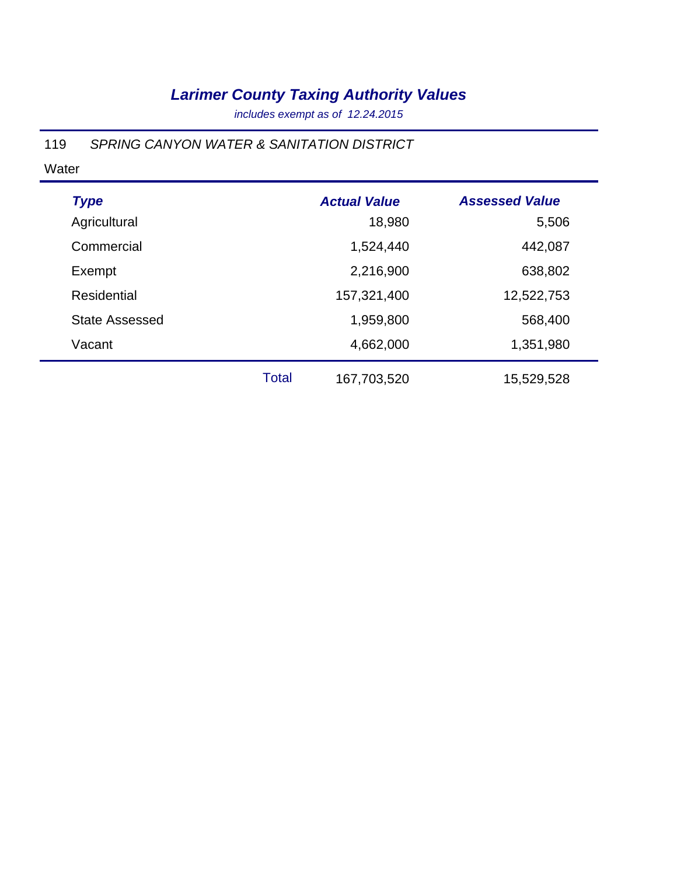*includes exempt as of 12.24.2015*

### 119 *SPRING CANYON WATER & SANITATION DISTRICT*

| <b>Type</b>           |       | <b>Actual Value</b> | <b>Assessed Value</b> |
|-----------------------|-------|---------------------|-----------------------|
| Agricultural          |       | 18,980              | 5,506                 |
| Commercial            |       | 1,524,440           | 442,087               |
| Exempt                |       | 2,216,900           | 638,802               |
| <b>Residential</b>    |       | 157,321,400         | 12,522,753            |
| <b>State Assessed</b> |       | 1,959,800           | 568,400               |
| Vacant                |       | 4,662,000           | 1,351,980             |
|                       | Total | 167,703,520         | 15,529,528            |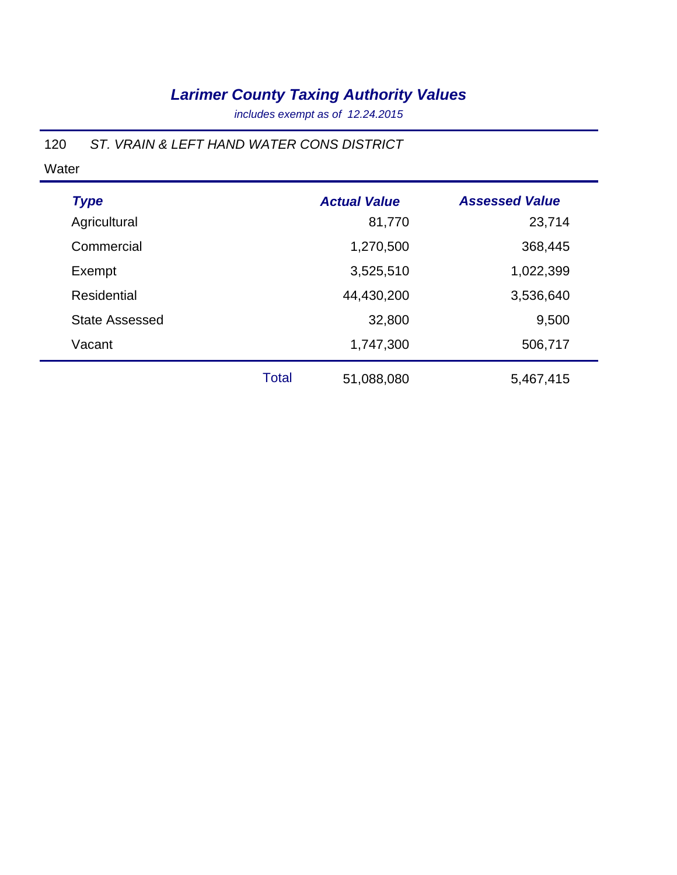*includes exempt as of 12.24.2015*

### 120 *ST. VRAIN & LEFT HAND WATER CONS DISTRICT*

| <b>Type</b>           |              | <b>Actual Value</b> | <b>Assessed Value</b> |
|-----------------------|--------------|---------------------|-----------------------|
| Agricultural          |              | 81,770              | 23,714                |
| Commercial            |              | 1,270,500           | 368,445               |
| Exempt                |              | 3,525,510           | 1,022,399             |
| Residential           |              | 44,430,200          | 3,536,640             |
| <b>State Assessed</b> |              | 32,800              | 9,500                 |
| Vacant                |              | 1,747,300           | 506,717               |
|                       | <b>Total</b> | 51,088,080          | 5,467,415             |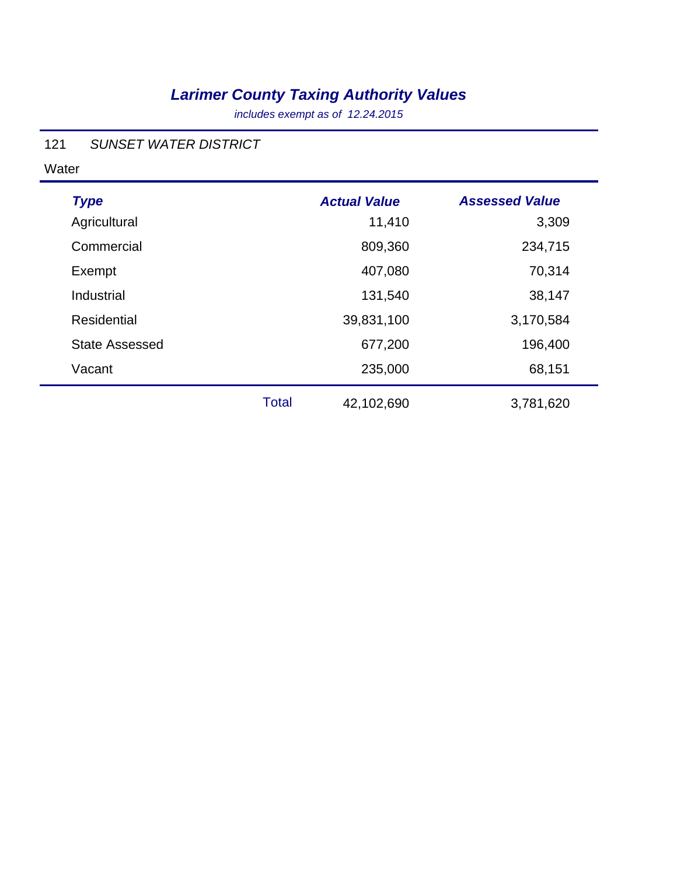*includes exempt as of 12.24.2015*

#### 121 *SUNSET WATER DISTRICT*

| <b>Type</b>           |              | <b>Actual Value</b> | <b>Assessed Value</b> |
|-----------------------|--------------|---------------------|-----------------------|
| Agricultural          |              | 11,410              | 3,309                 |
| Commercial            |              | 809,360             | 234,715               |
| Exempt                |              | 407,080             | 70,314                |
| Industrial            |              | 131,540             | 38,147                |
| Residential           |              | 39,831,100          | 3,170,584             |
| <b>State Assessed</b> |              | 677,200             | 196,400               |
| Vacant                |              | 235,000             | 68,151                |
|                       | <b>Total</b> | 42,102,690          | 3,781,620             |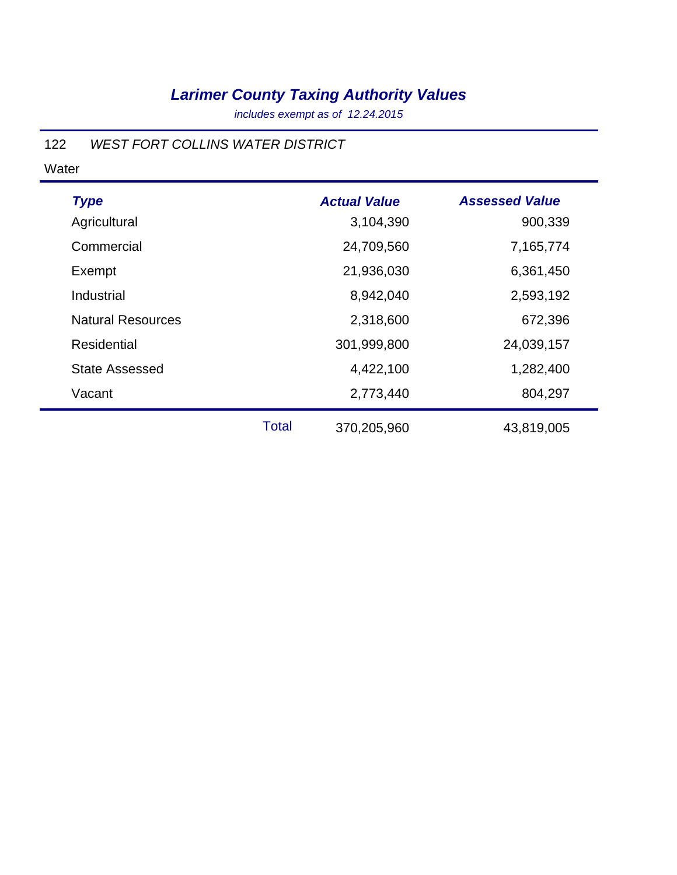*includes exempt as of 12.24.2015*

### 122 *WEST FORT COLLINS WATER DISTRICT*

Water

| <b>Type</b>              |              | <b>Actual Value</b> | <b>Assessed Value</b> |
|--------------------------|--------------|---------------------|-----------------------|
| Agricultural             |              | 3,104,390           | 900,339               |
| Commercial               |              | 24,709,560          | 7,165,774             |
| Exempt                   |              | 21,936,030          | 6,361,450             |
| Industrial               |              | 8,942,040           | 2,593,192             |
| <b>Natural Resources</b> |              | 2,318,600           | 672,396               |
| <b>Residential</b>       |              | 301,999,800         | 24,039,157            |
| <b>State Assessed</b>    |              | 4,422,100           | 1,282,400             |
| Vacant                   |              | 2,773,440           | 804,297               |
|                          | <b>Total</b> | 370,205,960         | 43,819,005            |

÷,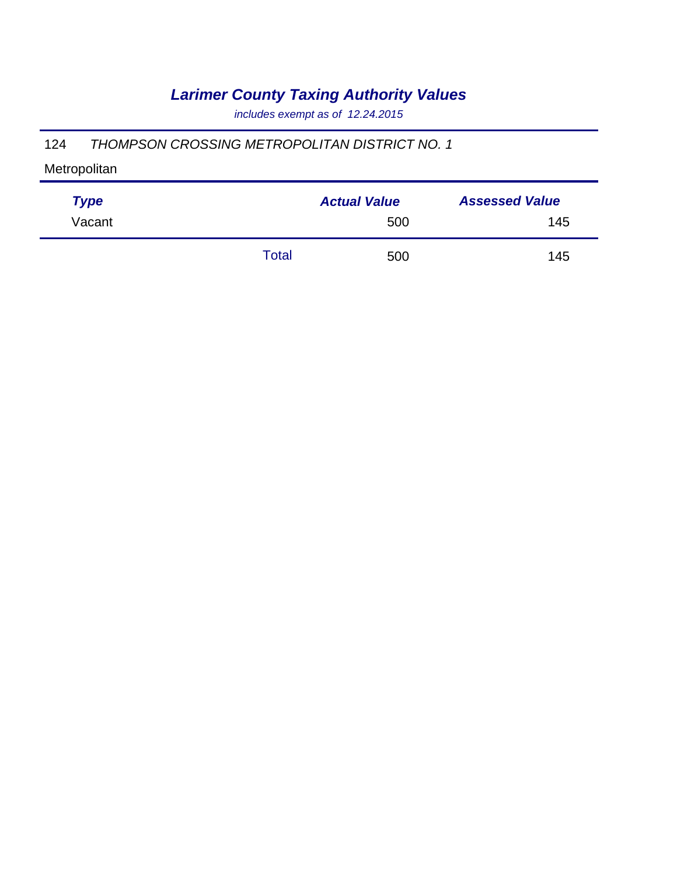*includes exempt as of 12.24.2015*

#### 124 *THOMPSON CROSSING METROPOLITAN DISTRICT NO. 1*

| <b>Type</b> |       | <b>Actual Value</b> | <b>Assessed Value</b> |
|-------------|-------|---------------------|-----------------------|
| Vacant      |       | 500                 | 145                   |
|             | Total | 500                 | 145                   |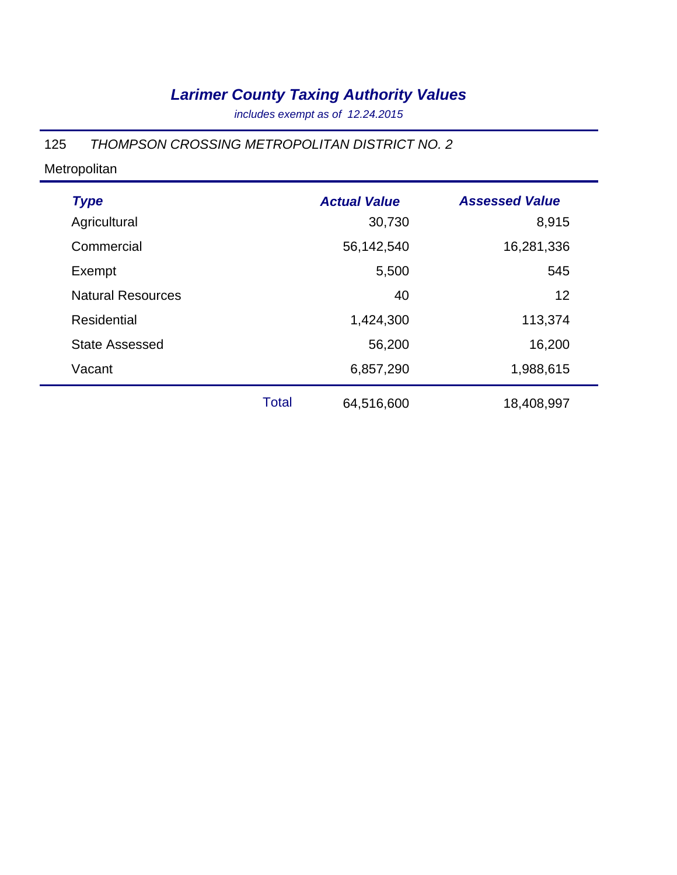*includes exempt as of 12.24.2015*

#### 125 *THOMPSON CROSSING METROPOLITAN DISTRICT NO. 2*

| <b>Type</b>              |       | <b>Actual Value</b> | <b>Assessed Value</b> |
|--------------------------|-------|---------------------|-----------------------|
| Agricultural             |       | 30,730              | 8,915                 |
| Commercial               |       | 56,142,540          | 16,281,336            |
| Exempt                   |       | 5,500               | 545                   |
| <b>Natural Resources</b> |       | 40                  | 12                    |
| <b>Residential</b>       |       | 1,424,300           | 113,374               |
| <b>State Assessed</b>    |       | 56,200              | 16,200                |
| Vacant                   |       | 6,857,290           | 1,988,615             |
|                          | Total | 64,516,600          | 18,408,997            |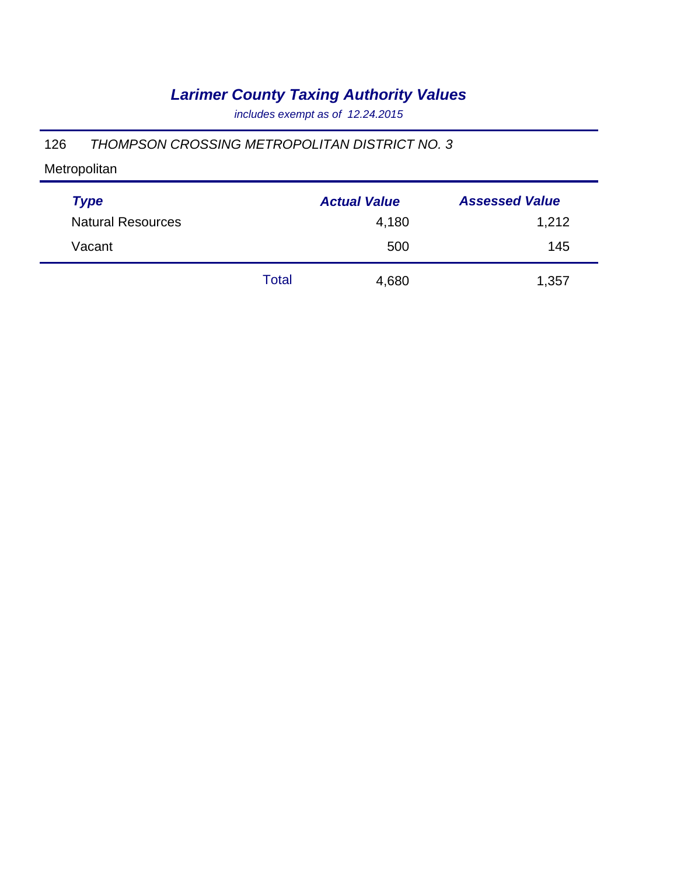*includes exempt as of 12.24.2015*

#### 126 *THOMPSON CROSSING METROPOLITAN DISTRICT NO. 3*

| <b>Type</b>              |       | <b>Actual Value</b> | <b>Assessed Value</b> |
|--------------------------|-------|---------------------|-----------------------|
| <b>Natural Resources</b> |       | 4,180               | 1,212                 |
| Vacant                   |       | 500                 | 145                   |
|                          | Total | 4,680               | 1,357                 |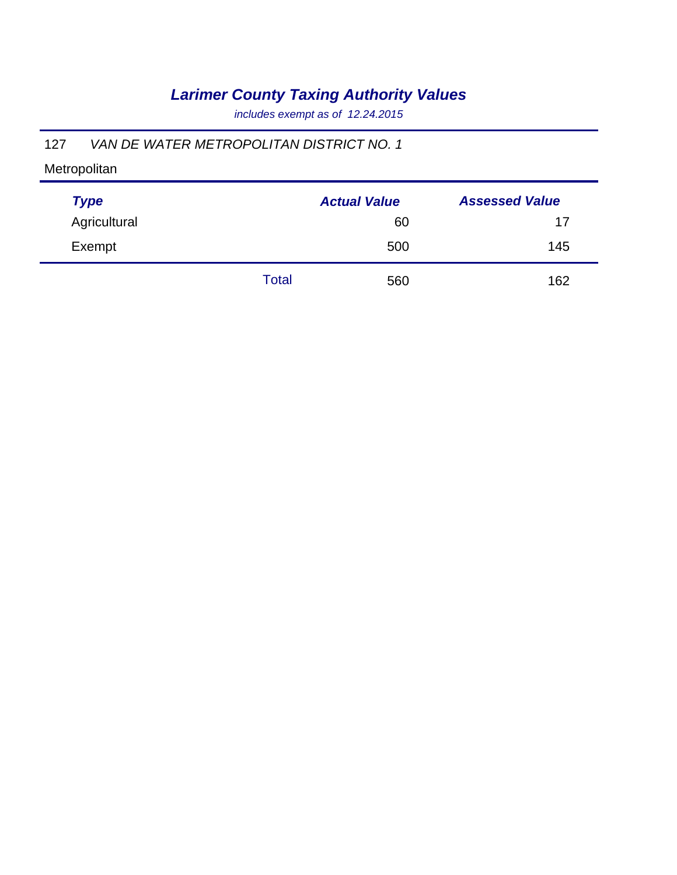*includes exempt as of 12.24.2015*

### 127 *VAN DE WATER METROPOLITAN DISTRICT NO. 1*

| <b>Type</b>  |       | <b>Actual Value</b> | <b>Assessed Value</b> |
|--------------|-------|---------------------|-----------------------|
| Agricultural |       | 60                  | 17                    |
| Exempt       |       | 500                 | 145                   |
|              | Total | 560                 | 162                   |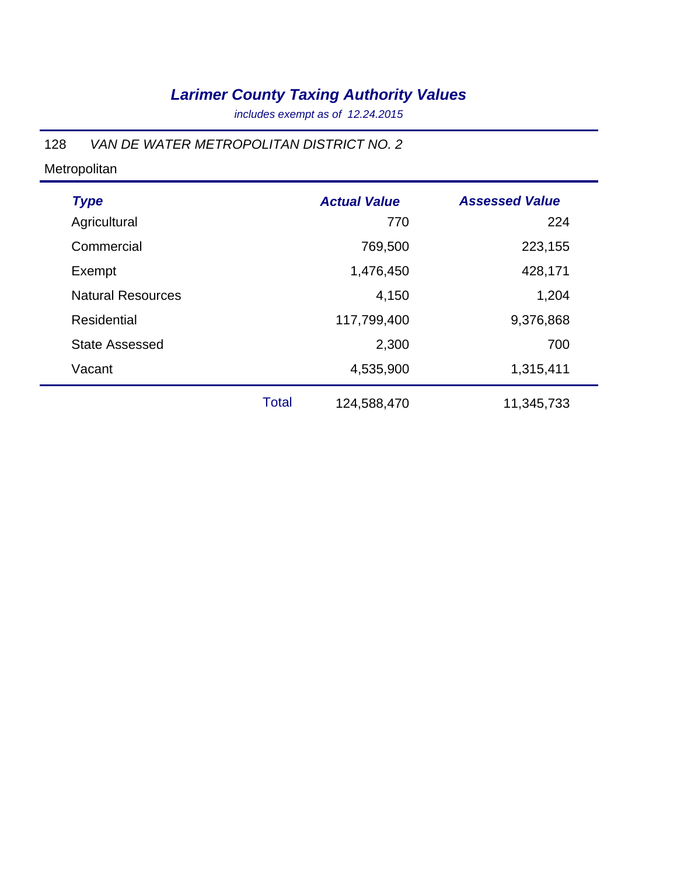*includes exempt as of 12.24.2015*

#### 128 *VAN DE WATER METROPOLITAN DISTRICT NO. 2*

| <b>Type</b>              |              | <b>Actual Value</b> | <b>Assessed Value</b> |
|--------------------------|--------------|---------------------|-----------------------|
| Agricultural             |              | 770                 | 224                   |
| Commercial               |              | 769,500             | 223,155               |
| Exempt                   |              | 1,476,450           | 428,171               |
| <b>Natural Resources</b> |              | 4,150               | 1,204                 |
| <b>Residential</b>       |              | 117,799,400         | 9,376,868             |
| <b>State Assessed</b>    |              | 2,300               | 700                   |
| Vacant                   |              | 4,535,900           | 1,315,411             |
|                          | <b>Total</b> | 124,588,470         | 11,345,733            |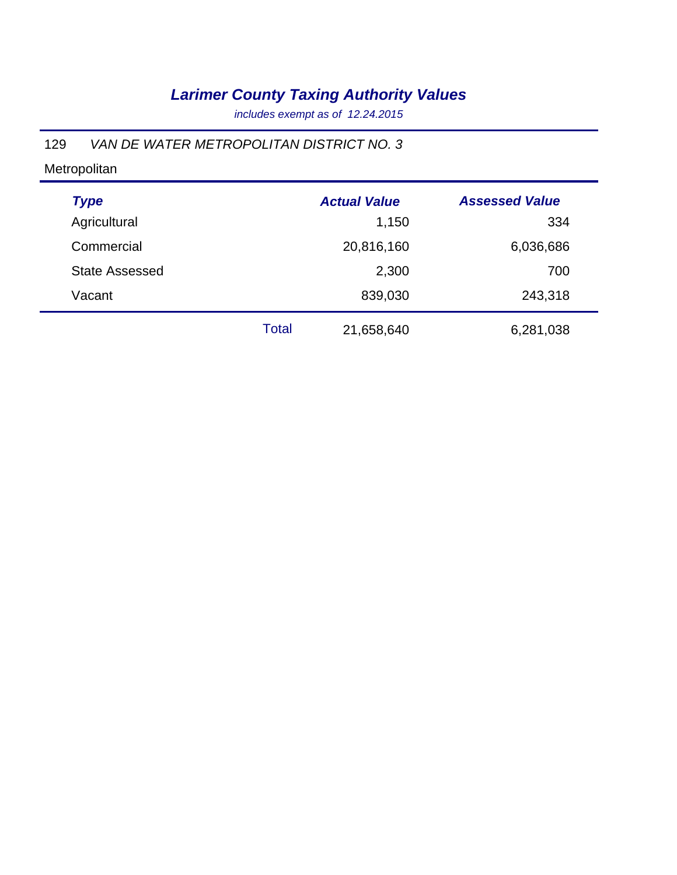*includes exempt as of 12.24.2015*

### 129 *VAN DE WATER METROPOLITAN DISTRICT NO. 3*

| <b>Type</b>           |              | <b>Actual Value</b> | <b>Assessed Value</b> |  |
|-----------------------|--------------|---------------------|-----------------------|--|
| Agricultural          |              | 1,150               | 334                   |  |
| Commercial            |              | 20,816,160          | 6,036,686             |  |
| <b>State Assessed</b> |              | 2,300               | 700                   |  |
| Vacant                |              | 839,030             | 243,318               |  |
|                       | <b>Total</b> | 21,658,640          | 6,281,038             |  |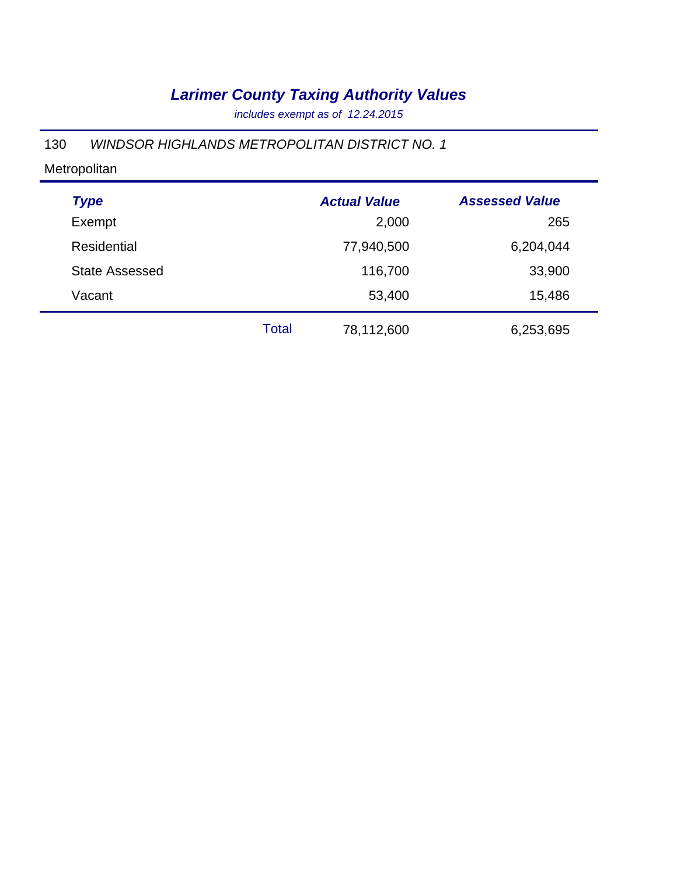*includes exempt as of 12.24.2015*

### 130 *WINDSOR HIGHLANDS METROPOLITAN DISTRICT NO. 1*

| <b>Type</b>           |              | <b>Actual Value</b> | <b>Assessed Value</b> |
|-----------------------|--------------|---------------------|-----------------------|
| Exempt                |              | 2,000               | 265                   |
| <b>Residential</b>    |              | 77,940,500          | 6,204,044             |
| <b>State Assessed</b> |              | 116,700             | 33,900                |
| Vacant                |              | 53,400              | 15,486                |
|                       | <b>Total</b> | 78,112,600          | 6,253,695             |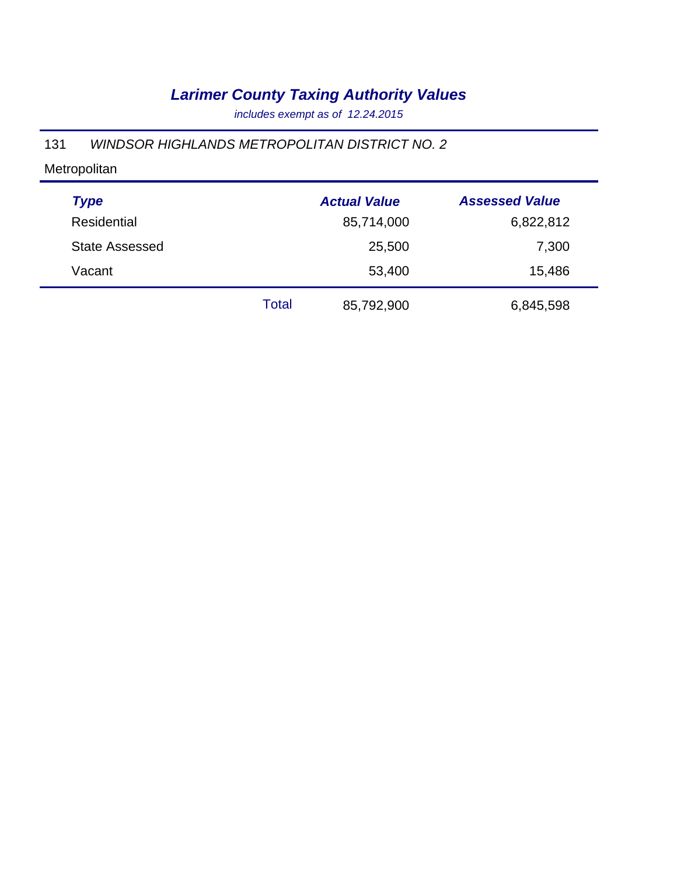*includes exempt as of 12.24.2015*

#### 131 *WINDSOR HIGHLANDS METROPOLITAN DISTRICT NO. 2*

| <b>Type</b>           |              | <b>Actual Value</b> | <b>Assessed Value</b> |
|-----------------------|--------------|---------------------|-----------------------|
| <b>Residential</b>    |              | 85,714,000          | 6,822,812             |
| <b>State Assessed</b> |              | 25,500              | 7,300                 |
| Vacant                |              | 53,400              | 15,486                |
|                       | <b>Total</b> | 85,792,900          | 6,845,598             |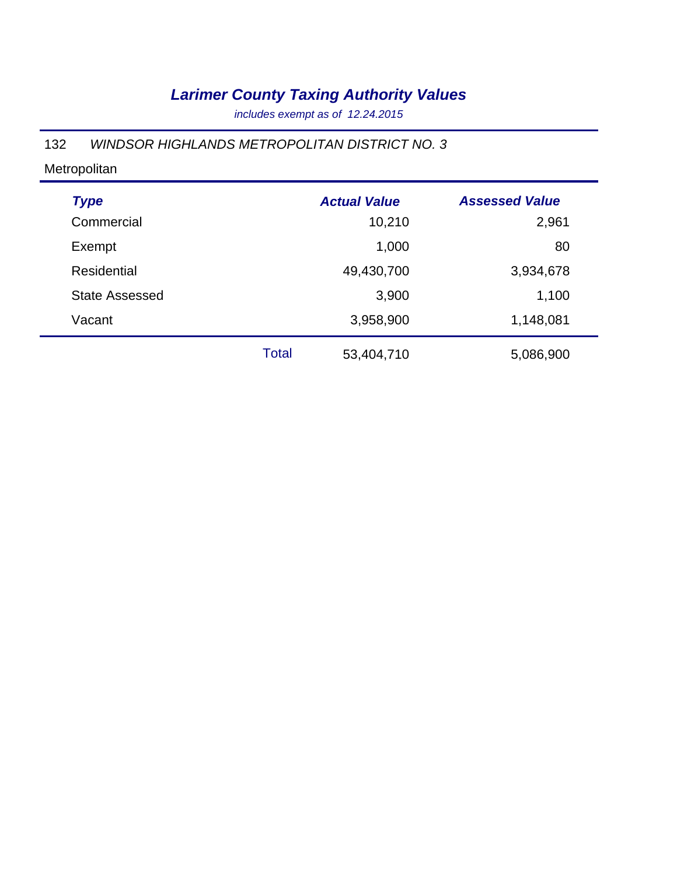*includes exempt as of 12.24.2015*

### 132 *WINDSOR HIGHLANDS METROPOLITAN DISTRICT NO. 3*

| <b>Type</b>           |       | <b>Actual Value</b> | <b>Assessed Value</b> |
|-----------------------|-------|---------------------|-----------------------|
| Commercial            |       | 10,210              | 2,961                 |
| Exempt                |       | 1,000               | 80                    |
| Residential           |       | 49,430,700          | 3,934,678             |
| <b>State Assessed</b> |       | 3,900               | 1,100                 |
| Vacant                |       | 3,958,900           | 1,148,081             |
|                       | Total | 53,404,710          | 5,086,900             |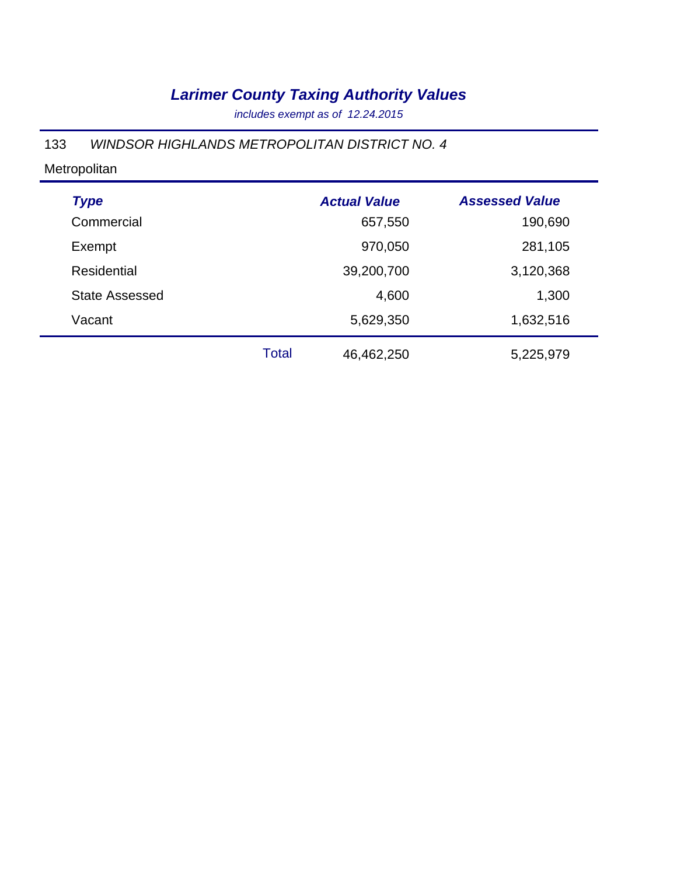*includes exempt as of 12.24.2015*

### 133 *WINDSOR HIGHLANDS METROPOLITAN DISTRICT NO. 4*

| <b>Type</b>           |       | <b>Actual Value</b> | <b>Assessed Value</b> |
|-----------------------|-------|---------------------|-----------------------|
| Commercial            |       | 657,550             | 190,690               |
| Exempt                |       | 970,050             | 281,105               |
| Residential           |       | 39,200,700          | 3,120,368             |
| <b>State Assessed</b> |       | 4,600               | 1,300                 |
| Vacant                |       | 5,629,350           | 1,632,516             |
|                       | Total | 46,462,250          | 5,225,979             |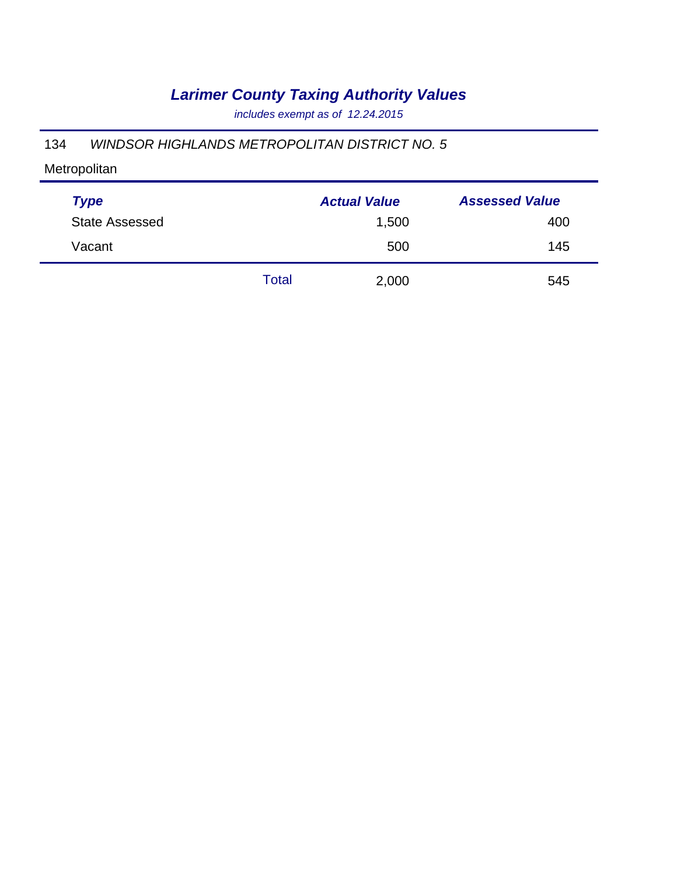*includes exempt as of 12.24.2015*

#### 134 *WINDSOR HIGHLANDS METROPOLITAN DISTRICT NO. 5*

| <b>Type</b>           |       | <b>Actual Value</b> | <b>Assessed Value</b> |
|-----------------------|-------|---------------------|-----------------------|
| <b>State Assessed</b> |       | 1,500               | 400                   |
| Vacant                |       | 500                 | 145                   |
|                       | Total | 2,000               | 545                   |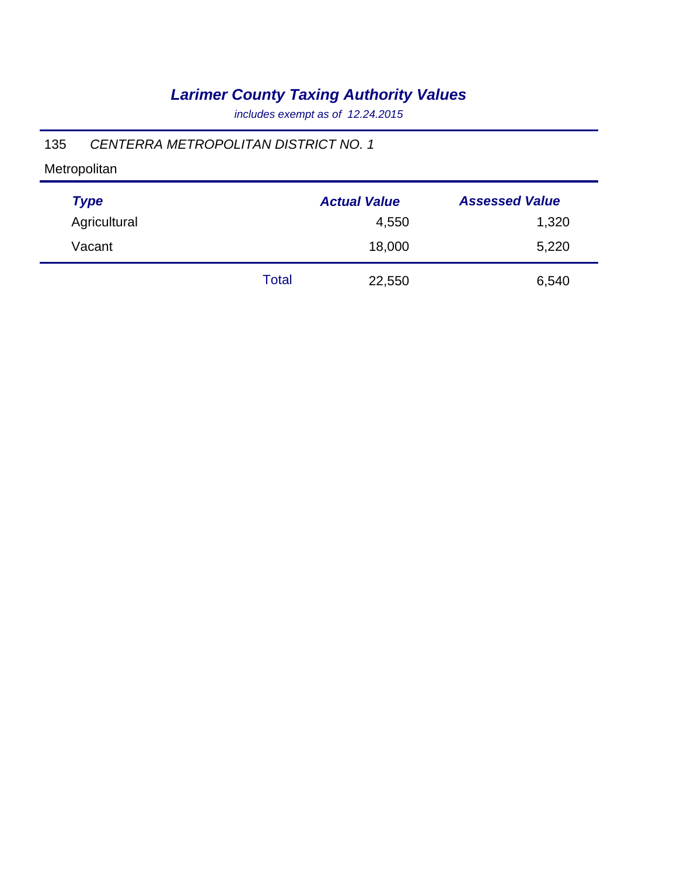*includes exempt as of 12.24.2015*

### 135 *CENTERRA METROPOLITAN DISTRICT NO. 1*

| <b>Type</b>  |       | <b>Actual Value</b> | <b>Assessed Value</b> |
|--------------|-------|---------------------|-----------------------|
| Agricultural |       | 4,550               | 1,320                 |
| Vacant       |       | 18,000              | 5,220                 |
|              | Total | 22,550              | 6,540                 |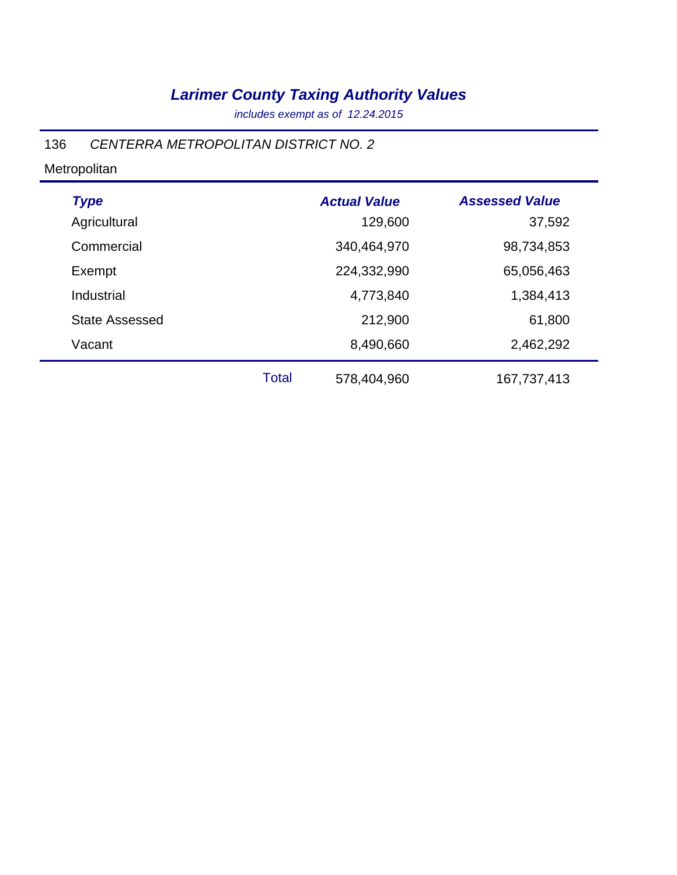*includes exempt as of 12.24.2015*

### 136 *CENTERRA METROPOLITAN DISTRICT NO. 2*

| <b>Type</b>           |              | <b>Actual Value</b> | <b>Assessed Value</b> |
|-----------------------|--------------|---------------------|-----------------------|
| Agricultural          |              | 129,600             | 37,592                |
| Commercial            |              | 340,464,970         | 98,734,853            |
| Exempt                |              | 224,332,990         | 65,056,463            |
| Industrial            |              | 4,773,840           | 1,384,413             |
| <b>State Assessed</b> |              | 212,900             | 61,800                |
| Vacant                |              | 8,490,660           | 2,462,292             |
|                       | <b>Total</b> | 578,404,960         | 167,737,413           |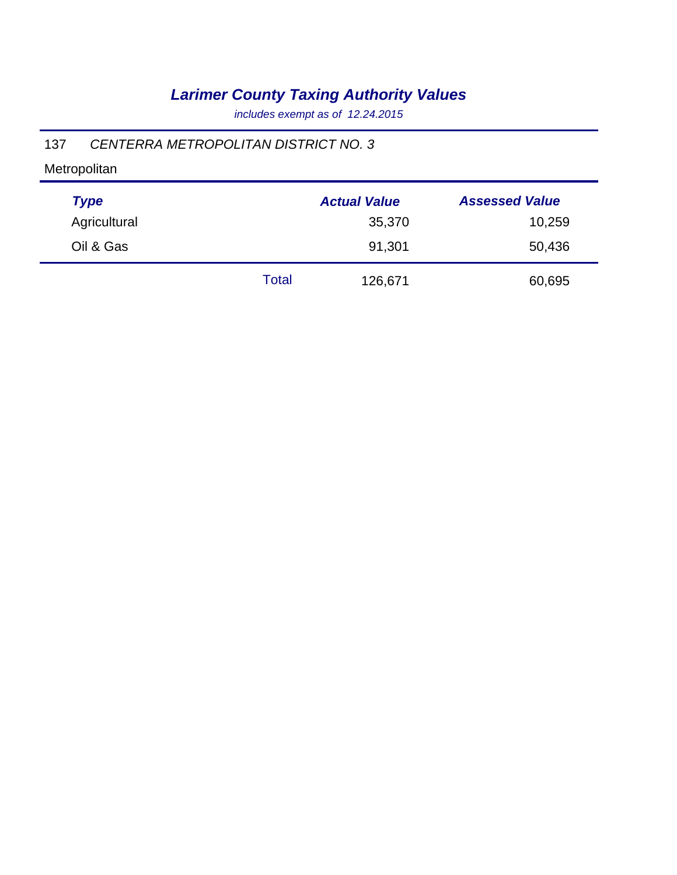*includes exempt as of 12.24.2015*

### 137 *CENTERRA METROPOLITAN DISTRICT NO. 3*

| <b>Type</b>  |       | <b>Actual Value</b> | <b>Assessed Value</b> |
|--------------|-------|---------------------|-----------------------|
| Agricultural |       | 35,370              | 10,259                |
| Oil & Gas    |       | 91,301              | 50,436                |
|              | Total | 126,671             | 60,695                |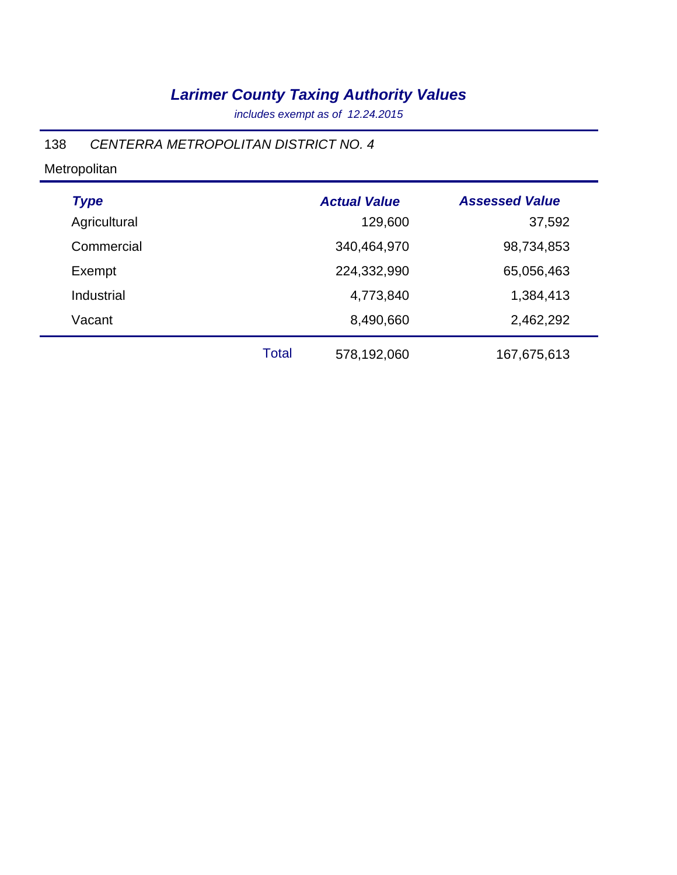*includes exempt as of 12.24.2015*

### 138 *CENTERRA METROPOLITAN DISTRICT NO. 4*

| <b>Type</b>  |              | <b>Actual Value</b> | <b>Assessed Value</b> |
|--------------|--------------|---------------------|-----------------------|
| Agricultural |              | 129,600             | 37,592                |
| Commercial   |              | 340,464,970         | 98,734,853            |
| Exempt       |              | 224,332,990         | 65,056,463            |
| Industrial   |              | 4,773,840           | 1,384,413             |
| Vacant       |              | 8,490,660           | 2,462,292             |
|              | <b>Total</b> | 578,192,060         | 167,675,613           |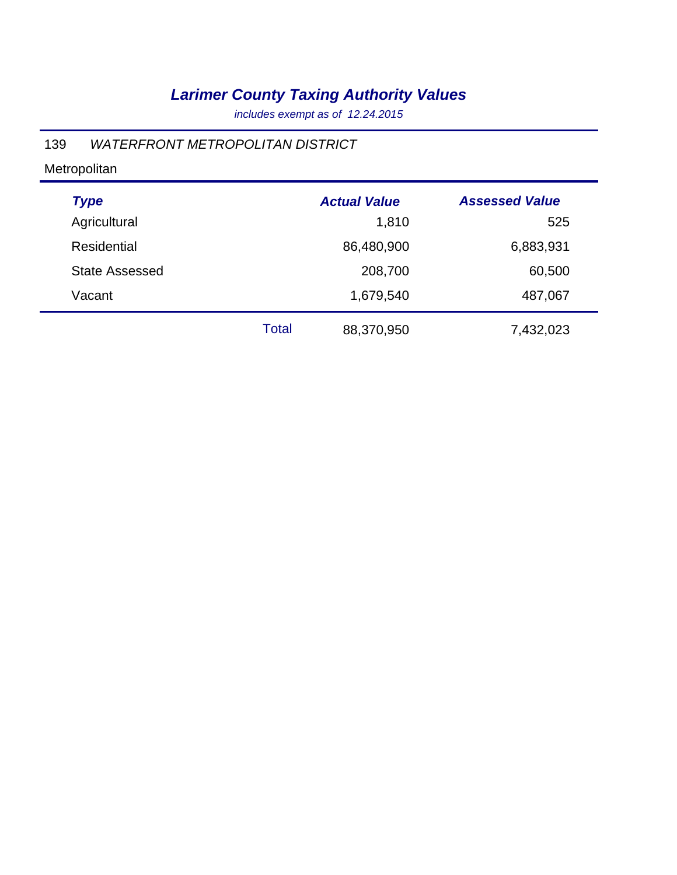*includes exempt as of 12.24.2015*

#### 139 *WATERFRONT METROPOLITAN DISTRICT*

| <b>Type</b>           |              | <b>Actual Value</b> | <b>Assessed Value</b> |
|-----------------------|--------------|---------------------|-----------------------|
| Agricultural          |              | 1,810               | 525                   |
| <b>Residential</b>    |              | 86,480,900          | 6,883,931             |
| <b>State Assessed</b> |              | 208,700             | 60,500                |
| Vacant                |              | 1,679,540           | 487,067               |
|                       | <b>Total</b> | 88,370,950          | 7,432,023             |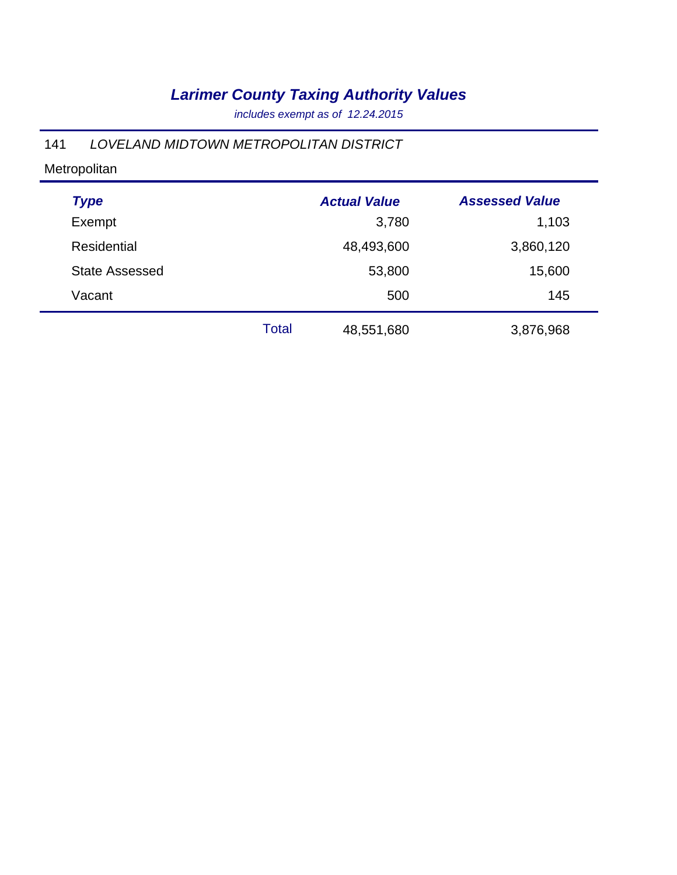*includes exempt as of 12.24.2015*

### 141 *LOVELAND MIDTOWN METROPOLITAN DISTRICT*

| <b>Type</b>           |       | <b>Actual Value</b> | <b>Assessed Value</b> |  |
|-----------------------|-------|---------------------|-----------------------|--|
| Exempt                |       | 3,780               | 1,103                 |  |
| <b>Residential</b>    |       | 48,493,600          | 3,860,120             |  |
| <b>State Assessed</b> |       | 53,800              | 15,600                |  |
| Vacant                |       | 500                 | 145                   |  |
|                       | Total | 48,551,680          | 3,876,968             |  |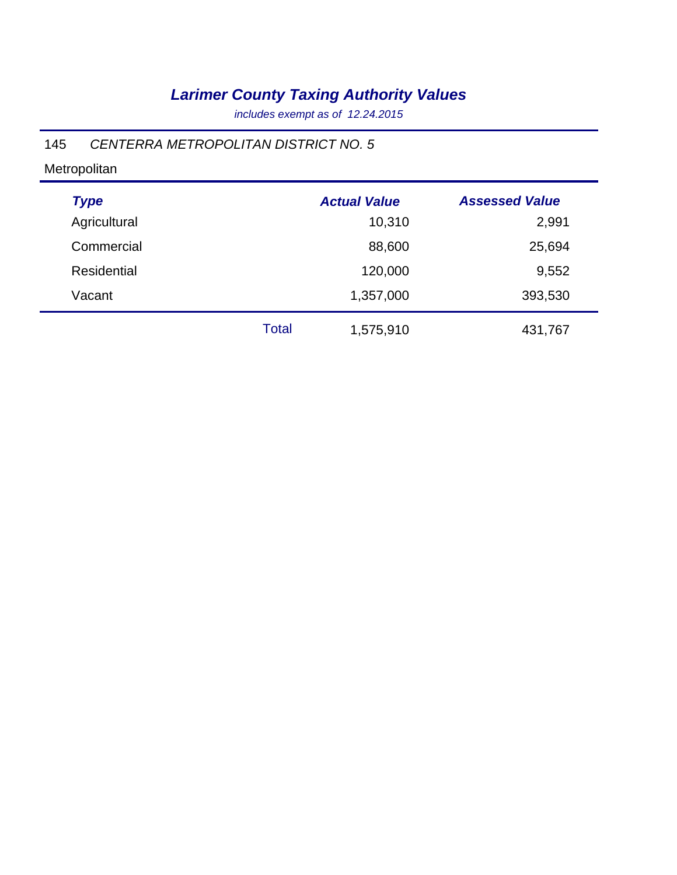*includes exempt as of 12.24.2015*

### 145 *CENTERRA METROPOLITAN DISTRICT NO. 5*

| <b>Type</b>  |       | <b>Actual Value</b> | <b>Assessed Value</b> |
|--------------|-------|---------------------|-----------------------|
| Agricultural |       | 10,310              | 2,991                 |
| Commercial   |       | 88,600              | 25,694                |
| Residential  |       | 120,000             | 9,552                 |
| Vacant       |       | 1,357,000           | 393,530               |
|              | Total | 1,575,910           | 431,767               |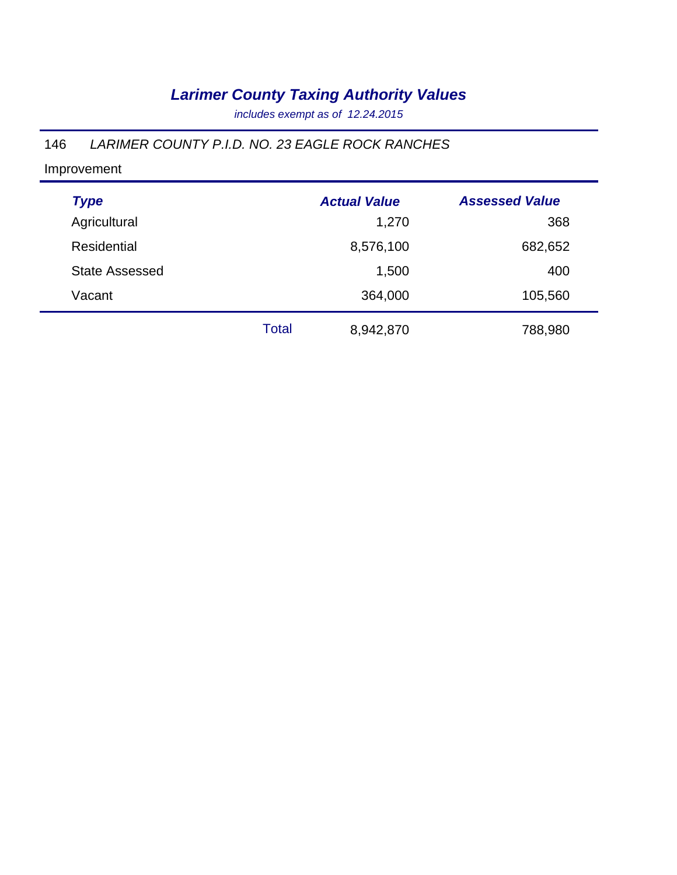*includes exempt as of 12.24.2015*

### 146 *LARIMER COUNTY P.I.D. NO. 23 EAGLE ROCK RANCHES*

| <b>Type</b>           |       | <b>Actual Value</b> | <b>Assessed Value</b> |  |
|-----------------------|-------|---------------------|-----------------------|--|
| Agricultural          |       | 1,270               | 368                   |  |
| <b>Residential</b>    |       | 8,576,100           | 682,652               |  |
| <b>State Assessed</b> |       | 1,500               | 400                   |  |
| Vacant                |       | 364,000             | 105,560               |  |
|                       | Total | 8,942,870           | 788,980               |  |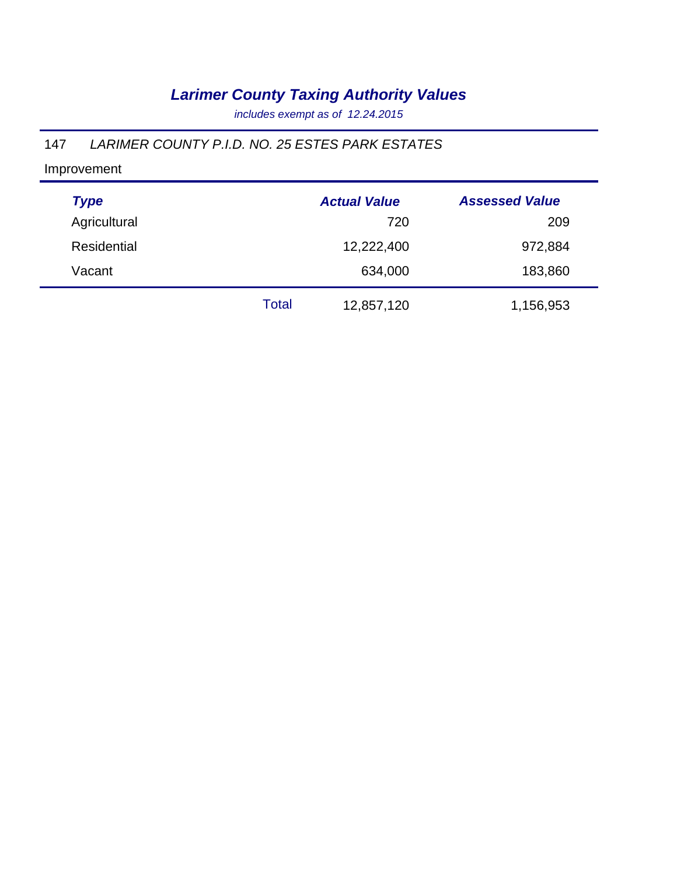*includes exempt as of 12.24.2015*

### 147 *LARIMER COUNTY P.I.D. NO. 25 ESTES PARK ESTATES*

| <b>Type</b>        |       | <b>Actual Value</b> | <b>Assessed Value</b> |
|--------------------|-------|---------------------|-----------------------|
| Agricultural       |       | 720                 | 209                   |
| <b>Residential</b> |       | 12,222,400          | 972,884               |
| Vacant             |       | 634,000             | 183,860               |
|                    | Total | 12,857,120          | 1,156,953             |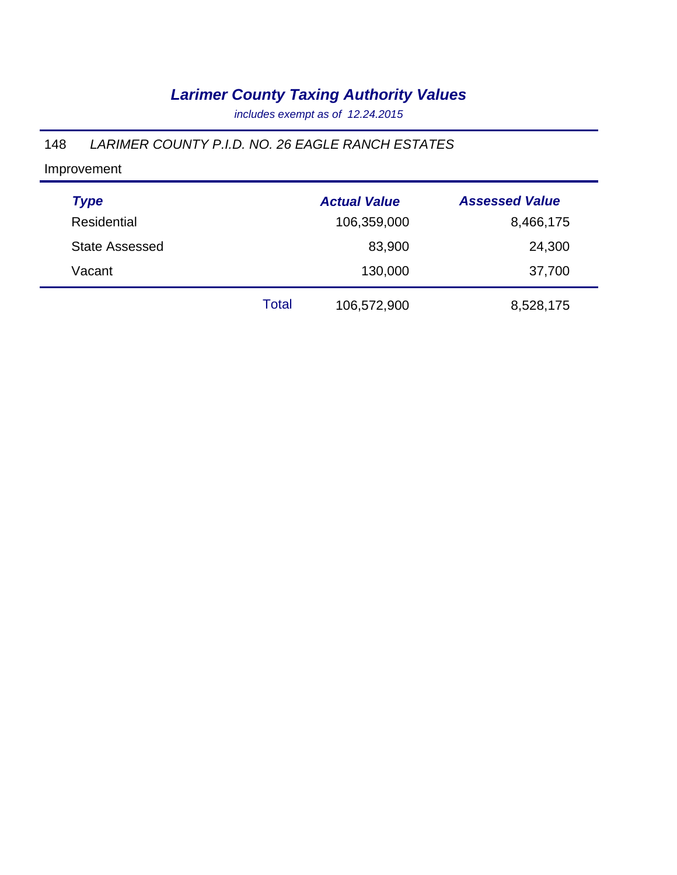*includes exempt as of 12.24.2015*

#### 148 *LARIMER COUNTY P.I.D. NO. 26 EAGLE RANCH ESTATES*

| <b>Type</b>           |       | <b>Actual Value</b> | <b>Assessed Value</b> |
|-----------------------|-------|---------------------|-----------------------|
| Residential           |       | 106,359,000         | 8,466,175             |
| <b>State Assessed</b> |       | 83,900              | 24,300                |
| Vacant                |       | 130,000             | 37,700                |
|                       | Total | 106,572,900         | 8,528,175             |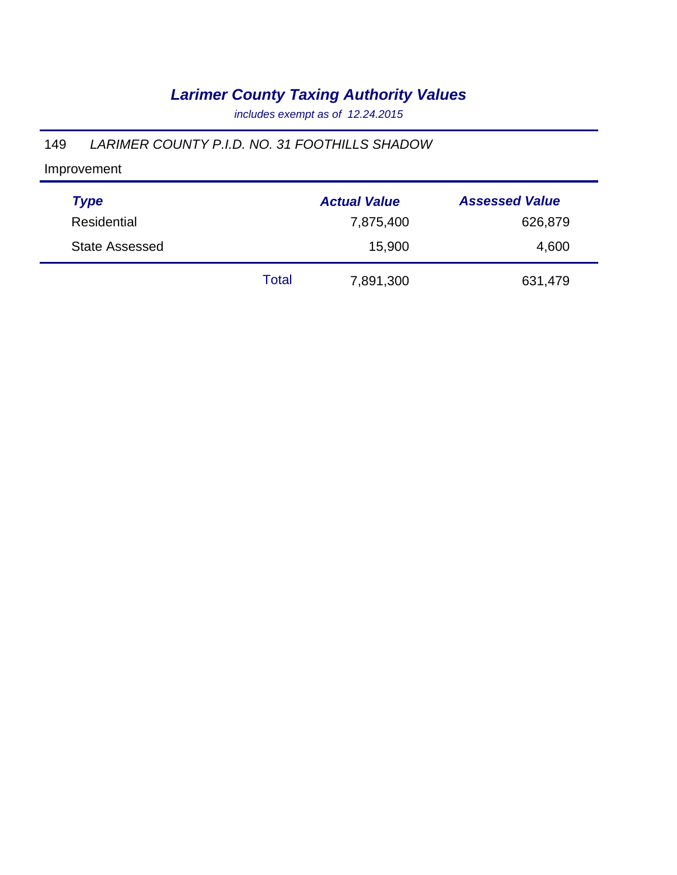*includes exempt as of 12.24.2015*

#### 149 *LARIMER COUNTY P.I.D. NO. 31 FOOTHILLS SHADOW*

| <b>Type</b>           |       | <b>Actual Value</b> | <b>Assessed Value</b> |
|-----------------------|-------|---------------------|-----------------------|
| Residential           |       | 7,875,400           | 626,879               |
| <b>State Assessed</b> |       | 15,900              | 4,600                 |
|                       | Total | 7,891,300           | 631,479               |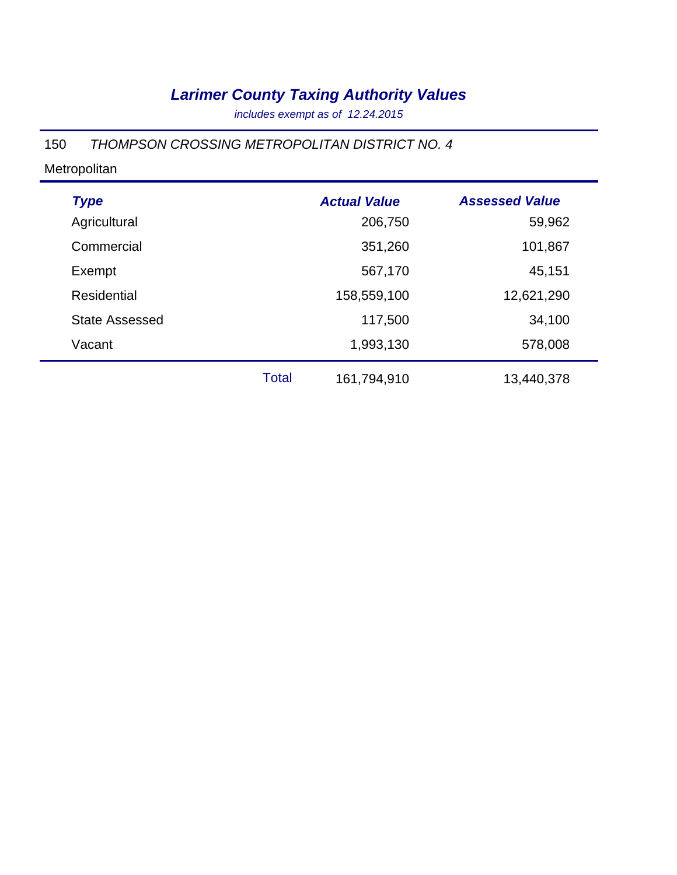*includes exempt as of 12.24.2015*

#### 150 *THOMPSON CROSSING METROPOLITAN DISTRICT NO. 4*

| <b>Type</b>           |              | <b>Actual Value</b> | <b>Assessed Value</b> |
|-----------------------|--------------|---------------------|-----------------------|
| Agricultural          |              | 206,750             | 59,962                |
| Commercial            |              | 351,260             | 101,867               |
| Exempt                |              | 567,170             | 45,151                |
| Residential           |              | 158,559,100         | 12,621,290            |
| <b>State Assessed</b> |              | 117,500             | 34,100                |
| Vacant                |              | 1,993,130           | 578,008               |
|                       | <b>Total</b> | 161,794,910         | 13,440,378            |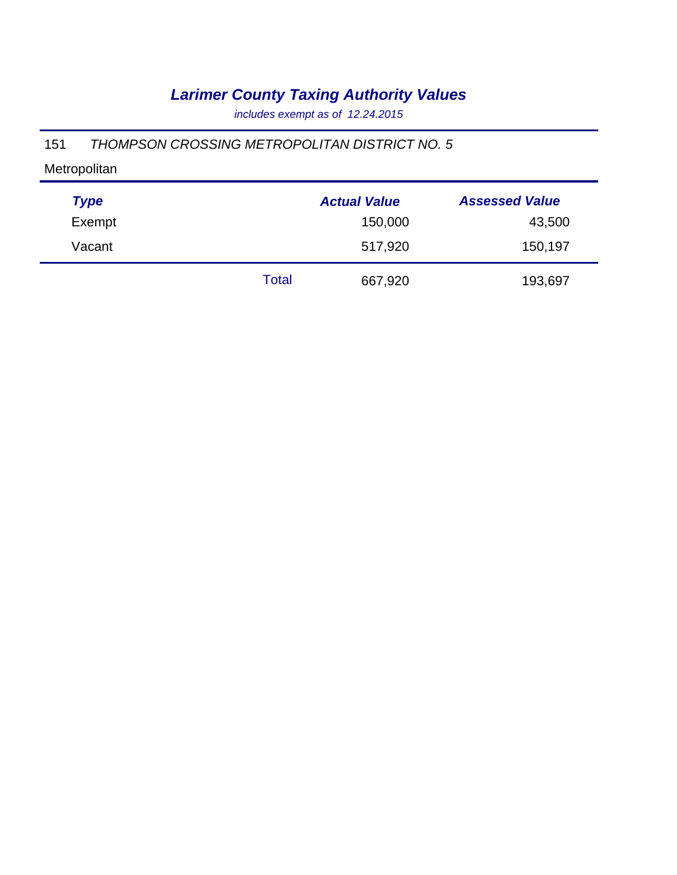*includes exempt as of 12.24.2015*

#### 151 *THOMPSON CROSSING METROPOLITAN DISTRICT NO. 5*

| <b>Type</b> |       | <b>Actual Value</b> | <b>Assessed Value</b> |
|-------------|-------|---------------------|-----------------------|
| Exempt      |       | 150,000             | 43,500                |
| Vacant      |       | 517,920             | 150,197               |
|             | Total | 667,920             | 193,697               |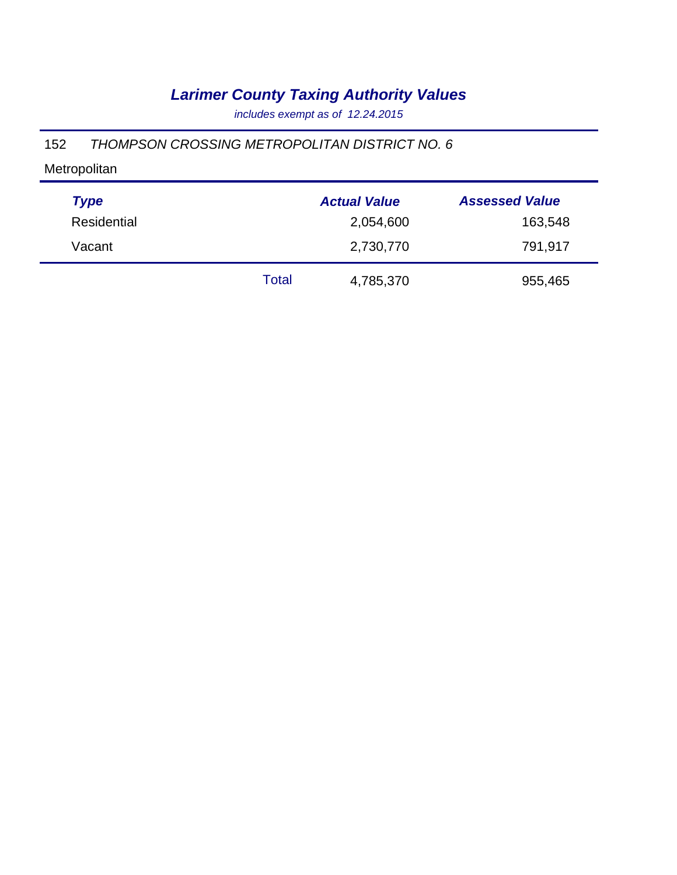*includes exempt as of 12.24.2015*

#### 152 *THOMPSON CROSSING METROPOLITAN DISTRICT NO. 6*

| <b>Type</b> |       | <b>Actual Value</b> | <b>Assessed Value</b> |
|-------------|-------|---------------------|-----------------------|
| Residential |       | 2,054,600           | 163,548               |
| Vacant      |       | 2,730,770           | 791,917               |
|             | Total | 4,785,370           | 955,465               |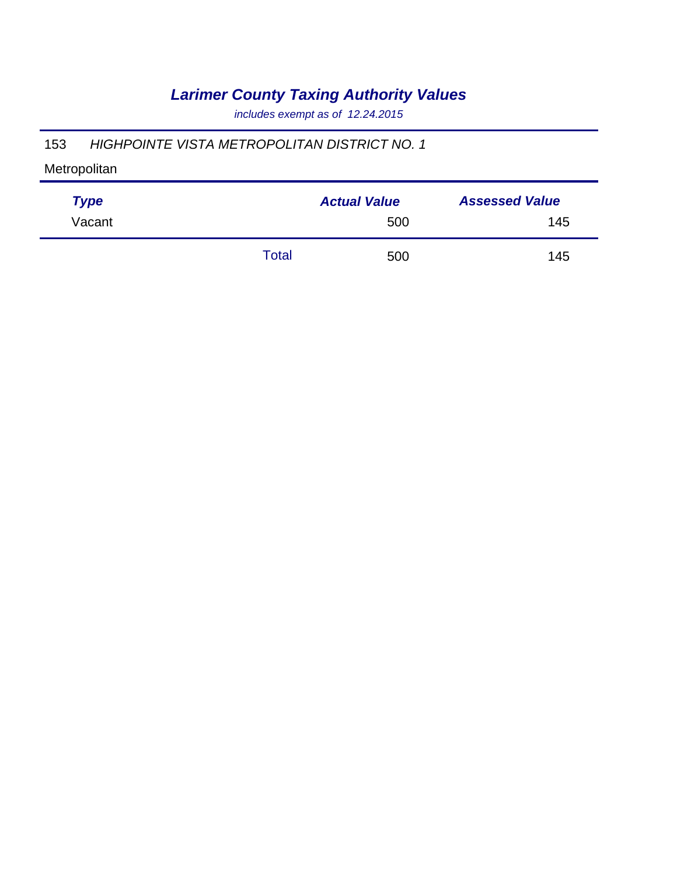*includes exempt as of 12.24.2015*

### 153 *HIGHPOINTE VISTA METROPOLITAN DISTRICT NO. 1*

| <b>Type</b> |       | <b>Actual Value</b> | <b>Assessed Value</b> |
|-------------|-------|---------------------|-----------------------|
| Vacant      |       | 500                 | 145                   |
|             | Total | 500                 | 145                   |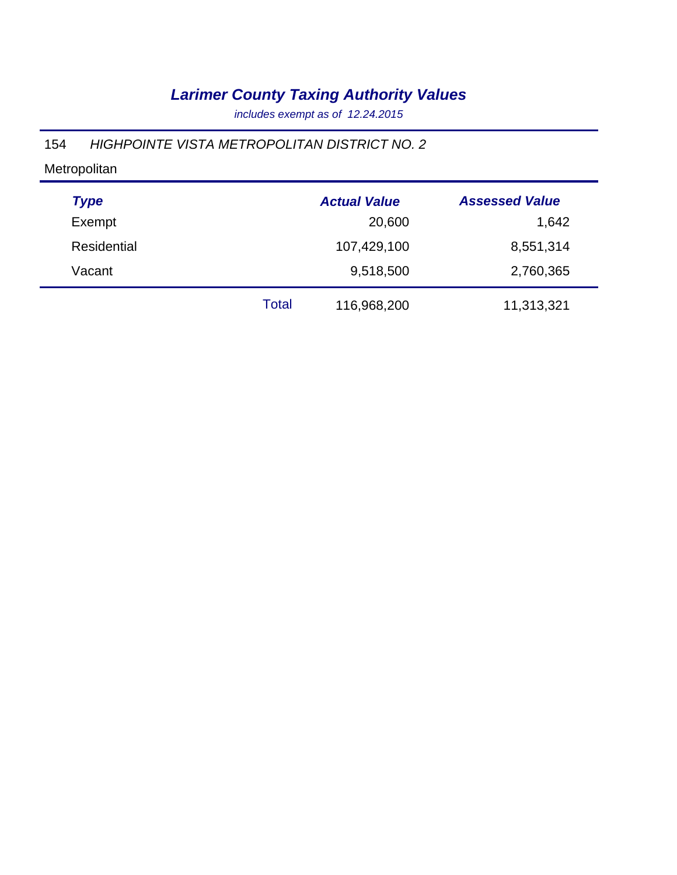*includes exempt as of 12.24.2015*

### 154 *HIGHPOINTE VISTA METROPOLITAN DISTRICT NO. 2*

| <b>Type</b> |       | <b>Actual Value</b> | <b>Assessed Value</b> |
|-------------|-------|---------------------|-----------------------|
| Exempt      |       | 20,600              | 1,642                 |
| Residential |       | 107,429,100         | 8,551,314             |
| Vacant      |       | 9,518,500           | 2,760,365             |
|             | Total | 116,968,200         | 11,313,321            |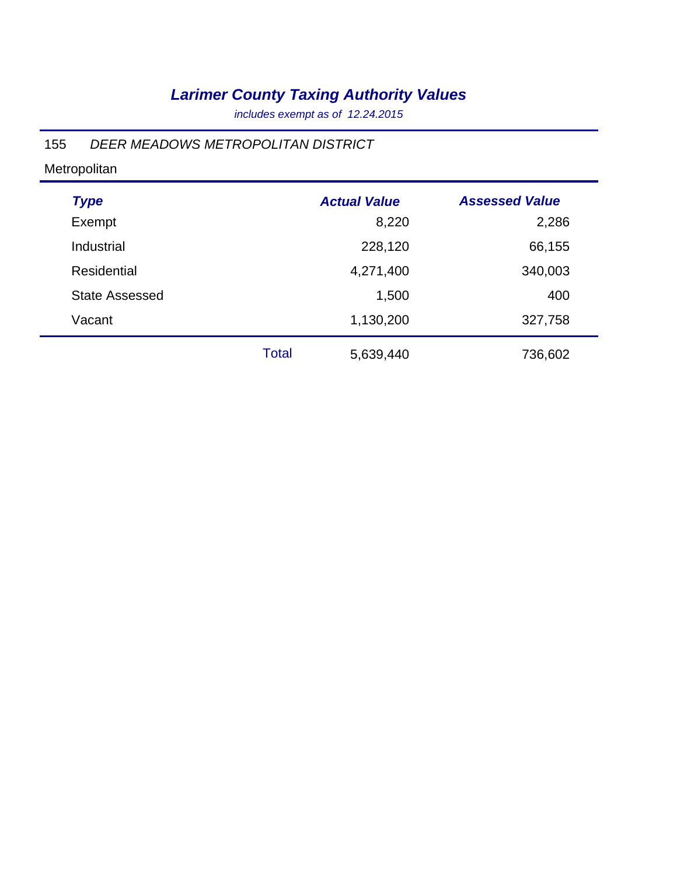*includes exempt as of 12.24.2015*

### 155 *DEER MEADOWS METROPOLITAN DISTRICT*

| <b>Type</b>           |       | <b>Actual Value</b> | <b>Assessed Value</b> |
|-----------------------|-------|---------------------|-----------------------|
| Exempt                |       | 8,220               | 2,286                 |
| Industrial            |       | 228,120             | 66,155                |
| <b>Residential</b>    |       | 4,271,400           | 340,003               |
| <b>State Assessed</b> |       | 1,500               | 400                   |
| Vacant                |       | 1,130,200           | 327,758               |
|                       | Total | 5,639,440           | 736,602               |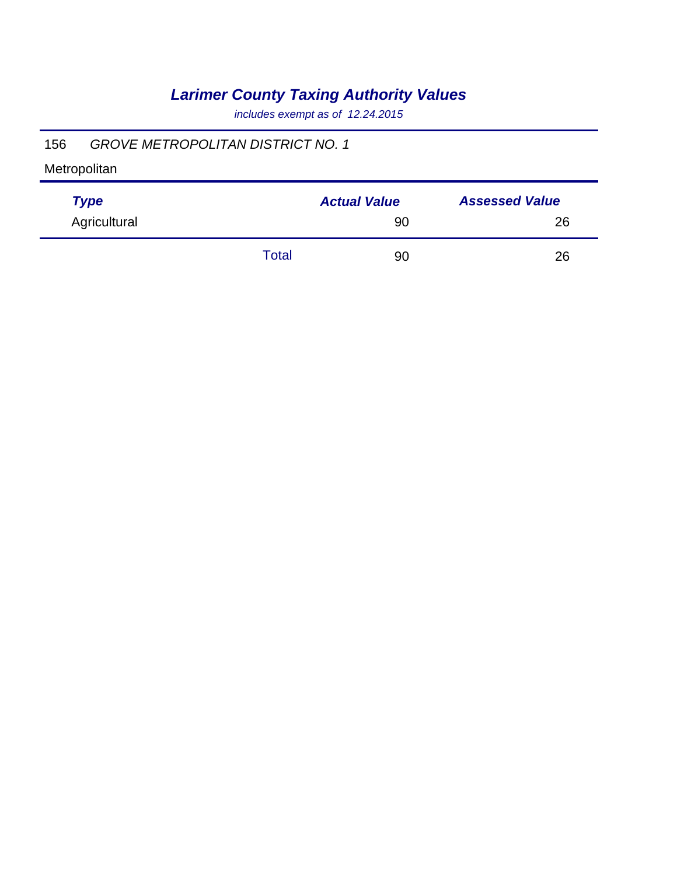*includes exempt as of 12.24.2015*

### 156 *GROVE METROPOLITAN DISTRICT NO. 1*

| <b>Type</b>  |       | <b>Actual Value</b> | <b>Assessed Value</b> |
|--------------|-------|---------------------|-----------------------|
| Agricultural |       | 90                  | 26                    |
|              | Total | 90                  | 26                    |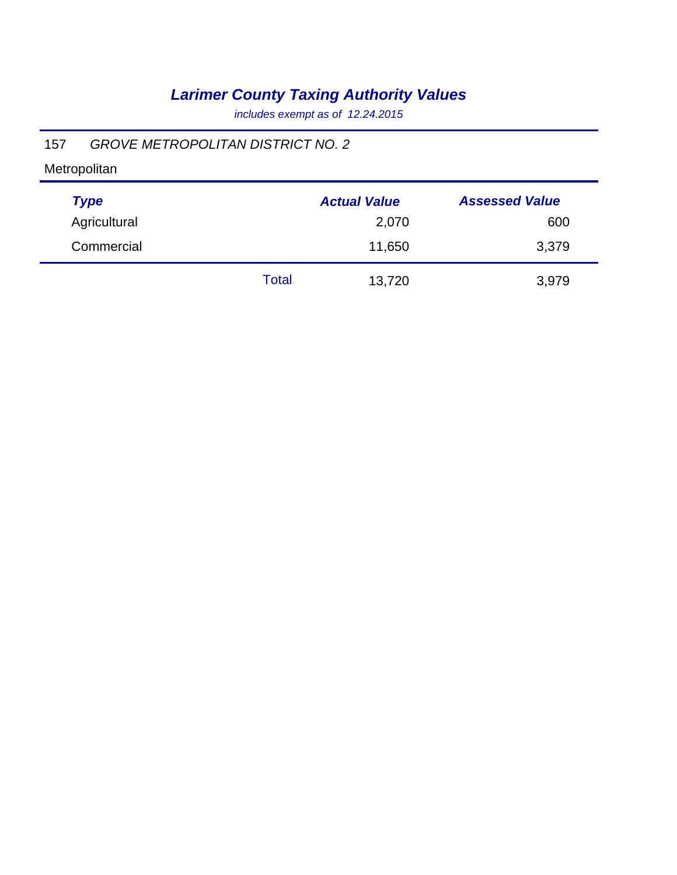*includes exempt as of 12.24.2015*

### 157 *GROVE METROPOLITAN DISTRICT NO. 2*

| <b>Type</b>  |       | <b>Actual Value</b> | <b>Assessed Value</b> |
|--------------|-------|---------------------|-----------------------|
| Agricultural |       | 2,070               | 600                   |
| Commercial   |       | 11,650              | 3,379                 |
|              | Total | 13,720              | 3,979                 |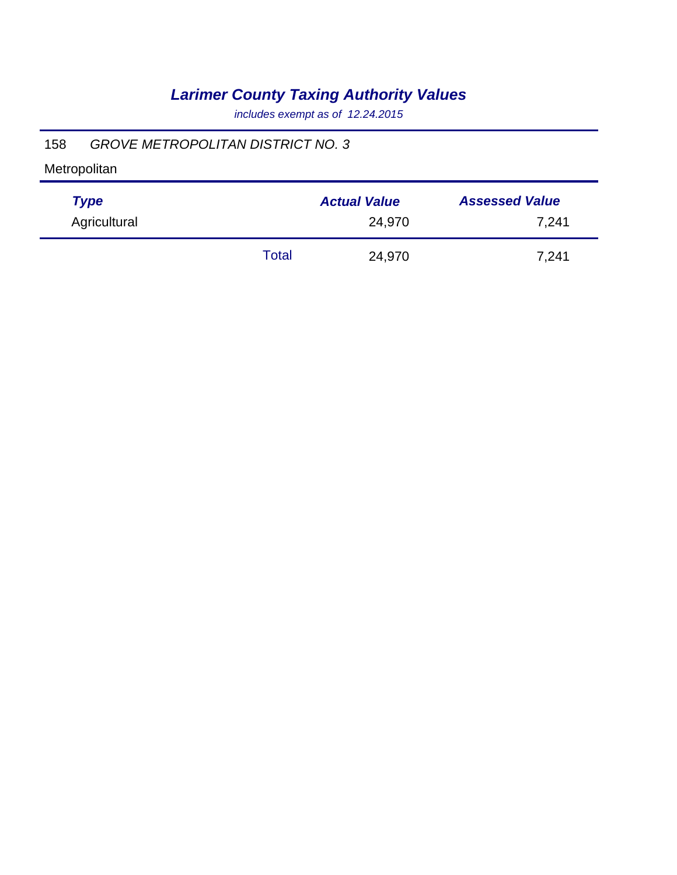*includes exempt as of 12.24.2015*

### 158 *GROVE METROPOLITAN DISTRICT NO. 3*

| <b>Type</b>  |       | <b>Actual Value</b> | <b>Assessed Value</b> |
|--------------|-------|---------------------|-----------------------|
| Agricultural |       | 24,970              | 7,241                 |
|              | Total | 24,970              | 7,241                 |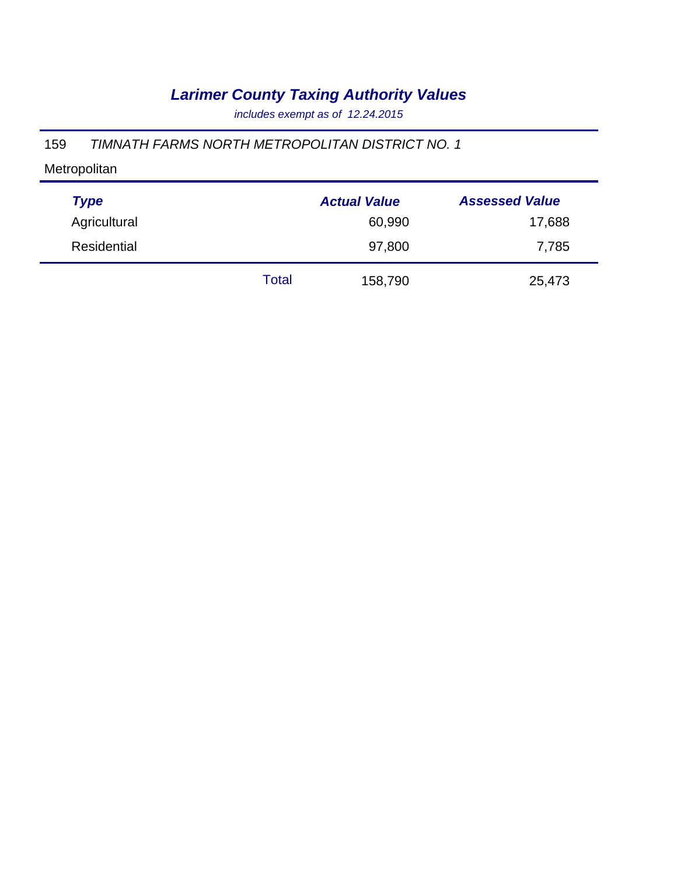*includes exempt as of 12.24.2015*

### 159 *TIMNATH FARMS NORTH METROPOLITAN DISTRICT NO. 1*

| <b>Type</b>  |       | <b>Actual Value</b> | <b>Assessed Value</b> |
|--------------|-------|---------------------|-----------------------|
| Agricultural |       | 60,990              | 17,688                |
| Residential  |       | 97,800              | 7,785                 |
|              | Total | 158,790             | 25,473                |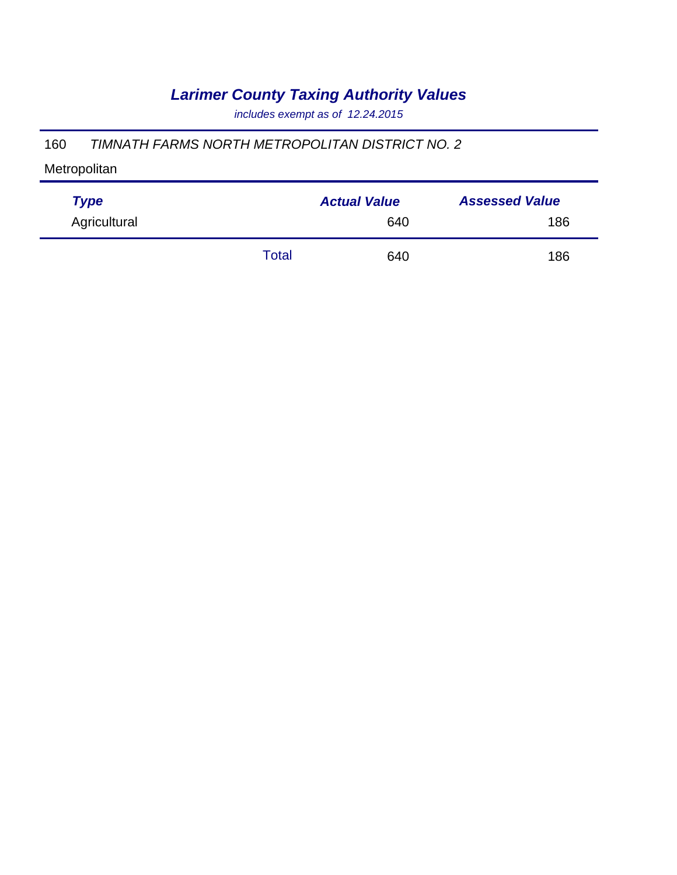*includes exempt as of 12.24.2015*

#### 160 *TIMNATH FARMS NORTH METROPOLITAN DISTRICT NO. 2*

| <b>Type</b>  |       | <b>Actual Value</b> | <b>Assessed Value</b> |  |
|--------------|-------|---------------------|-----------------------|--|
| Agricultural |       | 640                 | 186                   |  |
|              | Total | 640                 | 186                   |  |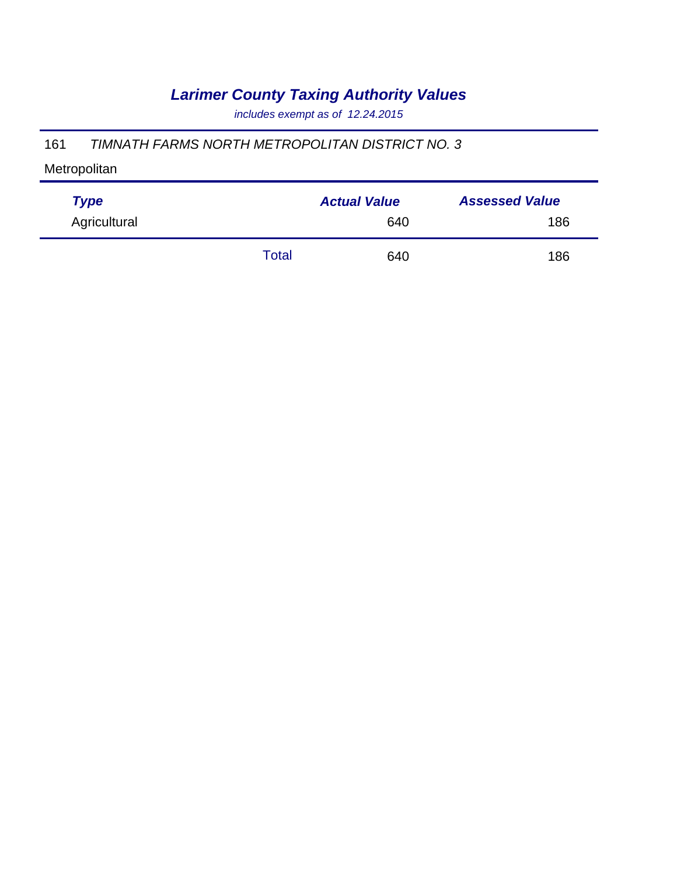*includes exempt as of 12.24.2015*

#### 161 *TIMNATH FARMS NORTH METROPOLITAN DISTRICT NO. 3*

| <b>Type</b>  |       | <b>Actual Value</b> | <b>Assessed Value</b> |  |
|--------------|-------|---------------------|-----------------------|--|
| Agricultural |       | 640                 | 186                   |  |
|              | Total | 640                 | 186                   |  |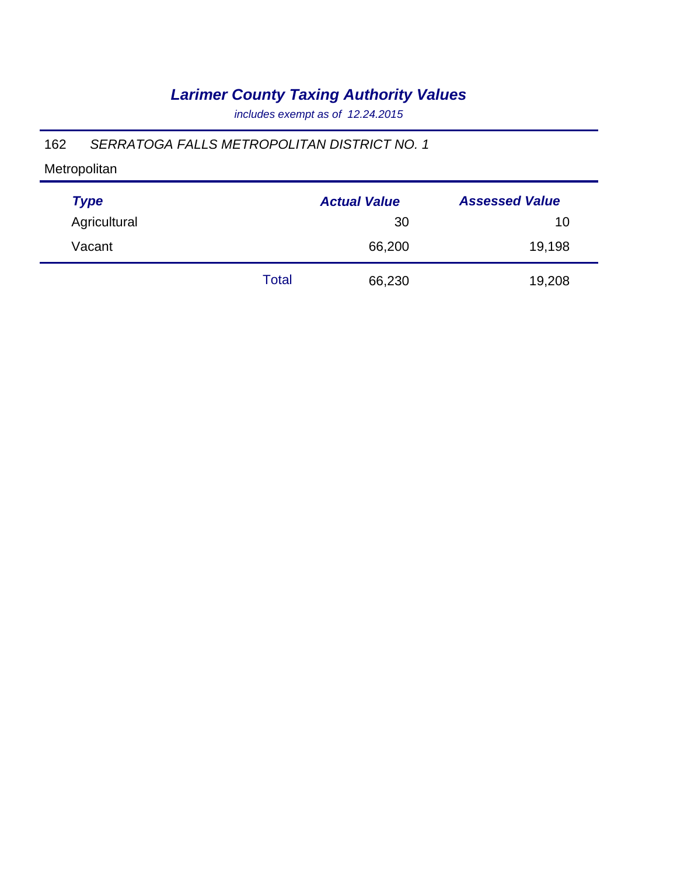*includes exempt as of 12.24.2015*

### 162 *SERRATOGA FALLS METROPOLITAN DISTRICT NO. 1*

| <b>Type</b>  |       | <b>Actual Value</b> | <b>Assessed Value</b> |
|--------------|-------|---------------------|-----------------------|
| Agricultural |       | 30                  | 10                    |
| Vacant       |       | 66,200              | 19,198                |
|              | Total | 66,230              | 19,208                |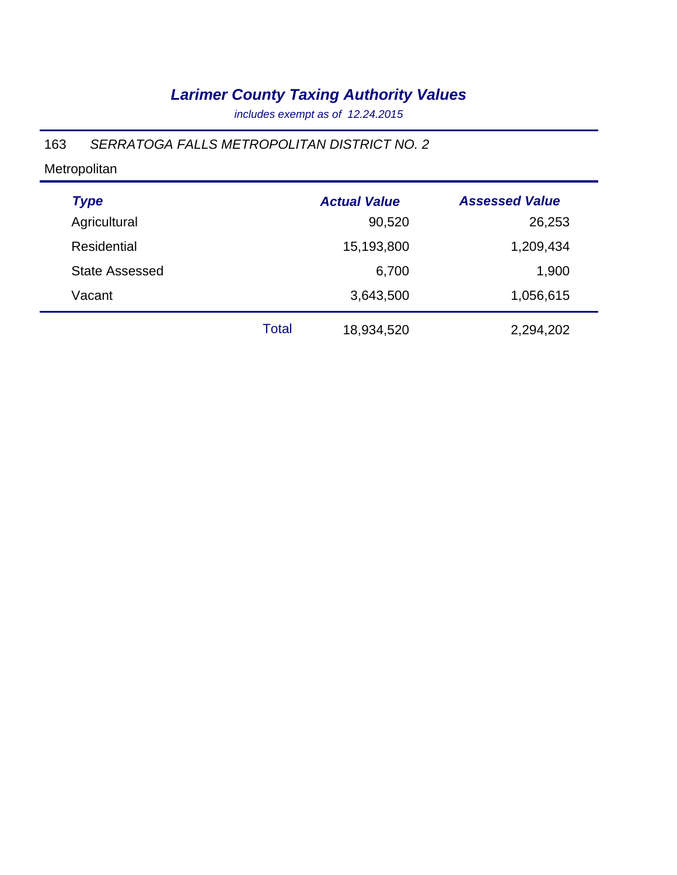*includes exempt as of 12.24.2015*

### 163 *SERRATOGA FALLS METROPOLITAN DISTRICT NO. 2*

| <b>Type</b>           |       | <b>Actual Value</b> | <b>Assessed Value</b> |
|-----------------------|-------|---------------------|-----------------------|
| Agricultural          |       | 90,520              | 26,253                |
| Residential           |       | 15,193,800          | 1,209,434             |
| <b>State Assessed</b> |       | 6,700               | 1,900                 |
| Vacant                |       | 3,643,500           | 1,056,615             |
|                       | Total | 18,934,520          | 2,294,202             |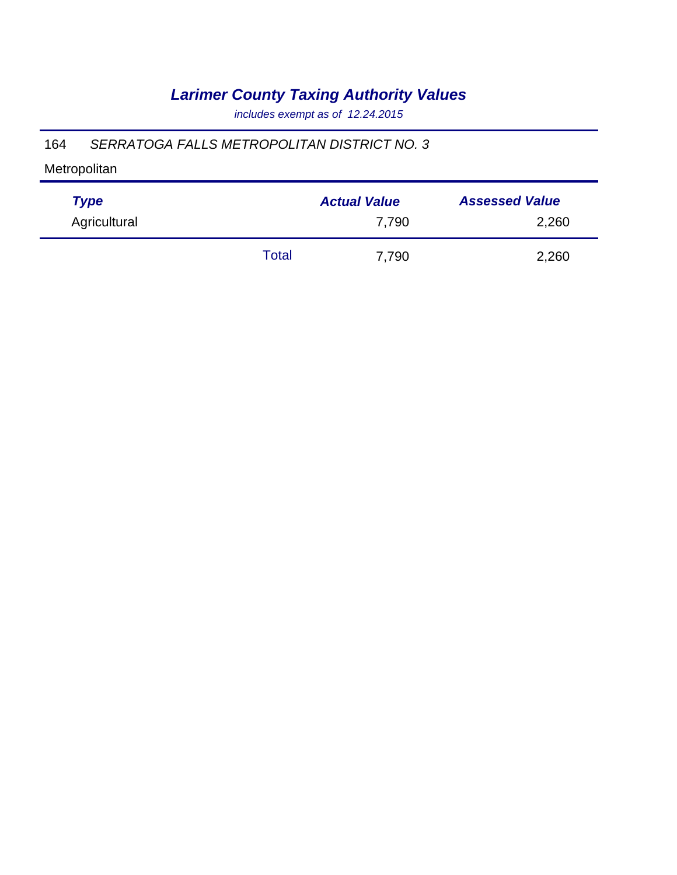*includes exempt as of 12.24.2015*

### 164 *SERRATOGA FALLS METROPOLITAN DISTRICT NO. 3*

| <b>Type</b>  |       | <b>Actual Value</b> | <b>Assessed Value</b> |
|--------------|-------|---------------------|-----------------------|
| Agricultural |       | 7.790               | 2,260                 |
|              | Total | 7,790               | 2,260                 |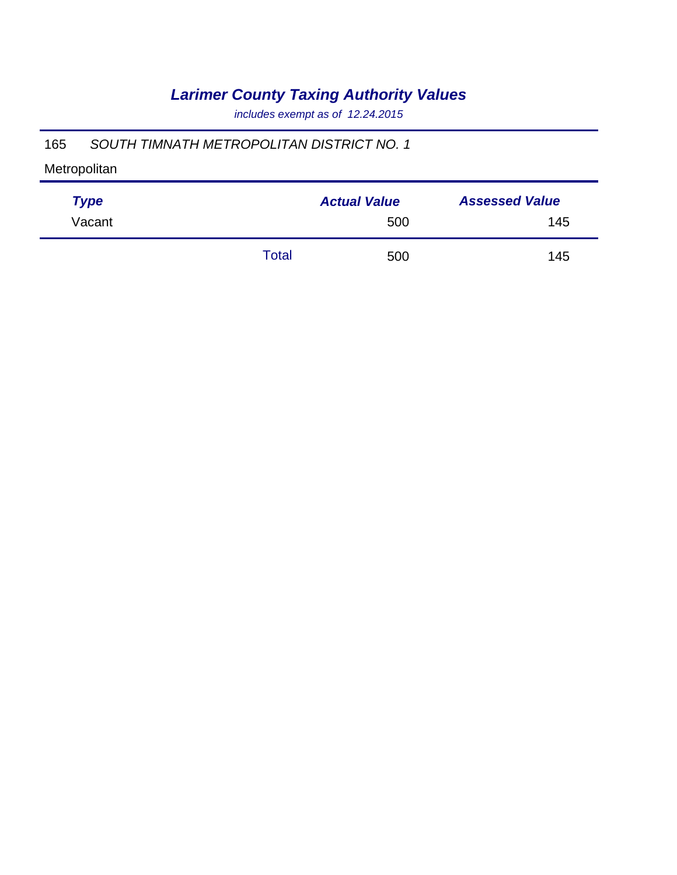*includes exempt as of 12.24.2015*

### 165 *SOUTH TIMNATH METROPOLITAN DISTRICT NO. 1*

| <b>Type</b> |       | <b>Actual Value</b> | <b>Assessed Value</b> |
|-------------|-------|---------------------|-----------------------|
| Vacant      |       | 500                 | 145                   |
|             | Total | 500                 | 145                   |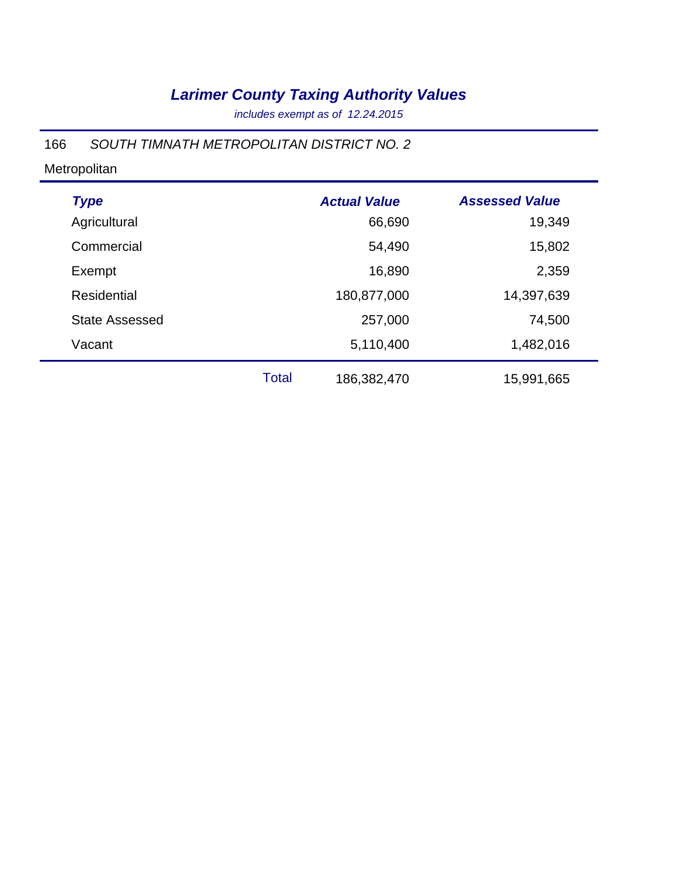*includes exempt as of 12.24.2015*

#### 166 *SOUTH TIMNATH METROPOLITAN DISTRICT NO. 2*

| <b>Type</b>           |              | <b>Actual Value</b> | <b>Assessed Value</b> |  |
|-----------------------|--------------|---------------------|-----------------------|--|
| Agricultural          |              | 66,690              | 19,349                |  |
| Commercial            |              | 54,490              | 15,802                |  |
| Exempt                |              | 16,890              | 2,359                 |  |
| <b>Residential</b>    |              | 180,877,000         | 14,397,639            |  |
| <b>State Assessed</b> |              | 257,000             | 74,500                |  |
| Vacant                |              | 5,110,400           | 1,482,016             |  |
|                       | <b>Total</b> | 186,382,470         | 15,991,665            |  |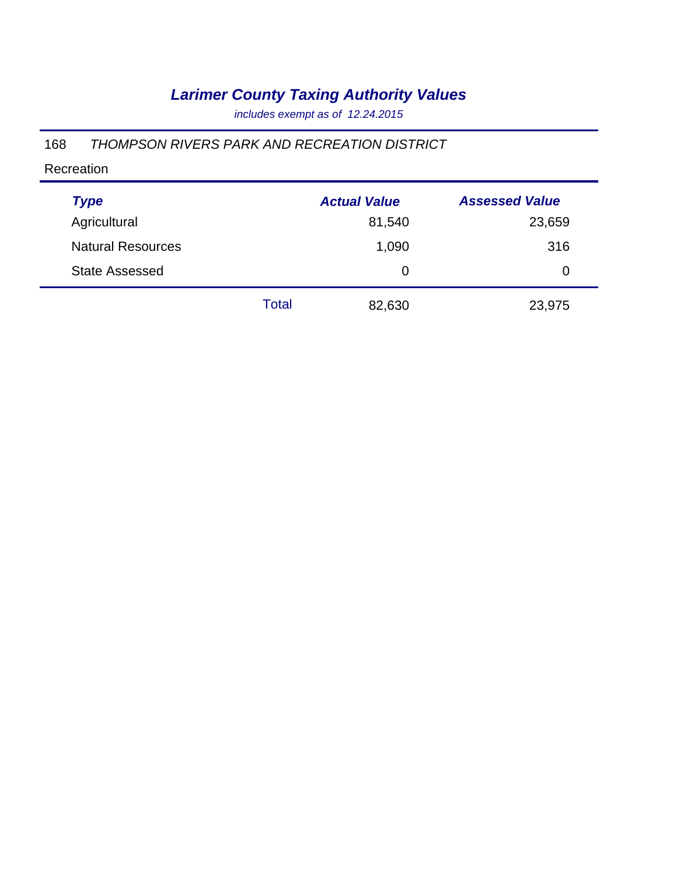*includes exempt as of 12.24.2015*

### 168 *THOMPSON RIVERS PARK AND RECREATION DISTRICT*

#### Recreation

| <b>Type</b>              |       | <b>Actual Value</b> | <b>Assessed Value</b> |
|--------------------------|-------|---------------------|-----------------------|
| Agricultural             |       | 81,540              | 23,659                |
| <b>Natural Resources</b> |       | 1,090               | 316                   |
| <b>State Assessed</b>    |       | 0                   | 0                     |
|                          | Total | 82,630              | 23,975                |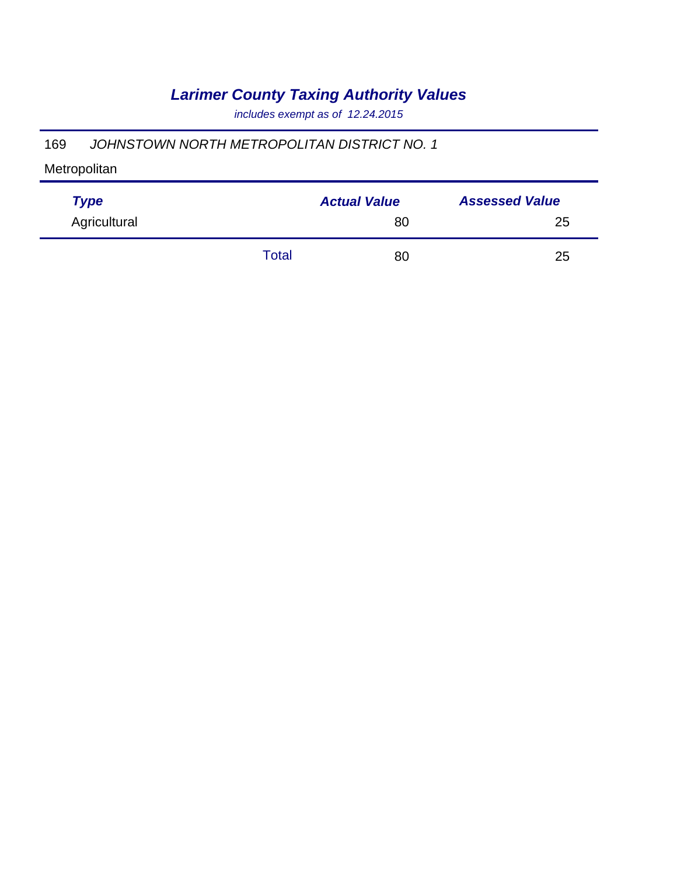*includes exempt as of 12.24.2015*

### 169 *JOHNSTOWN NORTH METROPOLITAN DISTRICT NO. 1*

| <b>Type</b>  |       | <b>Actual Value</b> | <b>Assessed Value</b> |  |
|--------------|-------|---------------------|-----------------------|--|
| Agricultural |       | 80                  | 25                    |  |
|              | Total | 80                  | 25                    |  |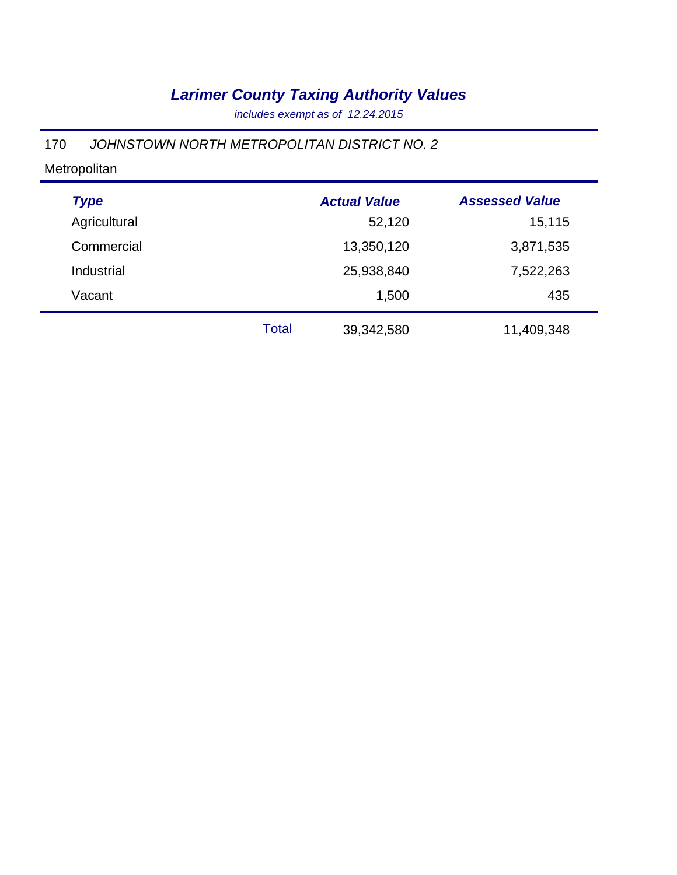*includes exempt as of 12.24.2015*

### 170 *JOHNSTOWN NORTH METROPOLITAN DISTRICT NO. 2*

| <b>Type</b>  |              | <b>Actual Value</b> | <b>Assessed Value</b> |
|--------------|--------------|---------------------|-----------------------|
| Agricultural |              | 52,120              | 15,115                |
| Commercial   |              | 13,350,120          | 3,871,535             |
| Industrial   |              | 25,938,840          | 7,522,263             |
| Vacant       |              | 1,500               | 435                   |
|              | <b>Total</b> | 39,342,580          | 11,409,348            |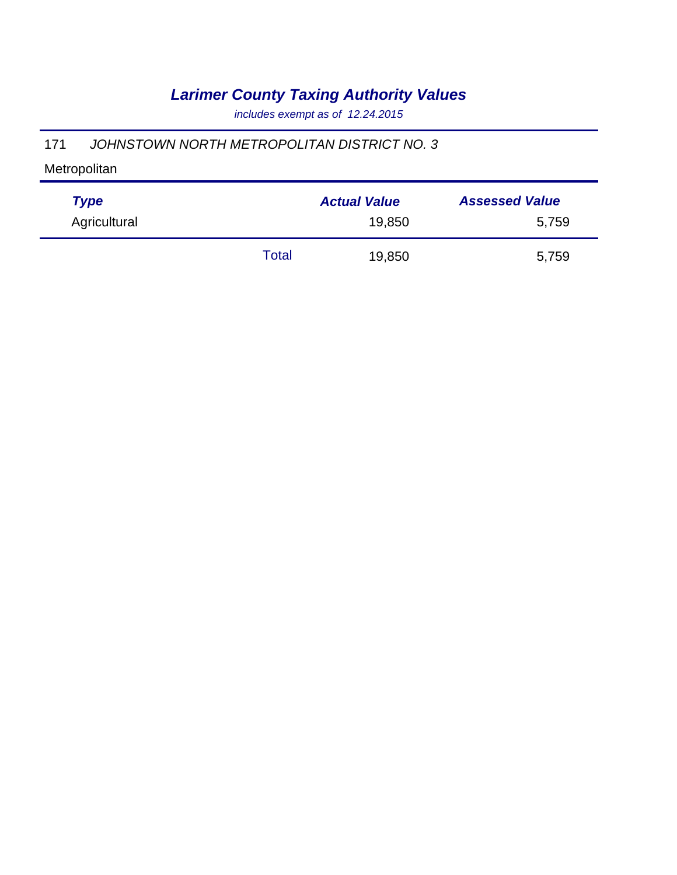*includes exempt as of 12.24.2015*

### 171 *JOHNSTOWN NORTH METROPOLITAN DISTRICT NO. 3*

| <b>Type</b>  |       | <b>Actual Value</b> | <b>Assessed Value</b> |
|--------------|-------|---------------------|-----------------------|
| Agricultural |       | 19,850              | 5,759                 |
|              | Total | 19,850              | 5,759                 |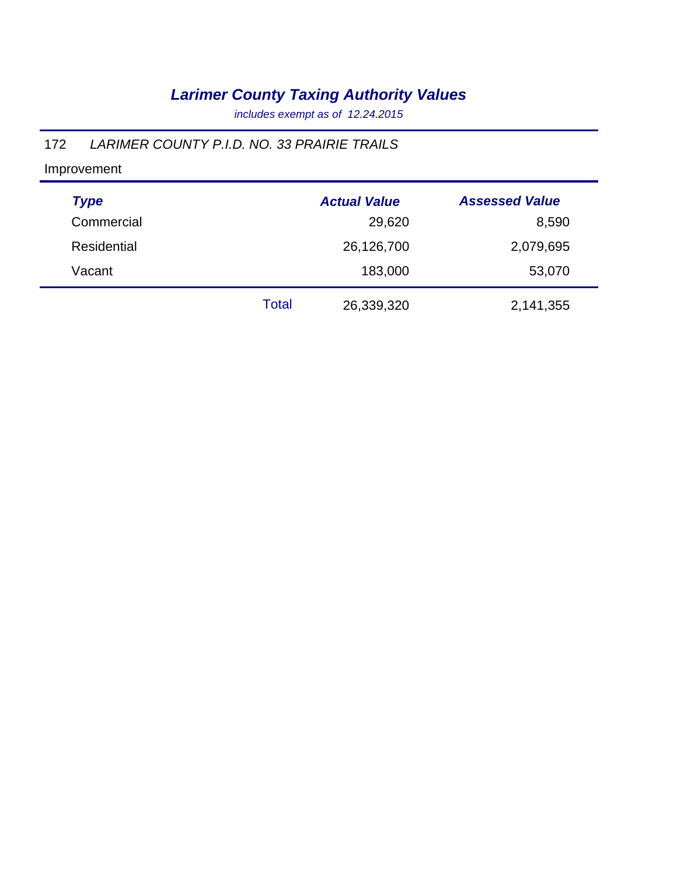*includes exempt as of 12.24.2015*

### 172 *LARIMER COUNTY P.I.D. NO. 33 PRAIRIE TRAILS*

| <b>Type</b> |       | <b>Actual Value</b> | <b>Assessed Value</b> |
|-------------|-------|---------------------|-----------------------|
| Commercial  |       | 29,620              | 8,590                 |
| Residential |       | 26,126,700          | 2,079,695             |
| Vacant      |       | 183,000             | 53,070                |
|             | Total | 26,339,320          | 2,141,355             |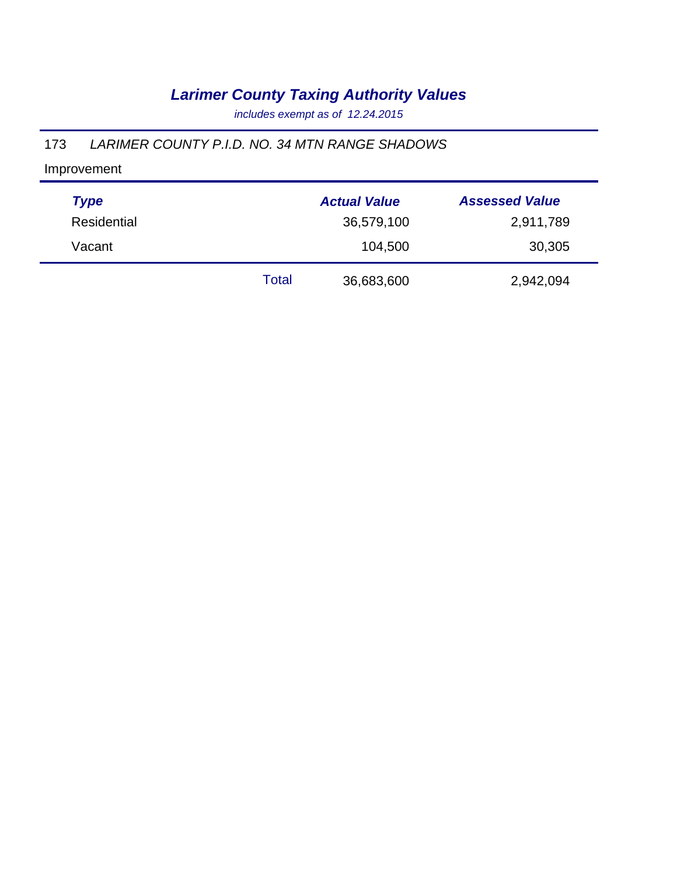*includes exempt as of 12.24.2015*

#### 173 *LARIMER COUNTY P.I.D. NO. 34 MTN RANGE SHADOWS*

| <b>Type</b> |       | <b>Actual Value</b> | <b>Assessed Value</b> |
|-------------|-------|---------------------|-----------------------|
| Residential |       | 36,579,100          | 2,911,789             |
| Vacant      |       | 104,500             | 30,305                |
|             | Total | 36,683,600          | 2,942,094             |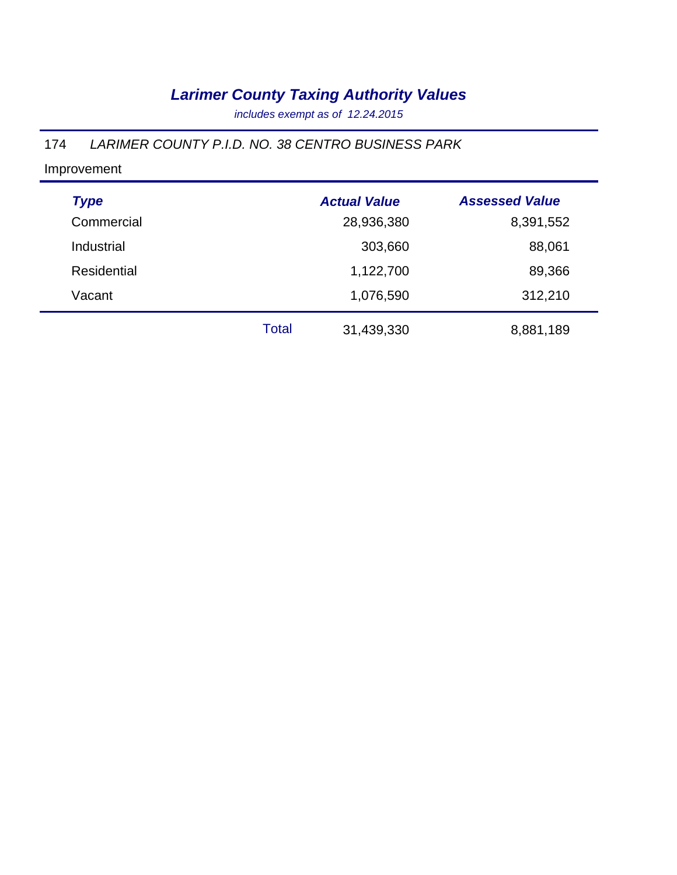*includes exempt as of 12.24.2015*

### 174 *LARIMER COUNTY P.I.D. NO. 38 CENTRO BUSINESS PARK*

| <b>Type</b>        |              | <b>Actual Value</b> | <b>Assessed Value</b> |
|--------------------|--------------|---------------------|-----------------------|
| Commercial         |              | 28,936,380          | 8,391,552             |
| Industrial         |              | 303,660             | 88,061                |
| <b>Residential</b> |              | 1,122,700           | 89,366                |
| Vacant             |              | 1,076,590           | 312,210               |
|                    | <b>Total</b> | 31,439,330          | 8,881,189             |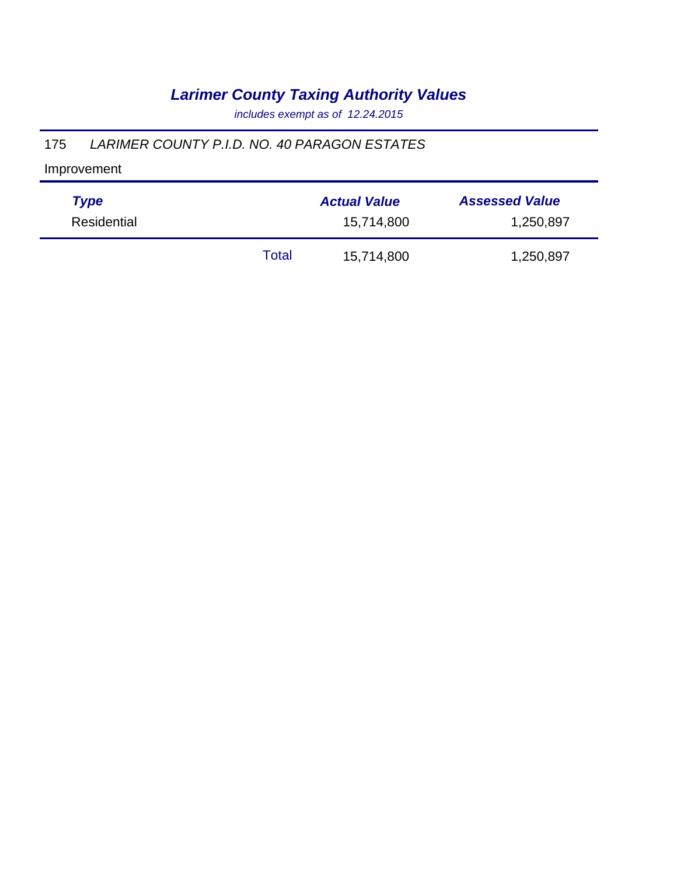*includes exempt as of 12.24.2015*

### 175 *LARIMER COUNTY P.I.D. NO. 40 PARAGON ESTATES*

| <b>Type</b> | <b>Actual Value</b> |            | <b>Assessed Value</b> |  |
|-------------|---------------------|------------|-----------------------|--|
| Residential | 15,714,800          |            | 1,250,897             |  |
|             | Total               | 15,714,800 | 1,250,897             |  |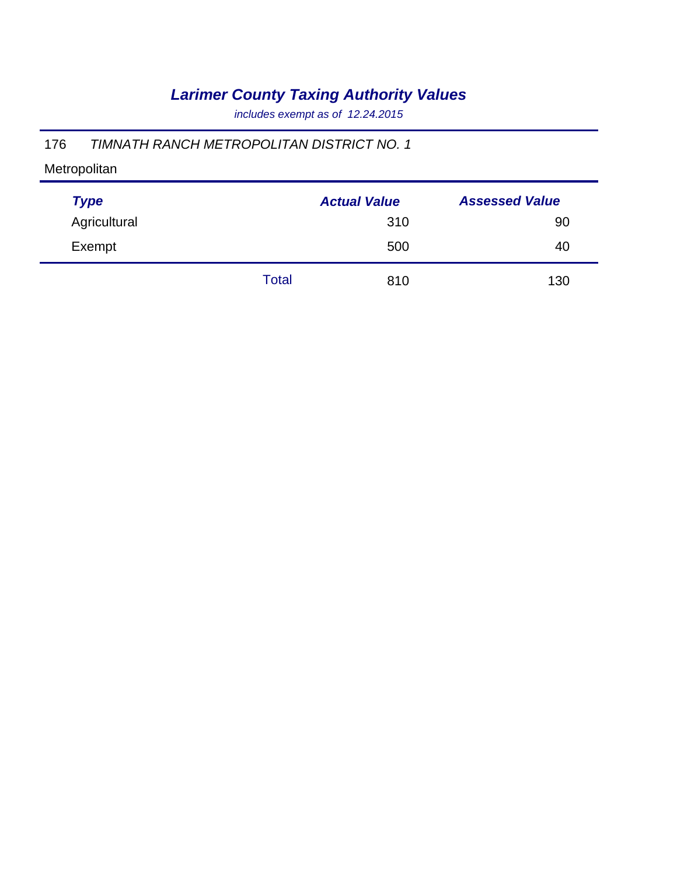*includes exempt as of 12.24.2015*

### 176 *TIMNATH RANCH METROPOLITAN DISTRICT NO. 1*

| <b>Type</b>  |       | <b>Actual Value</b> | <b>Assessed Value</b> |
|--------------|-------|---------------------|-----------------------|
| Agricultural |       | 310                 | 90                    |
| Exempt       |       | 500                 | 40                    |
|              | Total | 810                 | 130                   |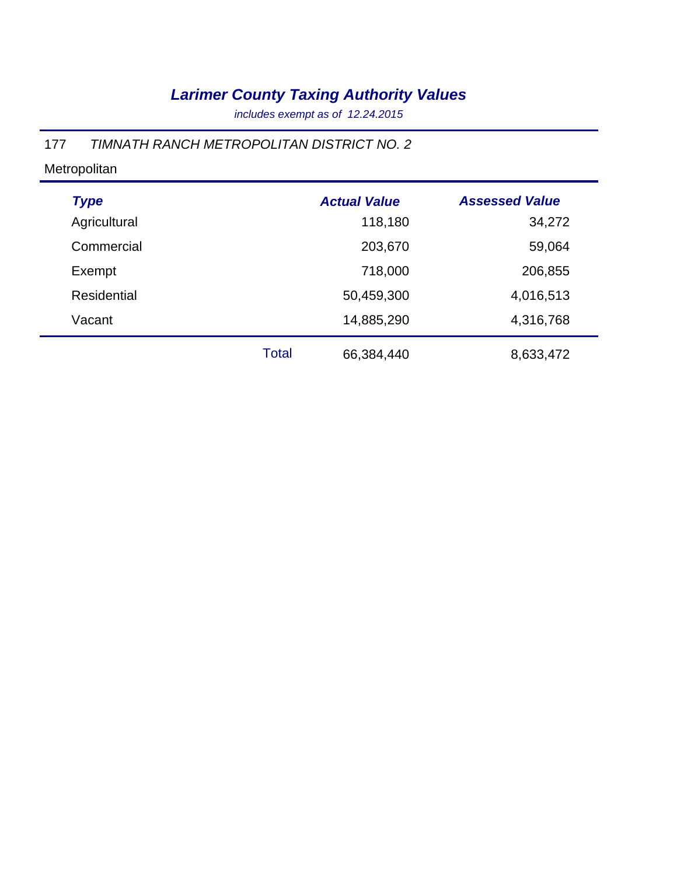*includes exempt as of 12.24.2015*

### 177 *TIMNATH RANCH METROPOLITAN DISTRICT NO. 2*

| <b>Type</b>        |              | <b>Actual Value</b> | <b>Assessed Value</b> |
|--------------------|--------------|---------------------|-----------------------|
| Agricultural       |              | 118,180             | 34,272                |
| Commercial         |              | 203,670             | 59,064                |
| Exempt             |              | 718,000             | 206,855               |
| <b>Residential</b> |              | 50,459,300          | 4,016,513             |
| Vacant             |              | 14,885,290          | 4,316,768             |
|                    | <b>Total</b> | 66,384,440          | 8,633,472             |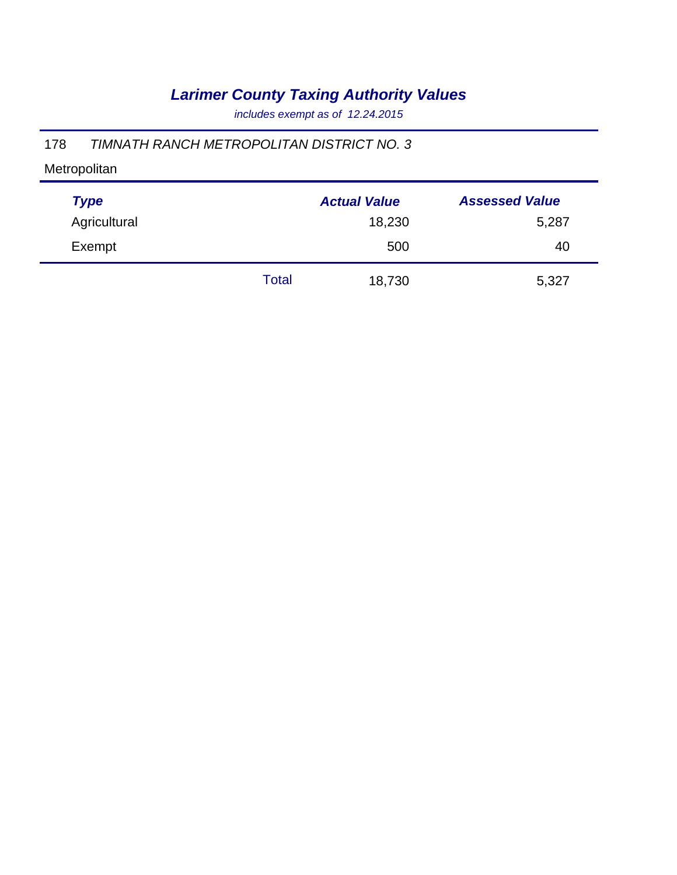*includes exempt as of 12.24.2015*

### 178 *TIMNATH RANCH METROPOLITAN DISTRICT NO. 3*

| <b>Type</b>  |       | <b>Actual Value</b> | <b>Assessed Value</b> |
|--------------|-------|---------------------|-----------------------|
| Agricultural |       | 18,230              | 5,287                 |
| Exempt       |       | 500                 | 40                    |
|              | Total | 18,730              | 5,327                 |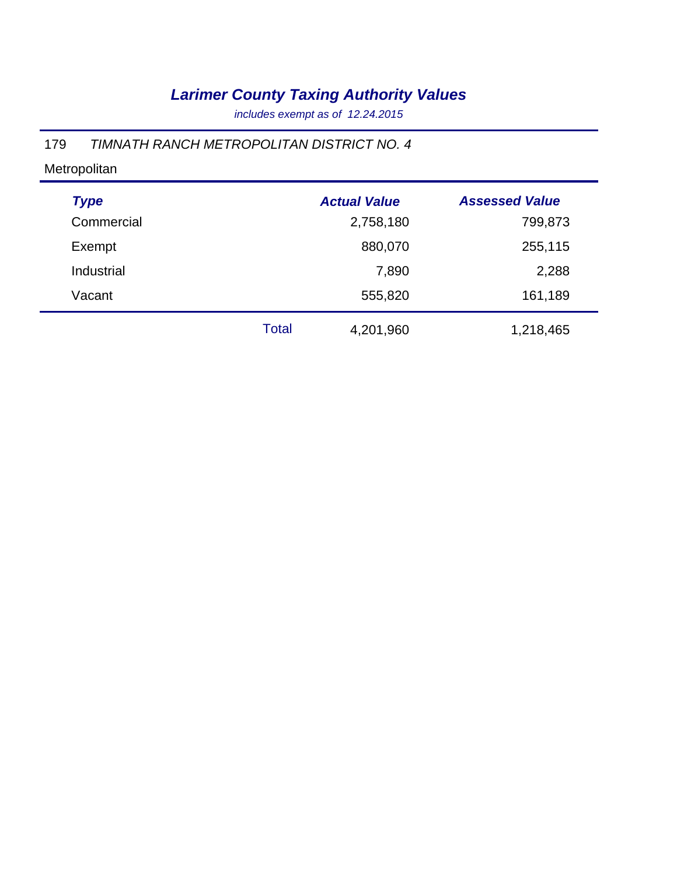*includes exempt as of 12.24.2015*

### 179 *TIMNATH RANCH METROPOLITAN DISTRICT NO. 4*

| <b>Type</b> |              | <b>Actual Value</b> | <b>Assessed Value</b> |
|-------------|--------------|---------------------|-----------------------|
| Commercial  |              | 2,758,180           | 799,873               |
| Exempt      |              | 880,070             | 255,115               |
| Industrial  |              | 7,890               | 2,288                 |
| Vacant      |              | 555,820             | 161,189               |
|             | <b>Total</b> | 4,201,960           | 1,218,465             |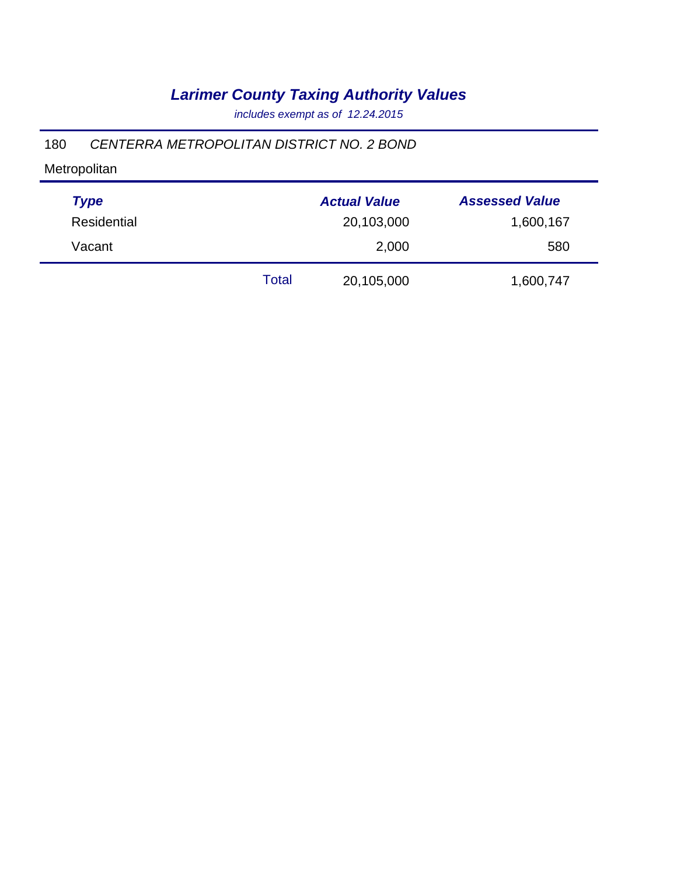*includes exempt as of 12.24.2015*

#### 180 *CENTERRA METROPOLITAN DISTRICT NO. 2 BOND*

Metropolitan

| <b>Type</b>        |       | <b>Actual Value</b> | <b>Assessed Value</b> |
|--------------------|-------|---------------------|-----------------------|
| <b>Residential</b> |       | 20,103,000          | 1,600,167             |
| Vacant             |       | 2,000               | 580                   |
|                    | Total | 20,105,000          | 1,600,747             |

÷,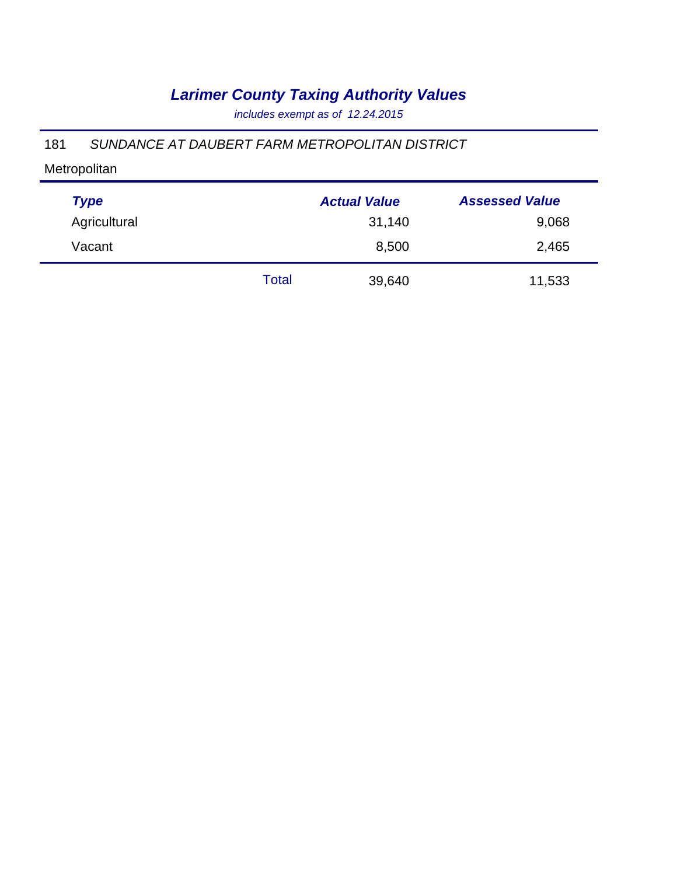*includes exempt as of 12.24.2015*

### 181 *SUNDANCE AT DAUBERT FARM METROPOLITAN DISTRICT*

| <b>Type</b>  |       | <b>Actual Value</b> | <b>Assessed Value</b> |
|--------------|-------|---------------------|-----------------------|
| Agricultural |       | 31,140              | 9,068                 |
| Vacant       |       | 8,500               | 2,465                 |
|              | Total | 39,640              | 11,533                |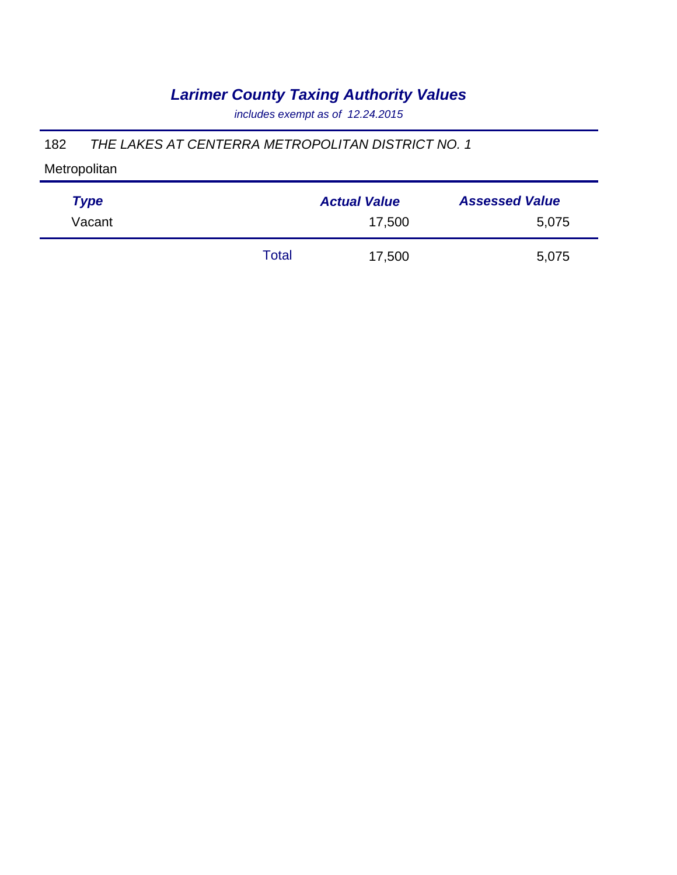*includes exempt as of 12.24.2015*

### 182 *THE LAKES AT CENTERRA METROPOLITAN DISTRICT NO. 1*

| <b>Type</b> |       | <b>Actual Value</b> | <b>Assessed Value</b> |
|-------------|-------|---------------------|-----------------------|
| Vacant      |       | 17,500              | 5,075                 |
|             | Total | 17,500              | 5,075                 |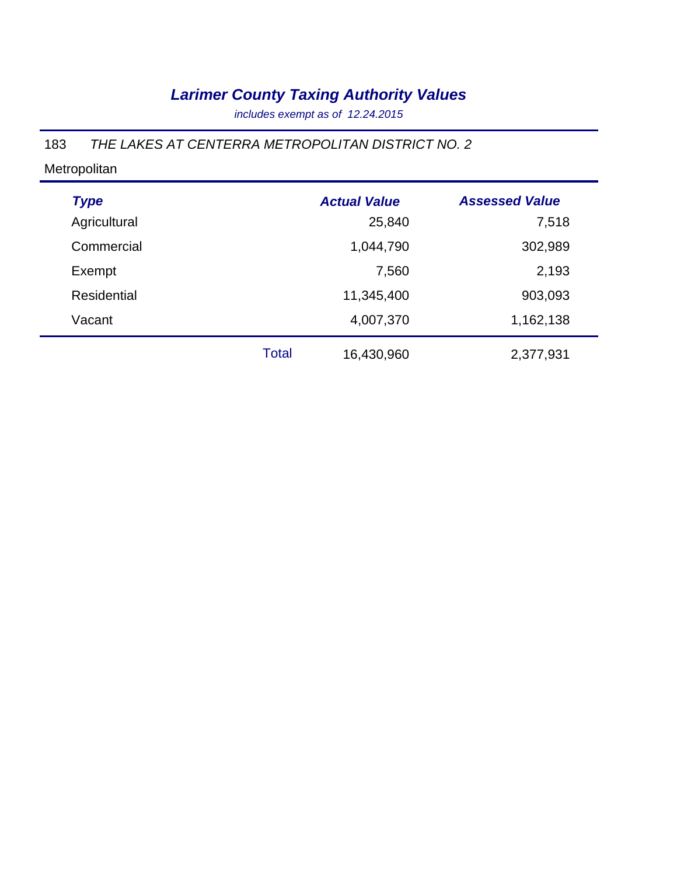*includes exempt as of 12.24.2015*

### 183 *THE LAKES AT CENTERRA METROPOLITAN DISTRICT NO. 2*

| <b>Type</b>  |              | <b>Actual Value</b> | <b>Assessed Value</b> |
|--------------|--------------|---------------------|-----------------------|
| Agricultural |              | 25,840              | 7,518                 |
| Commercial   |              | 1,044,790           | 302,989               |
| Exempt       |              | 7,560               | 2,193                 |
| Residential  |              | 11,345,400          | 903,093               |
| Vacant       |              | 4,007,370           | 1,162,138             |
|              | <b>Total</b> | 16,430,960          | 2,377,931             |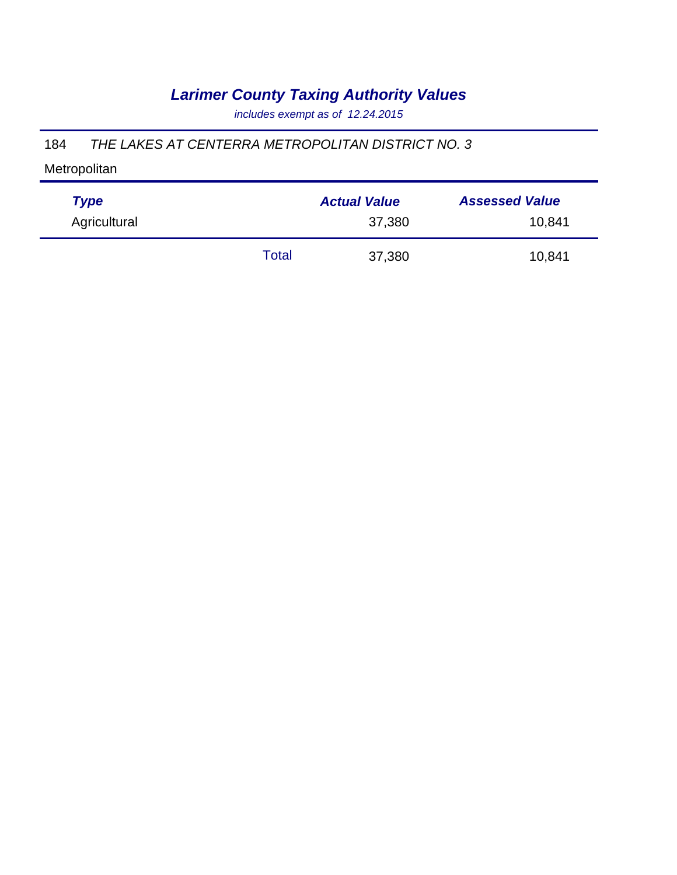*includes exempt as of 12.24.2015*

### 184 *THE LAKES AT CENTERRA METROPOLITAN DISTRICT NO. 3*

| <b>Type</b>  |       | <b>Actual Value</b> | <b>Assessed Value</b> |
|--------------|-------|---------------------|-----------------------|
| Agricultural |       | 37,380              | 10,841                |
|              | Total | 37,380              | 10,841                |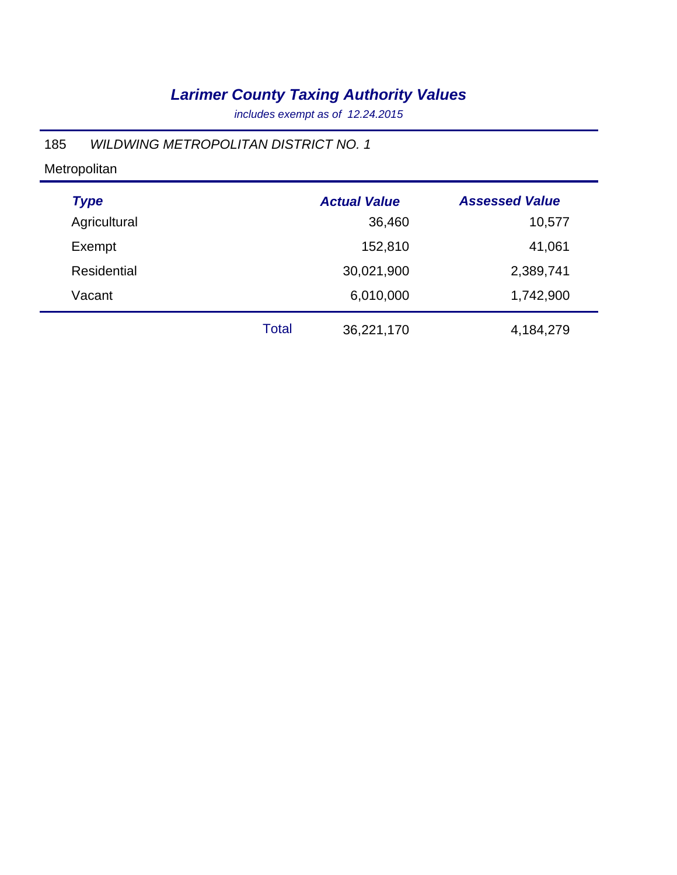*includes exempt as of 12.24.2015*

### 185 *WILDWING METROPOLITAN DISTRICT NO. 1*

| <b>Type</b>  |              | <b>Actual Value</b> | <b>Assessed Value</b> |
|--------------|--------------|---------------------|-----------------------|
| Agricultural |              | 36,460              | 10,577                |
| Exempt       |              | 152,810             | 41,061                |
| Residential  |              | 30,021,900          | 2,389,741             |
| Vacant       |              | 6,010,000           | 1,742,900             |
|              | <b>Total</b> | 36,221,170          | 4,184,279             |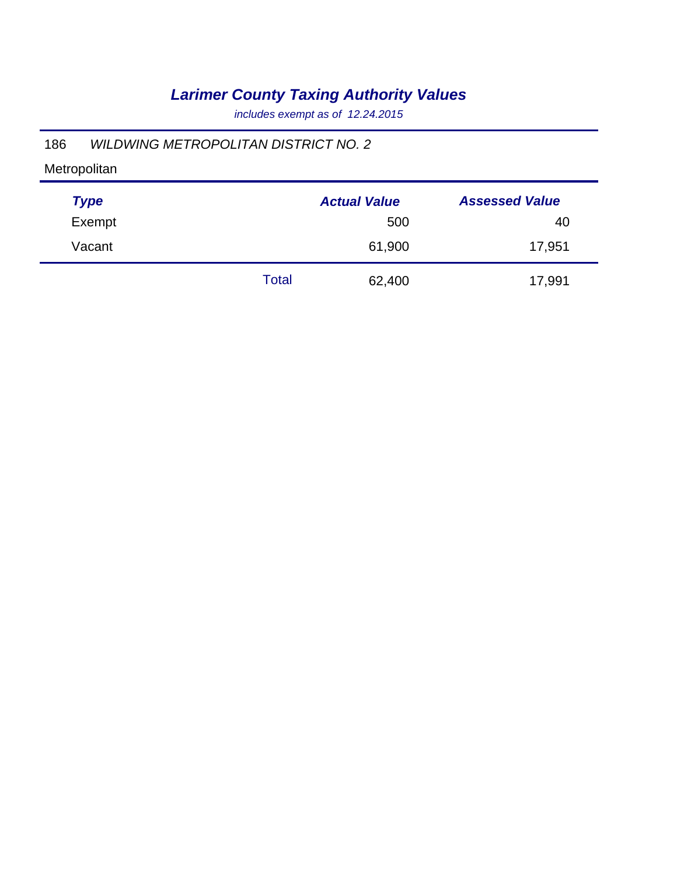*includes exempt as of 12.24.2015*

### 186 *WILDWING METROPOLITAN DISTRICT NO. 2*

| <b>Type</b> | <b>Actual Value</b> |        | <b>Assessed Value</b> |
|-------------|---------------------|--------|-----------------------|
| Exempt      |                     | 500    | 40                    |
| Vacant      |                     | 61,900 | 17,951                |
|             | Total               | 62,400 | 17,991                |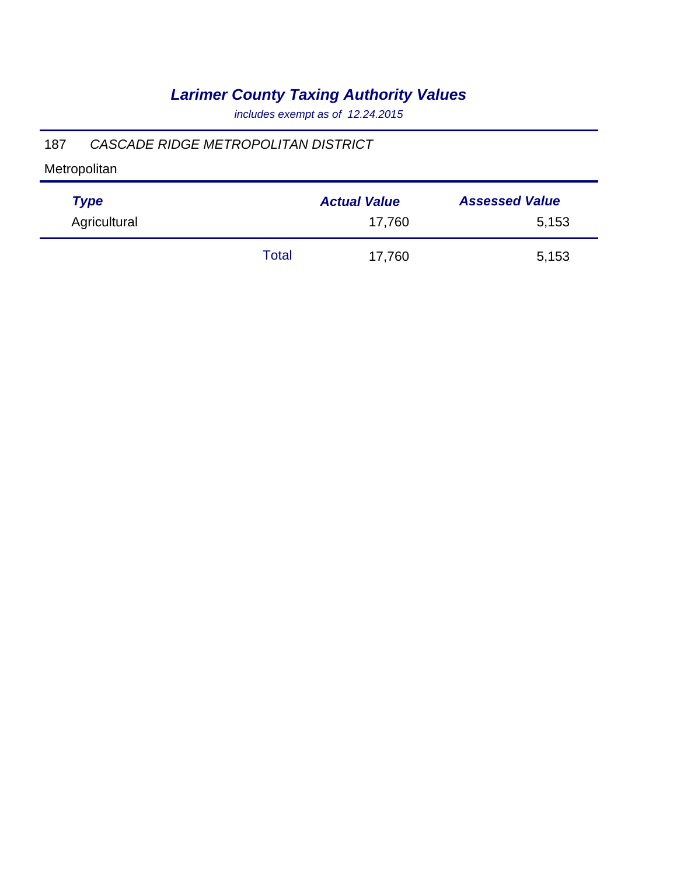*includes exempt as of 12.24.2015*

### 187 *CASCADE RIDGE METROPOLITAN DISTRICT*

| <b>Type</b>  |       | <b>Actual Value</b> | <b>Assessed Value</b> |
|--------------|-------|---------------------|-----------------------|
| Agricultural |       | 17,760              | 5,153                 |
|              | Total | 17,760              | 5,153                 |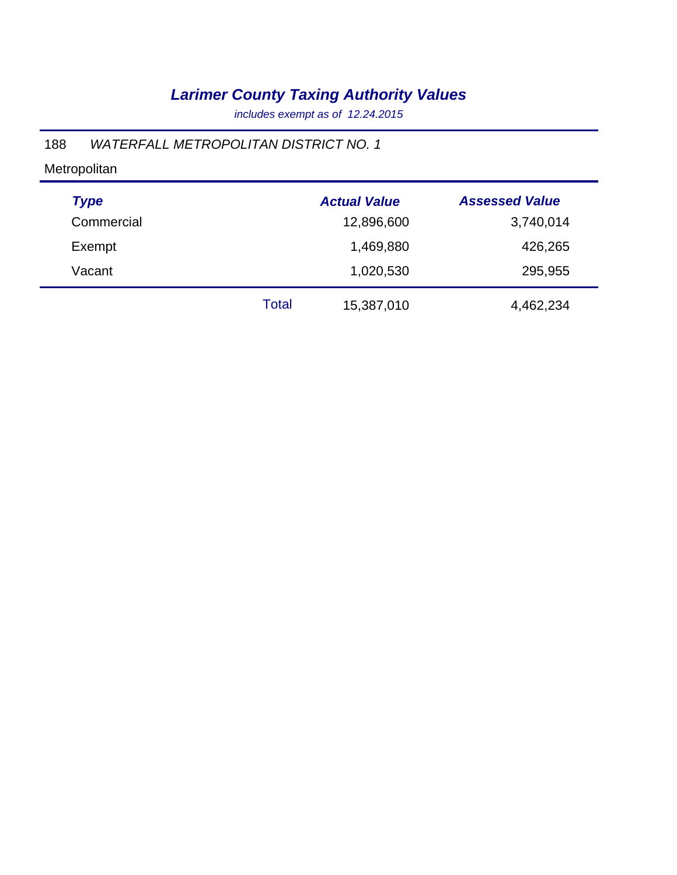*includes exempt as of 12.24.2015*

### 188 *WATERFALL METROPOLITAN DISTRICT NO. 1*

| <b>Type</b> |       | <b>Actual Value</b> | <b>Assessed Value</b> |
|-------------|-------|---------------------|-----------------------|
| Commercial  |       | 12,896,600          | 3,740,014             |
| Exempt      |       | 1,469,880           | 426,265               |
| Vacant      |       | 1,020,530           | 295,955               |
|             | Total | 15,387,010          | 4,462,234             |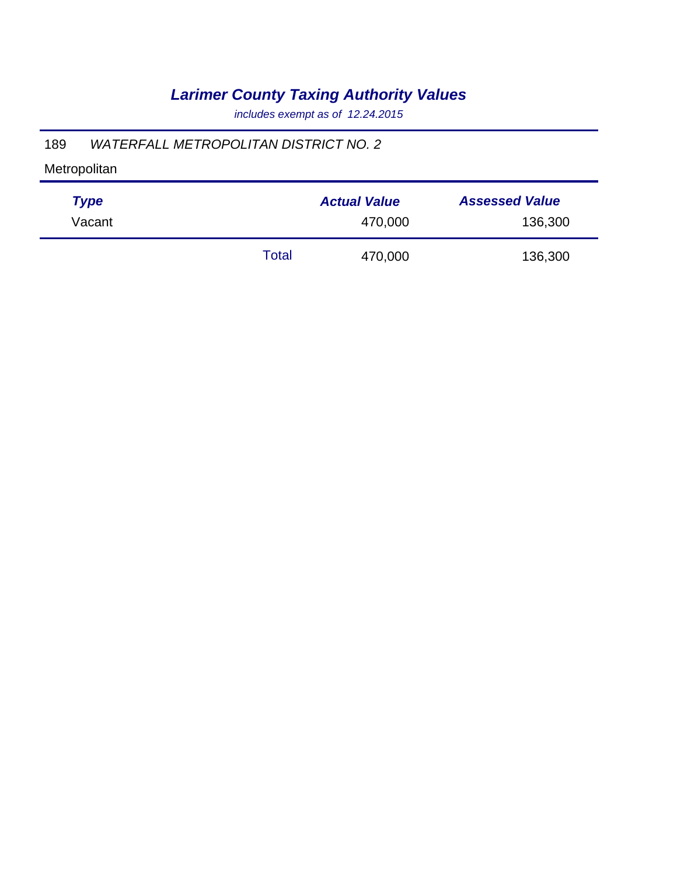*includes exempt as of 12.24.2015*

### 189 *WATERFALL METROPOLITAN DISTRICT NO. 2*

| <b>Type</b> |       | <b>Actual Value</b> | <b>Assessed Value</b> |
|-------------|-------|---------------------|-----------------------|
| Vacant      |       | 470,000             | 136,300               |
|             | Total | 470,000             | 136,300               |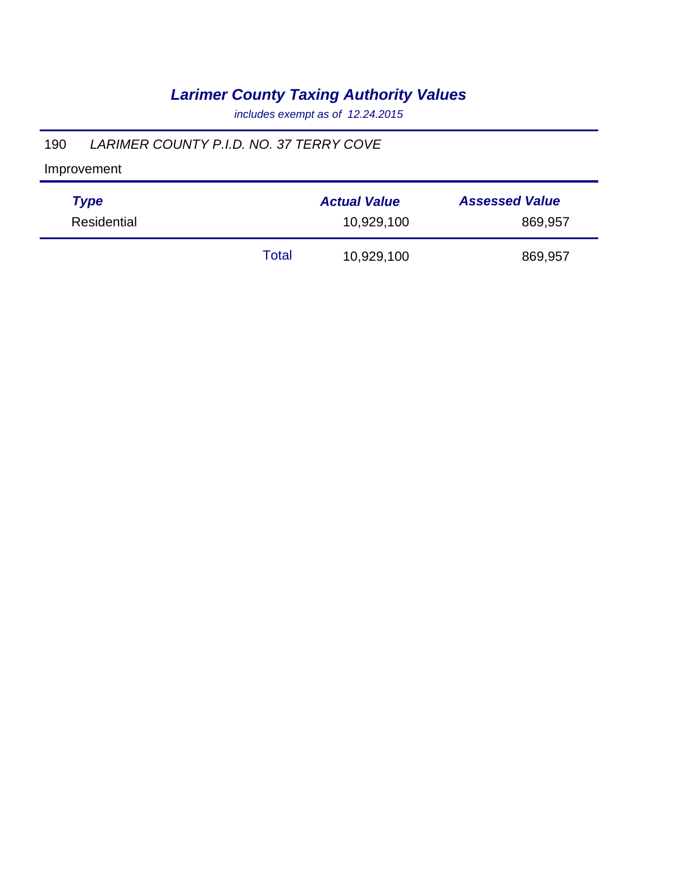*includes exempt as of 12.24.2015*

### 190 *LARIMER COUNTY P.I.D. NO. 37 TERRY COVE*

| Type        |       | <b>Actual Value</b> | <b>Assessed Value</b> |
|-------------|-------|---------------------|-----------------------|
| Residential |       | 10,929,100          | 869,957               |
|             | Total | 10,929,100          | 869,957               |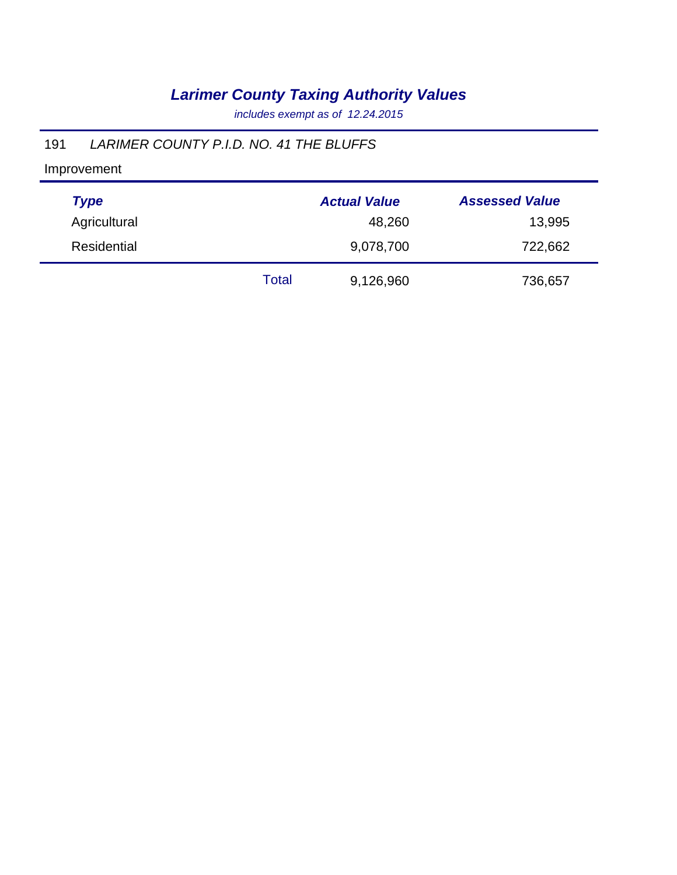*includes exempt as of 12.24.2015*

### 191 *LARIMER COUNTY P.I.D. NO. 41 THE BLUFFS*

| <b>Type</b>  |              | <b>Actual Value</b> | <b>Assessed Value</b> |
|--------------|--------------|---------------------|-----------------------|
| Agricultural |              | 48,260              | 13,995                |
| Residential  |              | 9,078,700           | 722,662               |
|              | <b>Total</b> | 9,126,960           | 736,657               |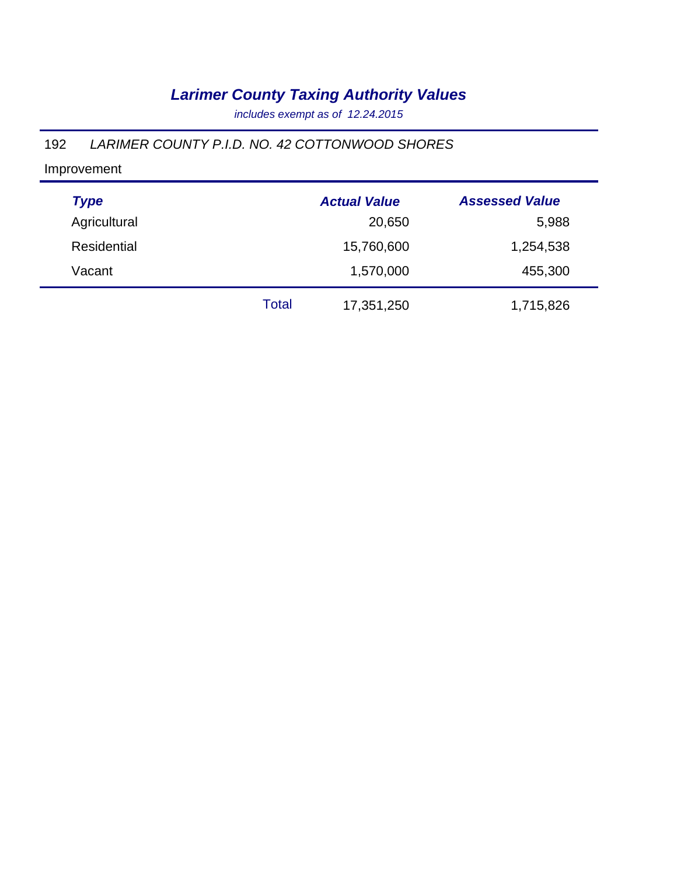*includes exempt as of 12.24.2015*

### 192 *LARIMER COUNTY P.I.D. NO. 42 COTTONWOOD SHORES*

| <b>Type</b>        |       | <b>Actual Value</b> | <b>Assessed Value</b> |
|--------------------|-------|---------------------|-----------------------|
| Agricultural       |       | 20,650              | 5,988                 |
| <b>Residential</b> |       | 15,760,600          | 1,254,538             |
| Vacant             |       | 1,570,000           | 455,300               |
|                    | Total | 17,351,250          | 1,715,826             |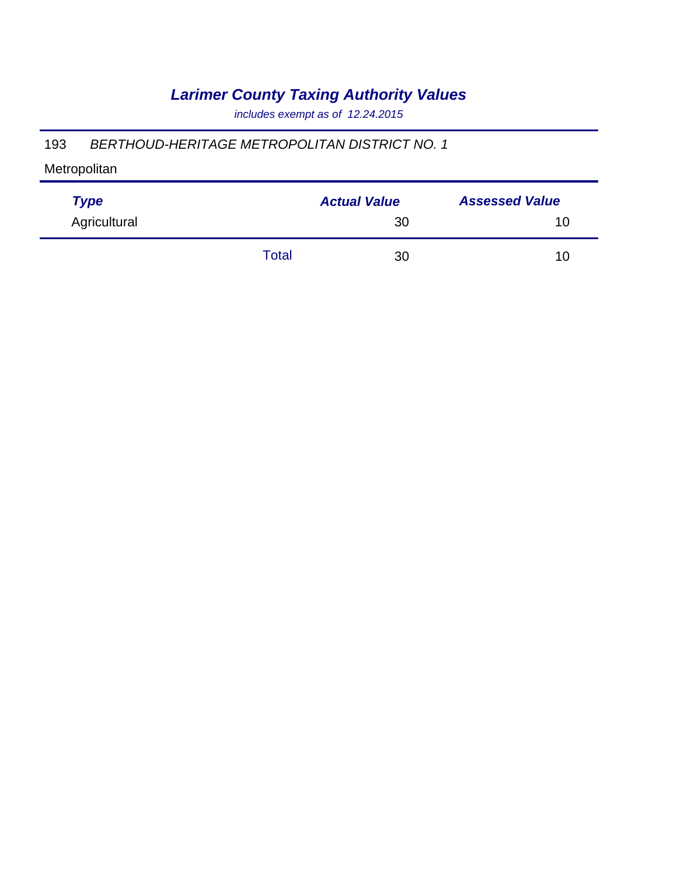*includes exempt as of 12.24.2015*

#### 193 *BERTHOUD-HERITAGE METROPOLITAN DISTRICT NO. 1*

| <b>Type</b>  |       | <b>Actual Value</b> | <b>Assessed Value</b> |  |
|--------------|-------|---------------------|-----------------------|--|
| Agricultural |       | 30                  | 10                    |  |
|              | Total | 30                  | 10                    |  |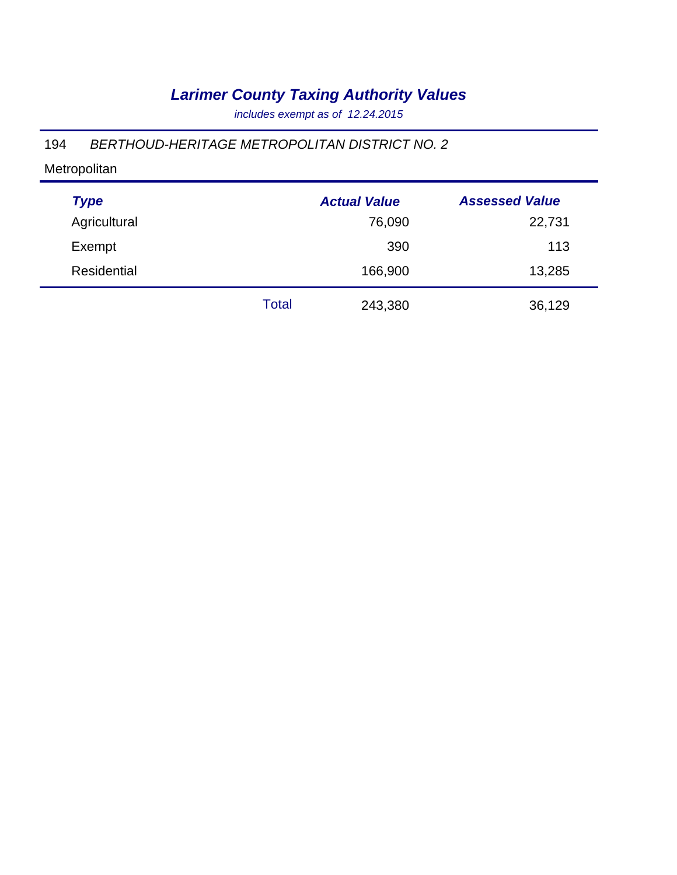*includes exempt as of 12.24.2015*

### 194 *BERTHOUD-HERITAGE METROPOLITAN DISTRICT NO. 2*

| <b>Type</b>  |              | <b>Actual Value</b> | <b>Assessed Value</b> |
|--------------|--------------|---------------------|-----------------------|
| Agricultural |              | 76,090              | 22,731                |
| Exempt       |              | 390                 | 113                   |
| Residential  |              | 166,900             | 13,285                |
|              | <b>Total</b> | 243,380             | 36,129                |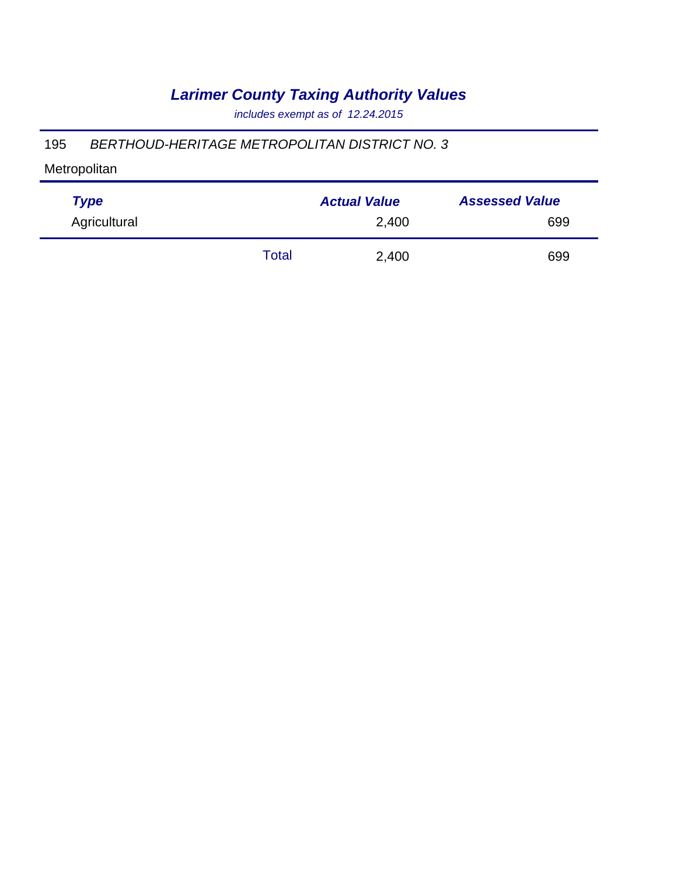*includes exempt as of 12.24.2015*

#### 195 *BERTHOUD-HERITAGE METROPOLITAN DISTRICT NO. 3*

| <b>Type</b>  |       | <b>Actual Value</b> | <b>Assessed Value</b> |
|--------------|-------|---------------------|-----------------------|
| Agricultural |       | 2,400               | 699                   |
|              | Total | 2,400               | 699                   |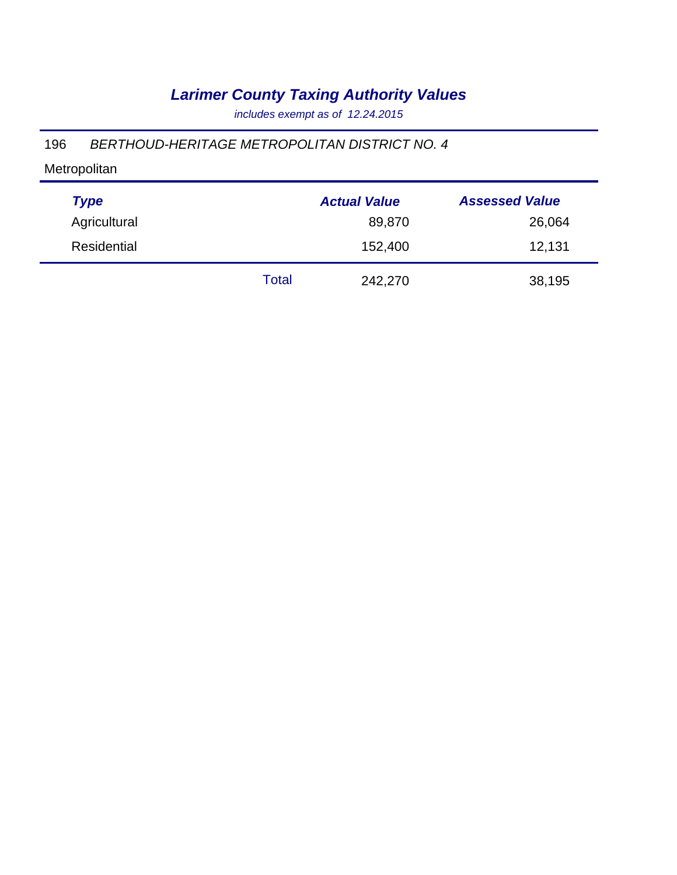*includes exempt as of 12.24.2015*

### 196 *BERTHOUD-HERITAGE METROPOLITAN DISTRICT NO. 4*

| <b>Type</b>  |       | <b>Actual Value</b> | <b>Assessed Value</b> |
|--------------|-------|---------------------|-----------------------|
| Agricultural |       | 89,870              | 26,064                |
| Residential  |       | 152,400             | 12,131                |
|              | Total | 242,270             | 38,195                |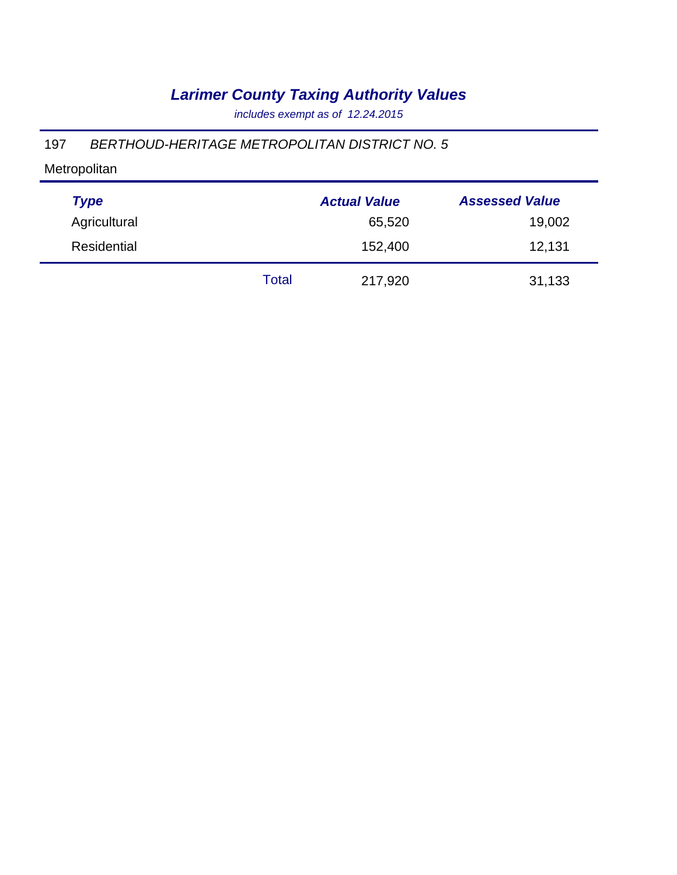*includes exempt as of 12.24.2015*

#### 197 *BERTHOUD-HERITAGE METROPOLITAN DISTRICT NO. 5*

| <b>Type</b>  |       | <b>Actual Value</b> | <b>Assessed Value</b> |
|--------------|-------|---------------------|-----------------------|
| Agricultural |       | 65,520              | 19,002                |
| Residential  |       | 152,400             | 12,131                |
|              | Total | 217,920             | 31,133                |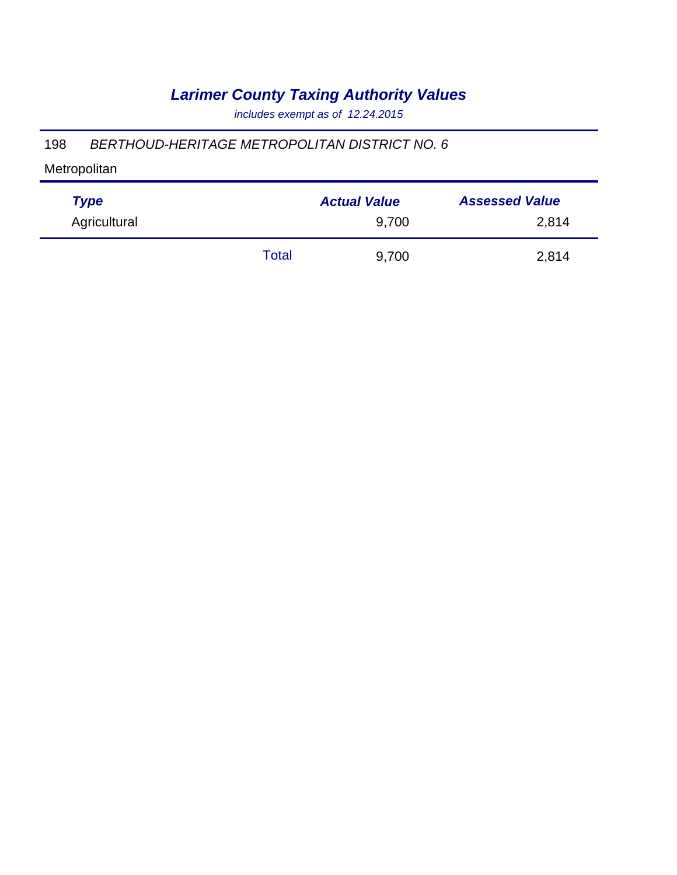*includes exempt as of 12.24.2015*

#### 198 *BERTHOUD-HERITAGE METROPOLITAN DISTRICT NO. 6*

| <b>Type</b>  |       | <b>Actual Value</b> | <b>Assessed Value</b> |
|--------------|-------|---------------------|-----------------------|
| Agricultural |       | 9,700               | 2,814                 |
|              | Total | 9,700               | 2,814                 |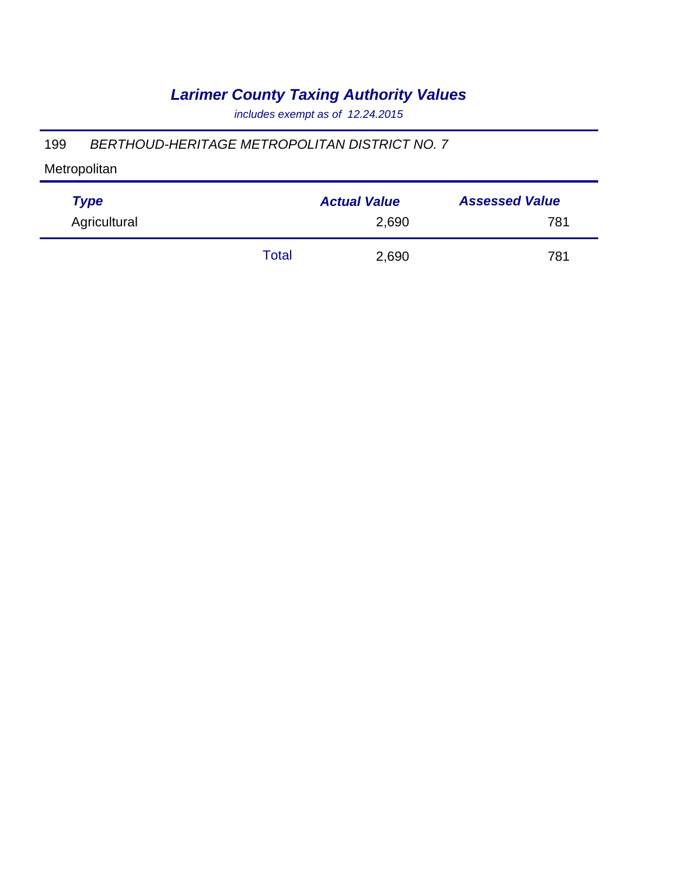*includes exempt as of 12.24.2015*

#### 199 *BERTHOUD-HERITAGE METROPOLITAN DISTRICT NO. 7*

| <b>Type</b>  |       | <b>Actual Value</b> | <b>Assessed Value</b> |
|--------------|-------|---------------------|-----------------------|
| Agricultural |       | 2,690               | 781                   |
|              | Total | 2,690               | 781                   |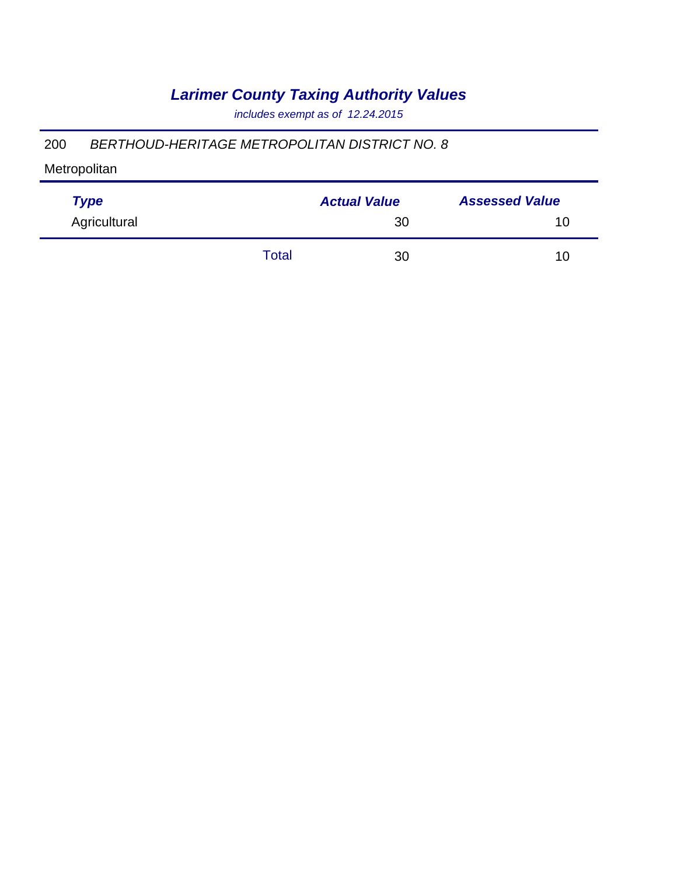*includes exempt as of 12.24.2015*

#### 200 *BERTHOUD-HERITAGE METROPOLITAN DISTRICT NO. 8*

| <b>Type</b>  |       | <b>Actual Value</b> | <b>Assessed Value</b> |
|--------------|-------|---------------------|-----------------------|
| Agricultural |       | 30                  | 10                    |
|              | Total | 30                  | 10                    |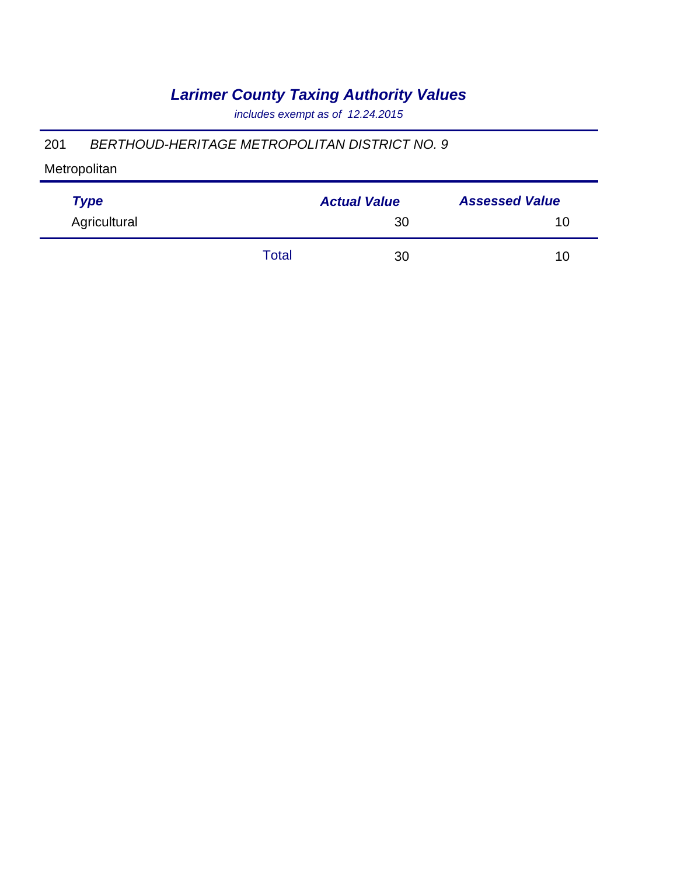*includes exempt as of 12.24.2015*

#### 201 *BERTHOUD-HERITAGE METROPOLITAN DISTRICT NO. 9*

| <b>Type</b>  |       | <b>Actual Value</b> | <b>Assessed Value</b> |  |
|--------------|-------|---------------------|-----------------------|--|
| Agricultural |       | 30                  | 10                    |  |
|              | Total | 30                  | 10                    |  |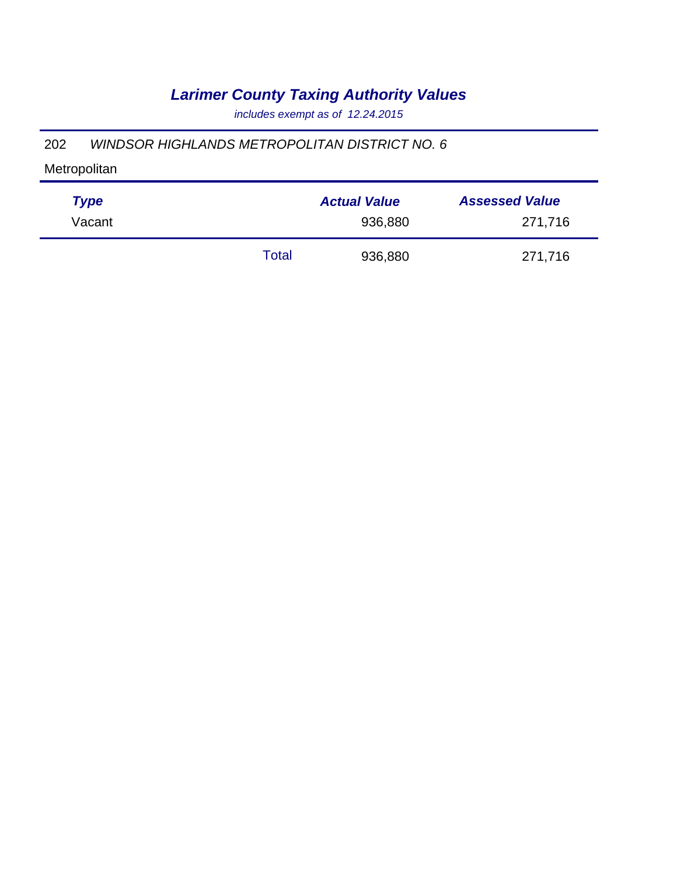*includes exempt as of 12.24.2015*

#### 202 *WINDSOR HIGHLANDS METROPOLITAN DISTRICT NO. 6*

| <b>Type</b> |       | <b>Actual Value</b> | <b>Assessed Value</b> |
|-------------|-------|---------------------|-----------------------|
| Vacant      |       | 936,880             | 271,716               |
|             | Total | 936,880             | 271,716               |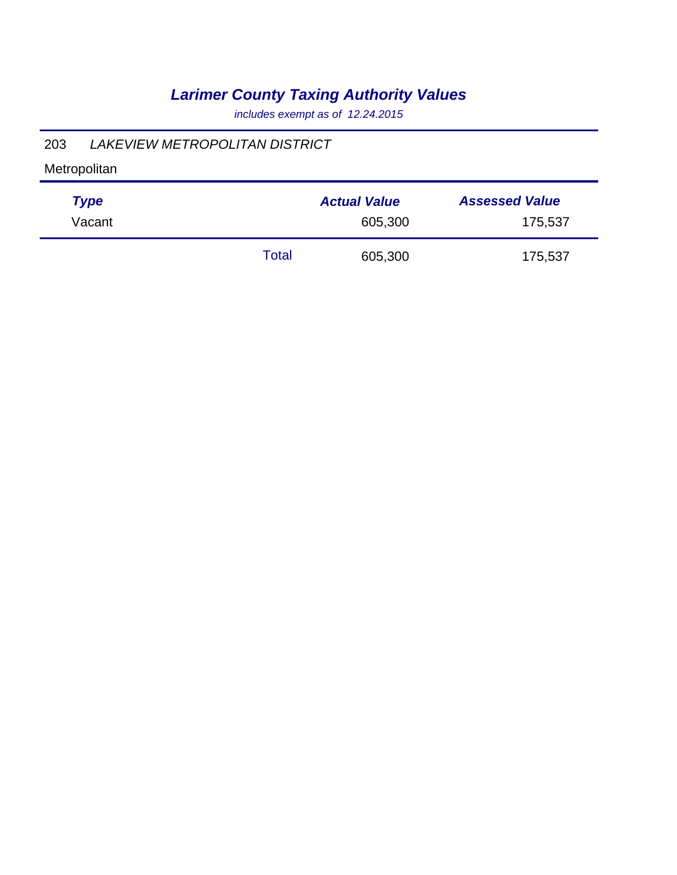*includes exempt as of 12.24.2015*

### 203 *LAKEVIEW METROPOLITAN DISTRICT*

| <b>Type</b> |       | <b>Actual Value</b> | <b>Assessed Value</b> |
|-------------|-------|---------------------|-----------------------|
| Vacant      |       | 605,300             | 175,537               |
|             | Total | 605,300             | 175,537               |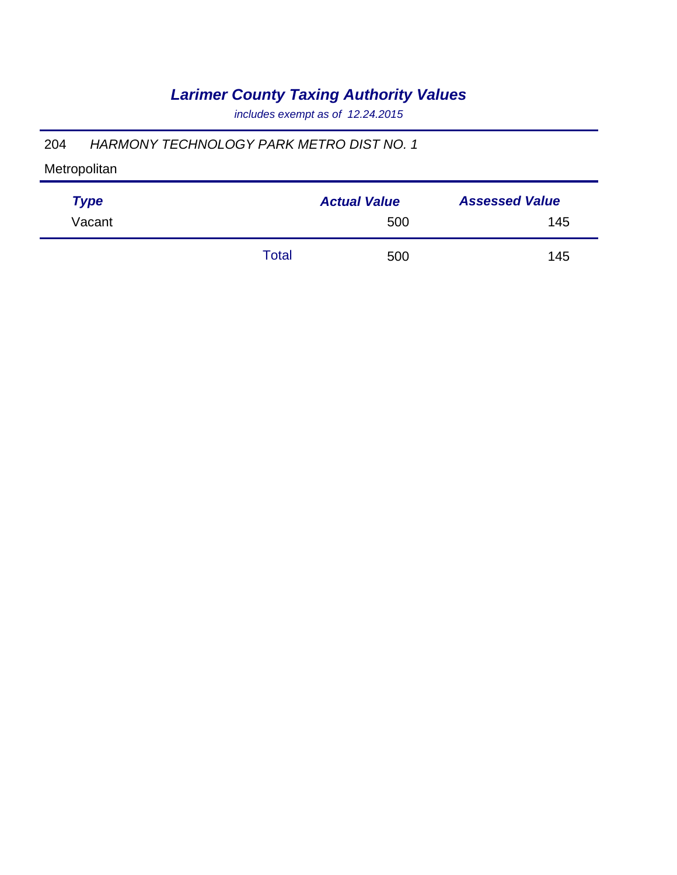*includes exempt as of 12.24.2015*

### 204 *HARMONY TECHNOLOGY PARK METRO DIST NO. 1*

| <b>Type</b> |       | <b>Actual Value</b> | <b>Assessed Value</b> |
|-------------|-------|---------------------|-----------------------|
| Vacant      |       | 500                 | 145                   |
|             | Total | 500                 | 145                   |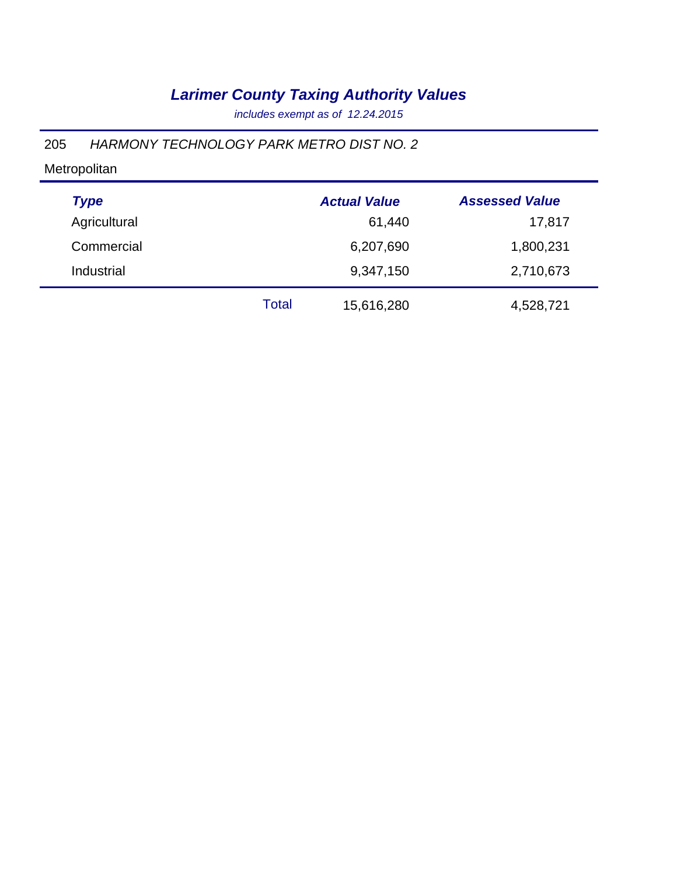*includes exempt as of 12.24.2015*

### 205 *HARMONY TECHNOLOGY PARK METRO DIST NO. 2*

| <b>Type</b>  |       | <b>Actual Value</b> | <b>Assessed Value</b> |
|--------------|-------|---------------------|-----------------------|
| Agricultural |       | 61,440              | 17,817                |
| Commercial   |       | 6,207,690           | 1,800,231             |
| Industrial   |       | 9,347,150           | 2,710,673             |
|              | Total | 15,616,280          | 4,528,721             |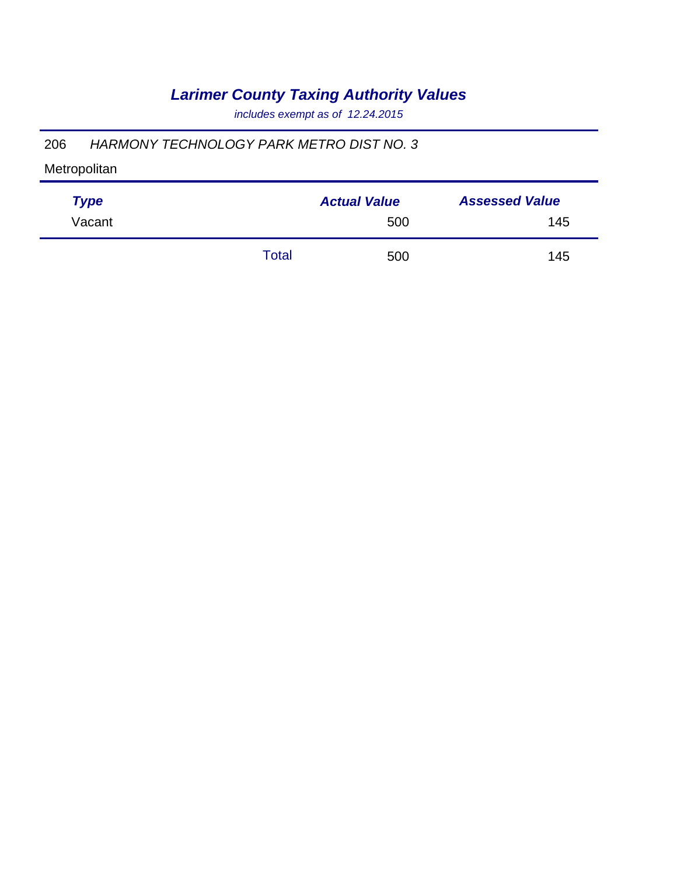*includes exempt as of 12.24.2015*

### 206 *HARMONY TECHNOLOGY PARK METRO DIST NO. 3*

| <b>Type</b> |       | <b>Actual Value</b> | <b>Assessed Value</b> |
|-------------|-------|---------------------|-----------------------|
| Vacant      |       | 500                 | 145                   |
|             | Total | 500                 | 145                   |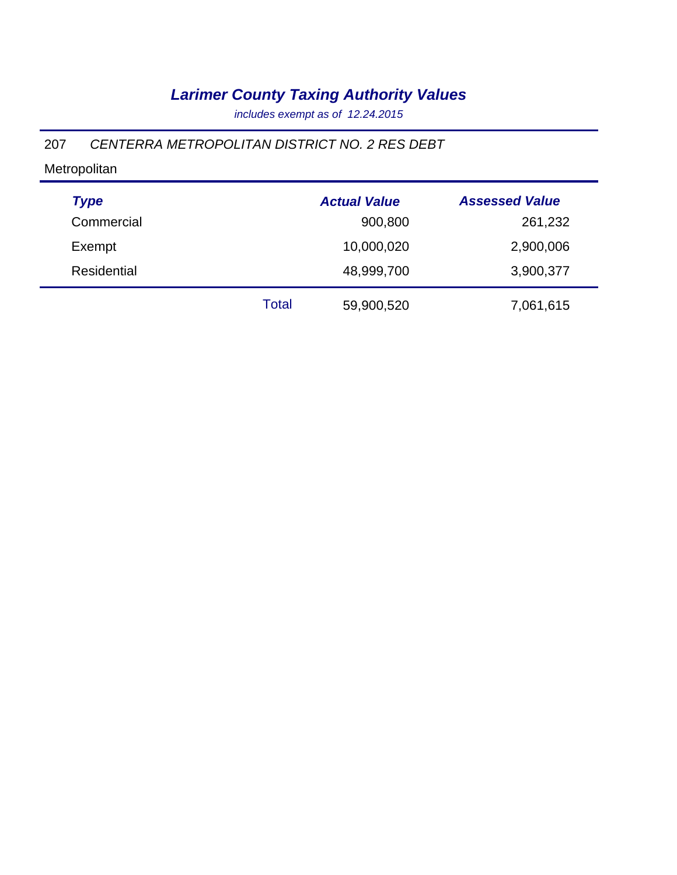*includes exempt as of 12.24.2015*

### 207 *CENTERRA METROPOLITAN DISTRICT NO. 2 RES DEBT*

| <b>Type</b>        |       | <b>Actual Value</b> | <b>Assessed Value</b> |
|--------------------|-------|---------------------|-----------------------|
| Commercial         |       | 900,800             | 261,232               |
| Exempt             |       | 10,000,020          | 2,900,006             |
| <b>Residential</b> |       | 48,999,700          | 3,900,377             |
|                    | Total | 59,900,520          | 7,061,615             |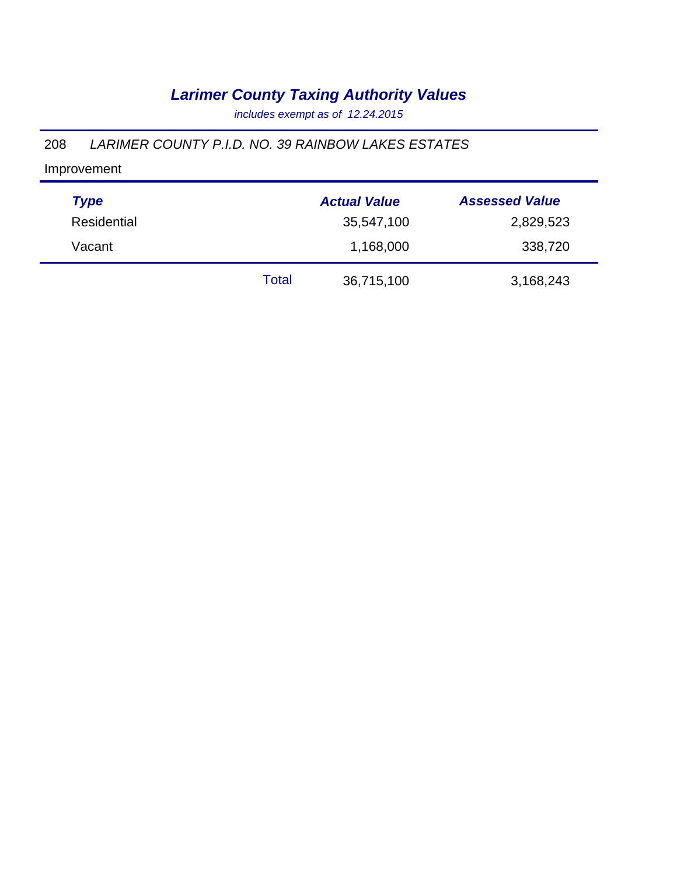*includes exempt as of 12.24.2015*

### 208 *LARIMER COUNTY P.I.D. NO. 39 RAINBOW LAKES ESTATES*

| <b>Type</b> |       | <b>Actual Value</b> | <b>Assessed Value</b> |
|-------------|-------|---------------------|-----------------------|
| Residential |       | 35,547,100          | 2,829,523             |
| Vacant      |       | 1,168,000           | 338,720               |
|             | Total | 36,715,100          | 3,168,243             |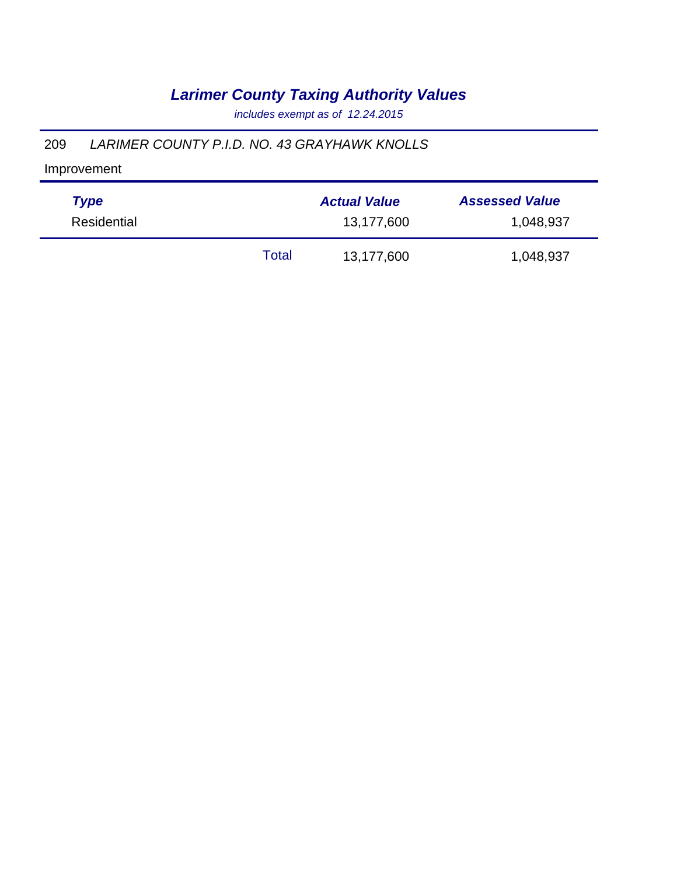*includes exempt as of 12.24.2015*

### 209 *LARIMER COUNTY P.I.D. NO. 43 GRAYHAWK KNOLLS*

| <b>Type</b> |       | <b>Actual Value</b> | <b>Assessed Value</b> |
|-------------|-------|---------------------|-----------------------|
| Residential |       | 13,177,600          | 1,048,937             |
|             | Total | 13,177,600          | 1,048,937             |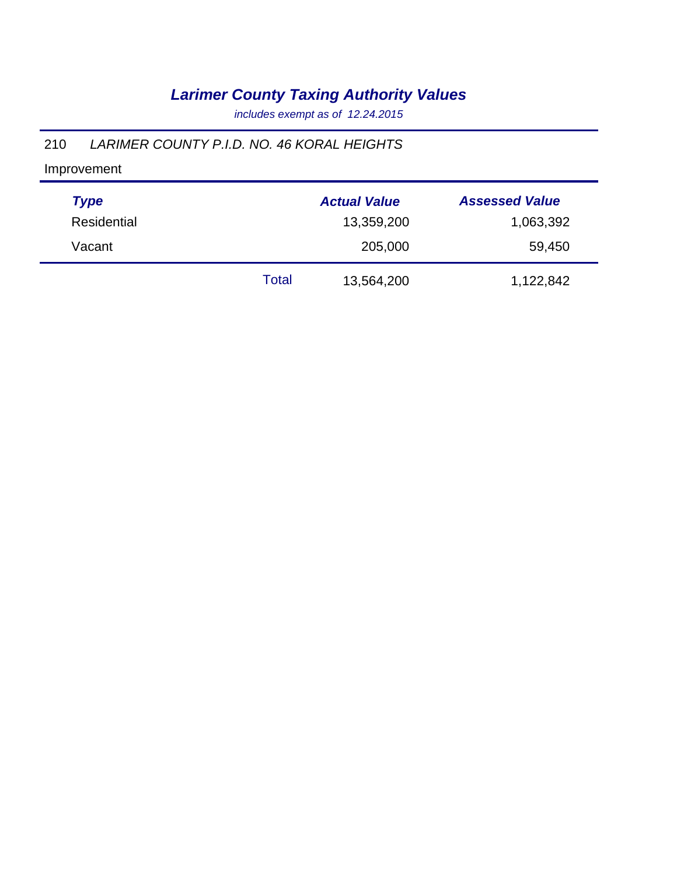*includes exempt as of 12.24.2015*

### 210 *LARIMER COUNTY P.I.D. NO. 46 KORAL HEIGHTS*

| <b>Type</b> |       | <b>Actual Value</b> | <b>Assessed Value</b> |
|-------------|-------|---------------------|-----------------------|
| Residential |       | 13,359,200          | 1,063,392             |
| Vacant      |       | 205,000             | 59,450                |
|             | Total | 13,564,200          | 1,122,842             |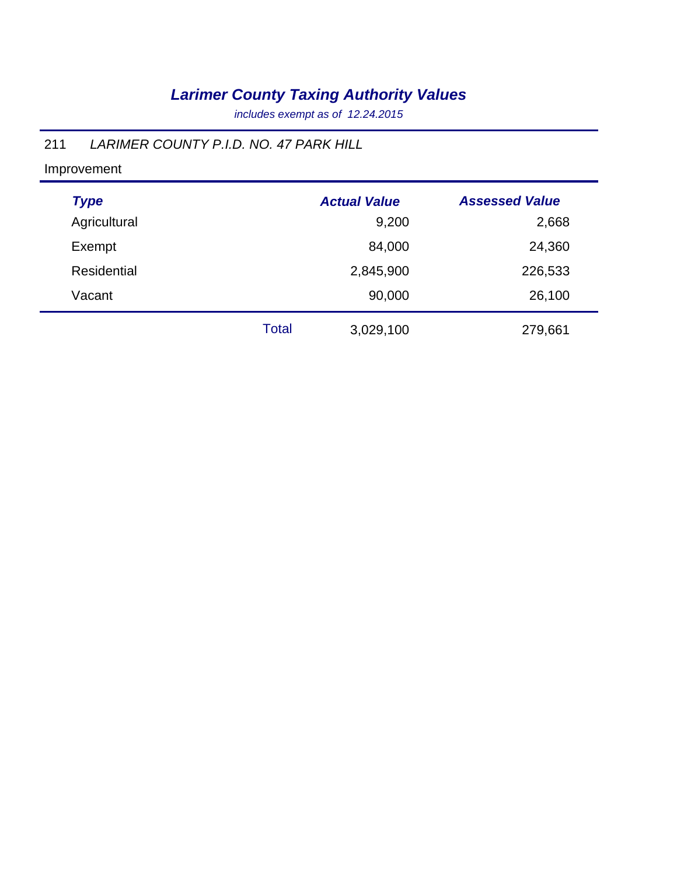*includes exempt as of 12.24.2015*

### 211 *LARIMER COUNTY P.I.D. NO. 47 PARK HILL*

| <b>Type</b>        |              | <b>Actual Value</b> | <b>Assessed Value</b> |
|--------------------|--------------|---------------------|-----------------------|
| Agricultural       |              | 9,200               | 2,668                 |
| Exempt             |              | 84,000              | 24,360                |
| <b>Residential</b> |              | 2,845,900           | 226,533               |
| Vacant             |              | 90,000              | 26,100                |
|                    | <b>Total</b> | 3,029,100           | 279,661               |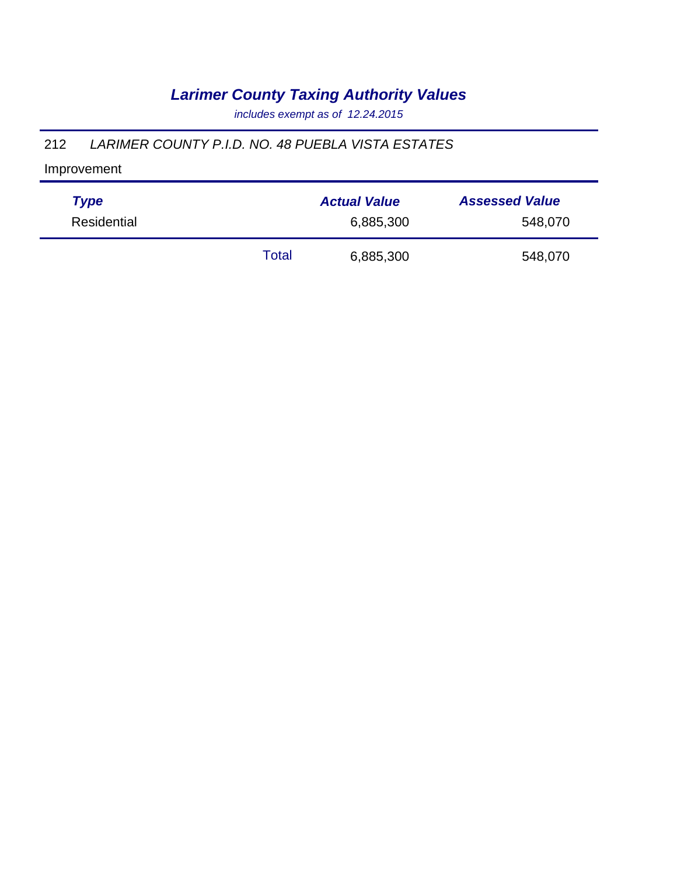*includes exempt as of 12.24.2015*

### 212 *LARIMER COUNTY P.I.D. NO. 48 PUEBLA VISTA ESTATES*

| <b>Type</b> |       | <b>Actual Value</b> | <b>Assessed Value</b> |
|-------------|-------|---------------------|-----------------------|
| Residential |       | 6,885,300           | 548,070               |
|             | Total | 6,885,300           | 548,070               |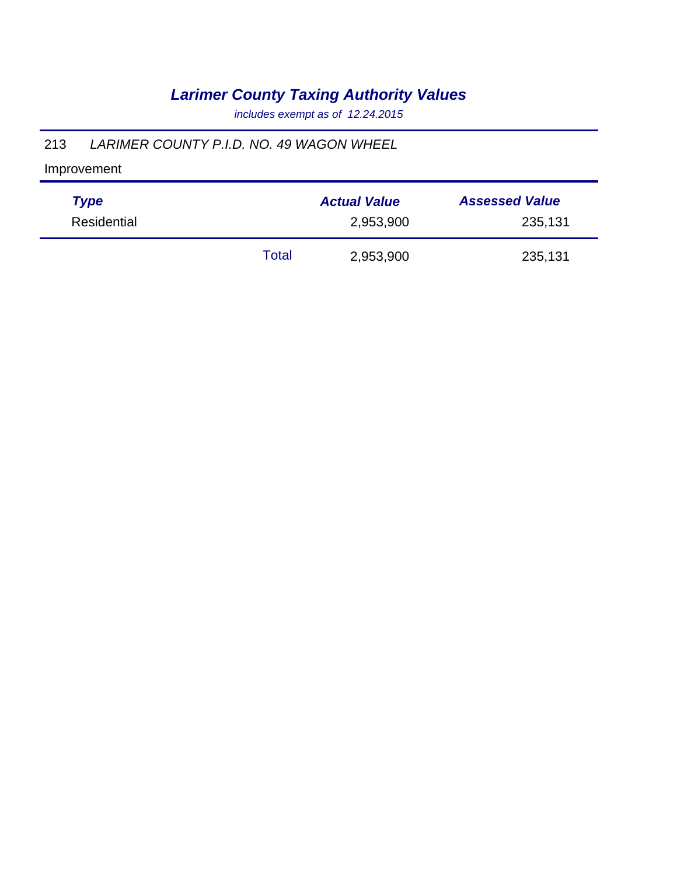*includes exempt as of 12.24.2015*

### 213 *LARIMER COUNTY P.I.D. NO. 49 WAGON WHEEL*

| <b>Type</b> | <b>Actual Value</b> |           | <b>Assessed Value</b> |  |
|-------------|---------------------|-----------|-----------------------|--|
| Residential | 2,953,900           |           | 235,131               |  |
|             | Total               | 2,953,900 | 235,131               |  |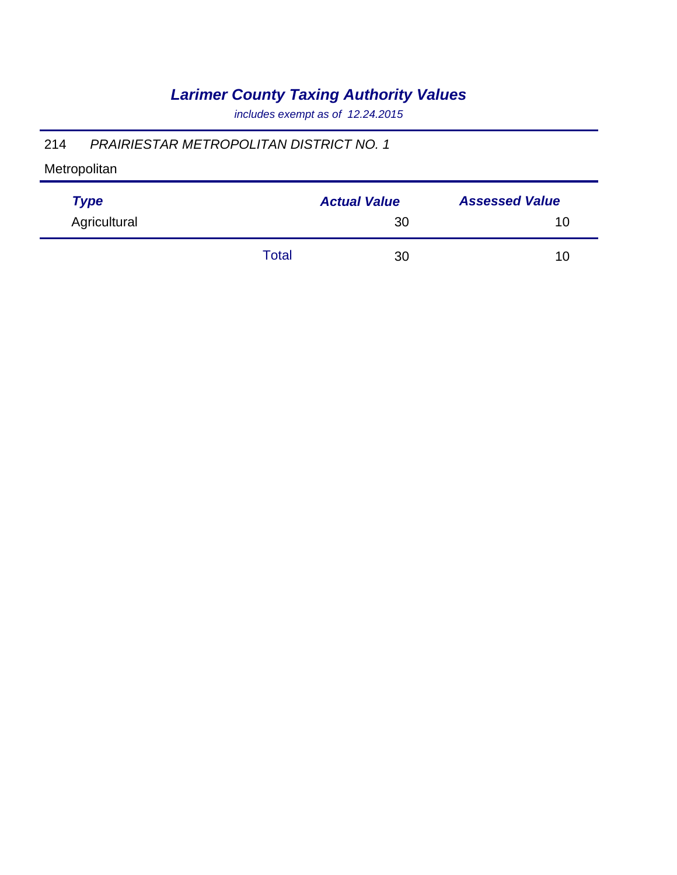*includes exempt as of 12.24.2015*

### 214 *PRAIRIESTAR METROPOLITAN DISTRICT NO. 1*

| <b>Type</b>  |              | <b>Actual Value</b> | <b>Assessed Value</b> |
|--------------|--------------|---------------------|-----------------------|
| Agricultural |              | 30                  | 10                    |
|              | <b>Total</b> | 30                  | 10                    |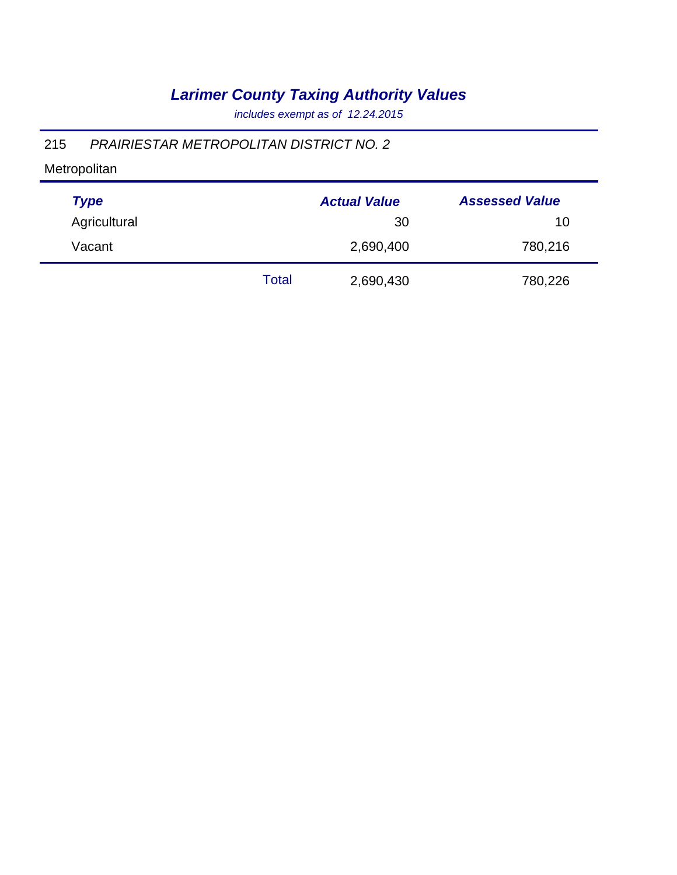*includes exempt as of 12.24.2015*

### 215 *PRAIRIESTAR METROPOLITAN DISTRICT NO. 2*

| <b>Type</b>  |       | <b>Actual Value</b> | <b>Assessed Value</b> |
|--------------|-------|---------------------|-----------------------|
| Agricultural |       | 30                  | 10                    |
| Vacant       |       | 2,690,400           | 780,216               |
|              | Total | 2,690,430           | 780,226               |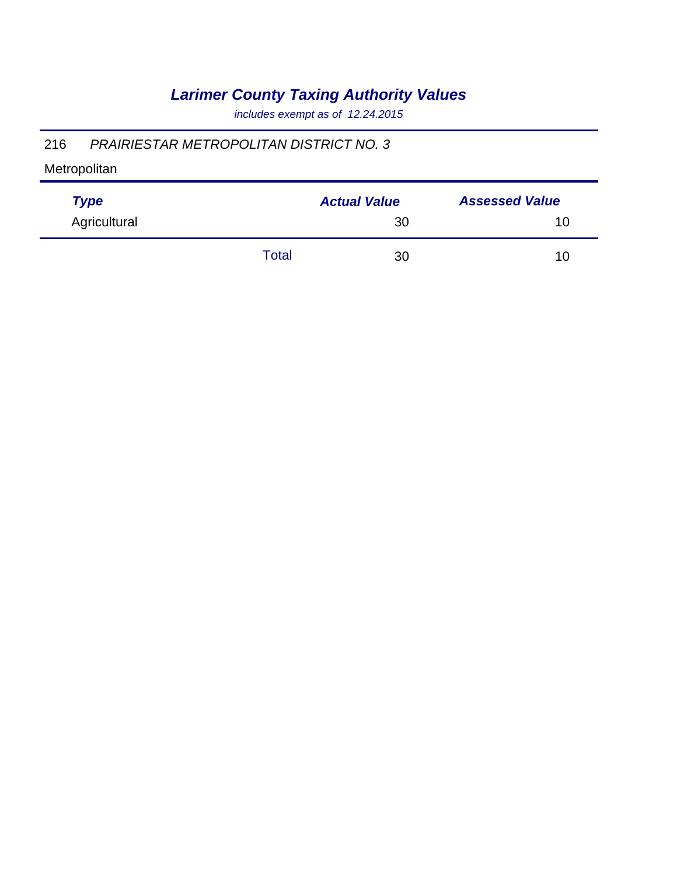*includes exempt as of 12.24.2015*

### 216 *PRAIRIESTAR METROPOLITAN DISTRICT NO. 3*

| <b>Type</b>  |       | <b>Actual Value</b> | <b>Assessed Value</b> |  |
|--------------|-------|---------------------|-----------------------|--|
| Agricultural |       | 30                  | 10                    |  |
|              | Total | 30                  | 10                    |  |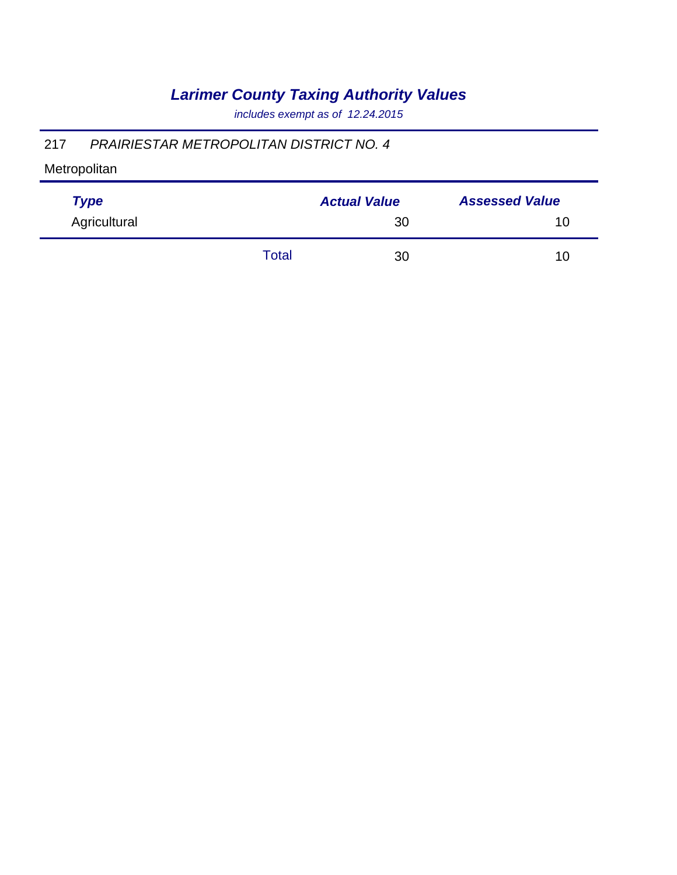*includes exempt as of 12.24.2015*

### 217 *PRAIRIESTAR METROPOLITAN DISTRICT NO. 4*

| <b>Type</b>  |              | <b>Actual Value</b> | <b>Assessed Value</b> |
|--------------|--------------|---------------------|-----------------------|
| Agricultural |              | 30                  | 10                    |
|              | <b>Total</b> | 30                  | 10                    |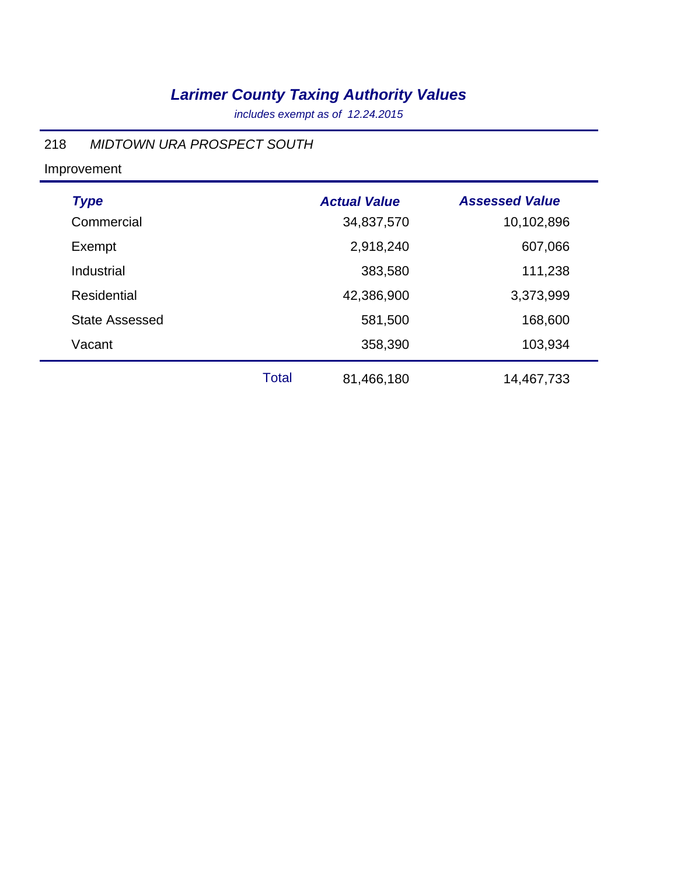*includes exempt as of 12.24.2015*

#### 218 *MIDTOWN URA PROSPECT SOUTH*

| <b>Type</b>           |              | <b>Actual Value</b> | <b>Assessed Value</b> |
|-----------------------|--------------|---------------------|-----------------------|
| Commercial            |              | 34,837,570          | 10,102,896            |
| Exempt                |              | 2,918,240           | 607,066               |
| Industrial            |              | 383,580             | 111,238               |
| Residential           |              | 42,386,900          | 3,373,999             |
| <b>State Assessed</b> |              | 581,500             | 168,600               |
| Vacant                |              | 358,390             | 103,934               |
|                       | <b>Total</b> | 81,466,180          | 14,467,733            |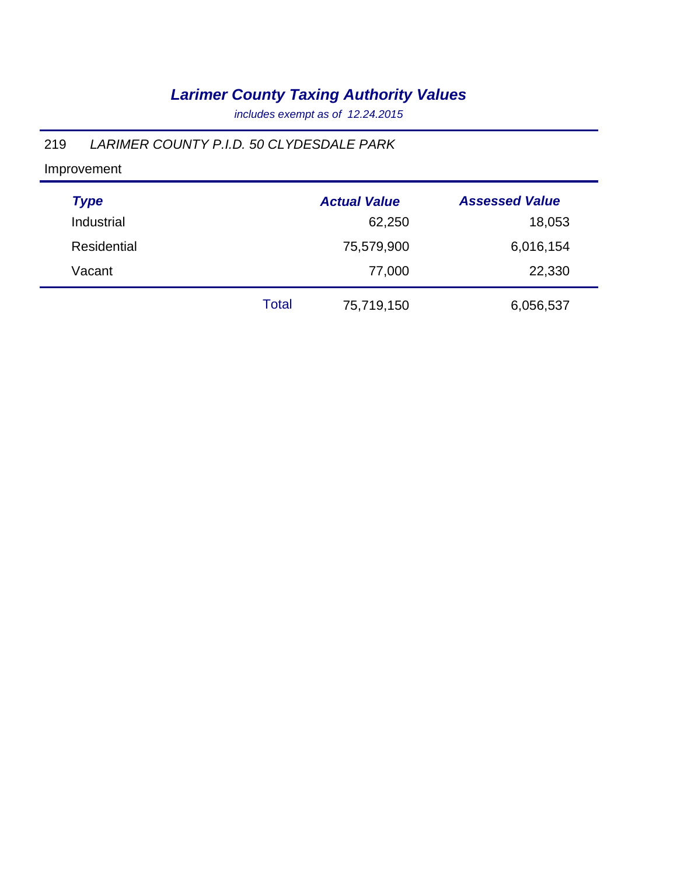*includes exempt as of 12.24.2015*

### 219 *LARIMER COUNTY P.I.D. 50 CLYDESDALE PARK*

| <b>Type</b> |       | <b>Actual Value</b> | <b>Assessed Value</b> |
|-------------|-------|---------------------|-----------------------|
| Industrial  |       | 62,250              | 18,053                |
| Residential |       | 75,579,900          | 6,016,154             |
| Vacant      |       | 77,000              | 22,330                |
|             | Total | 75,719,150          | 6,056,537             |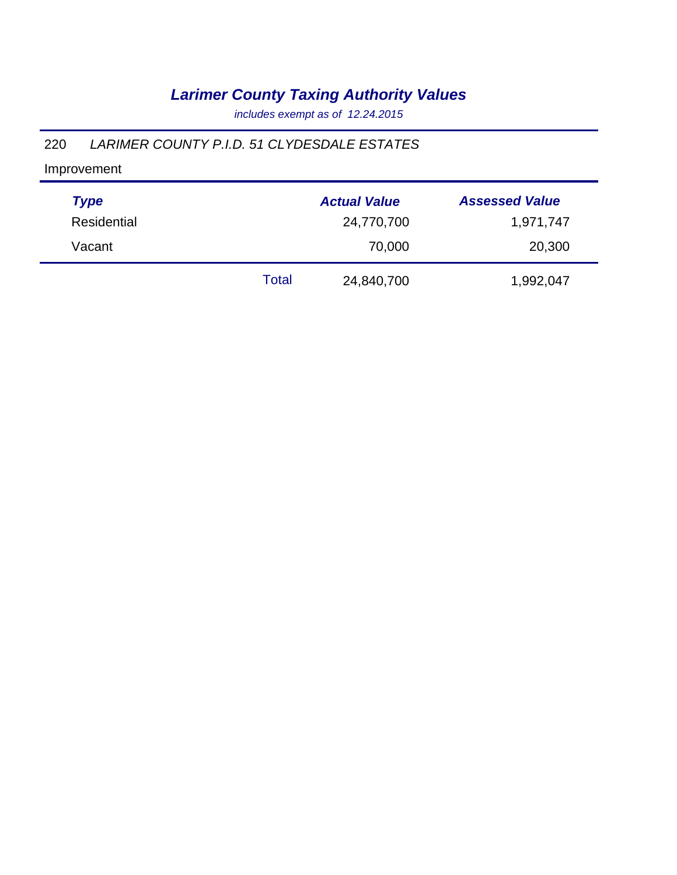*includes exempt as of 12.24.2015*

### 220 *LARIMER COUNTY P.I.D. 51 CLYDESDALE ESTATES*

| <b>Type</b> |              | <b>Actual Value</b> | <b>Assessed Value</b> |
|-------------|--------------|---------------------|-----------------------|
| Residential |              | 24,770,700          | 1,971,747             |
| Vacant      |              | 70,000              | 20,300                |
|             | <b>Total</b> | 24,840,700          | 1,992,047             |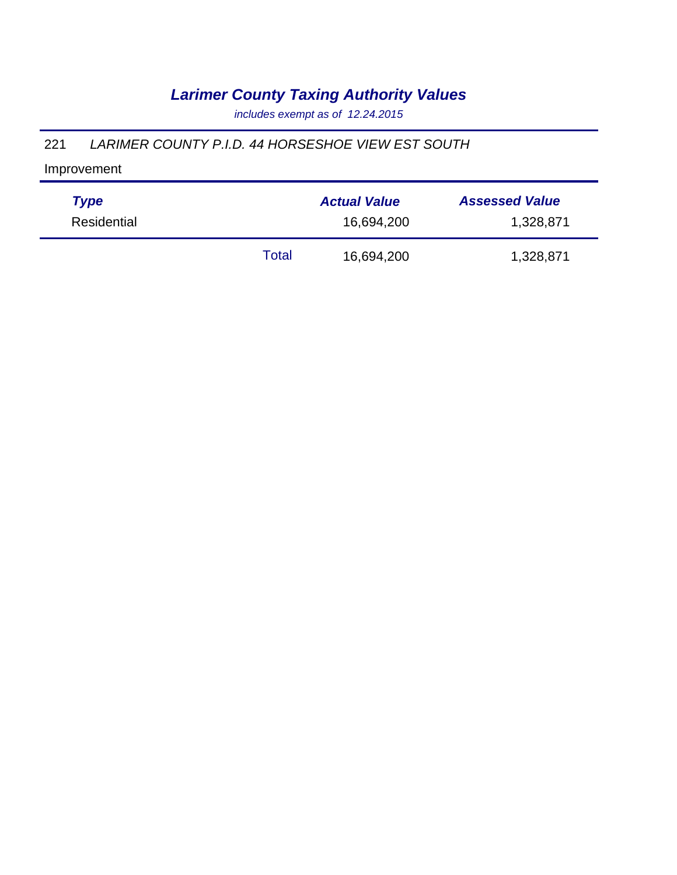*includes exempt as of 12.24.2015*

#### 221 *LARIMER COUNTY P.I.D. 44 HORSESHOE VIEW EST SOUTH*

| <b>Type</b> |       | <b>Actual Value</b> | <b>Assessed Value</b> |
|-------------|-------|---------------------|-----------------------|
| Residential |       | 16,694,200          | 1,328,871             |
|             | Total | 16,694,200          | 1,328,871             |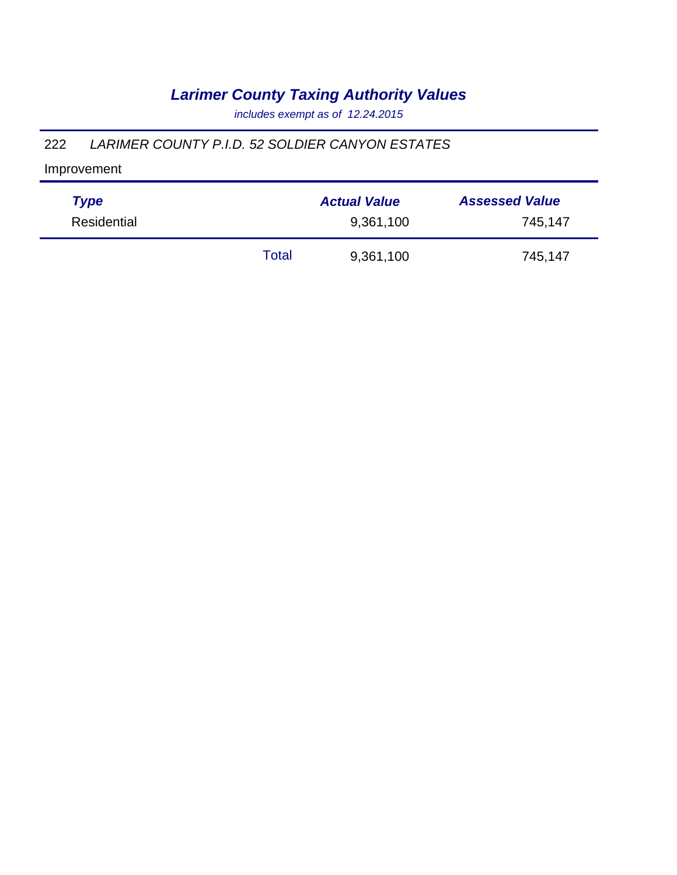*includes exempt as of 12.24.2015*

#### 222 *LARIMER COUNTY P.I.D. 52 SOLDIER CANYON ESTATES*

| <b>Type</b> |       | <b>Actual Value</b> | <b>Assessed Value</b> |
|-------------|-------|---------------------|-----------------------|
| Residential |       | 9,361,100           | 745,147               |
|             | Total | 9,361,100           | 745,147               |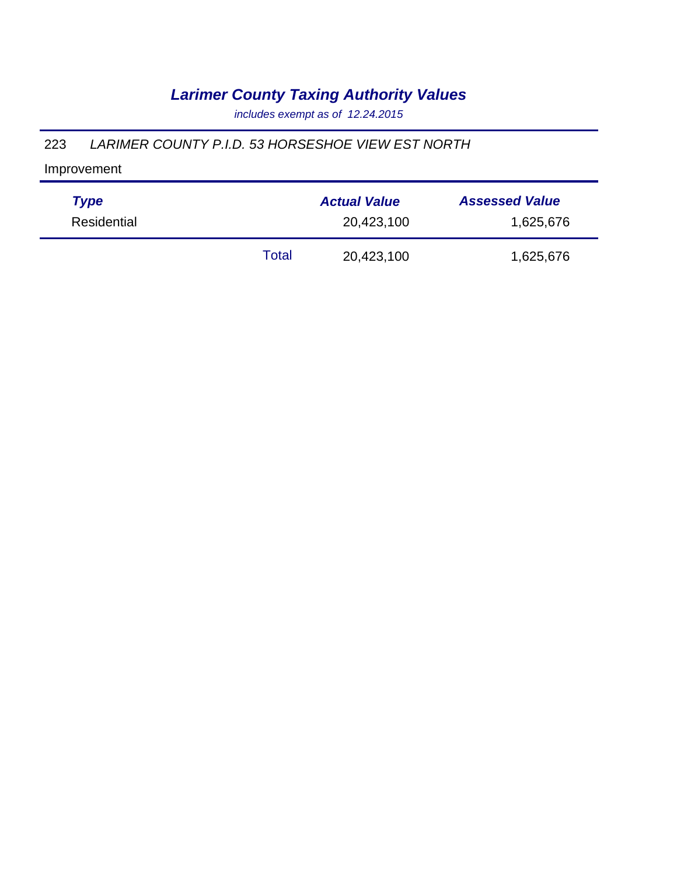*includes exempt as of 12.24.2015*

#### 223 *LARIMER COUNTY P.I.D. 53 HORSESHOE VIEW EST NORTH*

| <b>Type</b> |       | <b>Actual Value</b> | <b>Assessed Value</b> |
|-------------|-------|---------------------|-----------------------|
| Residential |       | 20,423,100          | 1,625,676             |
|             | Total | 20,423,100          | 1,625,676             |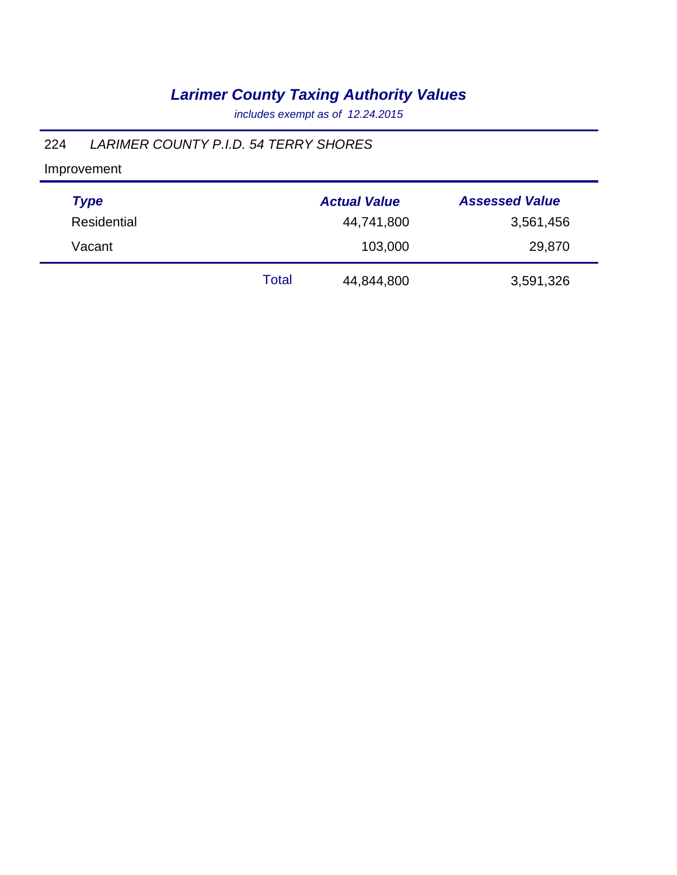*includes exempt as of 12.24.2015*

### 224 *LARIMER COUNTY P.I.D. 54 TERRY SHORES*

| <b>Type</b> |       | <b>Actual Value</b> | <b>Assessed Value</b> |
|-------------|-------|---------------------|-----------------------|
| Residential |       | 44,741,800          | 3,561,456             |
| Vacant      |       | 103,000             | 29,870                |
|             | Total | 44,844,800          | 3,591,326             |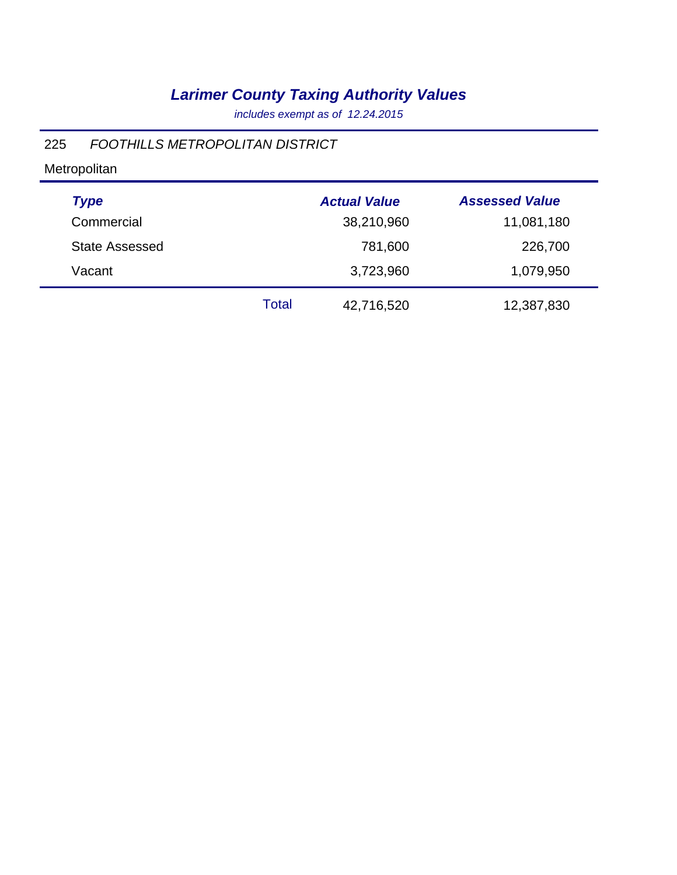*includes exempt as of 12.24.2015*

### 225 *FOOTHILLS METROPOLITAN DISTRICT*

| <b>Type</b>           |       | <b>Actual Value</b> | <b>Assessed Value</b> |
|-----------------------|-------|---------------------|-----------------------|
| Commercial            |       | 38,210,960          | 11,081,180            |
| <b>State Assessed</b> |       | 781,600             | 226,700               |
| Vacant                |       | 3,723,960           | 1,079,950             |
|                       | Total | 42,716,520          | 12,387,830            |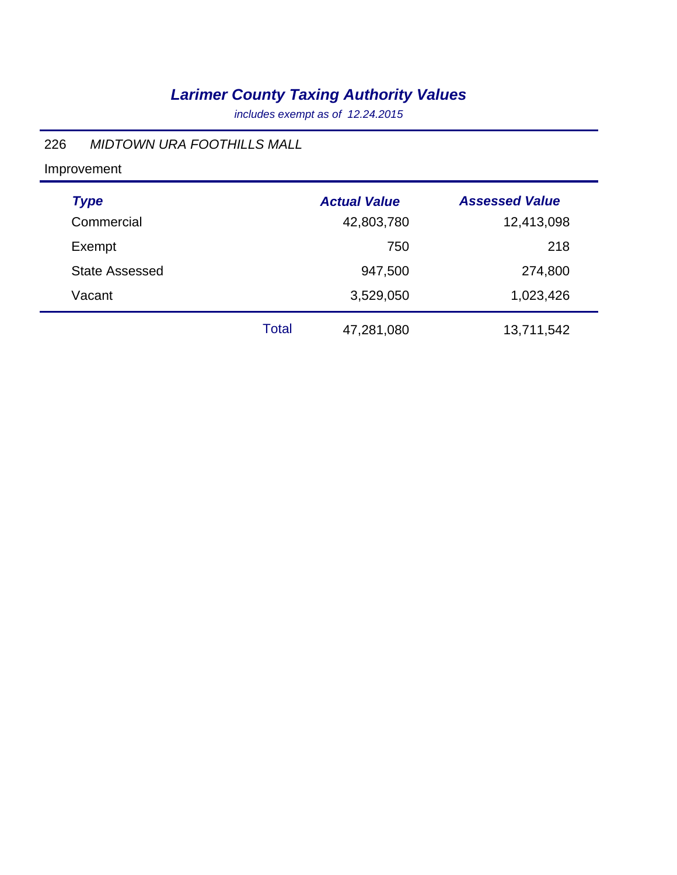*includes exempt as of 12.24.2015*

### 226 *MIDTOWN URA FOOTHILLS MALL*

| <b>Type</b>           | <b>Actual Value</b>        | <b>Assessed Value</b> |
|-----------------------|----------------------------|-----------------------|
| Commercial            | 42,803,780                 | 12,413,098            |
| Exempt                | 750                        | 218                   |
| <b>State Assessed</b> | 947,500                    | 274,800               |
| Vacant                | 3,529,050                  | 1,023,426             |
|                       | <b>Total</b><br>47,281,080 | 13,711,542            |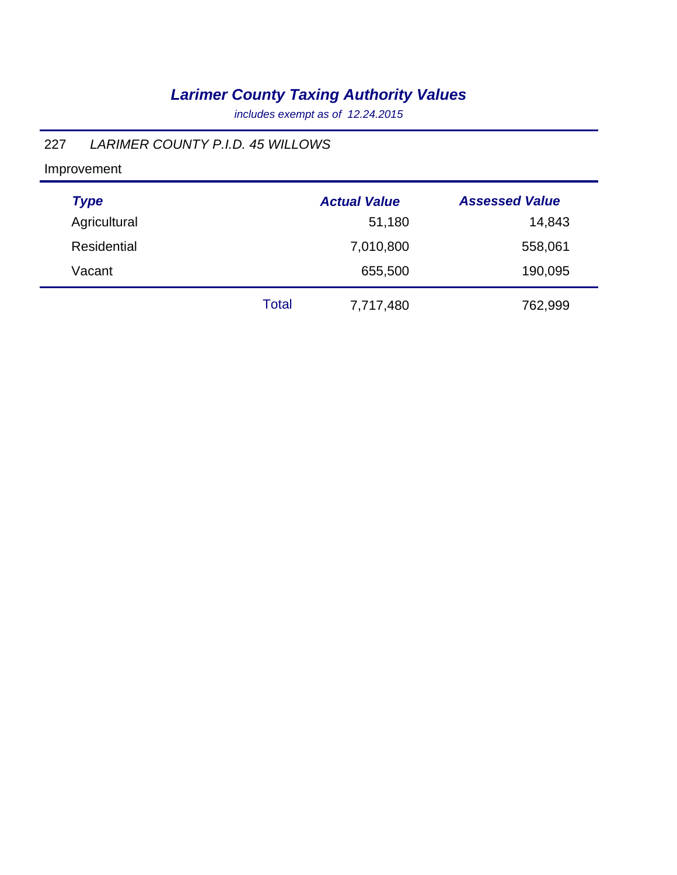*includes exempt as of 12.24.2015*

### 227 *LARIMER COUNTY P.I.D. 45 WILLOWS*

| <b>Type</b>        |              | <b>Actual Value</b> | <b>Assessed Value</b> |
|--------------------|--------------|---------------------|-----------------------|
| Agricultural       |              | 51,180              | 14,843                |
| <b>Residential</b> |              | 7,010,800           | 558,061               |
| Vacant             |              | 655,500             | 190,095               |
|                    | <b>Total</b> | 7,717,480           | 762,999               |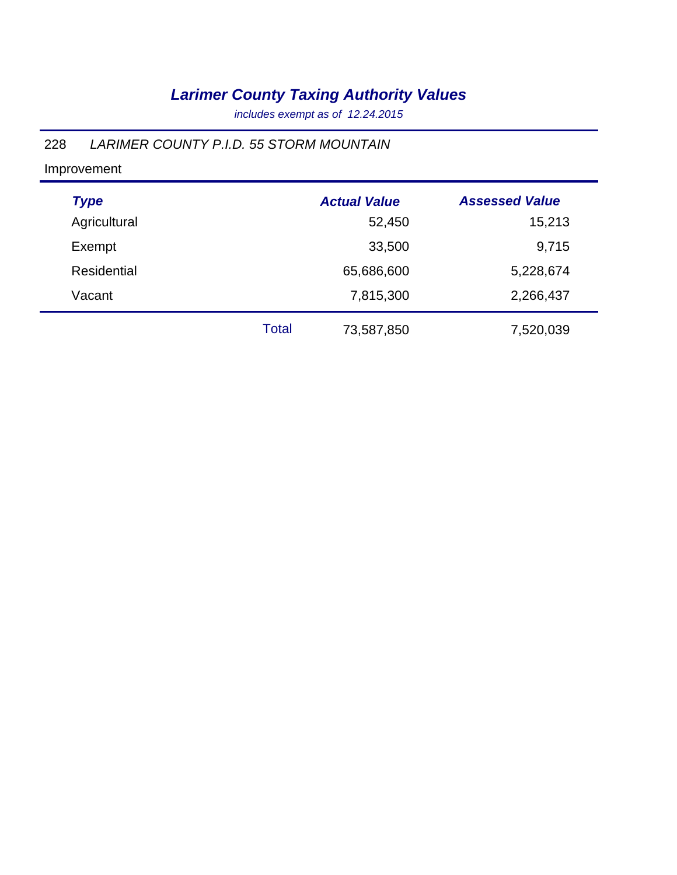*includes exempt as of 12.24.2015*

### 228 *LARIMER COUNTY P.I.D. 55 STORM MOUNTAIN*

| <b>Type</b>  |              | <b>Actual Value</b> | <b>Assessed Value</b> |  |
|--------------|--------------|---------------------|-----------------------|--|
| Agricultural |              | 52,450              | 15,213                |  |
| Exempt       |              | 33,500              | 9,715                 |  |
| Residential  |              | 65,686,600          | 5,228,674             |  |
| Vacant       |              | 7,815,300           | 2,266,437             |  |
|              | <b>Total</b> | 73,587,850          | 7,520,039             |  |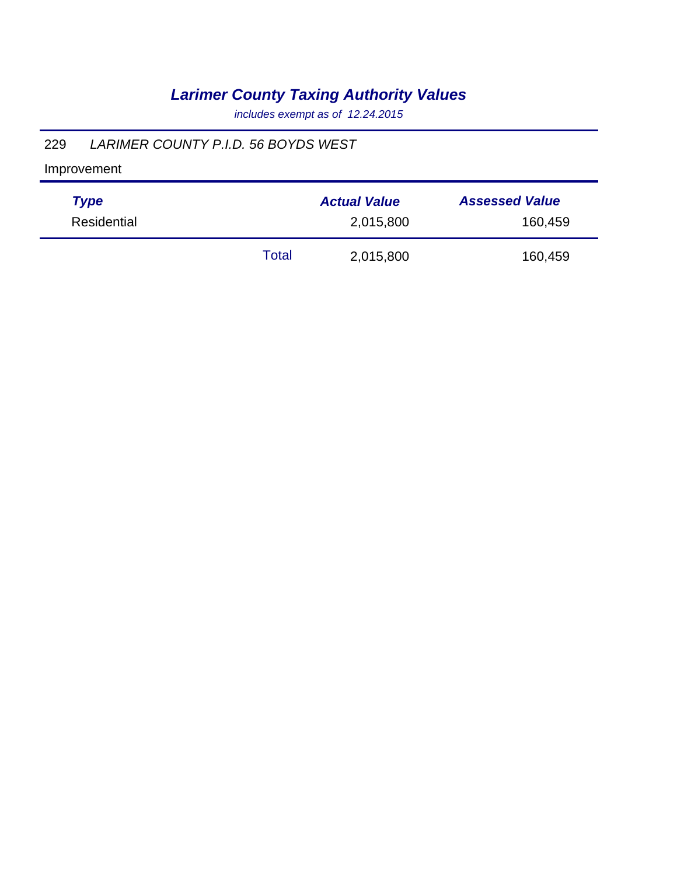*includes exempt as of 12.24.2015*

### 229 *LARIMER COUNTY P.I.D. 56 BOYDS WEST*

| <b>Type</b> | <b>Actual Value</b> |           | <b>Assessed Value</b> |
|-------------|---------------------|-----------|-----------------------|
| Residential | 2,015,800           |           | 160,459               |
|             | Total               | 2,015,800 | 160,459               |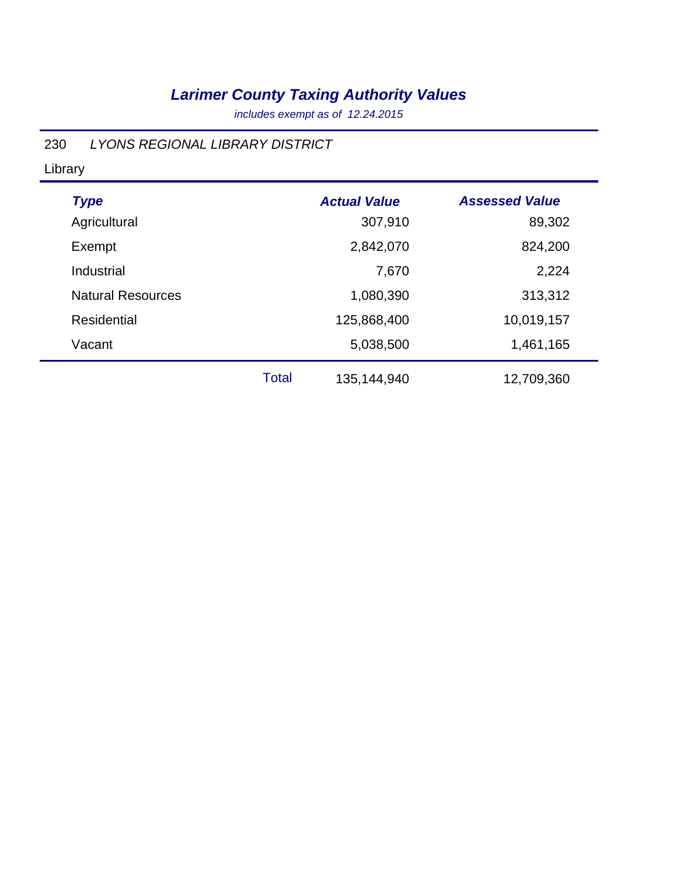*includes exempt as of 12.24.2015*

### 230 *LYONS REGIONAL LIBRARY DISTRICT*

Library

| <b>Type</b>              |       | <b>Actual Value</b> | <b>Assessed Value</b> |
|--------------------------|-------|---------------------|-----------------------|
| Agricultural             |       | 307,910             | 89,302                |
| Exempt                   |       | 2,842,070           | 824,200               |
| Industrial               |       | 7,670               | 2,224                 |
| <b>Natural Resources</b> |       | 1,080,390           | 313,312               |
| Residential              |       | 125,868,400         | 10,019,157            |
| Vacant                   |       | 5,038,500           | 1,461,165             |
|                          | Total | 135,144,940         | 12,709,360            |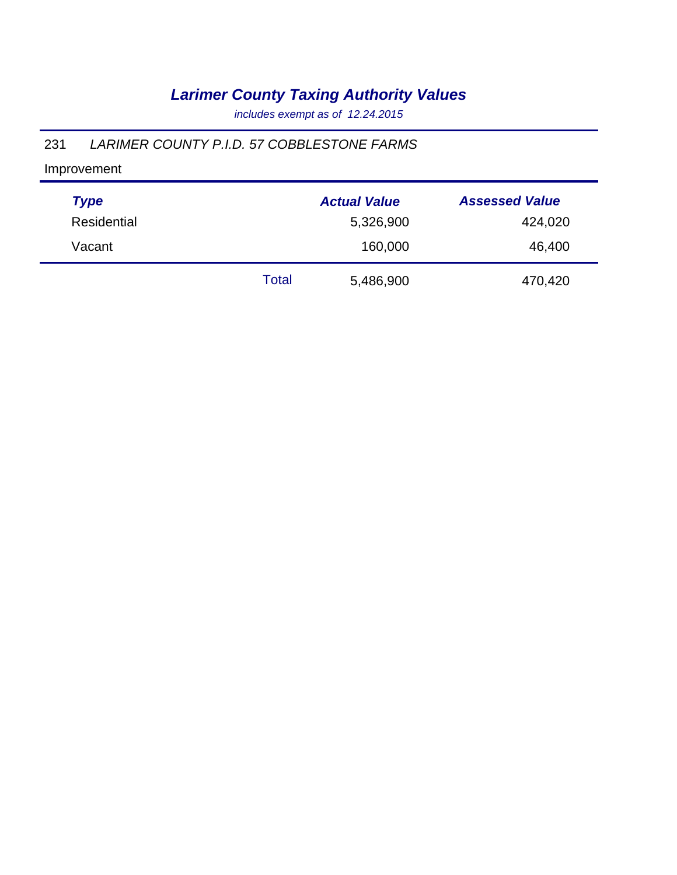*includes exempt as of 12.24.2015*

### 231 *LARIMER COUNTY P.I.D. 57 COBBLESTONE FARMS*

| <b>Type</b> |       | <b>Actual Value</b> | <b>Assessed Value</b> |
|-------------|-------|---------------------|-----------------------|
| Residential |       | 5,326,900           | 424,020               |
| Vacant      |       | 160,000             | 46,400                |
|             | Total | 5,486,900           | 470,420               |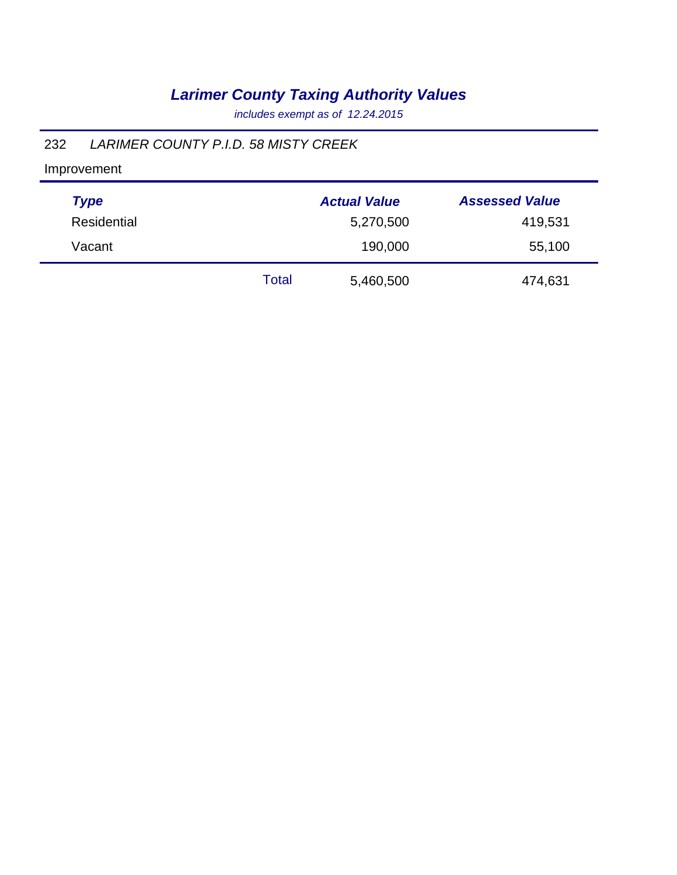*includes exempt as of 12.24.2015*

### 232 *LARIMER COUNTY P.I.D. 58 MISTY CREEK*

| <b>Type</b> |       | <b>Actual Value</b> | <b>Assessed Value</b> |
|-------------|-------|---------------------|-----------------------|
| Residential |       | 5,270,500           | 419,531               |
| Vacant      |       | 190,000             | 55,100                |
|             | Total | 5,460,500           | 474,631               |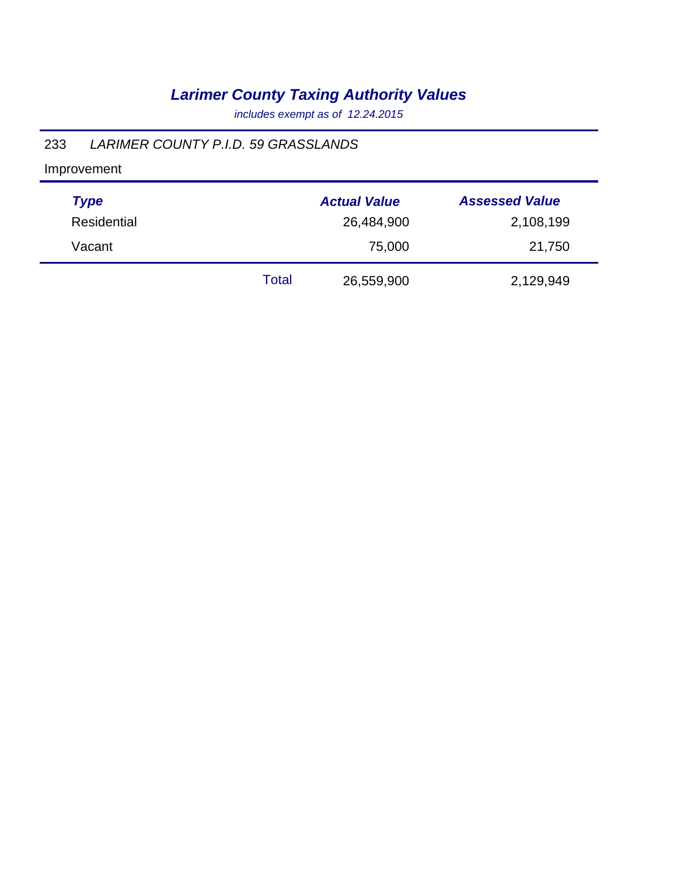*includes exempt as of 12.24.2015*

### 233 *LARIMER COUNTY P.I.D. 59 GRASSLANDS*

| <b>Type</b> |       | <b>Actual Value</b> | <b>Assessed Value</b> |
|-------------|-------|---------------------|-----------------------|
| Residential |       | 26,484,900          | 2,108,199             |
| Vacant      |       | 75,000              | 21,750                |
|             | Total | 26,559,900          | 2,129,949             |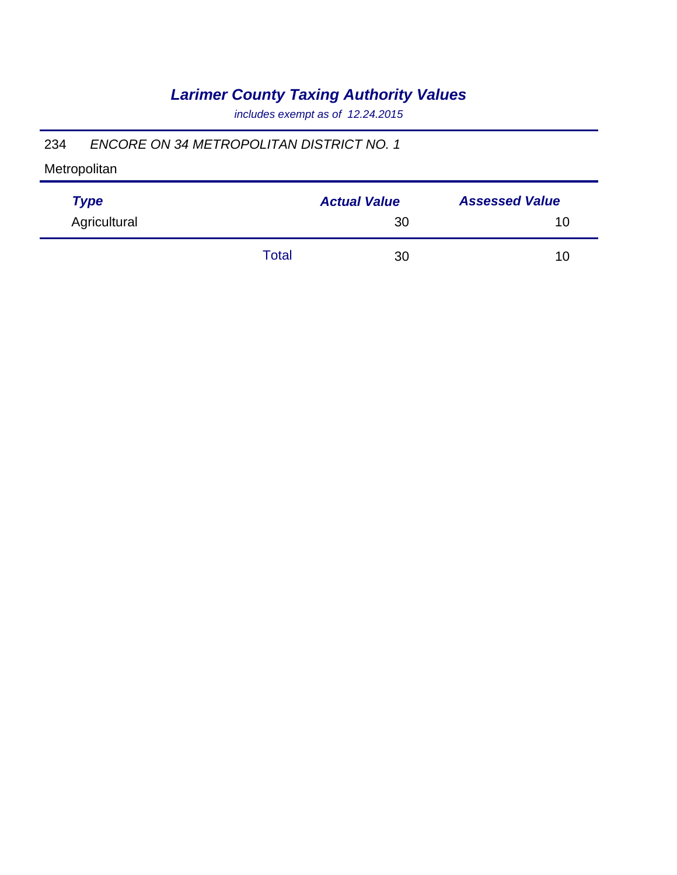*includes exempt as of 12.24.2015*

### 234 *ENCORE ON 34 METROPOLITAN DISTRICT NO. 1*

| <b>Type</b>  |       | <b>Actual Value</b> | <b>Assessed Value</b> |
|--------------|-------|---------------------|-----------------------|
| Agricultural |       | 30                  | 10                    |
|              | Total | 30                  | 10                    |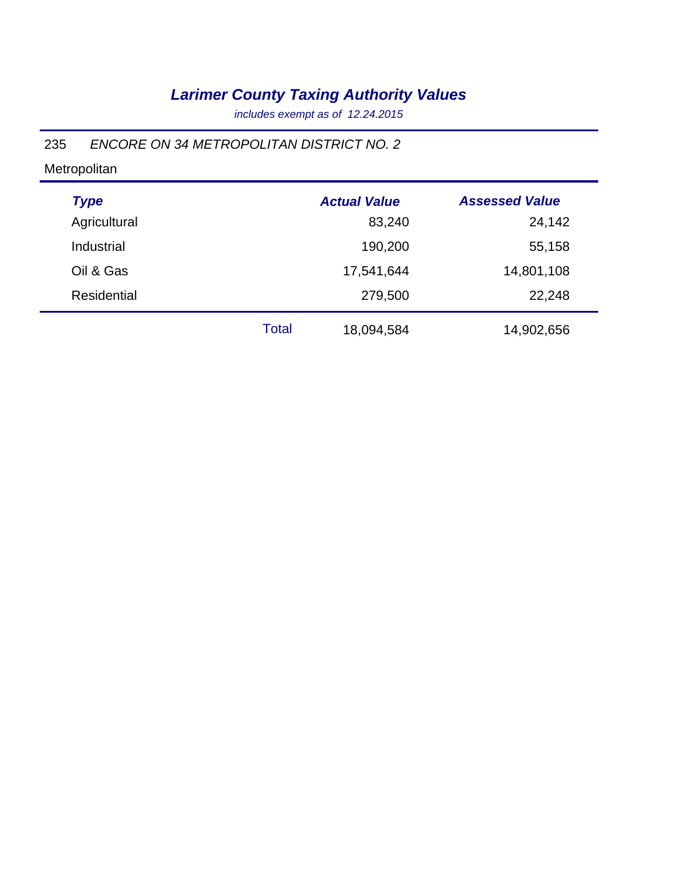*includes exempt as of 12.24.2015*

### 235 *ENCORE ON 34 METROPOLITAN DISTRICT NO. 2*

| <b>Type</b>        |       | <b>Actual Value</b> | <b>Assessed Value</b> |
|--------------------|-------|---------------------|-----------------------|
| Agricultural       |       | 83,240              | 24,142                |
| Industrial         |       | 190,200             | 55,158                |
| Oil & Gas          |       | 17,541,644          | 14,801,108            |
| <b>Residential</b> |       | 279,500             | 22,248                |
|                    | Total | 18,094,584          | 14,902,656            |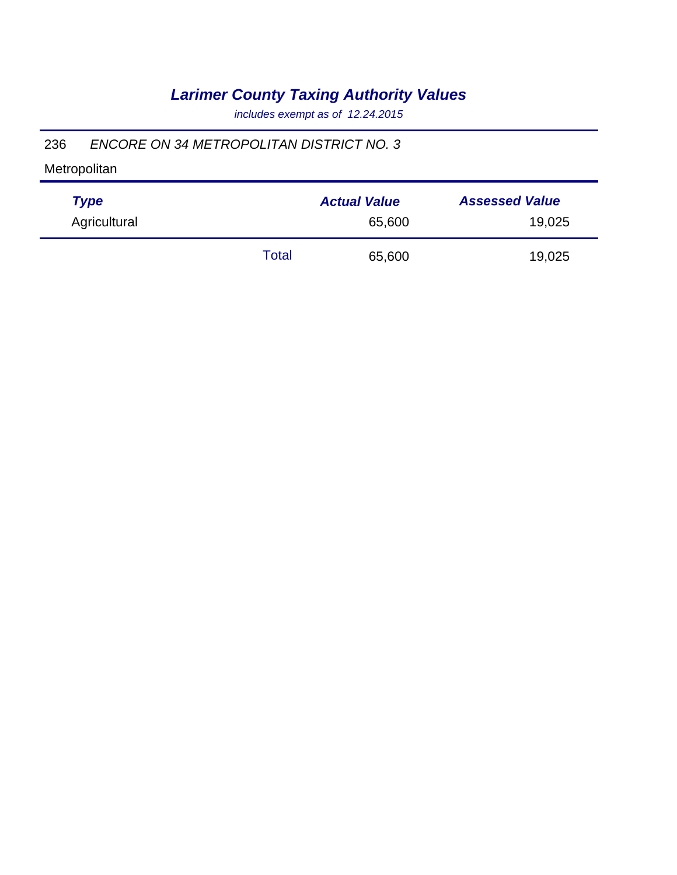*includes exempt as of 12.24.2015*

### 236 *ENCORE ON 34 METROPOLITAN DISTRICT NO. 3*

| <b>Type</b>  |       | <b>Actual Value</b> | <b>Assessed Value</b> |
|--------------|-------|---------------------|-----------------------|
| Agricultural |       | 65,600              | 19,025                |
|              | Total | 65,600              | 19,025                |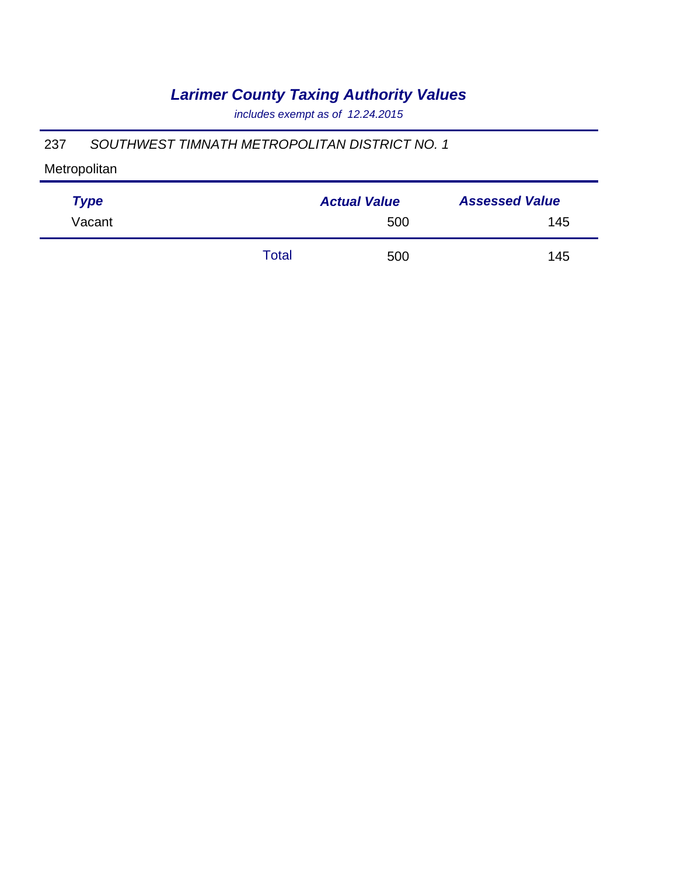*includes exempt as of 12.24.2015*

### 237 *SOUTHWEST TIMNATH METROPOLITAN DISTRICT NO. 1*

| <b>Type</b> |       | <b>Actual Value</b> | <b>Assessed Value</b> |
|-------------|-------|---------------------|-----------------------|
| Vacant      |       | 500                 | 145                   |
|             | Total | 500                 | 145                   |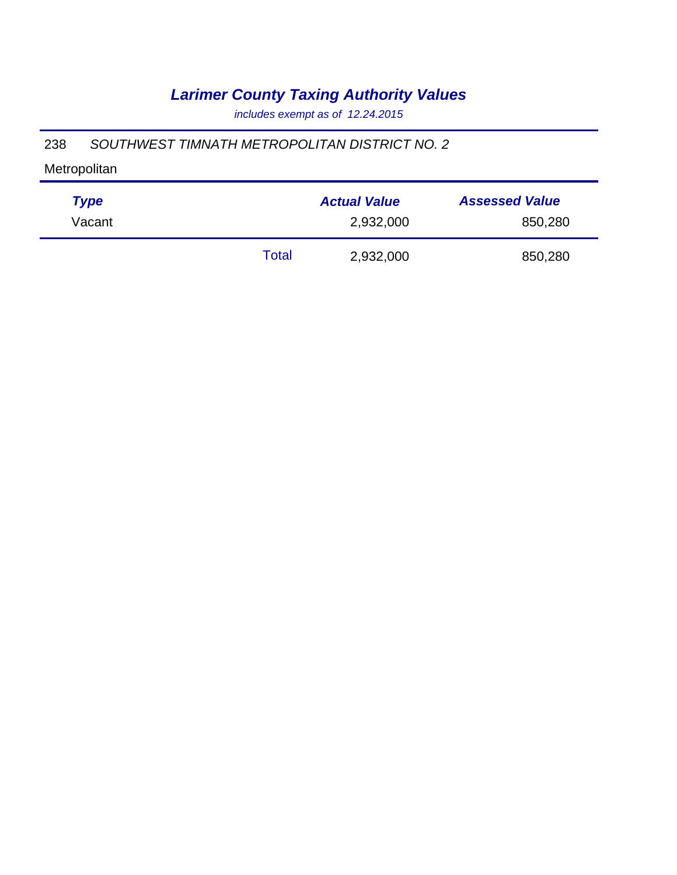*includes exempt as of 12.24.2015*

### 238 *SOUTHWEST TIMNATH METROPOLITAN DISTRICT NO. 2*

| <b>Type</b> |       | <b>Actual Value</b> | <b>Assessed Value</b> |
|-------------|-------|---------------------|-----------------------|
| Vacant      |       | 2,932,000           | 850,280               |
|             | Total | 2,932,000           | 850,280               |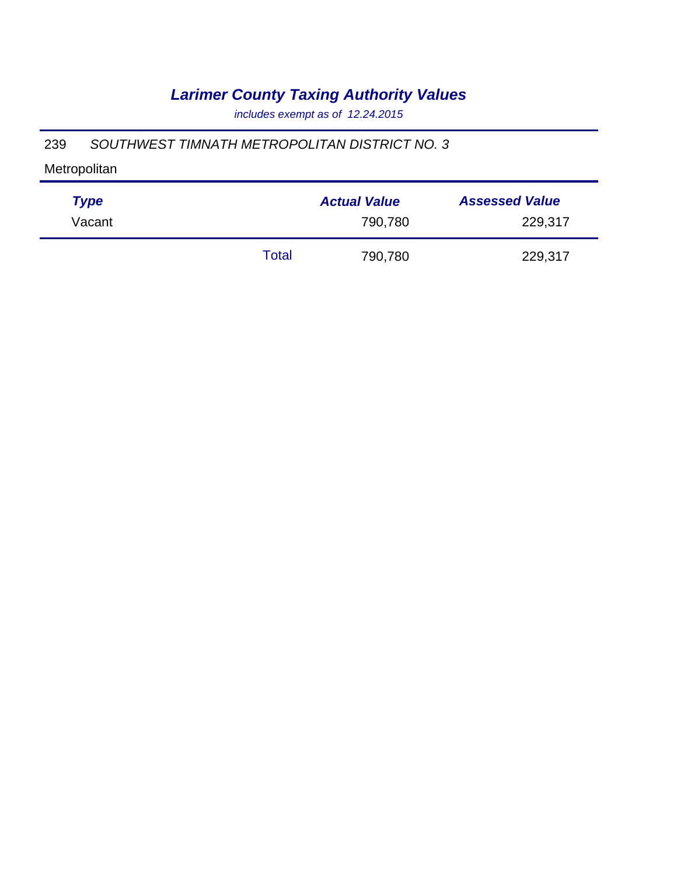*includes exempt as of 12.24.2015*

### 239 *SOUTHWEST TIMNATH METROPOLITAN DISTRICT NO. 3*

| <b>Type</b> |       | <b>Actual Value</b> | <b>Assessed Value</b> |
|-------------|-------|---------------------|-----------------------|
| Vacant      |       | 790,780             | 229,317               |
|             | Total | 790,780             | 229,317               |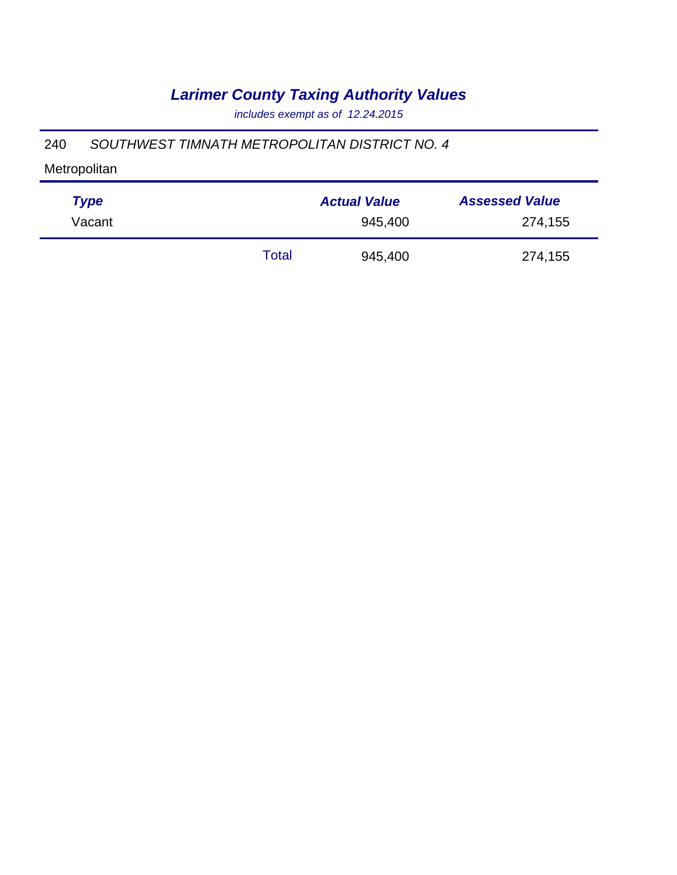*includes exempt as of 12.24.2015*

### 240 *SOUTHWEST TIMNATH METROPOLITAN DISTRICT NO. 4*

| <b>Type</b> |       | <b>Actual Value</b> | <b>Assessed Value</b> |
|-------------|-------|---------------------|-----------------------|
| Vacant      |       | 945,400             | 274,155               |
|             | Total | 945,400             | 274,155               |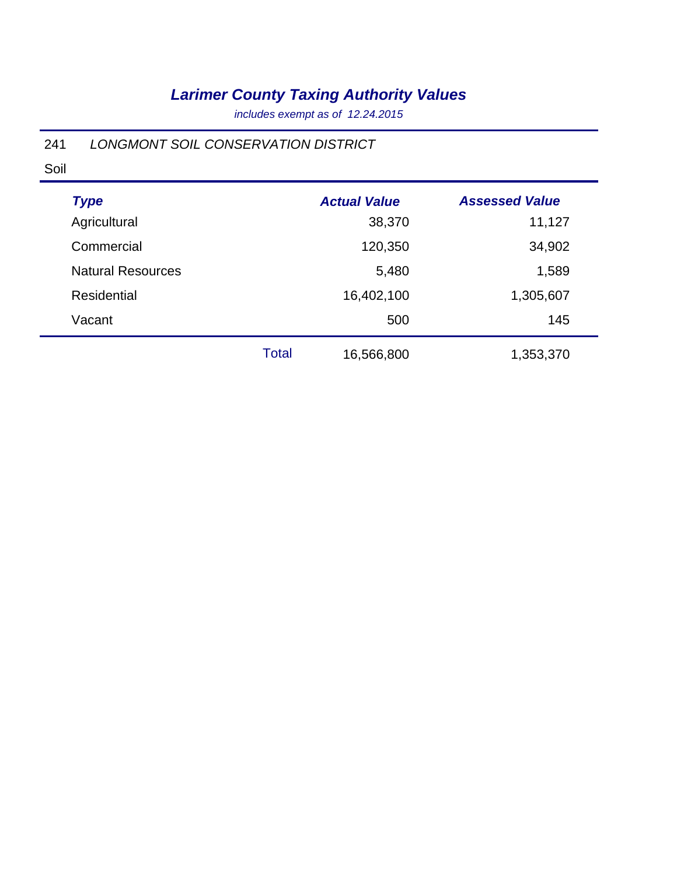*includes exempt as of 12.24.2015*

### 241 *LONGMONT SOIL CONSERVATION DISTRICT*

Soil

| <b>Type</b>              |              | <b>Actual Value</b> | <b>Assessed Value</b> |
|--------------------------|--------------|---------------------|-----------------------|
| Agricultural             |              | 38,370              | 11,127                |
| Commercial               |              | 120,350             | 34,902                |
| <b>Natural Resources</b> |              | 5,480               | 1,589                 |
| <b>Residential</b>       |              | 16,402,100          | 1,305,607             |
| Vacant                   |              | 500                 | 145                   |
|                          | <b>Total</b> | 16,566,800          | 1,353,370             |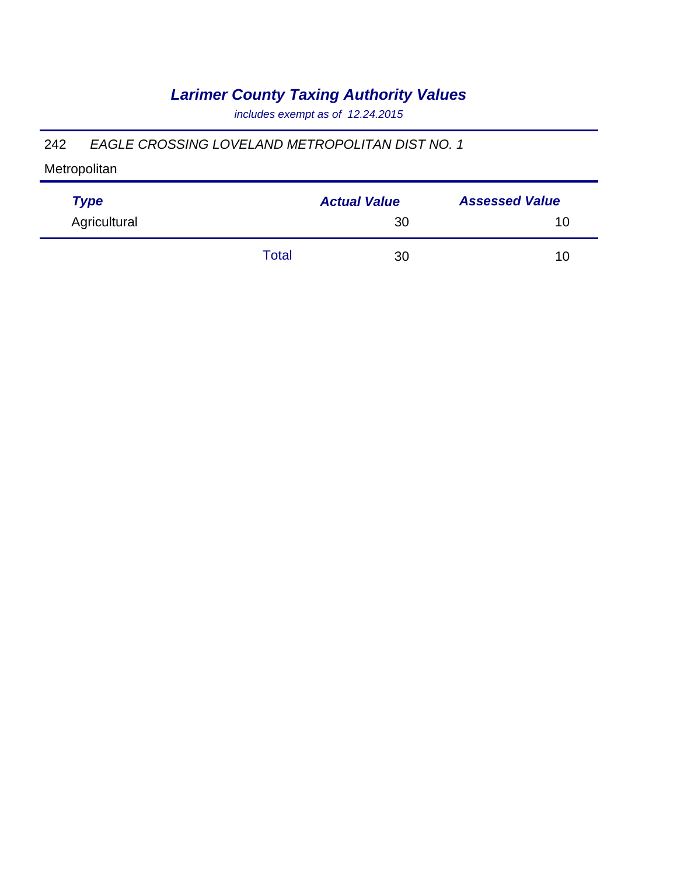*includes exempt as of 12.24.2015*

#### 242 *EAGLE CROSSING LOVELAND METROPOLITAN DIST NO. 1*

| <b>Type</b>  |       | <b>Actual Value</b> | <b>Assessed Value</b> |  |
|--------------|-------|---------------------|-----------------------|--|
| Agricultural |       | 30                  | 10                    |  |
|              | Total | 30                  | 10                    |  |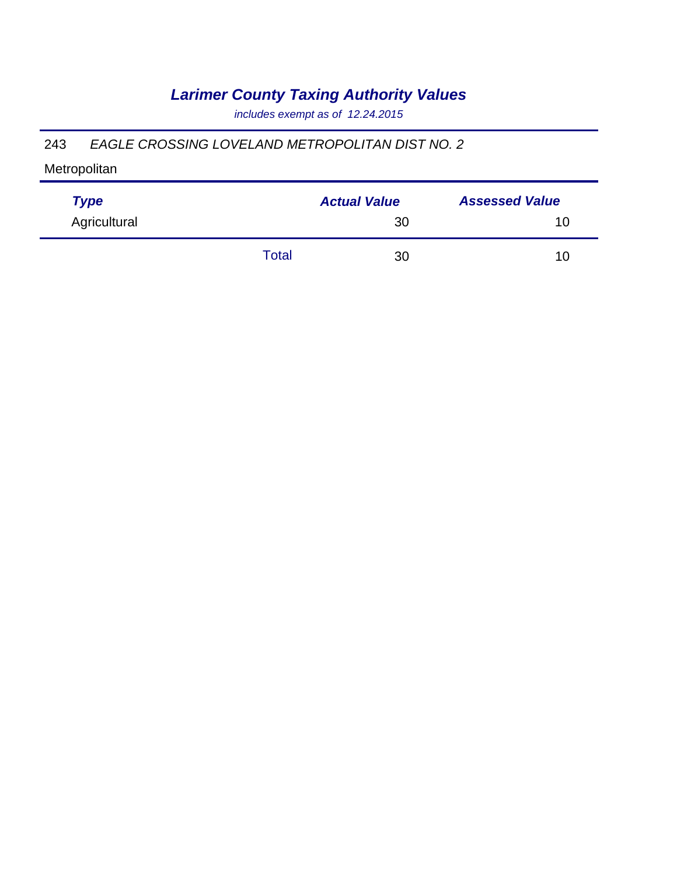*includes exempt as of 12.24.2015*

#### 243 *EAGLE CROSSING LOVELAND METROPOLITAN DIST NO. 2*

| <b>Type</b>  |       | <b>Actual Value</b> | <b>Assessed Value</b> |
|--------------|-------|---------------------|-----------------------|
| Agricultural |       | 30                  | 10                    |
|              | Total | 30                  | 10                    |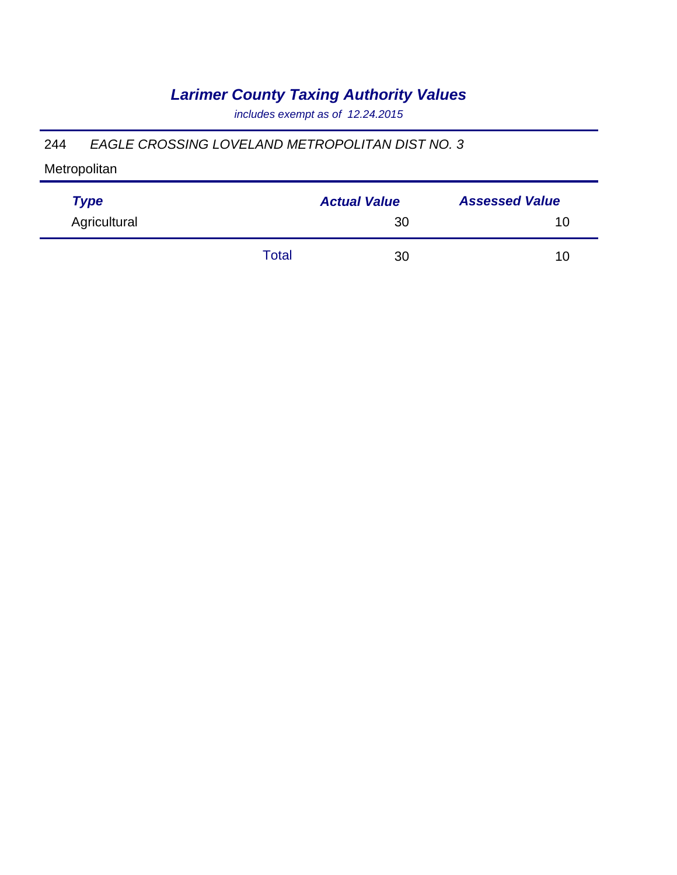*includes exempt as of 12.24.2015*

#### 244 *EAGLE CROSSING LOVELAND METROPOLITAN DIST NO. 3*

| <b>Type</b>  |       | <b>Actual Value</b> | <b>Assessed Value</b> |  |
|--------------|-------|---------------------|-----------------------|--|
| Agricultural |       | 30                  | 10                    |  |
|              | Total | 30                  | 10                    |  |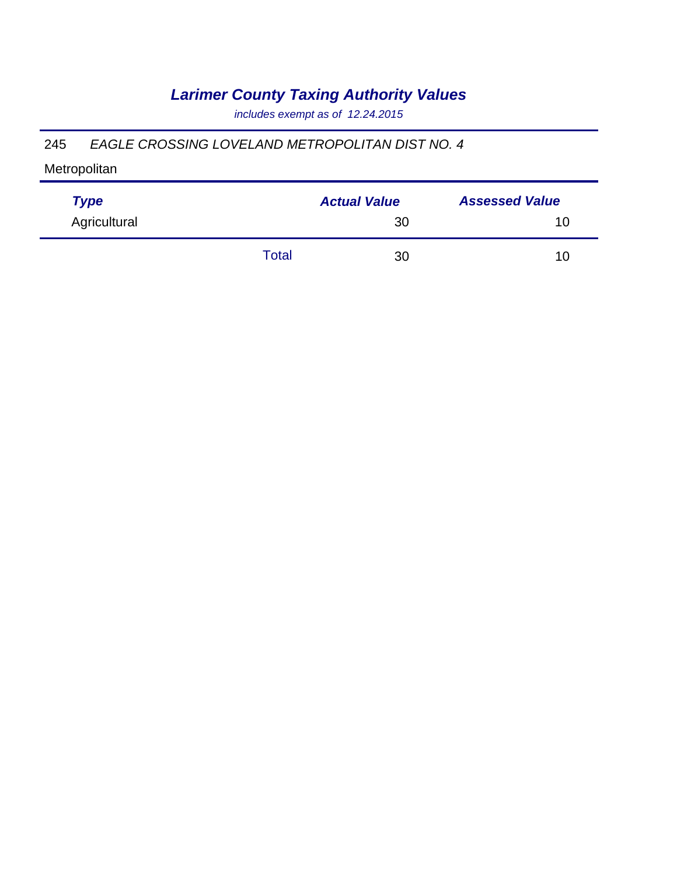*includes exempt as of 12.24.2015*

#### 245 *EAGLE CROSSING LOVELAND METROPOLITAN DIST NO. 4*

| <b>Type</b>  |       | <b>Actual Value</b> | <b>Assessed Value</b> |  |
|--------------|-------|---------------------|-----------------------|--|
| Agricultural |       | 30                  | 10                    |  |
|              | Total | 30                  | 10                    |  |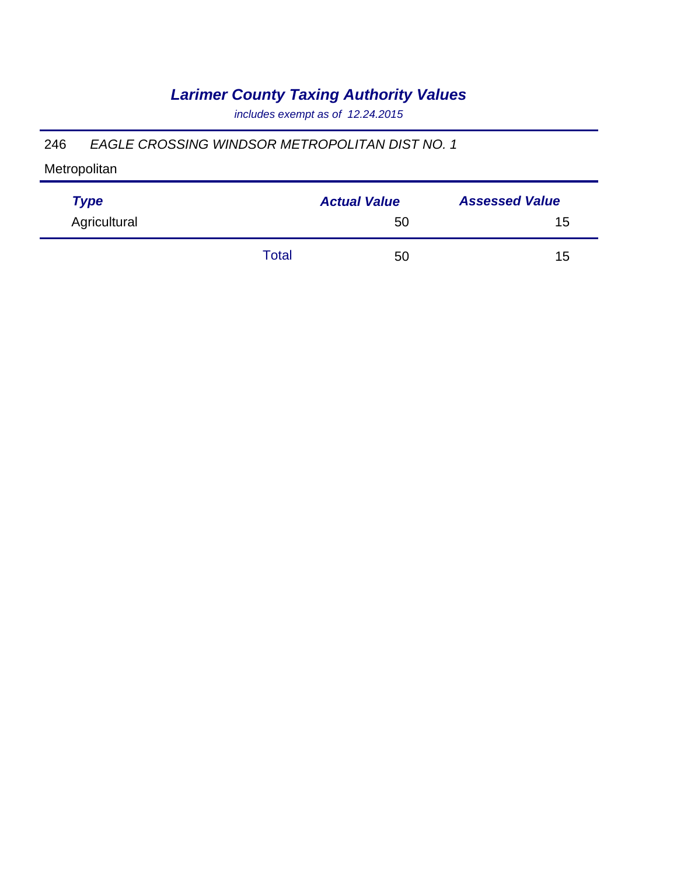*includes exempt as of 12.24.2015*

#### 246 *EAGLE CROSSING WINDSOR METROPOLITAN DIST NO. 1*

| <b>Type</b>  |       | <b>Actual Value</b> | <b>Assessed Value</b> |  |
|--------------|-------|---------------------|-----------------------|--|
| Agricultural |       | 50                  | 15                    |  |
|              | Total | 50                  | 15                    |  |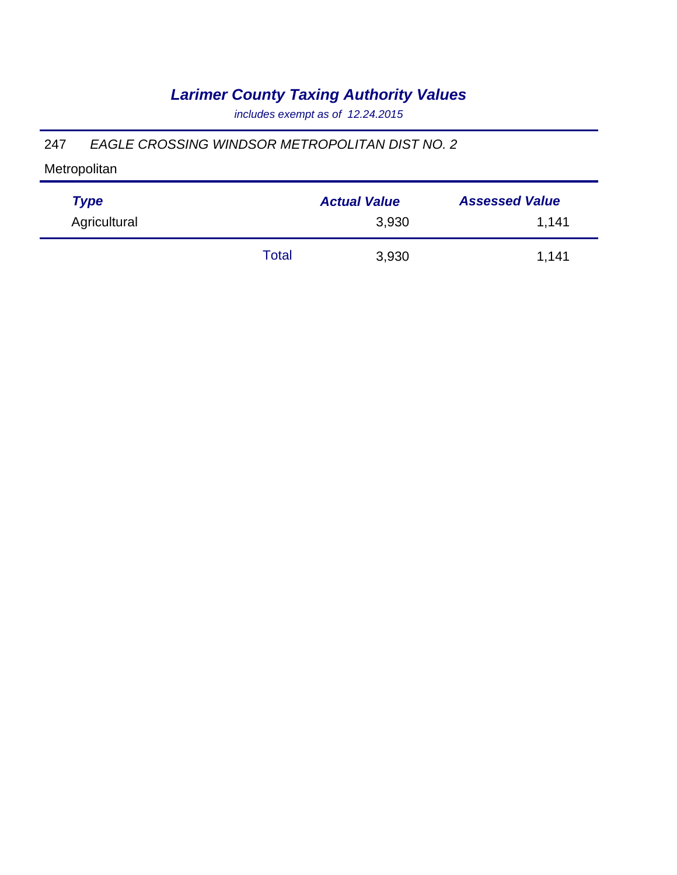*includes exempt as of 12.24.2015*

#### 247 *EAGLE CROSSING WINDSOR METROPOLITAN DIST NO. 2*

| <b>Type</b>  |       | <b>Actual Value</b> | <b>Assessed Value</b> |
|--------------|-------|---------------------|-----------------------|
| Agricultural |       | 3,930               | 1,141                 |
|              | Total | 3,930               | 1,141                 |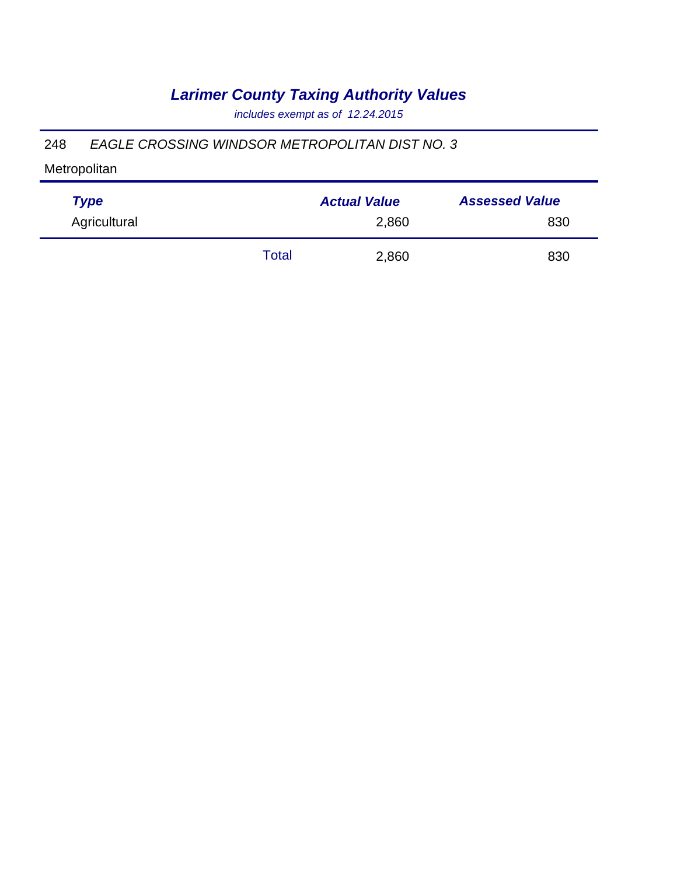*includes exempt as of 12.24.2015*

#### 248 *EAGLE CROSSING WINDSOR METROPOLITAN DIST NO. 3*

| <b>Type</b>  |       | <b>Actual Value</b> | <b>Assessed Value</b> |
|--------------|-------|---------------------|-----------------------|
| Agricultural |       | 2,860               | 830                   |
|              | Total | 2,860               | 830                   |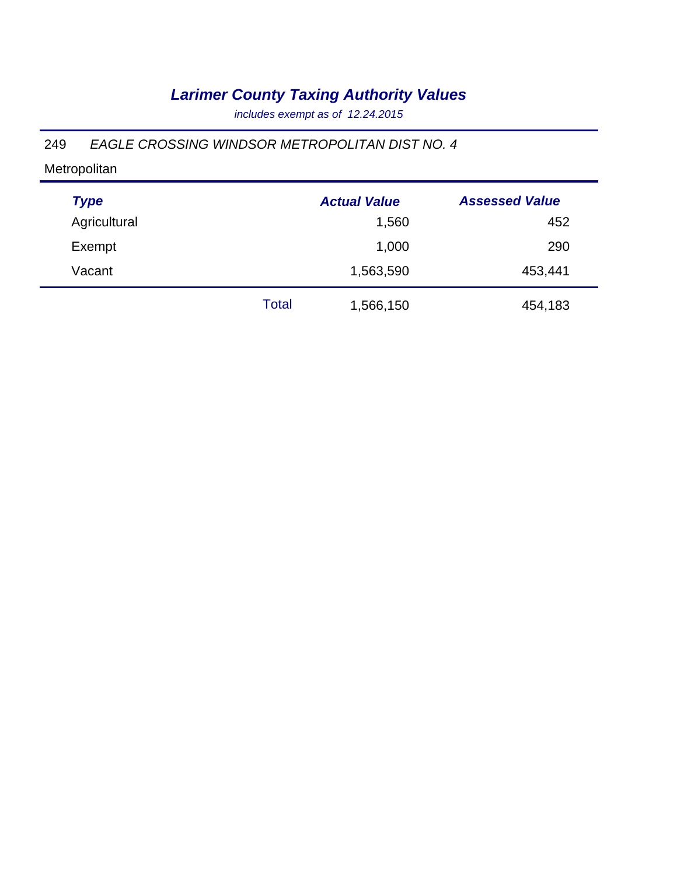*includes exempt as of 12.24.2015*

#### 249 *EAGLE CROSSING WINDSOR METROPOLITAN DIST NO. 4*

| <b>Type</b>  |       | <b>Actual Value</b> | <b>Assessed Value</b> |
|--------------|-------|---------------------|-----------------------|
| Agricultural |       | 1,560               | 452                   |
| Exempt       |       | 1,000               | 290                   |
| Vacant       |       | 1,563,590           | 453,441               |
|              | Total | 1,566,150           | 454,183               |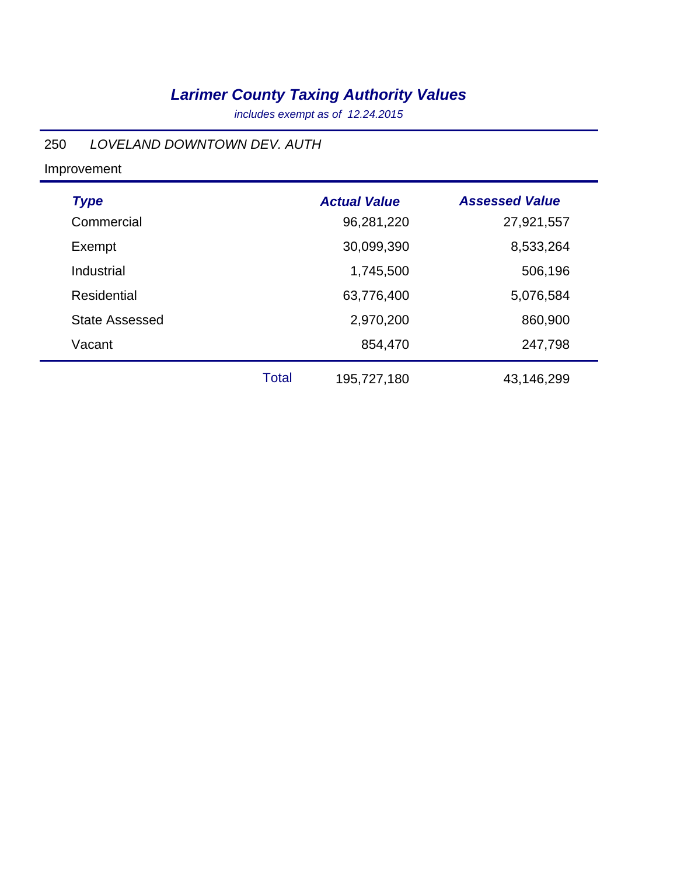*includes exempt as of 12.24.2015*

### 250 *LOVELAND DOWNTOWN DEV. AUTH*

| <b>Type</b>           |              | <b>Actual Value</b> | <b>Assessed Value</b> |
|-----------------------|--------------|---------------------|-----------------------|
| Commercial            |              | 96,281,220          | 27,921,557            |
| Exempt                |              | 30,099,390          | 8,533,264             |
| Industrial            |              | 1,745,500           | 506,196               |
| Residential           |              | 63,776,400          | 5,076,584             |
| <b>State Assessed</b> |              | 2,970,200           | 860,900               |
| Vacant                |              | 854,470             | 247,798               |
|                       | <b>Total</b> | 195,727,180         | 43,146,299            |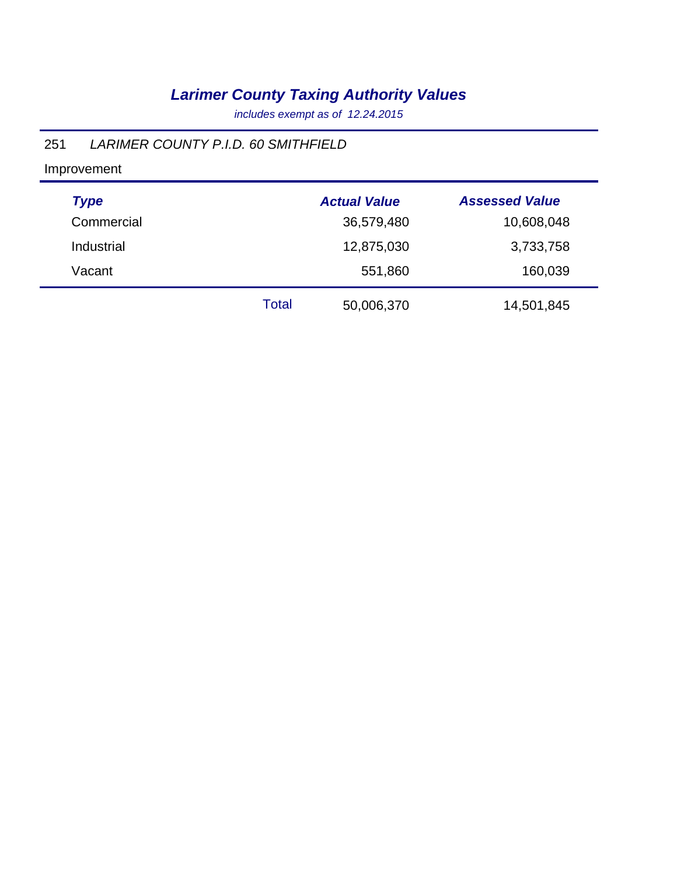*includes exempt as of 12.24.2015*

### 251 *LARIMER COUNTY P.I.D. 60 SMITHFIELD*

| <b>Type</b> |       | <b>Actual Value</b> | <b>Assessed Value</b> |
|-------------|-------|---------------------|-----------------------|
| Commercial  |       | 36,579,480          | 10,608,048            |
| Industrial  |       | 12,875,030          | 3,733,758             |
| Vacant      |       | 551,860             | 160,039               |
|             | Total | 50,006,370          | 14,501,845            |